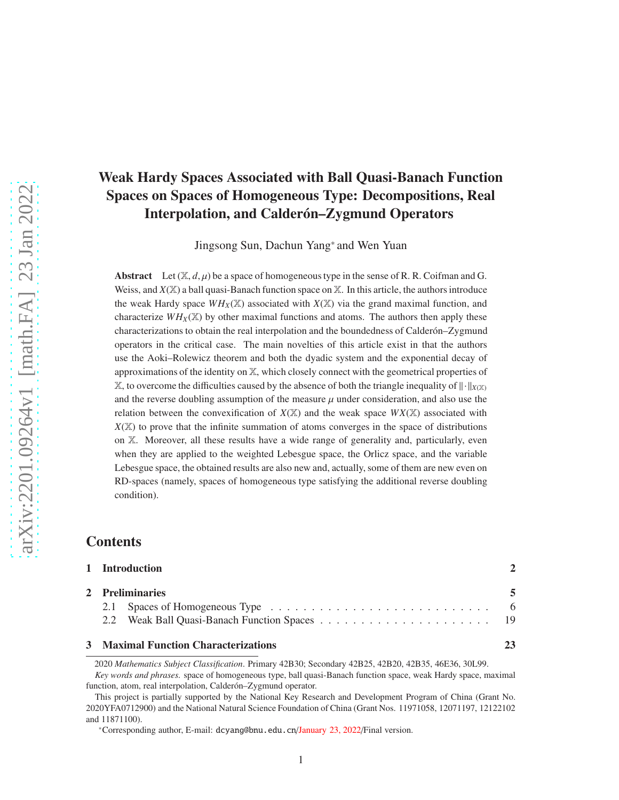# Weak Hardy Spaces Associated with Ball Quasi-Banach Function Spaces on Spaces of Homogeneous Type: Decompositions, Real Interpolation, and Calderón–Zygmund Operators

Jingsong Sun, Dachun Yang\* and Wen Yuan

Abstract Let  $(\mathbb{X}, d, \mu)$  be a space of homogeneous type in the sense of R. R. Coifman and G. Weiss, and  $X(\mathbb{X})$  a ball quasi-Banach function space on  $\mathbb{X}$ . In this article, the authors introduce the weak Hardy space  $WH_X(\mathbb{X})$  associated with  $X(\mathbb{X})$  via the grand maximal function, and characterize  $WH_X(\mathbb{X})$  by other maximal functions and atoms. The authors then apply these characterizations to obtain the real interpolation and the boundedness of Calder on–Zygmund operators in the critical case. The main novelties of this article exist in that the authors use the Aoki–Rolewicz theorem and both the dyadic system and the exponential decay of approximations of the identity on  $X$ , which closely connect with the geometrical properties of  $\mathbb{X}$ , to overcome the difficulties caused by the absence of both the triangle inequality of  $\|\cdot\|_{X(\mathbb{X})}$ and the reverse doubling assumption of the measure  $\mu$  under consideration, and also use the relation between the convexification of  $X(\mathbb{X})$  and the weak space  $WX(\mathbb{X})$  associated with  $X(X)$  to prove that the infinite summation of atoms converges in the space of distributions on X. Moreover, all these results have a wide range of generality and, particularly, even when they are applied to the weighted Lebesgue space, the Orlicz space, and the variable Lebesgue space, the obtained results are also new and, actually, some of them are new even on RD-spaces (namely, spaces of homogeneous type satisfying the additional reverse doubling condition).

## **Contents**

| 1 Introduction                       |  |
|--------------------------------------|--|
| 2 Preliminaries                      |  |
|                                      |  |
|                                      |  |
| 3 Maximal Function Characterizations |  |

2020 *Mathematics Subject Classification*. Primary 42B30; Secondary 42B25, 42B20, 42B35, 46E36, 30L99.

*Key words and phrases.* space of homogeneous type, ball quasi-Banach function space, weak Hardy space, maximal function, atom, real interpolation, Calderón–Zygmund operator.

This project is partially supported by the National Key Research and Development Program of China (Grant No. 2020YFA0712900) and the National Natural Science Foundation of China (Grant Nos. 11971058, 12071197, 12122102 and 11871100).

<sup>\*</sup>Corresponding author, E-mail: dcyang@bnu.edu.cn/January 23, 2022/Final version.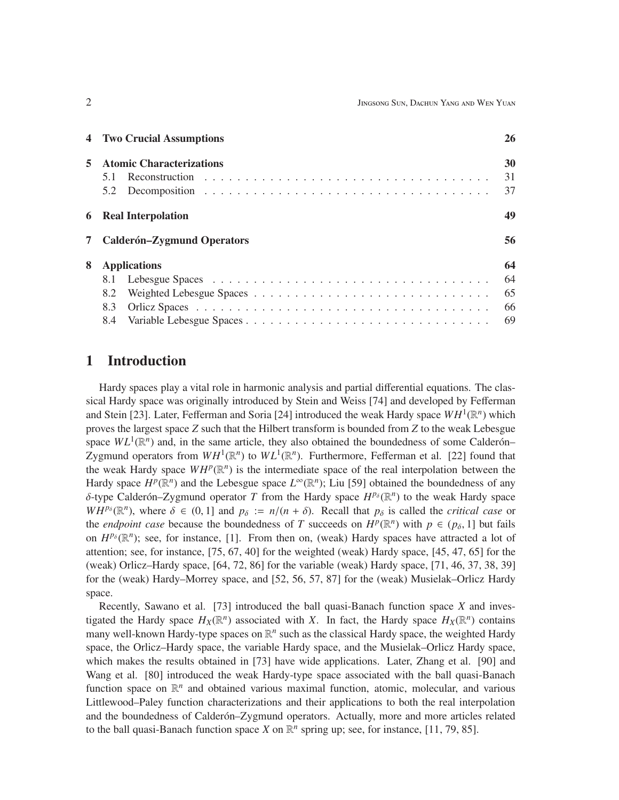|             | <b>4</b> Two Crucial Assumptions  | 26 |
|-------------|-----------------------------------|----|
| 5           | <b>Atomic Characterizations</b>   | 30 |
|             |                                   | 31 |
|             |                                   | 37 |
|             | <b>6</b> Real Interpolation       | 49 |
| $7^{\circ}$ | <b>Calderón–Zygmund Operators</b> | 56 |
| 8           | <b>Applications</b>               | 64 |
|             |                                   | 64 |
|             | 8.2                               | 65 |
|             | 8.3                               | 66 |
|             |                                   | 69 |

## 1 Introduction

Hardy spaces play a vital role in harmonic analysis and partial differential equations. The classical Hardy space was originally introduced by Stein and Weiss [74] and developed by Fefferman and Stein [23]. Later, Fefferman and Soria [24] introduced the weak Hardy space  $WH^1(\mathbb{R}^n)$  which proves the largest space *Z* such that the Hilbert transform is bounded from *Z* to the weak Lebesgue space  $WL^1(\mathbb{R}^n)$  and, in the same article, they also obtained the boundedness of some Calderón– Zygmund operators from  $WH^1(\mathbb{R}^n)$  to  $WL^1(\mathbb{R}^n)$ . Furthermore, Fefferman et al. [22] found that the weak Hardy space  $WH^p(\mathbb{R}^n)$  is the intermediate space of the real interpolation between the Hardy space  $H^p(\mathbb{R}^n)$  and the Lebesgue space  $L^\infty(\mathbb{R}^n)$ ; Liu [59] obtained the boundedness of any  $\delta$ -type Calderón–Zygmund operator *T* from the Hardy space  $H^{p_\delta}(\mathbb{R}^n)$  to the weak Hardy space  $WH^{p_\delta}(\mathbb{R}^n)$ , where  $\delta \in (0, 1]$  and  $p_\delta := n/(n + \delta)$ . Recall that  $p_\delta$  is called the *critical case* or the *endpoint case* because the boundedness of *T* succeeds on  $H^p(\mathbb{R}^n)$  with  $p \in (p_\delta, 1]$  but fails on  $H^{p_\delta}(\mathbb{R}^n)$ ; see, for instance, [1]. From then on, (weak) Hardy spaces have attracted a lot of attention; see, for instance, [75, 67, 40] for the weighted (weak) Hardy space, [45, 47, 65] for the (weak) Orlicz–Hardy space, [64, 72, 86] for the variable (weak) Hardy space, [71, 46, 37, 38, 39] for the (weak) Hardy–Morrey space, and [52, 56, 57, 87] for the (weak) Musielak–Orlicz Hardy space.

Recently, Sawano et al. [73] introduced the ball quasi-Banach function space *X* and investigated the Hardy space  $H_X(\mathbb{R}^n)$  associated with *X*. In fact, the Hardy space  $H_X(\mathbb{R}^n)$  contains many well-known Hardy-type spaces on  $\mathbb{R}^n$  such as the classical Hardy space, the weighted Hardy space, the Orlicz–Hardy space, the variable Hardy space, and the Musielak–Orlicz Hardy space, which makes the results obtained in [73] have wide applications. Later, Zhang et al. [90] and Wang et al. [80] introduced the weak Hardy-type space associated with the ball quasi-Banach function space on  $\mathbb{R}^n$  and obtained various maximal function, atomic, molecular, and various Littlewood–Paley function characterizations and their applications to both the real interpolation and the boundedness of Calderón–Zygmund operators. Actually, more and more articles related to the ball quasi-Banach function space *X* on  $\mathbb{R}^n$  spring up; see, for instance, [11, 79, 85].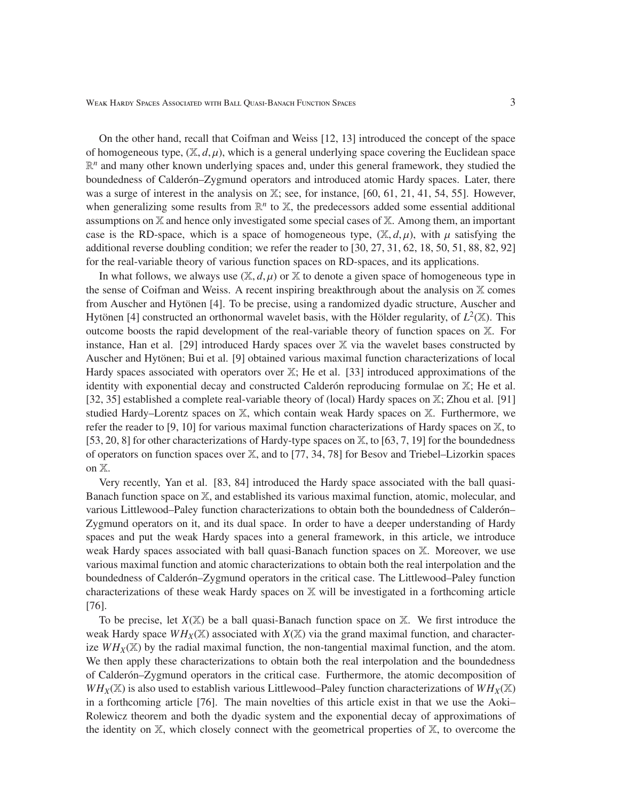On the other hand, recall that Coifman and Weiss [12, 13] introduced the concept of the space of homogeneous type,  $(\mathbb{X}, d, \mu)$ , which is a general underlying space covering the Euclidean space  $\mathbb{R}^n$  and many other known underlying spaces and, under this general framework, they studied the boundedness of Calder *n*–Zygmund operators and introduced atomic Hardy spaces. Later, there was a surge of interest in the analysis on X; see, for instance, [60, 61, 21, 41, 54, 55]. However, when generalizing some results from  $\mathbb{R}^n$  to  $\mathbb{X}$ , the predecessors added some essential additional assumptions on X and hence only investigated some special cases of X. Among them, an important case is the RD-space, which is a space of homogeneous type,  $(\mathbb{X}, d, \mu)$ , with  $\mu$  satisfying the additional reverse doubling condition; we refer the reader to [30, 27, 31, 62, 18, 50, 51, 88, 82, 92] for the real-variable theory of various function spaces on RD-spaces, and its applications.

In what follows, we always use  $(\mathbb{X}, d, \mu)$  or  $\mathbb{X}$  to denote a given space of homogeneous type in the sense of Coifman and Weiss. A recent inspiring breakthrough about the analysis on  $X$  comes from Auscher and Hytönen [4]. To be precise, using a randomized dyadic structure, Auscher and Hytönen [4] constructed an orthonormal wavelet basis, with the Hölder regularity, of  $L^2(\mathbb{X})$ . This outcome boosts the rapid development of the real-variable theory of function spaces on X. For instance, Han et al. [29] introduced Hardy spaces over  $X$  via the wavelet bases constructed by Auscher and Hytönen; Bui et al. [9] obtained various maximal function characterizations of local Hardy spaces associated with operators over  $X$ ; He et al. [33] introduced approximations of the identity with exponential decay and constructed Calder on reproducing formulae on  $X$ ; He et al. [32, 35] established a complete real-variable theory of (local) Hardy spaces on X; Zhou et al. [91] studied Hardy–Lorentz spaces on X, which contain weak Hardy spaces on X. Furthermore, we refer the reader to [9, 10] for various maximal function characterizations of Hardy spaces on X, to [53, 20, 8] for other characterizations of Hardy-type spaces on X, to [63, 7, 19] for the boundedness of operators on function spaces over X, and to [77, 34, 78] for Besov and Triebel–Lizorkin spaces on X.

Very recently, Yan et al. [83, 84] introduced the Hardy space associated with the ball quasi-Banach function space on X, and established its various maximal function, atomic, molecular, and various Littlewood–Paley function characterizations to obtain both the boundedness of Calderón– Zygmund operators on it, and its dual space. In order to have a deeper understanding of Hardy spaces and put the weak Hardy spaces into a general framework, in this article, we introduce weak Hardy spaces associated with ball quasi-Banach function spaces on X. Moreover, we use various maximal function and atomic characterizations to obtain both the real interpolation and the boundedness of Calderón–Zygmund operators in the critical case. The Littlewood–Paley function characterizations of these weak Hardy spaces on X will be investigated in a forthcoming article [76].

To be precise, let  $X(\mathbb{X})$  be a ball quasi-Banach function space on  $\mathbb{X}$ . We first introduce the weak Hardy space  $WH_X(\mathbb{X})$  associated with  $X(\mathbb{X})$  via the grand maximal function, and characterize  $WH_X(\mathbb{X})$  by the radial maximal function, the non-tangential maximal function, and the atom. We then apply these characterizations to obtain both the real interpolation and the boundedness of Calderón–Zygmund operators in the critical case. Furthermore, the atomic decomposition of  $WH_X(\mathbb{X})$  is also used to establish various Littlewood–Paley function characterizations of  $WH_X(\mathbb{X})$ in a forthcoming article [76]. The main novelties of this article exist in that we use the Aoki– Rolewicz theorem and both the dyadic system and the exponential decay of approximations of the identity on  $X$ , which closely connect with the geometrical properties of  $X$ , to overcome the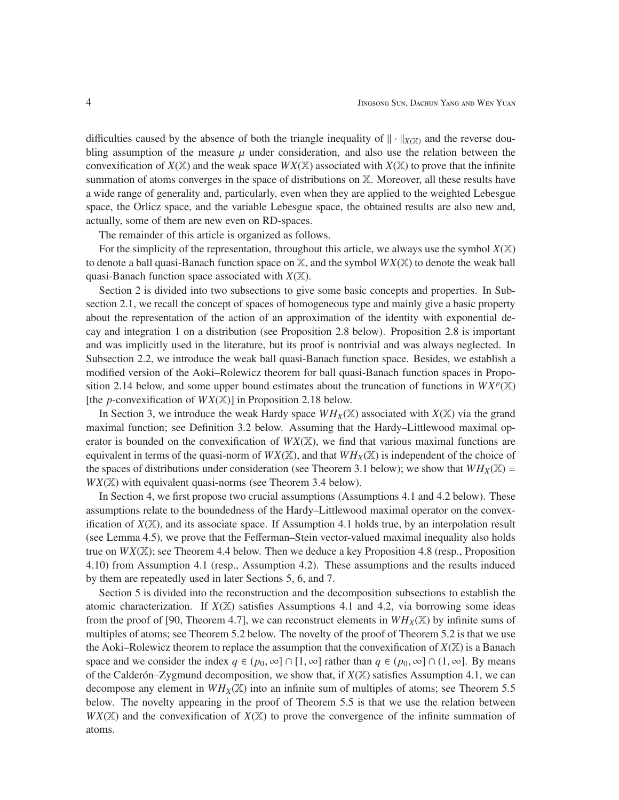difficulties caused by the absence of both the triangle inequality of  $\|\cdot\|_{X(X)}$  and the reverse doubling assumption of the measure  $\mu$  under consideration, and also use the relation between the convexification of  $X(\mathbb{X})$  and the weak space  $WX(\mathbb{X})$  associated with  $X(\mathbb{X})$  to prove that the infinite summation of atoms converges in the space of distributions on  $X$ . Moreover, all these results have a wide range of generality and, particularly, even when they are applied to the weighted Lebesgue space, the Orlicz space, and the variable Lebesgue space, the obtained results are also new and, actually, some of them are new even on RD-spaces.

The remainder of this article is organized as follows.

For the simplicity of the representation, throughout this article, we always use the symbol  $X(\mathbb{X})$ to denote a ball quasi-Banach function space on  $X$ , and the symbol  $WX(X)$  to denote the weak ball quasi-Banach function space associated with  $X(\mathbb{X})$ .

Section 2 is divided into two subsections to give some basic concepts and properties. In Subsection 2.1, we recall the concept of spaces of homogeneous type and mainly give a basic property about the representation of the action of an approximation of the identity with exponential decay and integration 1 on a distribution (see Proposition 2.8 below). Proposition 2.8 is important and was implicitly used in the literature, but its proof is nontrivial and was always neglected. In Subsection 2.2, we introduce the weak ball quasi-Banach function space. Besides, we establish a modified version of the Aoki–Rolewicz theorem for ball quasi-Banach function spaces in Proposition 2.14 below, and some upper bound estimates about the truncation of functions in  $WX^p(\mathbb{X})$ [the *p*-convexification of *WX*(X)] in Proposition 2.18 below.

In Section 3, we introduce the weak Hardy space  $WH_X(\mathbb{X})$  associated with  $X(\mathbb{X})$  via the grand maximal function; see Definition 3.2 below. Assuming that the Hardy–Littlewood maximal operator is bounded on the convexification of  $WX(\mathbb{X})$ , we find that various maximal functions are equivalent in terms of the quasi-norm of  $WX(\mathbb{X})$ , and that  $WH_X(\mathbb{X})$  is independent of the choice of the spaces of distributions under consideration (see Theorem 3.1 below); we show that  $WH_X(\mathbb{X}) =$  $WX(\mathbb{X})$  with equivalent quasi-norms (see Theorem 3.4 below).

In Section 4, we first propose two crucial assumptions (Assumptions 4.1 and 4.2 below). These assumptions relate to the boundedness of the Hardy–Littlewood maximal operator on the convexification of  $X(\mathbb{X})$ , and its associate space. If Assumption 4.1 holds true, by an interpolation result (see Lemma 4.5), we prove that the Fefferman–Stein vector-valued maximal inequality also holds true on *WX*(X); see Theorem 4.4 below. Then we deduce a key Proposition 4.8 (resp., Proposition 4.10) from Assumption 4.1 (resp., Assumption 4.2). These assumptions and the results induced by them are repeatedly used in later Sections 5, 6, and 7.

Section 5 is divided into the reconstruction and the decomposition subsections to establish the atomic characterization. If  $X(\mathbb{X})$  satisfies Assumptions 4.1 and 4.2, via borrowing some ideas from the proof of [90, Theorem 4.7], we can reconstruct elements in  $WH_X(\mathbb{X})$  by infinite sums of multiples of atoms; see Theorem 5.2 below. The novelty of the proof of Theorem 5.2 is that we use the Aoki–Rolewicz theorem to replace the assumption that the convexification of  $X(\mathbb{X})$  is a Banach space and we consider the index  $q \in (p_0, \infty] \cap [1, \infty]$  rather than  $q \in (p_0, \infty] \cap (1, \infty]$ . By means of the Calderón–Zygmund decomposition, we show that, if  $X(\mathbb{X})$  satisfies Assumption 4.1, we can decompose any element in  $WH_X(\mathbb{X})$  into an infinite sum of multiples of atoms; see Theorem 5.5 below. The novelty appearing in the proof of Theorem 5.5 is that we use the relation between *WX*(X) and the convexification of *X*(X) to prove the convergence of the infinite summation of atoms.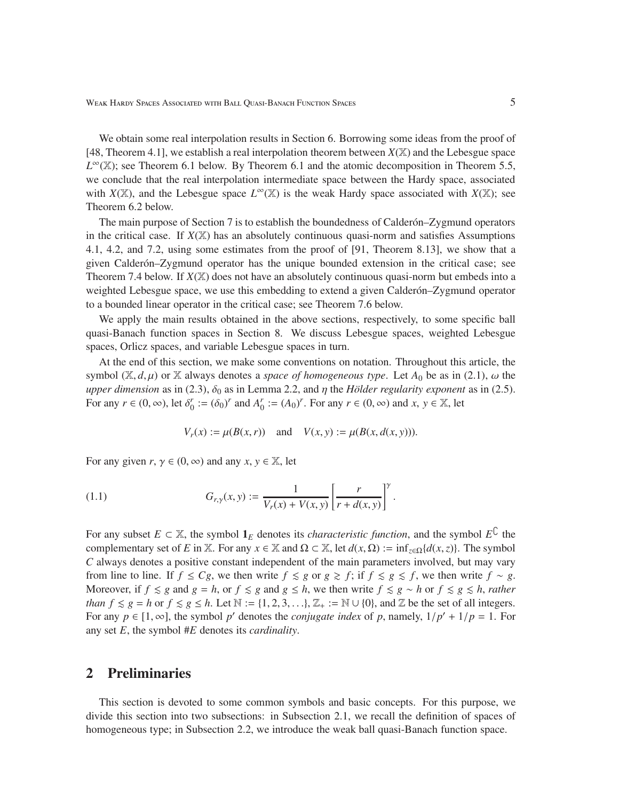We obtain some real interpolation results in Section 6. Borrowing some ideas from the proof of [48, Theorem 4.1], we establish a real interpolation theorem between  $X(\mathbb{X})$  and the Lebesgue space  $L^{\infty}(\mathbb{X})$ ; see Theorem 6.1 below. By Theorem 6.1 and the atomic decomposition in Theorem 5.5, we conclude that the real interpolation intermediate space between the Hardy space, associated with  $X(\mathbb{X})$ , and the Lebesgue space  $L^{\infty}(\mathbb{X})$  is the weak Hardy space associated with  $X(\mathbb{X})$ ; see Theorem 6.2 below.

The main purpose of Section 7 is to establish the boundedness of Calder on–Zygmund operators in the critical case. If  $X(\mathbb{X})$  has an absolutely continuous quasi-norm and satisfies Assumptions 4.1, 4.2, and 7.2, using some estimates from the proof of [91, Theorem 8.13], we show that a given Calder *on*–Zygmund operator has the unique bounded extension in the critical case; see Theorem 7.4 below. If  $X(X)$  does not have an absolutely continuous quasi-norm but embeds into a weighted Lebesgue space, we use this embedding to extend a given Calder on–Zygmund operator to a bounded linear operator in the critical case; see Theorem 7.6 below.

We apply the main results obtained in the above sections, respectively, to some specific ball quasi-Banach function spaces in Section 8. We discuss Lebesgue spaces, weighted Lebesgue spaces, Orlicz spaces, and variable Lebesgue spaces in turn.

At the end of this section, we make some conventions on notation. Throughout this article, the symbol  $(X, d, \mu)$  or X always denotes a *space of homogeneous type*. Let  $A_0$  be as in (2.1),  $\omega$  the *upper dimension* as in (2.3),  $\delta_0$  as in Lemma 2.2, and  $\eta$  the *Hölder regularity exponent* as in (2.5). For any  $r \in (0, \infty)$ , let  $\delta_0^r := (\delta_0)^r$  and  $A_0^r := (A_0)^r$ . For any  $r \in (0, \infty)$  and  $x, y \in \mathbb{X}$ , let

$$
V_r(x) := \mu(B(x, r))
$$
 and  $V(x, y) := \mu(B(x, d(x, y))).$ 

For any given  $r, \gamma \in (0, \infty)$  and any  $x, y \in \mathbb{X}$ , let

(1.1) 
$$
G_{r,y}(x,y) := \frac{1}{V_r(x) + V(x,y)} \left[ \frac{r}{r + d(x,y)} \right]^\gamma.
$$

For any subset  $E \subset \mathbb{X}$ , the symbol  $\mathbf{1}_E$  denotes its *characteristic function*, and the symbol  $E^C$  the complementary set of *E* in X. For any  $x \in X$  and  $\Omega \subset X$ , let  $d(x, \Omega) := \inf_{z \in \Omega} \{d(x, z)\}\.$  The symbol *C* always denotes a positive constant independent of the main parameters involved, but may vary from line to line. If  $f \leq Cg$ , we then write  $f \leq g$  or  $g \geq f$ ; if  $f \leq g \leq f$ , we then write  $f \sim g$ . Moreover, if  $f \le g$  and  $g = h$ , or  $f \le g$  and  $g \le h$ , we then write  $f \le g \sim h$  or  $f \le g \le h$ , *rather than*  $f \le g = h$  or  $f \le g \le h$ . Let  $\mathbb{N} := \{1, 2, 3, \ldots\}, \mathbb{Z}_+ := \mathbb{N} \cup \{0\}$ , and  $\mathbb{Z}$  be the set of all integers. For any  $p \in [1, \infty]$ , the symbol p' denotes the *conjugate index* of p, namely,  $1/p' + 1/p = 1$ . For any set *E*, the symbol #*E* denotes its *cardinality*.

# 2 Preliminaries

This section is devoted to some common symbols and basic concepts. For this purpose, we divide this section into two subsections: in Subsection 2.1, we recall the definition of spaces of homogeneous type; in Subsection 2.2, we introduce the weak ball quasi-Banach function space.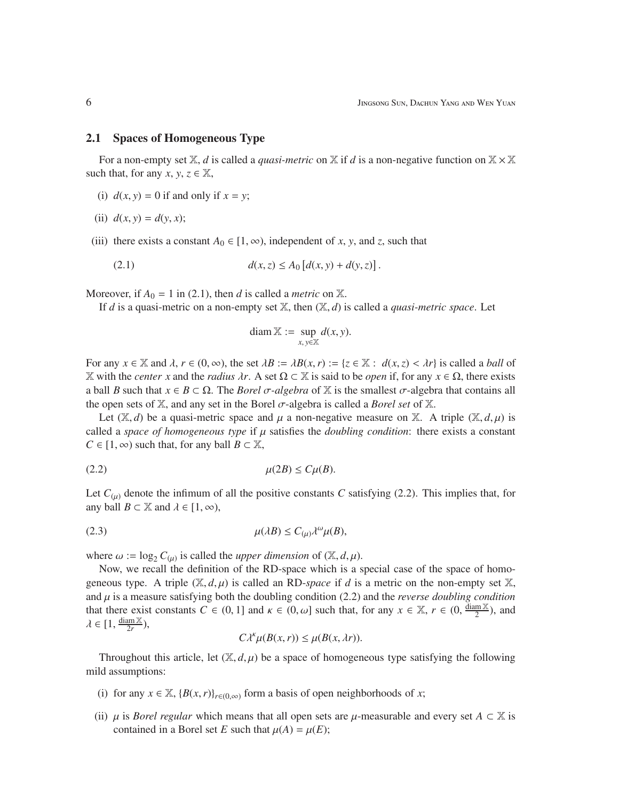#### 2.1 Spaces of Homogeneous Type

For a non-empty set  $\mathbb{X}$ , *d* is called a *quasi-metric* on  $\mathbb{X}$  if *d* is a non-negative function on  $\mathbb{X} \times \mathbb{X}$ such that, for any *x*, *y*,  $z \in \mathbb{X}$ ,

- (i)  $d(x, y) = 0$  if and only if  $x = y$ ;
- (ii)  $d(x, y) = d(y, x)$ ;
- (iii) there exists a constant  $A_0 \in [1, \infty)$ , independent of *x*, *y*, and *z*, such that

(2.1) 
$$
d(x, z) \le A_0 [d(x, y) + d(y, z)].
$$

Moreover, if  $A_0 = 1$  in (2.1), then *d* is called a *metric* on  $\mathbb{X}$ .

If *d* is a quasi-metric on a non-empty set  $X$ , then  $(X, d)$  is called a *quasi-metric space*. Let

$$
\operatorname{diam} \mathbb{X} := \sup_{x, y \in \mathbb{X}} d(x, y).
$$

For any  $x \in \mathbb{X}$  and  $\lambda, r \in (0, \infty)$ , the set  $\lambda B := \lambda B(x, r) := \{z \in \mathbb{X} : d(x, z) < \lambda r\}$  is called a *ball* of X with the *center x* and the *radius* λ*r*. A set Ω ⊂ X is said to be *open* if, for any *x* ∈ Ω, there exists a ball *B* such that  $x \in B \subset \Omega$ . The *Borel*  $\sigma$ -algebra of X is the smallest  $\sigma$ -algebra that contains all the open sets of  $X$ , and any set in the Borel  $\sigma$ -algebra is called a *Borel set* of  $X$ .

Let  $(X, d)$  be a quasi-metric space and  $\mu$  a non-negative measure on X. A triple  $(X, d, \mu)$  is called a *space of homogeneous type* if  $\mu$  satisfies the *doubling condition*: there exists a constant  $C \in [1, \infty)$  such that, for any ball  $B \subset \mathbb{X}$ ,

$$
\mu(2B) \le C\mu(B).
$$

Let  $C_{(\mu)}$  denote the infimum of all the positive constants *C* satisfying (2.2). This implies that, for any ball  $B \subset \mathbb{X}$  and  $\lambda \in [1, \infty)$ ,

$$
\mu(\lambda B) \le C_{(\mu)} \lambda^{\omega} \mu(B),
$$

where  $\omega := \log_2 C_{(\mu)}$  is called the *upper dimension* of  $(\mathbb{X}, d, \mu)$ .

Now, we recall the definition of the RD-space which is a special case of the space of homogeneous type. A triple  $(X, d, \mu)$  is called an RD-*space* if *d* is a metric on the non-empty set X, and  $\mu$  is a measure satisfying both the doubling condition (2.2) and the *reverse doubling condition* that there exist constants  $C \in (0, 1]$  and  $\kappa \in (0, \omega]$  such that, for any  $x \in \mathbb{X}$ ,  $r \in (0, \frac{\text{diam } \mathbb{X}}{2})$  $\frac{\text{m} \times}{2}$ ), and  $\lambda \in [1, \frac{\text{diam } X}{2r}]$  $\frac{2m\mathbb{X}}{2r}$ ),

$$
C\lambda^k\mu(B(x,r)) \le \mu(B(x,\lambda r)).
$$

Throughout this article, let  $(X, d, \mu)$  be a space of homogeneous type satisfying the following mild assumptions:

- (i) for any  $x \in \mathbb{X}$ ,  $\{B(x, r)\}_{r \in (0,\infty)}$  form a basis of open neighborhoods of *x*;
- (ii)  $\mu$  is *Borel regular* which means that all open sets are  $\mu$ -measurable and every set  $A \subset \mathbb{X}$  is contained in a Borel set *E* such that  $\mu(A) = \mu(E)$ ;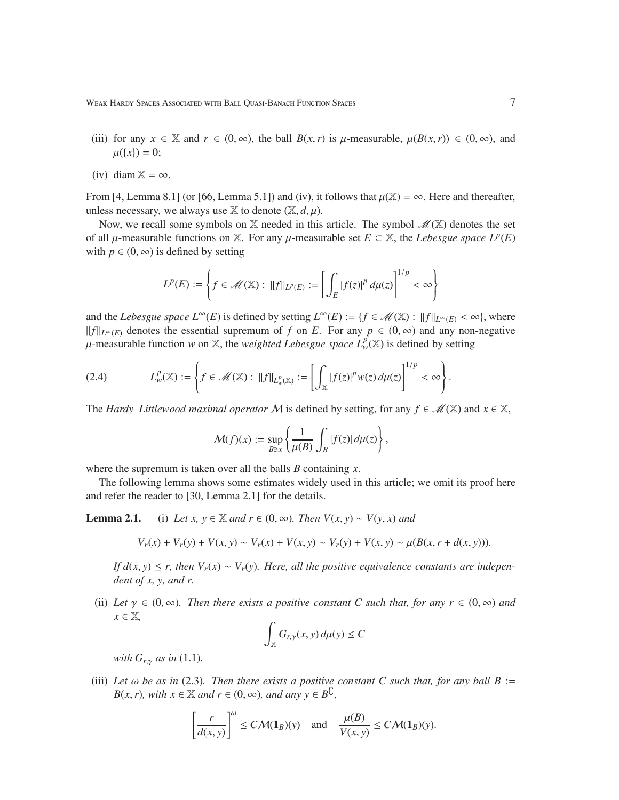- (iii) for any  $x \in \mathbb{X}$  and  $r \in (0, \infty)$ , the ball  $B(x, r)$  is  $\mu$ -measurable,  $\mu(B(x, r)) \in (0, \infty)$ , and  $\mu({x}) = 0;$
- (iv) diam  $\mathbb{X} = \infty$ .

From [4, Lemma 8.1] (or [66, Lemma 5.1]) and (iv), it follows that  $\mu(\mathbb{X}) = \infty$ . Here and thereafter, unless necessary, we always use  $X$  to denote  $(X, d, \mu)$ .

Now, we recall some symbols on X needed in this article. The symbol  $\mathcal{M}(\mathbb{X})$  denotes the set of all  $\mu$ -measurable functions on X. For any  $\mu$ -measurable set  $E \subset X$ , the *Lebesgue space*  $L^p(E)$ with  $p \in (0, \infty)$  is defined by setting

$$
L^p(E) := \left\{ f \in \mathcal{M}(\mathbb{X}) : ||f||_{L^p(E)} := \left[ \int_E |f(z)|^p \, d\mu(z) \right]^{1/p} < \infty \right\}
$$

and the *Lebesgue space*  $L^{\infty}(E)$  is defined by setting  $L^{\infty}(E) := \{f \in \mathcal{M}(\mathbb{X}) : ||f||_{L^{\infty}(E)} < \infty\}$ , where *f f*  $\|f\|_{L^{\infty}(E)}$  denotes the essential supremum of *f* on *E*. For any *p* ∈ (0, ∞) and any non-negative  $\mu$ -measurable function *w* on X, the *weighted Lebesgue space*  $L^p_\nu(\mathbb{X})$  is defined by setting

$$
(2.4) \qquad L^p_w(\mathbb{X}) := \left\{ f \in \mathcal{M}(\mathbb{X}) : ||f||_{L^p_w(\mathbb{X})} := \left[ \int_{\mathbb{X}} |f(z)|^p w(z) \, d\mu(z) \right]^{1/p} < \infty \right\}.
$$

The *Hardy–Littlewood maximal operator* M is defined by setting, for any  $f \in \mathcal{M}(\mathbb{X})$  and  $x \in \mathbb{X}$ ,

$$
\mathcal{M}(f)(x) := \sup_{B \ni x} \left\{ \frac{1}{\mu(B)} \int_B |f(z)| \, d\mu(z) \right\},\,
$$

where the supremum is taken over all the balls *B* containing *x*.

The following lemma shows some estimates widely used in this article; we omit its proof here and refer the reader to [30, Lemma 2.1] for the details.

**Lemma 2.1.** (i) *Let x, y* ∈ *X and r* ∈ (0, ∞)*. Then*  $V(x, y) \sim V(y, x)$  *and* 

$$
V_r(x) + V_r(y) + V(x, y) \sim V_r(x) + V(x, y) \sim V_r(y) + V(x, y) \sim \mu(B(x, r + d(x, y))).
$$

*If*  $d(x, y)$  ≤ *r, then*  $V_r(x) \sim V_r(y)$ *. Here, all the positive equivalence constants are independent of x, y, and r.*

(ii) Let  $\gamma \in (0, \infty)$ *. Then there exists a positive constant C such that, for any r*  $\in (0, \infty)$  *and*  $x \in \mathbb{X}$ ,

$$
\int_{\mathbb{X}} G_{r,\gamma}(x,y) \, d\mu(y) \leq C
$$

*with*  $G_{r,\gamma}$  *as in* (1.1)*.* 

(iii) Let  $\omega$  be as in (2.3). Then there exists a positive constant C such that, for any ball B := *B*(*x*,*r*)*, with*  $x \in \mathbb{X}$  *and*  $r \in (0, \infty)$ *, and any*  $y \in B^{\mathbb{C}}$ *,* 

$$
\left[\frac{r}{d(x,y)}\right]^{\omega} \le C\mathcal{M}(\mathbf{1}_B)(y) \quad \text{and} \quad \frac{\mu(B)}{V(x,y)} \le C\mathcal{M}(\mathbf{1}_B)(y).
$$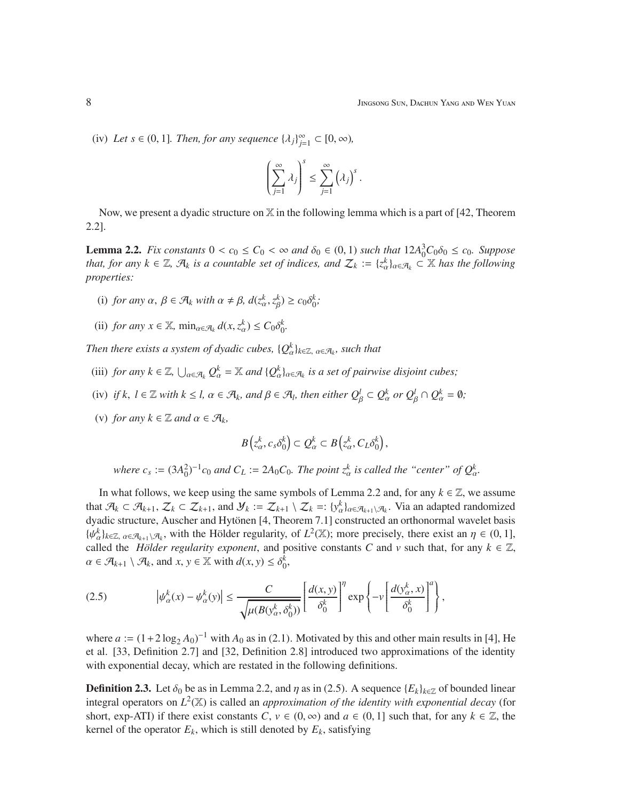(iv) Let  $s \in (0, 1]$ . Then, for any sequence  $\{\lambda_j\}_{j=1}^{\infty} \subset [0, \infty)$ ,

$$
\left(\sum_{j=1}^\infty\lambda_j\right)^s\leq\sum_{j=1}^\infty\left(\lambda_j\right)^s.
$$

Now, we present a dyadic structure on  $X$  in the following lemma which is a part of [42, Theorem 2.2].

**Lemma 2.2.** *Fix constants*  $0 < c_0 \le C_0 < \infty$  *and*  $\delta_0 \in (0, 1)$  *such that*  $12A_0^3C_0\delta_0 \le c_0$ *. Suppose that, for any*  $k \in \mathbb{Z}$ ,  $\mathcal{A}_k$  *is a countable set of indices, and*  $\mathcal{Z}_k := \{z_\alpha^k\}_{\alpha \in \mathcal{A}_k} \subset \mathbb{X}$  *has the following properties:*

- (i) *for any*  $\alpha$ ,  $\beta \in \mathcal{A}_k$  *with*  $\alpha \neq \beta$ ,  $d(z_\alpha^k, z_\beta^k) \geq c_0 \delta_0^k$ ;
- (ii) *for any*  $x \in \mathbb{X}$ ,  $\min_{\alpha \in \mathcal{A}_k} d(x, z_\alpha^k) \leq C_0 \delta_0^k$ .

*Then there exists a system of dyadic cubes,*  $\{Q_{\alpha}^{k}\}_{k\in\mathbb{Z},\ \alpha\in\mathcal{A}_{k}}$ *, such that* 

- (iii) *for any*  $k \in \mathbb{Z}$ ,  $\bigcup_{\alpha \in \mathcal{A}_k} Q_{\alpha}^k = \mathbb{X}$  *and*  $\{Q_{\alpha}^k\}_{\alpha \in \mathcal{A}_k}$  *is a set of pairwise disjoint cubes;*
- (iv) *if k*,  $l \in \mathbb{Z}$  *with*  $k \leq l$ ,  $\alpha \in \mathcal{A}_k$ , and  $\beta \in \mathcal{A}_l$ , then either  $Q_\beta^l \subset Q_\alpha^k$  or  $Q_\beta^l \cap Q_\alpha^k = \emptyset$ ;
- (v) *for any*  $k \in \mathbb{Z}$  *and*  $\alpha \in \mathcal{A}_k$ *,*

$$
B(z_\alpha^k, c_s \delta_0^k) \subset Q_\alpha^k \subset B(z_\alpha^k, C_L \delta_0^k),
$$

*where*  $c_s := (3A_0^2)^{-1}c_0$  *and*  $C_L := 2A_0C_0$ *. The point*  $z_\alpha^k$  *is called the "center" of*  $Q_\alpha^k$ *.* 

In what follows, we keep using the same symbols of Lemma 2.2 and, for any  $k \in \mathbb{Z}$ , we assume that  $\mathcal{A}_k \subset \mathcal{A}_{k+1}, \mathcal{Z}_k \subset \mathcal{Z}_{k+1}$ , and  $\mathcal{Y}_k := \mathcal{Z}_{k+1} \setminus \mathcal{Z}_k =: \{y^k_\alpha\}_{\alpha \in \mathcal{A}_{k+1} \setminus \mathcal{A}_k}$ . Via an adapted randomized dyadic structure, Auscher and Hytönen [4, Theorem 7.1] constructed an orthonormal wavelet basis  $\{\psi_{\alpha}^{k}\}_{k\in\mathbb{Z}, \alpha\in\mathcal{A}_{k+1}\setminus\mathcal{A}_{k}}$ , with the Hölder regularity, of  $L^{2}(\mathbb{X})$ ; more precisely, there exist an  $\eta \in (0,1]$ , called the *Hölder regularity exponent*, and positive constants *C* and *v* such that, for any  $k \in \mathbb{Z}$ ,  $\alpha \in \mathcal{A}_{k+1} \setminus \mathcal{A}_k$ , and  $x, y \in \mathbb{X}$  with  $d(x, y) \leq \delta_0^k$ ,

(2.5) 
$$
\left|\psi_{\alpha}^k(x) - \psi_{\alpha}^k(y)\right| \leq \frac{C}{\sqrt{\mu(B(y_{\alpha}^k, \delta_0^k))}} \left[\frac{d(x, y)}{\delta_0^k}\right]^n \exp\left\{-\nu \left[\frac{d(y_{\alpha}^k, x)}{\delta_0^k}\right]^n\right\},\,
$$

where  $a := (1 + 2 \log_2 A_0)^{-1}$  with  $A_0$  as in (2.1). Motivated by this and other main results in [4], He et al. [33, Definition 2.7] and [32, Definition 2.8] introduced two approximations of the identity with exponential decay, which are restated in the following definitions.

**Definition 2.3.** Let  $\delta_0$  be as in Lemma 2.2, and  $\eta$  as in (2.5). A sequence { $E_k$ } $_{k \in \mathbb{Z}}$  of bounded linear integral operators on  $L^2(\mathbb{X})$  is called an *approximation of the identity with exponential decay* (for short, exp-ATI) if there exist constants *C*,  $v \in (0, \infty)$  and  $a \in (0, 1]$  such that, for any  $k \in \mathbb{Z}$ , the kernel of the operator  $E_k$ , which is still denoted by  $E_k$ , satisfying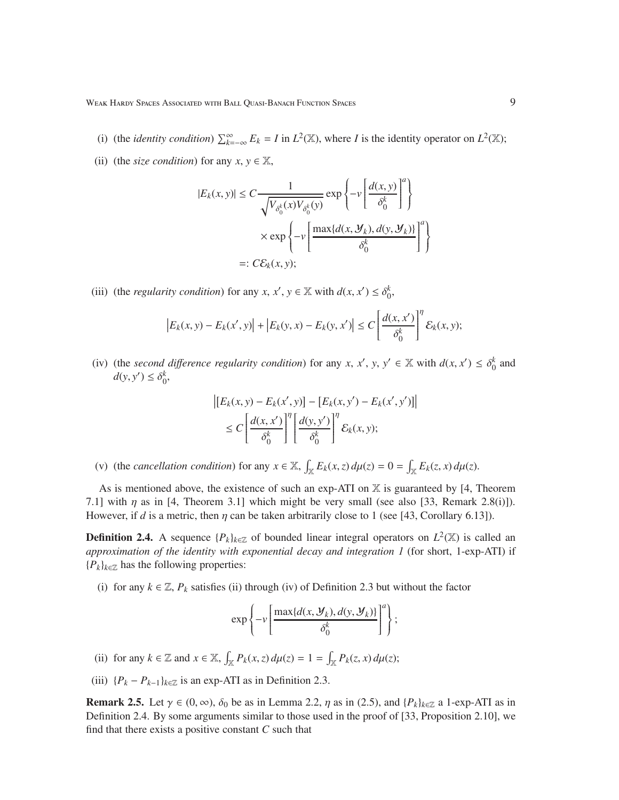- (i) (the *identity condition*)  $\sum_{k=-\infty}^{\infty} E_k = I$  in  $L^2(\mathbb{X})$ , where *I* is the identity operator on  $L^2(\mathbb{X})$ ;
- (ii) (the *size condition*) for any  $x, y \in \mathbb{X}$ ,

$$
|E_k(x, y)| \le C \frac{1}{\sqrt{V_{\delta_0^k}(x)V_{\delta_0^k}(y)}} \exp\left\{-\nu \left[\frac{d(x, y)}{\delta_0^k}\right]^a\right\}
$$

$$
\times \exp\left\{-\nu \left[\frac{\max\{d(x, \mathcal{Y}_k), d(y, \mathcal{Y}_k)\}}{\delta_0^k}\right]^a\right\}
$$

$$
=: C\mathcal{E}_k(x, y);
$$

(iii) (the *regularity condition*) for any *x*, *x'*, *y*  $\in \mathbb{X}$  with  $d(x, x') \leq \delta_0^k$ ,

$$
\left|E_k(x,y) - E_k(x',y)\right| + \left|E_k(y,x) - E_k(y,x')\right| \le C \left[\frac{d(x,x')}{\delta_0^k}\right]^{n} \mathcal{E}_k(x,y);
$$

(iv) (the *second difference regularity condition*) for any *x*, *x'*, *y*, *y'*  $\in \mathbb{X}$  with  $d(x, x') \leq \delta_0^k$  and  $d(y, y') \leq \delta_0^k$ ,

$$
\left| \left[ E_k(x, y) - E_k(x', y) \right] - \left[ E_k(x, y') - E_k(x', y') \right] \right|
$$
  

$$
\leq C \left[ \frac{d(x, x')}{\delta_0^k} \right]^\eta \left[ \frac{d(y, y')}{\delta_0^k} \right]^\eta \mathcal{E}_k(x, y);
$$

(v) (the *cancellation condition*) for any  $x \in \mathbb{X}$ ,  $\int_{\mathbb{X}} E_k(x, z) d\mu(z) = 0 = \int_{\mathbb{X}} E_k(z, x) d\mu(z)$ .

As is mentioned above, the existence of such an exp-ATI on  $X$  is guaranteed by [4, Theorem 7.1] with  $\eta$  as in [4, Theorem 3.1] which might be very small (see also [33, Remark 2.8(i)]). However, if *d* is a metric, then  $\eta$  can be taken arbitrarily close to 1 (see [43, Corollary 6.13]).

**Definition 2.4.** A sequence  $\{P_k\}_{k \in \mathbb{Z}}$  of bounded linear integral operators on  $L^2(\mathbb{X})$  is called an *approximation of the identity with exponential decay and integration 1* (for short, 1-exp-ATI) if  ${P_k}_{k \in \mathbb{Z}}$  has the following properties:

(i) for any  $k \in \mathbb{Z}$ ,  $P_k$  satisfies (ii) through (iv) of Definition 2.3 but without the factor

$$
\exp\left\{-\nu\left[\frac{\max\{d(x,\boldsymbol{\mathcal{Y}}_k),d(y,\boldsymbol{\mathcal{Y}}_k)\}}{\delta_0^k}\right]^a\right\};
$$

- (ii) for any  $k \in \mathbb{Z}$  and  $x \in \mathbb{X}$ ,  $\int_{\mathbb{X}} P_k(x, z) d\mu(z) = 1 = \int_{\mathbb{X}} P_k(z, x) d\mu(z)$ ;
- (iii)  ${P_k P_{k-1}}_{k \in \mathbb{Z}}$  is an exp-ATI as in Definition 2.3.

**Remark 2.5.** Let  $\gamma \in (0, \infty)$ ,  $\delta_0$  be as in Lemma 2.2,  $\eta$  as in (2.5), and  $\{P_k\}_{k \in \mathbb{Z}}$  a 1-exp-ATI as in Definition 2.4. By some arguments similar to those used in the proof of [33, Proposition 2.10], we find that there exists a positive constant *C* such that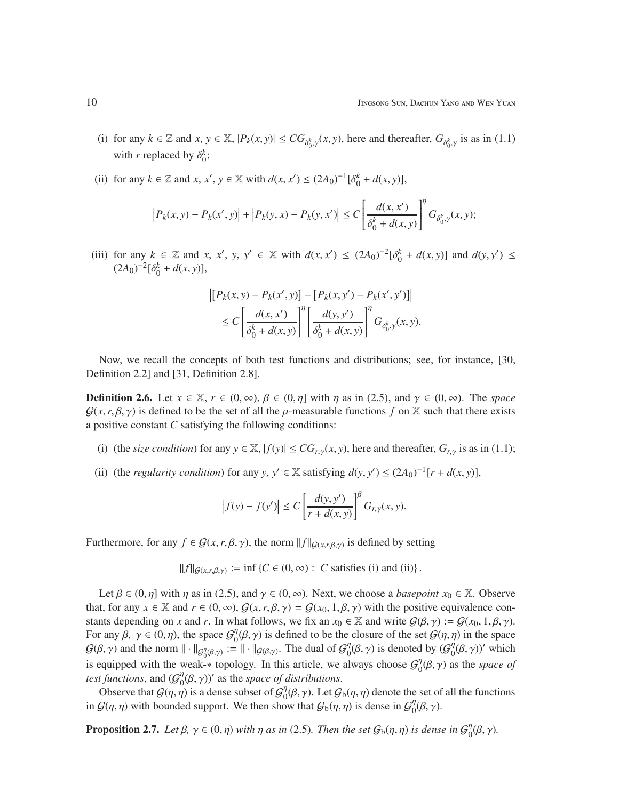- (i) for any  $k \in \mathbb{Z}$  and  $x, y \in \mathbb{X}$ ,  $|P_k(x, y)| \le CG_{\delta_0^k, \gamma}(x, y)$ , here and thereafter,  $G_{\delta_0^k, \gamma}$  is as in (1.1) with *r* replaced by  $\delta_0^k$ ;
- (ii) for any  $k \in \mathbb{Z}$  and  $x, x', y \in \mathbb{X}$  with  $d(x, x') \le (2A_0)^{-1} [\delta_0^k + d(x, y)],$

$$
\left| P_k(x,y) - P_k(x',y) \right| + \left| P_k(y,x) - P_k(y,x') \right| \leq C \left[ \frac{d(x,x')}{\delta_0^k + d(x,y)} \right]^\eta G_{\delta_0^k, \gamma}(x,y);
$$

(iii) for any  $k \in \mathbb{Z}$  and *x*, *x'*, *y*,  $y' \in \mathbb{X}$  with  $d(x, x') \leq (2A_0)^{-2}[\delta_0^k + d(x, y)]$  and  $d(y, y') \leq$  $(2A_0)^{-2} [\delta_0^k + d(x, y)],$ 

$$
\left| \left[ P_k(x, y) - P_k(x', y) \right] - \left[ P_k(x, y') - P_k(x', y') \right] \right|
$$
  
\n
$$
\leq C \left[ \frac{d(x, x')}{\delta_0^k + d(x, y)} \right]^\eta \left[ \frac{d(y, y')}{\delta_0^k + d(x, y)} \right]^\eta G_{\delta_0^k, \gamma}(x, y).
$$

Now, we recall the concepts of both test functions and distributions; see, for instance, [30, Definition 2.2] and [31, Definition 2.8].

**Definition 2.6.** Let  $x \in \mathbb{X}$ ,  $r \in (0, \infty)$ ,  $\beta \in (0, \eta]$  with  $\eta$  as in (2.5), and  $\gamma \in (0, \infty)$ . The *space*  $G(x, r, \beta, \gamma)$  is defined to be the set of all the  $\mu$ -measurable functions f on X such that there exists a positive constant *C* satisfying the following conditions:

- (i) (the *size condition*) for any  $y \in \mathbb{X}$ ,  $|f(y)| \leq CG_{r,y}(x, y)$ , here and thereafter,  $G_{r,y}$  is as in (1.1);
- (ii) (the *regularity condition*) for any *y*,  $y' \in \mathbb{X}$  satisfying  $d(y, y') \leq (2A_0)^{-1}[r + d(x, y)],$

$$
\left|f(y) - f(y')\right| \le C \left[\frac{d(y, y')}{r + d(x, y)}\right]^{\beta} G_{r, \gamma}(x, y).
$$

Furthermore, for any  $f \in G(x, r, \beta, \gamma)$ , the norm  $||f||_{G(x, r, \beta, \gamma)}$  is defined by setting

 $||f||_{\mathcal{G}(x,r,\beta,\gamma)} := \inf \{ C \in (0,\infty) : C \text{ satisfies (i) and (ii)} \}.$ 

Let  $\beta \in (0, \eta]$  with  $\eta$  as in (2.5), and  $\gamma \in (0, \infty)$ . Next, we choose a *basepoint*  $x_0 \in \mathbb{X}$ . Observe that, for any  $x \in \mathbb{X}$  and  $r \in (0, \infty)$ ,  $\mathcal{G}(x, r, \beta, \gamma) = \mathcal{G}(x_0, 1, \beta, \gamma)$  with the positive equivalence constants depending on *x* and *r*. In what follows, we fix an  $x_0 \in \mathbb{X}$  and write  $G(\beta, \gamma) := G(x_0, 1, \beta, \gamma)$ . For any  $\beta$ ,  $\gamma \in (0, \eta)$ , the space  $\mathcal{G}_0^{\eta}$  $\mathcal{G}^{\eta}(\beta, \gamma)$  is defined to be the closure of the set  $\mathcal{G}(\eta, \eta)$  in the space  $G(\beta, \gamma)$  and the norm  $\|\cdot\|_{G_0^{\eta}(\beta, \gamma)} := \|\cdot\|_{G(\beta, \gamma)}$ . The dual of  $G_0^{\eta}$  $\eta_0^{\eta}(\beta, \gamma)$  is denoted by  $(\mathcal{G}_0^{\eta})$  $\eta_0^{\eta}(\beta, \gamma)$ <sup>'</sup> which is equipped with the weak-∗ topology. In this article, we always choose  $G_0^{\eta}$  $\int_0^{\eta} (\beta, \gamma)$  as the *space of test functions*, and  $(\mathcal{G}_0^{\eta})$  $\partial_0^{\eta}(\beta, \gamma)$ <sup>'</sup> as the *space of distributions*.

Observe that  $G(\eta, \eta)$  is a dense subset of  $G_0^{\eta}$  $\int_0^{\eta} (\beta, \gamma)$ . Let  $\mathcal{G}_b(\eta, \eta)$  denote the set of all the functions in  $G(\eta, \eta)$  with bounded support. We then show that  $G_b(\eta, \eta)$  is dense in  $G_0^{\eta}$  $\int_0^{\eta}(\beta,\gamma).$ 

**Proposition 2.7.** *Let*  $\beta$ ,  $\gamma \in (0, \eta)$  *with*  $\eta$  *as in* (2.5)*. Then the set*  $G_b(\eta, \eta)$  *is dense in*  $G_0^{\eta}$  $\int_0^{\eta}(\beta,\gamma).$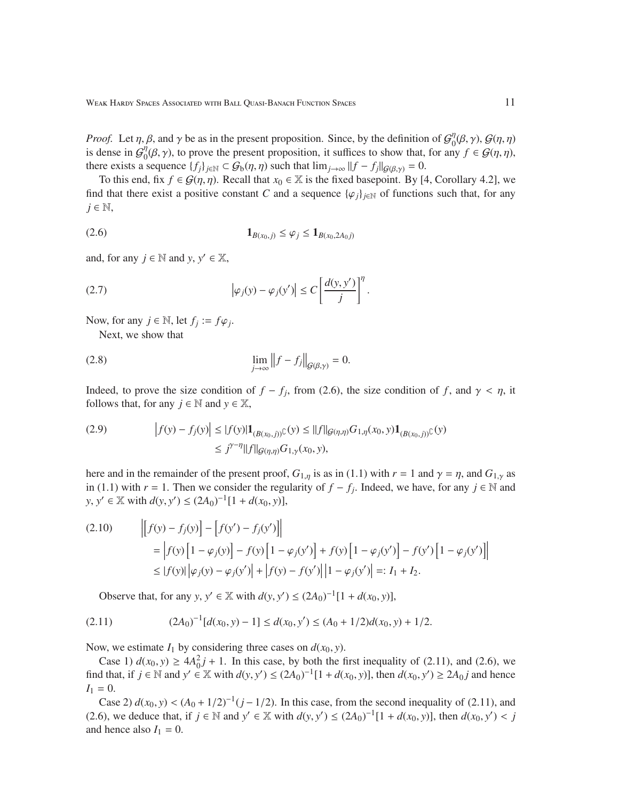*Proof.* Let  $\eta$ ,  $\beta$ , and  $\gamma$  be as in the present proposition. Since, by the definition of  $G_0^{\eta}$  $\int_0^\eta(\beta,\gamma),\mathcal{G}(\eta,\eta)$ is dense in  $\mathcal{G}_0^{\eta}$  $\eta_0^{\eta}(\beta, \gamma)$ , to prove the present proposition, it suffices to show that, for any  $f \in \mathcal{G}(\eta, \eta)$ , there exists a sequence  $\{f_i\}_{i\in\mathbb{N}} \subset \mathcal{G}_b(\eta, \eta)$  such that  $\lim_{i\to\infty} ||f - f_i||_{\mathcal{G}(\beta, \gamma)} = 0$ .

To this end, fix  $f \in \mathcal{G}(\eta, \eta)$ . Recall that  $x_0 \in \mathbb{X}$  is the fixed basepoint. By [4, Corollary 4.2], we find that there exist a positive constant *C* and a sequence  $\{\varphi_j\}_{j\in\mathbb{N}}$  of functions such that, for any *j* ∈ N,

(2.6) 1*B*(*x*0, *<sup>j</sup>*) ≤ ϕ*<sup>j</sup>* ≤ 1*B*(*x*0,2*A*<sup>0</sup> *<sup>j</sup>*)

and, for any  $j \in \mathbb{N}$  and  $y, y' \in \mathbb{X}$ ,

(2.7) 
$$
\left|\varphi_j(y) - \varphi_j(y')\right| \le C \left[\frac{d(y, y')}{j}\right]^\eta.
$$

Now, for any  $j \in \mathbb{N}$ , let  $f_j := f\varphi_j$ .

Next, we show that

(2.8) 
$$
\lim_{j \to \infty} ||f - f_j||_{\mathcal{G}(\beta, \gamma)} = 0.
$$

Indeed, to prove the size condition of  $f - f_j$ , from (2.6), the size condition of *f*, and  $\gamma < \eta$ , it follows that, for any  $j \in \mathbb{N}$  and  $y \in \mathbb{X}$ ,

(2.9) 
$$
\left| f(y) - f_j(y) \right| \leq |f(y)| \mathbf{1}_{(B(x_0,j))} \cap (y) \leq ||f||_{\mathcal{G}(\eta,\eta)} G_{1,\eta}(x_0,y) \mathbf{1}_{(B(x_0,j))} \cap (y) \leq j^{\gamma - \eta} ||f||_{\mathcal{G}(\eta,\eta)} G_{1,\gamma}(x_0,y),
$$

here and in the remainder of the present proof,  $G_{1,\eta}$  is as in (1.1) with  $r = 1$  and  $\gamma = \eta$ , and  $G_{1,\gamma}$  as in (1.1) with *r* = 1. Then we consider the regularity of  $f - f_j$ . Indeed, we have, for any  $j ∈ ℕ$  and *y*, *y*<sup> $′$ </sup> ∈  $\mathbb{X}$  with *d*(*y*, *y*<sup> $′$ </sup>) ≤ (2*A*<sub>0</sub>)<sup>-1</sup>[1 + *d*(*x*<sub>0</sub>, *y*)],

(2.10) 
$$
\begin{aligned} \left| \left[ f(y) - f_j(y) \right] - \left[ f(y') - f_j(y') \right] \right| \\ &= \left| f(y) \left[ 1 - \varphi_j(y) \right] - f(y) \left[ 1 - \varphi_j(y') \right] + f(y) \left[ 1 - \varphi_j(y') \right] - f(y') \left[ 1 - \varphi_j(y') \right] \right| \\ &\leq \left| f(y) \right| \left| \varphi_j(y) - \varphi_j(y') \right| + \left| f(y) - f(y') \right| \left| 1 - \varphi_j(y') \right| =: I_1 + I_2. \end{aligned}
$$

Observe that, for any *y*,  $y' \in \mathbb{X}$  with  $d(y, y') \le (2A_0)^{-1}[1 + d(x_0, y)],$ 

$$
(2.11) \qquad (2A_0)^{-1}[d(x_0, y) - 1] \le d(x_0, y') \le (A_0 + 1/2)d(x_0, y) + 1/2.
$$

Now, we estimate  $I_1$  by considering three cases on  $d(x_0, y)$ .

Case 1)  $d(x_0, y) \ge 4A_0^2 j + 1$ . In this case, by both the first inequality of (2.11), and (2.6), we find that, if *j* ∈ N and *y'* ∈ X with  $d(y, y')$  ≤  $(2A_0)^{-1}[1 + d(x_0, y)]$ , then  $d(x_0, y') \ge 2A_0j$  and hence  $I_1 = 0.$ 

Case 2)  $d(x_0, y) < (A_0 + 1/2)^{-1}(j - 1/2)$ . In this case, from the second inequality of (2.11), and (2.6), we deduce that, if *j* ∈ N and *y*' ∈ X with  $d(y, y') \le (2A_0)^{-1}[1 + d(x_0, y)]$ , then  $d(x_0, y') < j$ and hence also  $I_1 = 0$ .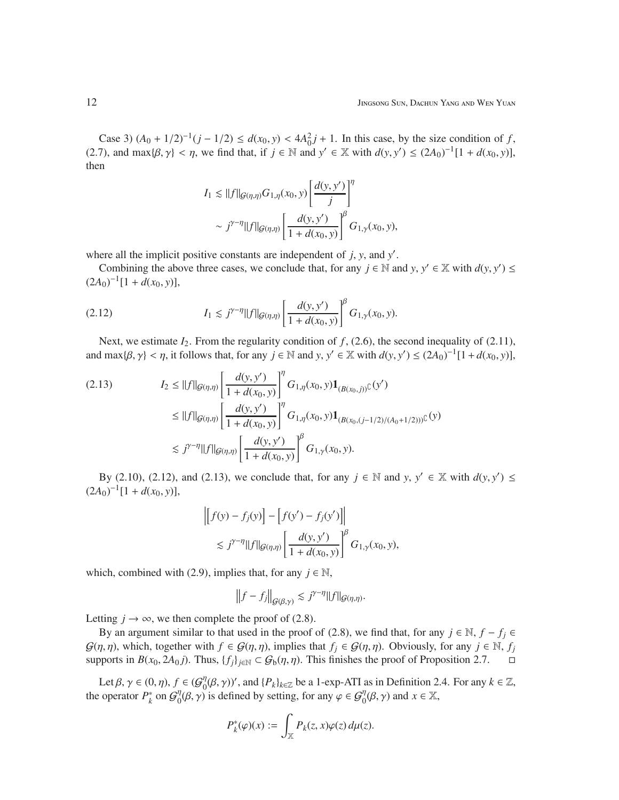Case 3)  $(A_0 + 1/2)^{-1}(j - 1/2) \le d(x_0, y) < 4A_0^2 j + 1$ . In this case, by the size condition of *f*, (2.7), and max $\{\beta, \gamma\} < \eta$ , we find that, if  $j \in \mathbb{N}$  and  $y' \in \mathbb{X}$  with  $d(y, y') \leq (2A_0)^{-1}[1 + d(x_0, y)],$ then

$$
I_1 \lesssim ||f||_{\mathcal{G}(\eta,\eta)} G_{1,\eta}(x_0,y) \left[ \frac{d(y,y')}{j} \right]^\eta
$$
  
 
$$
\sim j^{\gamma-\eta} ||f||_{\mathcal{G}(\eta,\eta)} \left[ \frac{d(y,y')}{1+d(x_0,y)} \right]^\beta G_{1,\gamma}(x_0,y),
$$

where all the implicit positive constants are independent of *j*, *y*, and *y* ′ .

Combining the above three cases, we conclude that, for any  $j \in \mathbb{N}$  and  $y, y' \in \mathbb{X}$  with  $d(y, y') \leq$  $(2A_0)^{-1}[1+d(x_0,y)],$ 

(2.12) 
$$
I_1 \lesssim j^{\gamma - \eta} ||f||_{\mathcal{G}(\eta,\eta)} \left[ \frac{d(y,y')}{1 + d(x_0,y)} \right]^{\beta} G_{1,\gamma}(x_0,y).
$$

Next, we estimate  $I_2$ . From the regularity condition of f, (2.6), the second inequality of (2.11), and  $\max\{\beta, \gamma\} < \eta$ , it follows that, for any  $j \in \mathbb{N}$  and  $y, y' \in \mathbb{X}$  with  $d(y, y') \le (2A_0)^{-1}[1 + d(x_0, y)],$ 

$$
(2.13) \tI_2 \leq ||f||_{\mathcal{G}(\eta,\eta)} \left[ \frac{d(y,y')}{1+d(x_0,y)} \right]^\eta G_{1,\eta}(x_0,y) \mathbf{1}_{(B(x_0,j))} (y')
$$
  
\n
$$
\leq ||f||_{\mathcal{G}(\eta,\eta)} \left[ \frac{d(y,y')}{1+d(x_0,y)} \right]^\eta G_{1,\eta}(x_0,y) \mathbf{1}_{(B(x_0,(j-1/2)/(A_0+1/2)))} (y)
$$
  
\n
$$
\lesssim j^{\gamma-\eta} ||f||_{\mathcal{G}(\eta,\eta)} \left[ \frac{d(y,y')}{1+d(x_0,y)} \right]^\beta G_{1,\gamma}(x_0,y).
$$

By (2.10), (2.12), and (2.13), we conclude that, for any  $j \in \mathbb{N}$  and  $y, y' \in \mathbb{X}$  with  $d(y, y') \leq$  $(2A_0)^{-1}[1+d(x_0,y)],$ 

$$
\left| \left[ f(y) - f_j(y) \right] - \left[ f(y') - f_j(y') \right] \right|
$$
  
\$\lesssim j^{\gamma - \eta} ||f||\_{\mathcal{G}(\eta,\eta)} \left[ \frac{d(y,y')}{1 + d(x\_0,y)} \right]^{\beta} G\_{1,\gamma}(x\_0,y),

which, combined with (2.9), implies that, for any  $j \in \mathbb{N}$ ,

$$
\left\|f-f_j\right\|_{\mathcal{G}(\beta,\gamma)} \lesssim j^{\gamma-\eta} \|f\|_{\mathcal{G}(\eta,\eta)}.
$$

Letting  $j \to \infty$ , we then complete the proof of (2.8).

By an argument similar to that used in the proof of (2.8), we find that, for any  $j \in \mathbb{N}$ ,  $f - f_j \in$  $G(\eta, \eta)$ , which, together with  $f \in G(\eta, \eta)$ , implies that  $f_i \in G(\eta, \eta)$ . Obviously, for any  $j \in \mathbb{N}$ ,  $f_j$ supports in  $B(x_0, 2A_0 j)$ . Thus,  $\{f_j\}_{j \in \mathbb{N}} \subset G_b(\eta, \eta)$ . This finishes the proof of Proposition 2.7.  $\Box$ 

Let  $\beta, \gamma \in (0, \eta), f \in (G_0^{\eta})$  $\mathcal{O}_0^{\eta}(\beta, \gamma)$ ', and  $\{P_k\}_{k \in \mathbb{Z}}$  be a 1-exp-ATI as in Definition 2.4. For any  $k \in \mathbb{Z}$ , the operator  $P_k^*$  $\int_k^*$  on  $\mathcal{G}_0^{\eta}$  $\phi_0^{\eta}(\beta, \gamma)$  is defined by setting, for any  $\varphi \in \mathcal{G}_0^{\eta}(\beta, \gamma)$  and  $x \in \mathbb{X}$ ,

$$
P_k^*(\varphi)(x) := \int_{\mathbb{X}} P_k(z, x) \varphi(z) \, d\mu(z).
$$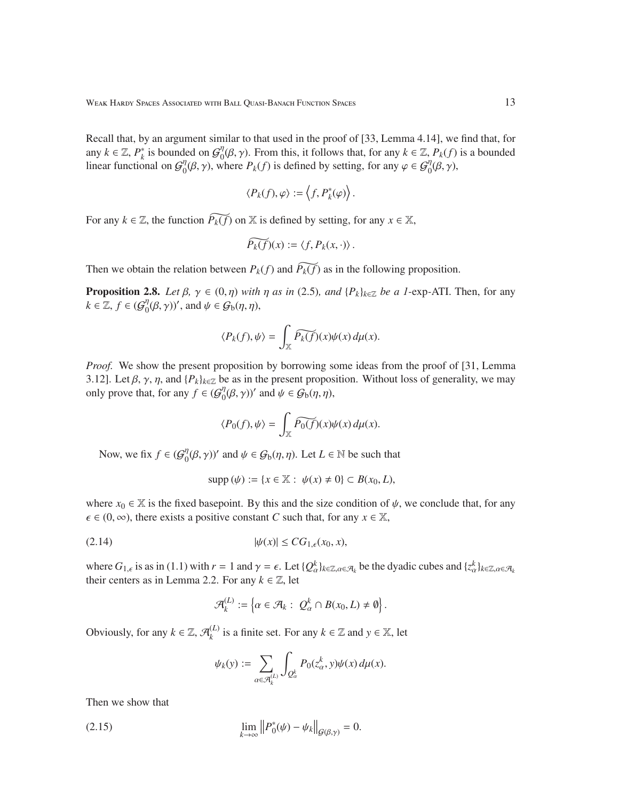Recall that, by an argument similar to that used in the proof of [33, Lemma 4.14], we find that, for any  $k \in \mathbb{Z}$ ,  $P_k^*$  $\kappa_k^*$  is bounded on  $\mathcal{G}_0^{\eta}$  $\int_0^{\eta} (\beta, \gamma)$ . From this, it follows that, for any  $k \in \mathbb{Z}$ ,  $P_k(f)$  is a bounded linear functional on  $\mathcal{G}_0^{\eta}$  $\phi_0^{\eta}(\beta, \gamma)$ , where  $P_k(f)$  is defined by setting, for any  $\varphi \in \mathcal{G}_0^{\eta}(\beta, \gamma)$ ,

$$
\langle P_k(f),\varphi\rangle:=\left\langle f,P_k^*(\varphi)\right\rangle.
$$

For any  $k \in \mathbb{Z}$ , the function  $\widetilde{P_k(f)}$  on X is defined by setting, for any  $x \in \mathbb{X}$ ,

$$
\widetilde{P_k(f)}(x) := \langle f, P_k(x, \cdot) \rangle.
$$

Then we obtain the relation between  $P_k(f)$  and  $\widetilde{P_k(f)}$  as in the following proposition.

**Proposition 2.8.** *Let*  $\beta$ ,  $\gamma \in (0, \eta)$  *with*  $\eta$  *as in* (2.5)*, and*  $\{P_k\}_{k \in \mathbb{Z}}$  *be a 1*-exp-ATI. Then, for any  $k \in \mathbb{Z}, f \in \left(\mathcal{G}\right)_{0}^{\eta}$  $\eta_0^{\eta}(\beta, \gamma)$ ', and  $\psi \in \mathcal{G}_b(\eta, \eta)$ ,

$$
\langle P_k(f), \psi \rangle = \int_{\mathbb{X}} \widetilde{P_k(f)}(x) \psi(x) \, d\mu(x).
$$

*Proof.* We show the present proposition by borrowing some ideas from the proof of [31, Lemma 3.12]. Let  $\beta$ ,  $\gamma$ ,  $\eta$ , and  $\{P_k\}_{k\in\mathbb{Z}}$  be as in the present proposition. Without loss of generality, we may only prove that, for any  $f \in (\mathcal{G}_0^{\eta})$  $\eta_0^{\eta}(\beta, \gamma)$ ' and  $\psi \in \mathcal{G}_b(\eta, \eta)$ ,

$$
\langle P_0(f), \psi \rangle = \int_{\mathbb{X}} \widetilde{P_0(f)}(x) \psi(x) \, d\mu(x).
$$

Now, we fix  $f \in \mathcal{G}_0^{\eta}$  $\mathcal{O}_0^{\eta}(\beta, \gamma)$  and  $\psi \in \mathcal{G}_b(\eta, \eta)$ . Let  $L \in \mathbb{N}$  be such that

$$
supp(\psi) := \{x \in \mathbb{X} : \psi(x) \neq 0\} \subset B(x_0, L),
$$

where  $x_0 \in \mathbb{X}$  is the fixed basepoint. By this and the size condition of  $\psi$ , we conclude that, for any  $\epsilon \in (0, \infty)$ , there exists a positive constant *C* such that, for any  $x \in \mathbb{X}$ ,

$$
|\psi(x)| \le CG_{1,\epsilon}(x_0,x),
$$

where  $G_{1,\epsilon}$  is as in (1.1) with  $r = 1$  and  $\gamma = \epsilon$ . Let  $\{Q_{\alpha}^{k}\}_{k \in \mathbb{Z}, \alpha \in \mathcal{A}_{k}}$  be the dyadic cubes and  $\{z_{\alpha}^{k}\}_{k \in \mathbb{Z}, \alpha \in \mathcal{A}_{k}}$ their centers as in Lemma 2.2. For any  $k \in \mathbb{Z}$ , let

$$
\mathcal{A}^{(L)}_k:=\left\{\alpha\in\mathcal{A}_k:\ Q_\alpha^k\cap B(x_0,L)\neq\emptyset\right\}
$$

.

Obviously, for any  $k \in \mathbb{Z}$ ,  $\mathcal{A}_k^{(L)}$  $k_k$ <sup>(*L*)</sup> is a finite set. For any  $k \in \mathbb{Z}$  and  $y \in \mathbb{X}$ , let

$$
\psi_k(y) := \sum_{\alpha \in \mathcal{A}_k^{(L)}} \int_{Q_\alpha^k} P_0(z_\alpha^k, y) \psi(x) d\mu(x).
$$

Then we show that

$$
\lim_{k \to \infty} \left\| P_0^*(\psi) - \psi_k \right\|_{\mathcal{G}(\beta, \gamma)} = 0.
$$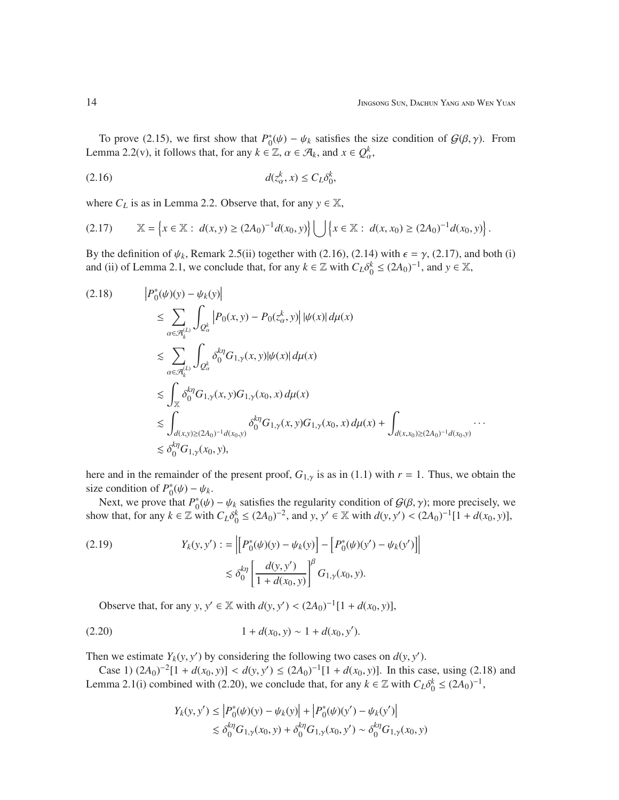To prove (2.15), we first show that  $P_0^*$  $\phi_0^*(\psi) - \psi_k$  satisfies the size condition of  $G(\beta, \gamma)$ . From Lemma 2.2(v), it follows that, for any  $k \in \mathbb{Z}$ ,  $\alpha \in \mathcal{A}_k$ , and  $x \in Q_\alpha^k$ ,

$$
d(z_{\alpha}^k, x) \le C_L \delta_0^k,
$$

where  $C_L$  is as in Lemma 2.2. Observe that, for any  $y \in \mathbb{X}$ ,

$$
(2.17) \t\t \mathbb{X} = \left\{ x \in \mathbb{X} : d(x, y) \ge (2A_0)^{-1} d(x_0, y) \right\} \bigcup \left\{ x \in \mathbb{X} : d(x, x_0) \ge (2A_0)^{-1} d(x_0, y) \right\}.
$$

By the definition of  $\psi_k$ , Remark 2.5(ii) together with (2.16), (2.14) with  $\epsilon = \gamma$ , (2.17), and both (i) and (ii) of Lemma 2.1, we conclude that, for any  $k \in \mathbb{Z}$  with  $C_L \delta_0^k \le (2A_0)^{-1}$ , and  $y \in \mathbb{X}$ ,

$$
(2.18) \t\t\t\t|P_{0}^{*}(\psi)(y) - \psi_{k}(y)| \t\t\t\leq \sum_{\alpha \in \mathcal{A}_{k}^{(L)}} \int_{Q_{\alpha}^{k}} |P_{0}(x, y) - P_{0}(z_{\alpha}^{k}, y)| |\psi(x)| d\mu(x)
$$
  
\n
$$
\leq \sum_{\alpha \in \mathcal{A}_{k}^{(L)}} \int_{Q_{\alpha}^{k}} \delta_{0}^{k\eta} G_{1, \gamma}(x, y) |\psi(x)| d\mu(x)
$$
  
\n
$$
\leq \int_{\mathbb{X}} \delta_{0}^{k\eta} G_{1, \gamma}(x, y) G_{1, \gamma}(x_{0}, x) d\mu(x)
$$
  
\n
$$
\leq \int_{d(x, y) \geq (2A_{0})^{-1} d(x_{0}, y)} \delta_{0}^{k\eta} G_{1, \gamma}(x, y) G_{1, \gamma}(x_{0}, x) d\mu(x) + \int_{d(x, x_{0}) \geq (2A_{0})^{-1} d(x_{0}, y)} \cdots
$$
  
\n
$$
\leq \delta_{0}^{k\eta} G_{1, \gamma}(x_{0}, y),
$$

here and in the remainder of the present proof,  $G_{1,y}$  is as in (1.1) with  $r = 1$ . Thus, we obtain the size condition of  $P_0^*$  $_{0}^{*}(\psi) - \psi_{k}$ .

Next, we prove that  $P_0^*$  $\psi_0^*(\psi) - \psi_k$  satisfies the regularity condition of  $G(\beta, \gamma)$ ; more precisely, we show that, for any  $k \in \mathbb{Z}$  with  $C_L \delta_0^k \leq (2A_0)^{-2}$ , and  $y, y' \in \mathbb{X}$  with  $d(y, y') < (2A_0)^{-1}[1 + d(x_0, y)]$ ,

(2.19) 
$$
Y_{k}(y, y') := \left\| \left[ P_{0}^{*}(\psi)(y) - \psi_{k}(y) \right] - \left[ P_{0}^{*}(\psi)(y') - \psi_{k}(y') \right] \right\|
$$

$$
\lesssim \delta_{0}^{k\eta} \left[ \frac{d(y, y')}{1 + d(x_{0}, y)} \right]^{\beta} G_{1, \gamma}(x_{0}, y).
$$

Observe that, for any *y*,  $y' \in \mathbb{X}$  with  $d(y, y') < (2A_0)^{-1}[1 + d(x_0, y)],$ 

$$
(2.20) \t\t 1 + d(x_0, y) \sim 1 + d(x_0, y').
$$

Then we estimate  $Y_k(y, y')$  by considering the following two cases on  $d(y, y')$ .

Case 1)  $(2A_0)^{-2}[1 + d(x_0, y)] < d(y, y') \le (2A_0)^{-1}[1 + d(x_0, y)]$ . In this case, using (2.18) and Lemma 2.1(i) combined with (2.20), we conclude that, for any  $k \in \mathbb{Z}$  with  $C_L \delta_0^k \leq (2A_0)^{-1}$ ,

$$
Y_k(y, y') \le |P_0^*(\psi)(y) - \psi_k(y)| + |P_0^*(\psi)(y') - \psi_k(y')|
$$
  
\$\le \delta\_0^{k\eta}G\_{1,\gamma}(x\_0, y) + \delta\_0^{k\eta}G\_{1,\gamma}(x\_0, y') \sim \delta\_0^{k\eta}G\_{1,\gamma}(x\_0, y)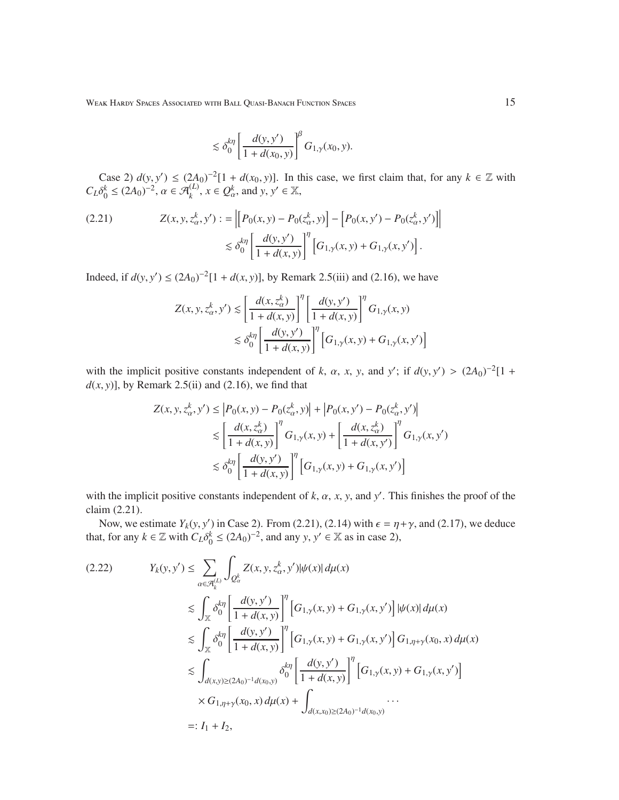$$
\lesssim \delta_0^{k\eta} \left[ \frac{d(y, y')}{1 + d(x_0, y)} \right]^{\beta} G_{1, \gamma}(x_0, y).
$$

Case 2)  $d(y, y') \le (2A_0)^{-2} [1 + d(x_0, y)]$ . In this case, we first claim that, for any  $k \in \mathbb{Z}$  with  $C_L \delta_0^k \leq (2A_0)^{-2}, \, \alpha \in \mathcal{A}_k^{(L)}, \, x \in \mathcal{Q}_\alpha^k, \, \text{and } y, y' \in \mathbb{X},$ 

(2.21) 
$$
Z(x, y, z_{\alpha}^{k}, y') := \left\| \left[ P_0(x, y) - P_0(z_{\alpha}^{k}, y) \right] - \left[ P_0(x, y') - P_0(z_{\alpha}^{k}, y') \right] \right\|
$$

$$
\lesssim \delta_0^{k\eta} \left[ \frac{d(y, y')}{1 + d(x, y)} \right]^{\eta} \left[ G_{1, \gamma}(x, y) + G_{1, \gamma}(x, y') \right].
$$

Indeed, if *d*(*y*, *y*') ≤  $(2A_0)^{-2}[1 + d(x, y)]$ , by Remark 2.5(iii) and (2.16), we have

$$
Z(x, y, z_{\alpha}^k, y') \le \left[ \frac{d(x, z_{\alpha}^k)}{1 + d(x, y)} \right]^{\eta} \left[ \frac{d(y, y')}{1 + d(x, y)} \right]^{\eta} G_{1, \gamma}(x, y)
$$
  

$$
\lesssim \delta_0^{k\eta} \left[ \frac{d(y, y')}{1 + d(x, y)} \right]^{\eta} \left[ G_{1, \gamma}(x, y) + G_{1, \gamma}(x, y') \right]
$$

with the implicit positive constants independent of *k*,  $\alpha$ , *x*, *y*, and *y'*; if  $d(y, y') > (2A_0)^{-2}[1 +$  $d(x, y)$ ], by Remark 2.5(ii) and (2.16), we find that

$$
Z(x, y, z_{\alpha}^{k}, y') \le |P_0(x, y) - P_0(z_{\alpha}^{k}, y)| + |P_0(x, y') - P_0(z_{\alpha}^{k}, y')|
$$
  
\n
$$
\lesssim \left[\frac{d(x, z_{\alpha}^{k})}{1 + d(x, y)}\right]^{n} G_{1, \gamma}(x, y) + \left[\frac{d(x, z_{\alpha}^{k})}{1 + d(x, y')}\right]^{n} G_{1, \gamma}(x, y')
$$
  
\n
$$
\lesssim \delta_0^{k\eta} \left[\frac{d(y, y')}{1 + d(x, y)}\right]^{n} \left[G_{1, \gamma}(x, y) + G_{1, \gamma}(x, y')\right]
$$

with the implicit positive constants independent of  $k$ ,  $\alpha$ ,  $x$ ,  $y$ , and  $y'$ . This finishes the proof of the claim (2.21).

Now, we estimate  $Y_k(y, y')$  in Case 2). From (2.21), (2.14) with  $\epsilon = \eta + \gamma$ , and (2.17), we deduce that, for any  $k \in \mathbb{Z}$  with  $C_L \delta_0^k \leq (2A_0)^{-2}$ , and any  $y, y' \in \mathbb{X}$  as in case 2),

$$
(2.22) \t Y_k(y, y') \leq \sum_{\alpha \in \mathcal{A}_k^{(L)}} \int_{Q_{\alpha}^k} Z(x, y, z_{\alpha}^k, y') |\psi(x)| d\mu(x)
$$
  
\n
$$
\leq \int_{\mathbb{X}} \delta_0^{k\eta} \left[ \frac{d(y, y')}{1 + d(x, y)} \right]^{\eta} \left[ G_{1, \gamma}(x, y) + G_{1, \gamma}(x, y') \right] |\psi(x)| d\mu(x)
$$
  
\n
$$
\leq \int_{\mathbb{X}} \delta_0^{k\eta} \left[ \frac{d(y, y')}{1 + d(x, y)} \right]^{\eta} \left[ G_{1, \gamma}(x, y) + G_{1, \gamma}(x, y') \right] G_{1, \eta + \gamma}(x_0, x) d\mu(x)
$$
  
\n
$$
\leq \int_{d(x, y) \geq (2A_0)^{-1} d(x_0, y)} \delta_0^{k\eta} \left[ \frac{d(y, y')}{1 + d(x, y)} \right]^{\eta} \left[ G_{1, \gamma}(x, y) + G_{1, \gamma}(x, y') \right]
$$
  
\n
$$
\times G_{1, \eta + \gamma}(x_0, x) d\mu(x) + \int_{d(x, x_0) \geq (2A_0)^{-1} d(x_0, y)} \cdots
$$
  
\n=: I<sub>1</sub> + I<sub>2</sub>,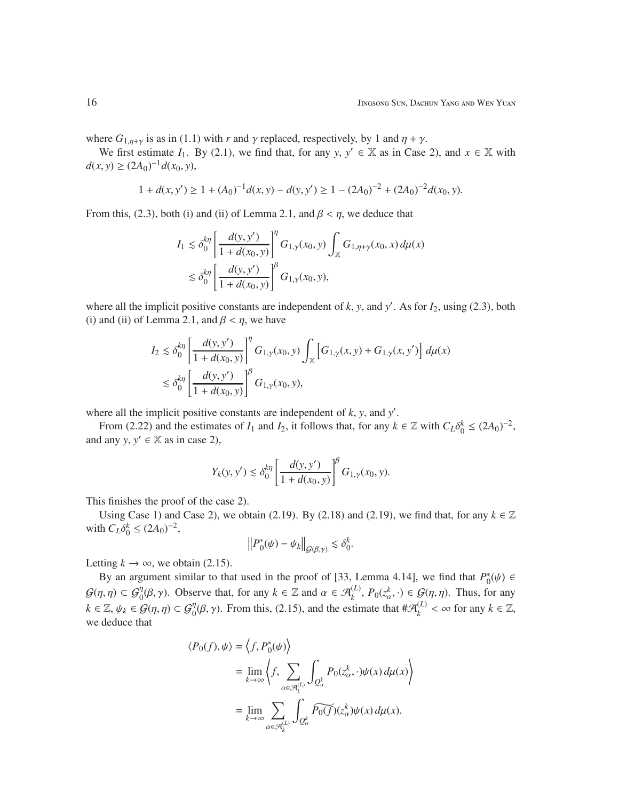where  $G_{1,\eta+\gamma}$  is as in (1.1) with *r* and  $\gamma$  replaced, respectively, by 1 and  $\eta + \gamma$ .

We first estimate *I*<sub>1</sub>. By (2.1), we find that, for any *y*,  $y' \in \mathbb{X}$  as in Case 2), and  $x \in \mathbb{X}$  with *d*(*x*, *y*) ≥ (2*A*<sub>0</sub>)<sup>-1</sup>*d*(*x*<sub>0</sub>, *y*),

$$
1 + d(x, y') \ge 1 + (A_0)^{-1}d(x, y) - d(y, y') \ge 1 - (2A_0)^{-2} + (2A_0)^{-2}d(x_0, y).
$$

From this, (2.3), both (i) and (ii) of Lemma 2.1, and  $\beta < \eta$ , we deduce that

$$
I_1 \lesssim \delta_0^{k\eta} \left[ \frac{d(y, y')}{1 + d(x_0, y)} \right]^{\eta} G_{1, \gamma}(x_0, y) \int_{\mathbb{X}} G_{1, \eta + \gamma}(x_0, x) d\mu(x)
$$
  

$$
\lesssim \delta_0^{k\eta} \left[ \frac{d(y, y')}{1 + d(x_0, y)} \right]^{\beta} G_{1, \gamma}(x_0, y),
$$

where all the implicit positive constants are independent of  $k$ ,  $y$ , and  $y'$ . As for  $I_2$ , using (2.3), both (i) and (ii) of Lemma 2.1, and  $\beta < \eta$ , we have

$$
I_2 \lesssim \delta_0^{k\eta} \left[ \frac{d(y, y')}{1 + d(x_0, y)} \right]^{\eta} G_{1, \gamma}(x_0, y) \int_{\mathbb{X}} \left[ G_{1, \gamma}(x, y) + G_{1, \gamma}(x, y') \right] d\mu(x)
$$
  

$$
\lesssim \delta_0^{k\eta} \left[ \frac{d(y, y')}{1 + d(x_0, y)} \right]^{\beta} G_{1, \gamma}(x_0, y),
$$

where all the implicit positive constants are independent of  $k$ ,  $y$ , and  $y'$ .

From (2.22) and the estimates of  $I_1$  and  $I_2$ , it follows that, for any  $k \in \mathbb{Z}$  with  $C_L \delta_0^k \le (2A_0)^{-2}$ , and any  $y, y' \in \mathbb{X}$  as in case 2),

$$
Y_k(y,y')\lesssim \delta_0^{k\eta}\left[\frac{d(y,y')}{1+d(x_0,y)}\right]^\beta G_{1,\gamma}(x_0,y).
$$

This finishes the proof of the case 2).

Using Case 1) and Case 2), we obtain (2.19). By (2.18) and (2.19), we find that, for any  $k \in \mathbb{Z}$ with  $C_L \delta_0^k \le (2A_0)^{-2}$ ,

$$
\left\|P_0^*(\psi)-\psi_k\right\|_{\mathcal{G}(\beta,\gamma)}\lesssim \delta_0^k.
$$

Letting  $k \to \infty$ , we obtain (2.15).

By an argument similar to that used in the proof of [33, Lemma 4.14], we find that  $P_0^*$  $_{0}^{*}(\psi) \in$  $\mathcal{G}(\eta, \eta) \subset \mathcal{G}_0^{\eta}(\beta, \gamma)$ . Observe that, for any  $k \in \mathbb{Z}$  and  $\alpha \in \mathcal{A}_k^{(L)}$ ,  $P_0(z_\alpha^k, \cdot) \in \mathcal{G}(\eta, \eta)$ . Thus, for any  $k \in \mathbb{Z}, \psi_k \in \mathcal{G}(\eta, \eta) \subset \mathcal{G}_0^{\eta}(\beta, \gamma)$ . From this, (2.15), and the estimate that  $\#\mathcal{A}_k^{(L)}$  $\binom{L}{k}$  < ∞ for any  $k \in \mathbb{Z}$ , we deduce that

$$
\langle P_0(f), \psi \rangle = \left\langle f, P_0^*(\psi) \right\rangle
$$
  
=  $\lim_{k \to \infty} \left\langle f, \sum_{\alpha \in \mathcal{A}_k^{(L)}} \int_{Q_\alpha^k} P_0(z_\alpha^k, \cdot) \psi(x) d\mu(x) \right\rangle$   
=  $\lim_{k \to \infty} \sum_{\alpha \in \mathcal{A}_k^{(L)}} \int_{Q_\alpha^k} \widetilde{P_0(f)}(z_\alpha^k) \psi(x) d\mu(x).$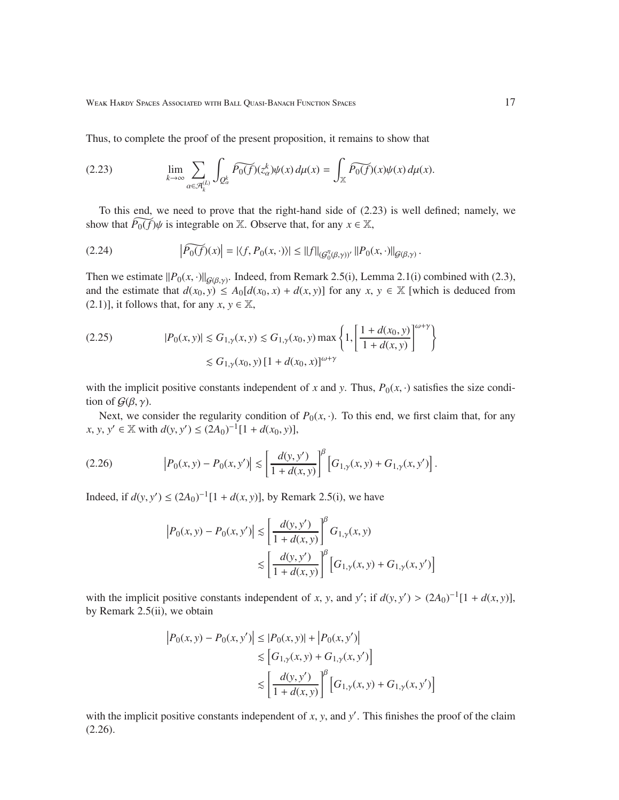Thus, to complete the proof of the present proposition, it remains to show that

(2.23) 
$$
\lim_{k \to \infty} \sum_{\alpha \in \mathcal{A}_k^{(L)}} \int_{Q_\alpha^k} \widetilde{P_0(f)}(z_\alpha^k) \psi(x) d\mu(x) = \int_{\mathbb{X}} \widetilde{P_0(f)}(x) \psi(x) d\mu(x).
$$

To this end, we need to prove that the right-hand side of (2.23) is well defined; namely, we show that  $\widetilde{P_0(f)}\psi$  is integrable on X. Observe that, for any  $x \in \mathbb{X}$ ,

$$
(2.24) \qquad \qquad \left|\widetilde{P_0(f)}(x)\right| = \left|\langle f, P_0(x, \cdot)\rangle\right| \leq \|f\|_{(\mathcal{G}_0^{\eta}(\beta, \gamma))'} \left\|P_0(x, \cdot)\right\|_{\mathcal{G}(\beta, \gamma)}.
$$

Then we estimate  $||P_0(x, \cdot)||_{G(\beta, \gamma)}$ . Indeed, from Remark 2.5(i), Lemma 2.1(i) combined with (2.3), and the estimate that  $d(x_0, y) \le A_0[d(x_0, x) + d(x, y)]$  for any  $x, y \in \mathbb{X}$  [which is deduced from (2.1)], it follows that, for any  $x, y \in \mathbb{X}$ ,

$$
(2.25) \t\t |P_0(x, y)| \lesssim G_{1,\gamma}(x, y) \lesssim G_{1,\gamma}(x_0, y) \max\left\{1, \left[\frac{1 + d(x_0, y)}{1 + d(x, y)}\right]^{\omega + \gamma}\right\}
$$
  

$$
\lesssim G_{1,\gamma}(x_0, y) \left[1 + d(x_0, x)\right]^{\omega + \gamma}
$$

with the implicit positive constants independent of *x* and *y*. Thus,  $P_0(x, \cdot)$  satisfies the size condition of  $G(\beta, \gamma)$ .

Next, we consider the regularity condition of  $P_0(x, \cdot)$ . To this end, we first claim that, for any *x*, *y*, *y*<sup> $\prime$ </sup> ∈  $\mathbb{X}$  with *d*(*y*, *y*<sup> $\prime$ </sup>) ≤ (2*A*<sub>0</sub>)<sup>-1</sup>[1 + *d*(*x*<sub>0</sub>, *y*)],

(2.26) 
$$
\left| P_0(x, y) - P_0(x, y') \right| \lesssim \left[ \frac{d(y, y')}{1 + d(x, y)} \right]^{\beta} \left[ G_{1, \gamma}(x, y) + G_{1, \gamma}(x, y') \right].
$$

Indeed, if *d*(*y*, *y*<sup> $′$ </sup>) ≤ (2*A*<sub>0</sub>)<sup>-1</sup>[1 + *d*(*x*, *y*)], by Remark 2.5(i), we have

$$
|P_0(x, y) - P_0(x, y')| \le \left[\frac{d(y, y')}{1 + d(x, y)}\right]^\beta G_{1, \gamma}(x, y)
$$
  
 
$$
\le \left[\frac{d(y, y')}{1 + d(x, y)}\right]^\beta \left[G_{1, \gamma}(x, y) + G_{1, \gamma}(x, y')\right]
$$

with the implicit positive constants independent of *x*, *y*, and *y'*; if  $d(y, y') > (2A_0)^{-1}[1 + d(x, y)]$ , by Remark 2.5(ii), we obtain

$$
|P_0(x, y) - P_0(x, y')| \le |P_0(x, y)| + |P_0(x, y')|
$$
  
\n
$$
\le [G_{1,\gamma}(x, y) + G_{1,\gamma}(x, y')]
$$
  
\n
$$
\le \left[\frac{d(y, y')}{1 + d(x, y)}\right]^\beta \left[G_{1,\gamma}(x, y) + G_{1,\gamma}(x, y')\right]
$$

with the implicit positive constants independent of  $x$ ,  $y$ , and  $y'$ . This finishes the proof of the claim  $(2.26).$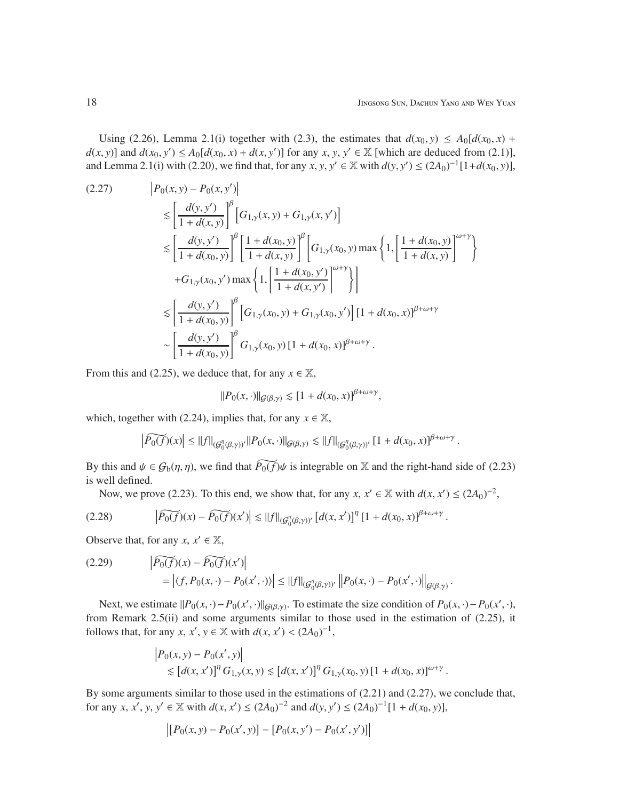Using (2.26), Lemma 2.1(i) together with (2.3), the estimates that  $d(x_0, y) \le A_0[d(x_0, x) +$  $d(x, y)$ ] and  $d(x_0, y') \le A_0[d(x_0, x) + d(x, y')]$  for any  $x, y, y' \in \mathbb{X}$  [which are deduced from (2.1)], and Lemma 2.1(i) with (2.20), we find that, for any *x*, *y*,  $y' \in \mathbb{X}$  with  $d(y, y') \le (2A_0)^{-1}[1+d(x_0, y)]$ ,

$$
(2.27) \qquad |P_0(x, y) - P_0(x, y')|
$$
  
\n
$$
\leq \left[\frac{d(y, y')}{1 + d(x, y)}\right]^{\beta} \left[G_{1, \gamma}(x, y) + G_{1, \gamma}(x, y')\right]
$$
  
\n
$$
\leq \left[\frac{d(y, y')}{1 + d(x_0, y)}\right]^{\beta} \left[\frac{1 + d(x_0, y)}{1 + d(x, y)}\right]^{\beta} \left[G_{1, \gamma}(x_0, y) \max\left\{1, \left[\frac{1 + d(x_0, y)}{1 + d(x, y)}\right]^{\omega + \gamma}\right\} + G_{1, \gamma}(x_0, y') \max\left\{1, \left[\frac{1 + d(x_0, y')}{1 + d(x, y')}\right]^{\omega + \gamma}\right\}\right]
$$
  
\n
$$
\leq \left[\frac{d(y, y')}{1 + d(x_0, y)}\right]^{\beta} \left[G_{1, \gamma}(x_0, y) + G_{1, \gamma}(x_0, y')\right] \left[1 + d(x_0, x)\right]^{\beta + \omega + \gamma}
$$
  
\n
$$
\sim \left[\frac{d(y, y')}{1 + d(x_0, y)}\right]^{\beta} G_{1, \gamma}(x_0, y) \left[1 + d(x_0, x)\right]^{\beta + \omega + \gamma}.
$$

From this and (2.25), we deduce that, for any  $x \in \mathbb{X}$ ,

$$
||P_0(x, \cdot)||_{\mathcal{G}(\beta, \gamma)} \lesssim [1 + d(x_0, x)]^{\beta + \omega + \gamma},
$$

which, together with (2.24), implies that, for any  $x \in \mathbb{X}$ ,

$$
\left|\widetilde{P_0(f)}(x)\right|\leq \|f\|_{(\mathcal{G}_0^{\eta}(\beta,\gamma))'}\|P_0(x,\cdot)\|_{\mathcal{G}(\beta,\gamma)}\lesssim \|f\|_{(\mathcal{G}_0^{\eta}(\beta,\gamma))'}\left[1+d(x_0,x)\right]^{\beta+\omega+\gamma}.
$$

By this and  $\psi \in \mathcal{G}_b(\eta, \eta)$ , we find that  $\widetilde{P_0(f)}\psi$  is integrable on X and the right-hand side of (2.23) is well defined.

Now, we prove (2.23). To this end, we show that, for any  $x, x' \in \mathbb{X}$  with  $d(x, x') \le (2A_0)^{-2}$ ,

$$
(2.28) \qquad \left| \widetilde{P_0(f)}(x) - \widetilde{P_0(f)}(x') \right| \lesssim ||f||_{(\mathcal{G}_0^{\eta}(\beta,\gamma))'} \left[ d(x,x') \right]^{\eta} \left[ 1 + d(x_0,x) \right]^{\beta + \omega + \gamma}.
$$

Observe that, for any  $x, x' \in \mathbb{X}$ ,

 $\overline{1}$ 

$$
(2.29) \qquad \left| \widetilde{P_0(f)}(x) - \widetilde{P_0(f)}(x') \right|
$$
  
=  $\left| \langle f, P_0(x, \cdot) - P_0(x', \cdot) \rangle \right| \le ||f||_{(\mathcal{G}_0^{\eta}(\beta, \gamma))'} ||P_0(x, \cdot) - P_0(x', \cdot) ||_{\mathcal{G}(\beta, \gamma)}.$ 

Next, we estimate  $||P_0(x, \cdot) - P_0(x', \cdot)||_{\mathcal{G}(\beta, \gamma)}$ . To estimate the size condition of  $P_0(x, \cdot) - P_0(x', \cdot)$ , from Remark 2.5(ii) and some arguments similar to those used in the estimation of (2.25), it follows that, for any *x*, *x*<sup>*'*</sup>, *y*  $\in \mathbb{X}$  with  $d(x, x') < (2A_0)^{-1}$ ,

$$
\begin{aligned} & \left| P_0(x, y) - P_0(x', y) \right| \\ &\lesssim \left[ d(x, x') \right]^\eta G_{1, \gamma}(x, y) \lesssim \left[ d(x, x') \right]^\eta G_{1, \gamma}(x_0, y) \left[ 1 + d(x_0, x) \right]^{\omega + \gamma}. \end{aligned}
$$

By some arguments similar to those used in the estimations of (2.21) and (2.27), we conclude that, for any *x*, *x*', *y*, *y*'  $\in \mathbb{X}$  with  $d(x, x') \le (2A_0)^{-2}$  and  $d(y, y') \le (2A_0)^{-1}[1 + d(x_0, y)],$ 

$$
\left[ [P_0(x, y) - P_0(x', y)] - [P_0(x, y') - P_0(x', y')] \right]
$$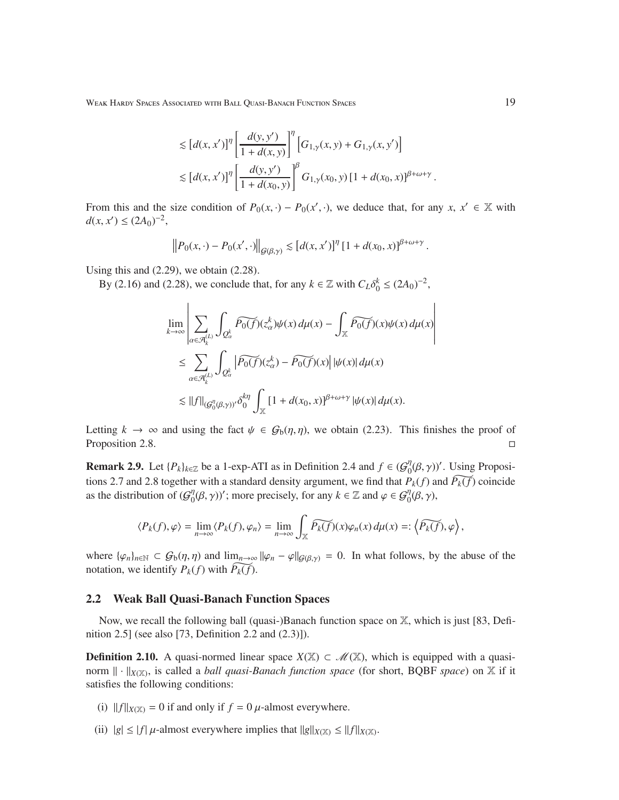$$
\leq [d(x, x')]^{\eta} \left[ \frac{d(y, y')}{1 + d(x, y)} \right]^{\eta} \left[ G_{1, \gamma}(x, y) + G_{1, \gamma}(x, y') \right]
$$
  

$$
\leq [d(x, x')]^{\eta} \left[ \frac{d(y, y')}{1 + d(x_0, y)} \right]^{\beta} G_{1, \gamma}(x_0, y) [1 + d(x_0, x)]^{\beta + \omega + \gamma}
$$

From this and the size condition of  $P_0(x, \cdot) - P_0(x', \cdot)$ , we deduce that, for any  $x, x' \in \mathbb{X}$  with  $d(x, x') \le (2A_0)^{-2}$ ,

$$
\left\|P_0(x,\cdot)-P_0(x',\cdot)\right\|_{\mathcal{G}(\beta,\gamma)} \lesssim \left[d(x,x')\right]^\eta \left[1+d(x_0,x)\right]^{\beta+\omega+\gamma}
$$

Using this and (2.29), we obtain (2.28).

By (2.16) and (2.28), we conclude that, for any  $k \in \mathbb{Z}$  with  $C_L \delta_0^k \leq (2A_0)^{-2}$ ,

$$
\lim_{k \to \infty} \left| \sum_{\alpha \in \mathcal{A}_k^{(L)}} \int_{Q_\alpha^k} \widetilde{P_0(f)}(z_\alpha^k) \psi(x) \, d\mu(x) - \int_{\mathbb{X}} \widetilde{P_0(f)}(x) \psi(x) \, d\mu(x) \right|
$$
\n
$$
\leq \sum_{\alpha \in \mathcal{A}_k^{(L)}} \int_{Q_\alpha^k} \left| \widetilde{P_0(f)}(z_\alpha^k) - \widetilde{P_0(f)}(x) \right| |\psi(x)| \, d\mu(x)
$$
\n
$$
\lesssim ||f||_{(G_0^{\eta}(\beta, \gamma))'} \delta_0^{k\eta} \int_{\mathbb{X}} \left[ 1 + d(x_0, x) \right]^{\beta + \omega + \gamma} |\psi(x)| \, d\mu(x).
$$

Letting  $k \to \infty$  and using the fact  $\psi \in \mathcal{G}_b(\eta, \eta)$ , we obtain (2.23). This finishes the proof of Proposition 2.8.

**Remark 2.9.** Let  $\{P_k\}_{k \in \mathbb{Z}}$  be a 1-exp-ATI as in Definition 2.4 and  $f \in (G_0^{\eta})$  $\int_0^{\eta} (\beta, \gamma)$ '. Using Propositions 2.7 and 2.8 together with a standard density argument, we find that  $P_k(f)$  and  $\widetilde{P_k(f)}$  coincide as the distribution of  $(\mathcal{G}^{\eta}_{0})$  $\mathcal{O}_0^{\eta}(\beta, \gamma)$ '; more precisely, for any  $k \in \mathbb{Z}$  and  $\varphi \in \mathcal{G}_0^{\eta}(\beta, \gamma)$ ,

$$
\langle P_k(f),\varphi\rangle=\lim_{n\to\infty}\langle P_k(f),\varphi_n\rangle=\lim_{n\to\infty}\int_{\mathbb X}\widetilde{P_k(f)}(x)\varphi_n(x)\,d\mu(x)=:\langle \widetilde{P_k(f)},\varphi\rangle,
$$

where  $\{\varphi_n\}_{n\in\mathbb{N}} \subset \mathcal{G}_b(\eta, \eta)$  and  $\lim_{n\to\infty} ||\varphi_n - \varphi||_{\mathcal{G}(\beta,\gamma)} = 0$ . In what follows, by the abuse of the notation, we identify  $P_k(f)$  with  $\widetilde{P_k(f)}$ .

#### 2.2 Weak Ball Quasi-Banach Function Spaces

Now, we recall the following ball (quasi-)Banach function space on X, which is just [83, Definition 2.5] (see also [73, Definition 2.2 and (2.3)]).

**Definition 2.10.** A quasi-normed linear space  $X(\mathbb{X}) \subset \mathcal{M}(\mathbb{X})$ , which is equipped with a quasinorm  $\|\cdot\|_{X(\mathbb{X})}$ , is called a *ball quasi-Banach function space* (for short, BQBF *space*) on X if it satisfies the following conditions:

- (i)  $||f||_{X(X)} = 0$  if and only if  $f = 0$   $\mu$ -almost everywhere.
- (ii)  $|g| \le |f| \mu$ -almost everywhere implies that  $||g||_{X(\mathbb{X})} \le ||f||_{X(\mathbb{X})}$ .

.

.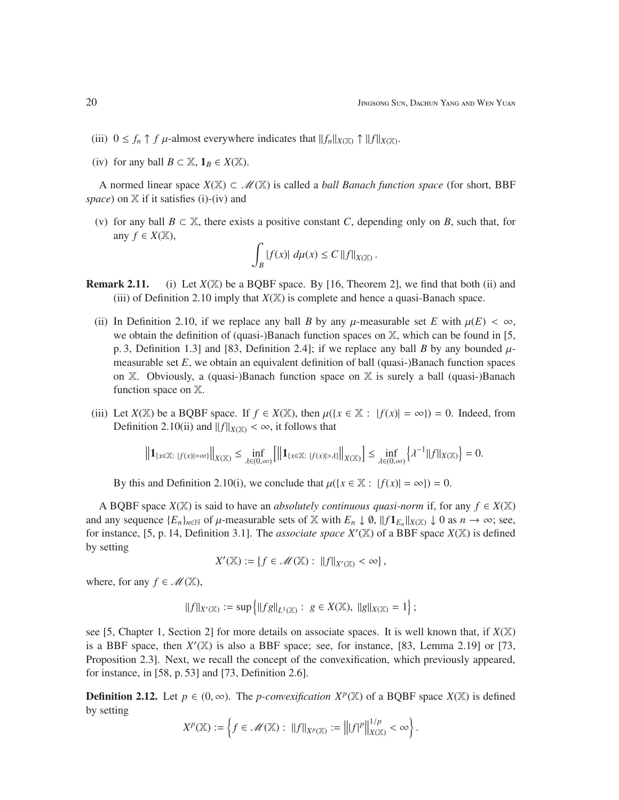- (iii)  $0 \le f_n \uparrow f$   $\mu$ -almost everywhere indicates that  $||f_n||_{X(\mathbb{X})} \uparrow ||f||_{X(\mathbb{X})}$ .
- (iv) for any ball  $B \subset \mathbb{X}$ ,  $\mathbf{1}_B \in X(\mathbb{X})$ .

A normed linear space *X*(X) ⊂ M(X) is called a *ball Banach function space* (for short, BBF *space*) on X if it satisfies (i)-(iv) and

(v) for any ball  $B \subset \mathbb{X}$ , there exists a positive constant *C*, depending only on *B*, such that, for any  $f \in X(\mathbb{X})$ ,

$$
\int_B |f(x)| \ d\mu(x) \le C \, ||f||_{X(\mathbb{X})} \, .
$$

- **Remark 2.11.** (i) Let  $X(\mathbb{X})$  be a BQBF space. By [16, Theorem 2], we find that both (ii) and (iii) of Definition 2.10 imply that  $X(\mathbb{X})$  is complete and hence a quasi-Banach space.
	- (ii) In Definition 2.10, if we replace any ball *B* by any  $\mu$ -measurable set *E* with  $\mu(E) < \infty$ , we obtain the definition of (quasi-)Banach function spaces on  $X$ , which can be found in [5, p. 3, Definition 1.3] and [83, Definition 2.4]; if we replace any ball *B* by any bounded  $\mu$ measurable set  $E$ , we obtain an equivalent definition of ball (quasi-)Banach function spaces on X. Obviously, a (quasi-)Banach function space on X is surely a ball (quasi-)Banach function space on X.
- (iii) Let  $X(\mathbb{X})$  be a BQBF space. If  $f \in X(\mathbb{X})$ , then  $\mu({x \in \mathbb{X} : |f(x)| = \infty}) = 0$ . Indeed, from Definition 2.10(ii) and  $||f||_{X(X)} < \infty$ , it follows that

$$
\left\|{\rm 1\hspace{-0.90ex}1}_{\{x\in\mathbb X:\ |f(x)|=\infty\}}\right\|_{X(\mathbb X)}\le \inf_{\lambda\in(0,\infty)}\left[\left\|{\rm 1\hspace{-0.90ex}1}_{\{x\in\mathbb X:\ |f(x)|>\lambda\}}\right\|_{X(\mathbb X)}\right]\le \inf_{\lambda\in(0,\infty)}\left\{\lambda^{-1}\|f\|_{X(\mathbb X)}\right\}=0.
$$

By this and Definition 2.10(i), we conclude that  $\mu({x \in \mathbb{X} : |f(x)| = \infty}) = 0$ .

A BQBF space  $X(\mathbb{X})$  is said to have an *absolutely continuous quasi-norm* if, for any  $f \in X(\mathbb{X})$ and any sequence  $\{E_n\}_{n\in\mathbb{N}}$  of  $\mu$ -measurable sets of  $\mathbb X$  with  $E_n \downarrow \emptyset$ ,  $\|f\mathbf{1}_{E_n}\|_{X(\mathbb X)} \downarrow 0$  as  $n \to \infty$ ; see, for instance, [5, p. 14, Definition 3.1]. The *associate space*  $X'(\mathbb{X})$  of a BBF space  $X(\mathbb{X})$  is defined by setting

$$
X'(\mathbb{X}) := \{ f \in \mathcal{M}(\mathbb{X}) : ||f||_{X'(\mathbb{X})} < \infty \},
$$

where, for any  $f \in \mathcal{M}(\mathbb{X})$ ,

$$
||f||_{X'(\mathbb{X})} := \sup \{ ||fg||_{L^1(\mathbb{X})} : g \in X(\mathbb{X}), ||g||_{X(\mathbb{X})} = 1 \},
$$

see [5, Chapter 1, Section 2] for more details on associate spaces. It is well known that, if  $X(\mathbb{X})$ is a BBF space, then  $X'(\mathbb{X})$  is also a BBF space; see, for instance, [83, Lemma 2.19] or [73, Proposition 2.3]. Next, we recall the concept of the convexification, which previously appeared, for instance, in [58, p. 53] and [73, Definition 2.6].

**Definition 2.12.** Let *p* ∈ (0, ∞). The *p-convexification X<sup>p</sup>*( $\mathbb{X}$ ) of a BQBF space *X*( $\mathbb{X}$ ) is defined by setting

$$
X^{p}(\mathbb{X}) := \left\{ f \in \mathcal{M}(\mathbb{X}) : ||f||_{X^{p}(\mathbb{X})} := ||f|^{p} ||_{X(\mathbb{X})}^{1/p} < \infty \right\}.
$$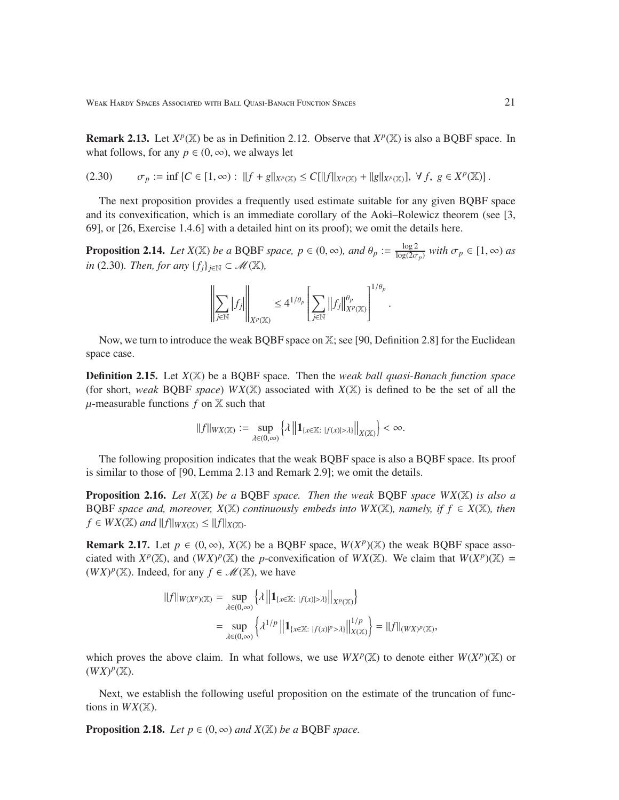**Remark 2.13.** Let  $X^p(\mathbb{X})$  be as in Definition 2.12. Observe that  $X^p(\mathbb{X})$  is also a BQBF space. In what follows, for any  $p \in (0, \infty)$ , we always let

$$
(2.30) \qquad \sigma_p := \inf \left\{ C \in [1, \infty) : \|f + g\|_{X^p(\mathbb{X})} \le C [\|f\|_{X^p(\mathbb{X})} + \|g\|_{X^p(\mathbb{X})}], \ \forall f, \ g \in X^p(\mathbb{X}) \right\}.
$$

The next proposition provides a frequently used estimate suitable for any given BQBF space and its convexification, which is an immediate corollary of the Aoki–Rolewicz theorem (see [3, 69], or [26, Exercise 1.4.6] with a detailed hint on its proof); we omit the details here.

**Proposition 2.14.** *Let*  $X(\mathbb{X})$  *be a* BQBF *space,*  $p \in (0, \infty)$ *, and*  $\theta_p := \frac{\log 2}{\log(2\sigma)}$  $\frac{\log 2}{\log(2\sigma_p)}$  with  $\sigma_p \in [1, \infty)$  as *in* (2.30)*. Then, for any*  ${f_j}_{j \in \mathbb{N}}$  ⊂ *M*( $\mathbb{X}$ *),* 

$$
\left\|\sum_{j\in\mathbb N}|f_j|\right\|_{X^p(\mathbb X)}\leq 4^{1/\theta_p}\left[\sum_{j\in\mathbb N}\left\|f_j\right\|_{X^p(\mathbb X)}^{\theta_p}\right]^{1/\theta_p}.
$$

Now, we turn to introduce the weak BQBF space on X; see [90, Definition 2.8] for the Euclidean space case.

Definition 2.15. Let *X*(X) be a BQBF space. Then the *weak ball quasi-Banach function space* (for short, *weak* BQBF *space*)  $WX(\mathbb{X})$  associated with  $X(\mathbb{X})$  is defined to be the set of all the  $\mu$ -measurable functions  $f$  on  $\mathbb X$  such that

$$
\|f\|_{WX(\mathbb{X})}:=\sup_{\lambda\in(0,\infty)}\Big\{\lambda\left\|1_{\{x\in\mathbb{X}:\ |f(x)|>\lambda\}}\right\|_{X(\mathbb{X})}\Big\}<\infty.
$$

The following proposition indicates that the weak BQBF space is also a BQBF space. Its proof is similar to those of [90, Lemma 2.13 and Remark 2.9]; we omit the details.

Proposition 2.16. *Let X*(X) *be a* BQBF *space. Then the weak* BQBF *space WX*(X) *is also a* BOBF *space and, moreover,*  $X(\mathbb{X})$  *continuously embeds into*  $WX(\mathbb{X})$ *, namely, if*  $f \in X(\mathbb{X})$ *, then*  $f \in WX(\mathbb{X})$  *and*  $||f||_{WX(\mathbb{X})} \leq ||f||_{X(\mathbb{X})}$ .

**Remark 2.17.** Let  $p \in (0, \infty)$ ,  $X(\mathbb{X})$  be a BQBF space,  $W(X^p)(\mathbb{X})$  the weak BQBF space associated with  $X^p(\mathbb{X})$ , and  $(WX)^p(\mathbb{X})$  the *p*-convexification of  $WX(\mathbb{X})$ . We claim that  $W(X^p)(\mathbb{X}) =$  $(WX)^p(X)$ . Indeed, for any  $f \in \mathcal{M}(X)$ , we have

$$
||f||_{W(X^p)(\mathbb{X})} = \sup_{\lambda \in (0,\infty)} \left\{ \lambda \left\| \mathbf{1}_{\{x \in \mathbb{X}: \ |f(x)| > \lambda\}} \right\|_{X^p(\mathbb{X})} \right\}
$$
  

$$
= \sup_{\lambda \in (0,\infty)} \left\{ \lambda^{1/p} \left\| \mathbf{1}_{\{x \in \mathbb{X}: \ |f(x)|^p > \lambda\}} \right\|_{X(\mathbb{X})}^{1/p} \right\} = ||f||_{(WX)^p(\mathbb{X})},
$$

which proves the above claim. In what follows, we use  $WX^p(\mathbb{X})$  to denote either  $W(X^p)(\mathbb{X})$  or  $(WX)^p$ (X).

Next, we establish the following useful proposition on the estimate of the truncation of functions in  $WX(\mathbb{X})$ .

**Proposition 2.18.** *Let*  $p \in (0, \infty)$  *and*  $X(\mathbb{X})$  *be a* BQBF *space.*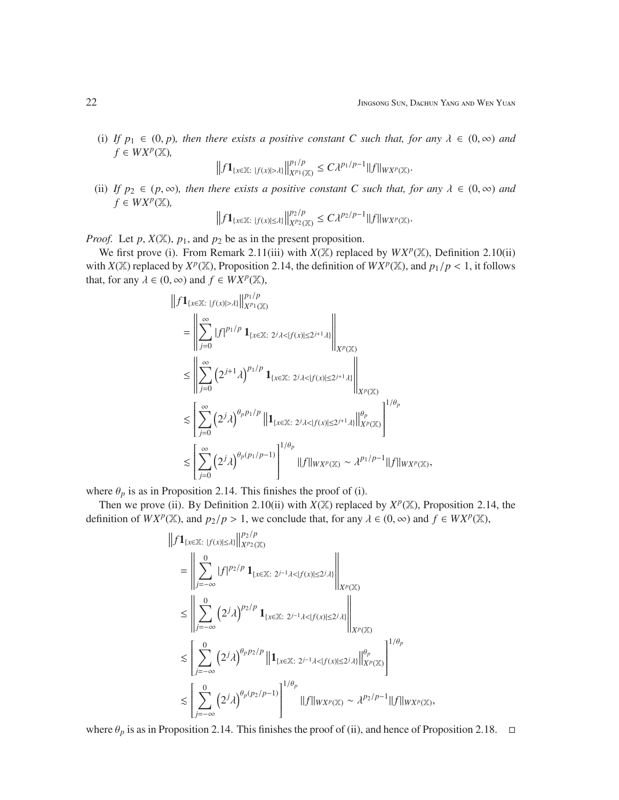(i) If  $p_1 \in (0, p)$ , then there exists a positive constant C such that, for any  $\lambda \in (0, \infty)$  and  $f \in WX^p(\mathbb{X}),$ 

$$
\left\|f\mathbf{1}_{\{x\in\mathbb{X}:\; |f(x)|>\lambda\}}\right\|_{X^{p_1}(\mathbb{X})}^{p_1/p}\leq C\lambda^{p_1/p-1}\|f\|_{WX^p(\mathbb{X})}.
$$

(ii) *If*  $p_2 \in (p, \infty)$ *, then there exists a positive constant C such that, for any*  $\lambda \in (0, \infty)$  *and*  $f \in WX^p(\mathbb{X}),$ 

$$
\left\|f1_{\{x\in\mathbb{X}:\;|f(x)|\leq\lambda\}}\right\|_{X^{p_2}(\mathbb{X})}^{p_2/p}\leq C\lambda^{p_2/p-1}\|f\|_{WX^p(\mathbb{X})}.
$$

*Proof.* Let  $p$ ,  $X(\mathbb{X})$ ,  $p_1$ , and  $p_2$  be as in the present proposition.

We first prove (i). From Remark 2.11(iii) with  $X(\mathbb{X})$  replaced by  $WX^p(\mathbb{X})$ , Definition 2.10(ii) with  $X(\mathbb{X})$  replaced by  $X^p(\mathbb{X})$ , Proposition 2.14, the definition of  $WX^p(\mathbb{X})$ , and  $p_1/p < 1$ , it follows that, for any  $\lambda \in (0, \infty)$  and  $f \in WX^p(\mathbb{X})$ ,

$$
\begin{split} &\left\|f\mathbf{1}_{\{x\in\mathbb{X}:\;|f(x)|>\lambda\}}\right\|^{p_1/p}_{X^{p_1}(\mathbb{X})} \\ &=\left\|\sum_{j=0}^{\infty}|f|^{p_1/p}\,\mathbf{1}_{\{x\in\mathbb{X}:\;2^j\lambda<|f(x)|\leq 2^{j+1}\lambda\}}\right\|_{X^p(\mathbb{X})} \\ &\leq \left\|\sum_{j=0}^{\infty}\left(2^{j+1}\lambda\right)^{p_1/p}\,\mathbf{1}_{\{x\in\mathbb{X}:\;2^j\lambda<|f(x)|\leq 2^{j+1}\lambda\}}\right\|_{X^p(\mathbb{X})} \\ &\lesssim \left[\sum_{j=0}^{\infty}\left(2^j\lambda\right)^{\theta_p p_1/p}\left\|\mathbf{1}_{\{x\in\mathbb{X}:\;2^j\lambda<|f(x)|\leq 2^{j+1}\lambda\}}\right\|_{X^p(\mathbb{X})}^{\theta_p}\right]^{1/\theta_p} \\ &\lesssim \left[\sum_{j=0}^{\infty}\left(2^j\lambda\right)^{\theta_p(p_1/p-1)}\right]^{1/\theta_p}\|f\|_{WX^p(\mathbb{X})}\sim \lambda^{p_1/p-1}\|f\|_{WX^p(\mathbb{X})}, \end{split}
$$

where  $\theta_p$  is as in Proposition 2.14. This finishes the proof of (i).

Then we prove (ii). By Definition 2.10(ii) with  $X(\mathbb{X})$  replaced by  $X^p(\mathbb{X})$ , Proposition 2.14, the definition of  $WX^p(\mathbb{X})$ , and  $p_2/p > 1$ , we conclude that, for any  $\lambda \in (0, \infty)$  and  $f \in WX^p(\mathbb{X})$ ,

$$
\begin{split} &\left\|f\mathbf{1}_{\{x\in\mathbb{X}\colon |f(x)|\le\lambda\}}\right\|^{p_{2}/p}_{X^{p_{2}}(\mathbb{X})} \\ &=\left\|\sum_{j=-\infty}^{0}|f|^{p_{2}/p}\mathbf{1}_{\{x\in\mathbb{X}\colon 2^{j-1}\lambda<|f(x)|\le2^{j}\lambda\}}\right\|_{X^{p}(\mathbb{X})} \\ &\le\left\|\sum_{j=-\infty}^{0}\left(2^{j}\lambda\right)^{p_{2}/p}\mathbf{1}_{\{x\in\mathbb{X}\colon 2^{j-1}\lambda<|f(x)|\le2^{j}\lambda\}}\right\|_{X^{p}(\mathbb{X})} \\ &\lesssim\left[\sum_{j=-\infty}^{0}\left(2^{j}\lambda\right)^{\theta_{p}p_{2}/p}\left\|\mathbf{1}_{\{x\in\mathbb{X}\colon 2^{j-1}\lambda<|f(x)|\le2^{j}\lambda\}}\right\|^{q_{p}}_{X^{p}(\mathbb{X})}\right]^{1/\theta_{p}} \\ &\lesssim\left[\sum_{j=-\infty}^{0}\left(2^{j}\lambda\right)^{\theta_{p}(p_{2}/p-1)}\right]^{1/\theta_{p}}\left\||f\right\|_{W X^{p}(\mathbb{X})}\sim\lambda^{p_{2}/p-1}\|f\|_{W X^{p}(\mathbb{X})}, \end{split}
$$

where  $\theta_p$  is as in Proposition 2.14. This finishes the proof of (ii), and hence of Proposition 2.18.  $\Box$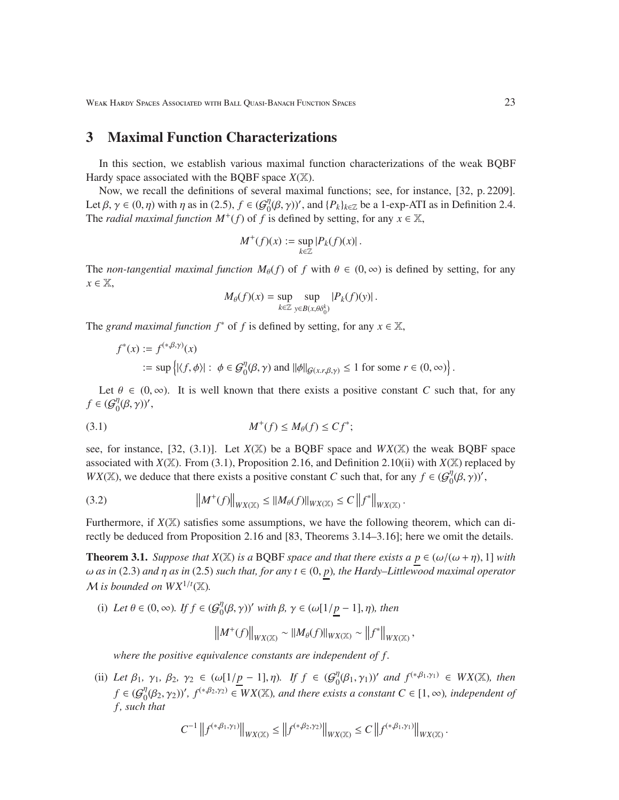### 3 Maximal Function Characterizations

In this section, we establish various maximal function characterizations of the weak BQBF Hardy space associated with the BQBF space  $X(\mathbb{X})$ .

Now, we recall the definitions of several maximal functions; see, for instance, [32, p. 2209]. Let  $\beta$ ,  $\gamma \in (0, \eta)$  with  $\eta$  as in (2.5),  $f \in (\mathcal{G}_0^{\eta})$  $\int_0^{\eta} (\beta, \gamma)$ ', and  $\{P_k\}_{k \in \mathbb{Z}}$  be a 1-exp-ATI as in Definition 2.4. The *radial maximal function*  $M^+(f)$  of  $f$  is defined by setting, for any  $x \in \mathbb{X}$ ,

$$
M^+(f)(x) := \sup_{k \in \mathbb{Z}} |P_k(f)(x)|.
$$

The *non-tangential maximal function*  $M_{\theta}(f)$  of f with  $\theta \in (0, \infty)$  is defined by setting, for any *x* ∈ X,

$$
M_{\theta}(f)(x) = \sup_{k \in \mathbb{Z}} \sup_{y \in B(x, \theta \delta_0^k)} |P_k(f)(y)|.
$$

The *grand maximal function*  $f^*$  of  $f$  is defined by setting, for any  $x \in \mathbb{X}$ ,

$$
f^*(x) := f^{(*,\beta,\gamma)}(x)
$$
  
 := sup { $|\langle f, \phi \rangle|$  :  $\phi \in G_0^{\eta}(\beta, \gamma)$  and  $||\phi||_{G(x,r,\beta,\gamma)} \le 1$  for some  $r \in (0,\infty)$ }

Let  $\theta \in (0, \infty)$ . It is well known that there exists a positive constant *C* such that, for any  $f \in {\mathcal{G}}_{0}^{\eta}$  $_{0}^{\eta}(\beta,\gamma)$ ',

$$
(3.1) \t\t M^+(f) \le M_\theta(f) \le C f^*;
$$

see, for instance,  $[32, (3.1)]$ . Let  $X(\mathbb{X})$  be a BQBF space and  $WX(\mathbb{X})$  the weak BQBF space associated with  $X(\mathbb{X})$ . From (3.1), Proposition 2.16, and Definition 2.10(ii) with  $X(\mathbb{X})$  replaced by *WX*(X), we deduce that there exists a positive constant *C* such that, for any  $f \in (G_0^{\eta})$  $_{0}^{\eta}(\beta,\gamma)$ ',

(3.2) 
$$
\|M^+(f)\|_{WX(\mathbb{X})} \leq \|M_{\theta}(f)\|_{WX(\mathbb{X})} \leq C\left\|f^*\right\|_{WX(\mathbb{X})}.
$$

Furthermore, if  $X(\mathbb{X})$  satisfies some assumptions, we have the following theorem, which can directly be deduced from Proposition 2.16 and [83, Theorems 3.14–3.16]; here we omit the details.

**Theorem 3.1.** *Suppose that*  $X(\mathbb{X})$  *is a* BQBF *space and that there exists a*  $p \in (\omega/(\omega + \eta), 1]$  *with* ω *as in* (2.3) *and* η *as in* (2.5) *such that, for any t* ∈ (0, *p*)*, the Hardy–Littlewood maximal operator*  $M$  *is bounded on*  $WX^{1/t}(\mathbb{X})$ .

(i) Let  $\theta \in (0, \infty)$ *.* If  $f \in (\mathcal{G}_0^{\eta})$  $\eta_0^{\eta}(\beta, \gamma)$ ' with  $\beta$ ,  $\gamma \in (\omega[1/\underline{p} - 1], \eta)$ , then

$$
\left\|M^+(f)\right\|_{WX(\mathbb{X})}\sim \|M_\theta(f)\|_{WX(\mathbb{X})}\sim \left\|f^*\right\|_{WX(\mathbb{X})},
$$

*where the positive equivalence constants are independent of f .*

(ii) Let  $\beta_1$ ,  $\gamma_1$ ,  $\beta_2$ ,  $\gamma_2 \in (\omega[1/p-1], \eta)$ . If  $f \in (\mathcal{G}_0^{\eta})$  $\eta_0^{\eta}(\beta_1, \gamma_1)$ ' and  $f^{(*,\beta_1,\gamma_1)} \in WX(\mathbb{X})$ , then  $f \in \left(\mathcal{G}^\eta_0\right)$  $\mathcal{O}_0^{\eta}(\beta_2, \gamma_2)$ ',  $f^{(*\beta_2, \gamma_2)} \in W\chi(\mathbb{X})$ , and there exists a constant  $C \in [1, \infty)$ , independent of *f , such that*

$$
C^{-1}\left\|f^{(*,\beta_1,\gamma_1)}\right\|_{WX(\mathbb{X})}\leq \left\|f^{(*,\beta_2,\gamma_2)}\right\|_{WX(\mathbb{X})}\leq C\left\|f^{(*,\beta_1,\gamma_1)}\right\|_{WX(\mathbb{X})}.
$$

.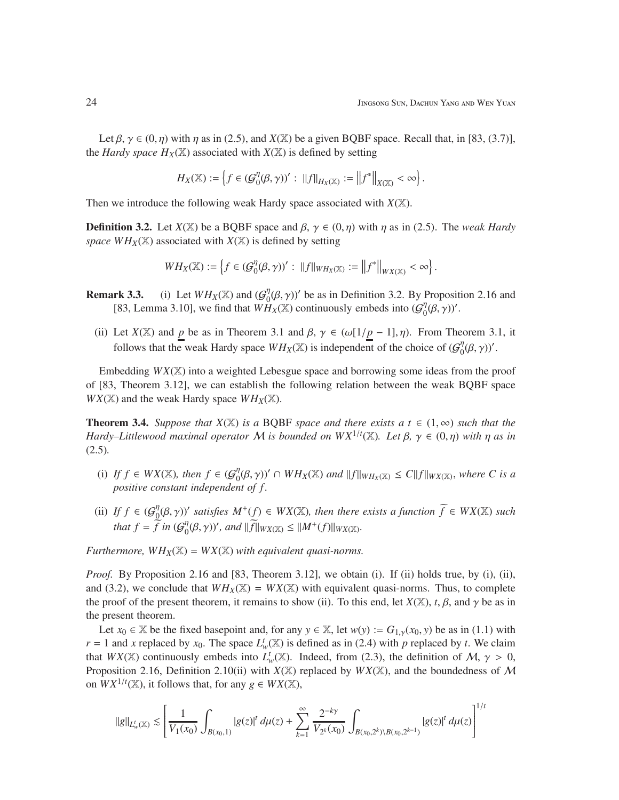Let  $\beta$ ,  $\gamma \in (0, \eta)$  with  $\eta$  as in (2.5), and *X*(X) be a given BQBF space. Recall that, in [83, (3.7)], the *Hardy space*  $H_X(\mathbb{X})$  associated with  $X(\mathbb{X})$  is defined by setting

$$
H_X(\mathbb{X}):=\left\{f\in ( \mathcal{G}_0^{\eta}(\beta,\gamma))' :\; \|f\|_{H_X(\mathbb{X})}:=\left\|f^*\right\|_{X(\mathbb{X})}<\infty\right\}.
$$

Then we introduce the following weak Hardy space associated with *X*(X).

**Definition 3.2.** Let  $X(\mathbb{X})$  be a BQBF space and  $\beta$ ,  $\gamma \in (0, \eta)$  with  $\eta$  as in (2.5). The *weak Hardy space WH<sub>X</sub>*( $\mathbb{X}$ ) associated with *X*( $\mathbb{X}$ ) is defined by setting

$$
WH_X(\mathbb{X}):=\left\{f\in ( \mathcal{G}_0^{\eta}(\beta,\gamma))':\,\,\|f\|_{WH_X(\mathbb{X})}:=\left\|f^*\right\|_{WX(\mathbb{X})}<\infty\right\}.
$$

- **Remark 3.3.** (i) Let  $WH_X(\mathbb{X})$  and  $(G_0^n)$  $\eta_0^{\eta}(\beta, \gamma)$  be as in Definition 3.2. By Proposition 2.16 and [83, Lemma 3.10], we find that  $WH_X(\mathbb{X})$  continuously embeds into  $(G_0^n)$  $_{0}^{\eta}(\beta,\gamma)$ '.
	- (ii) Let  $X(\mathbb{X})$  and *p* be as in Theorem 3.1 and  $\beta$ ,  $\gamma \in (\omega[1/p-1], \eta)$ . From Theorem 3.1, it follows that the weak Hardy space  $WH_X(\mathbb{X})$  is independent of the choice of  $(\mathcal{G}_0^{\eta})$  $_{0}^{\eta}(\beta,\gamma))'.$

Embedding *WX*(X) into a weighted Lebesgue space and borrowing some ideas from the proof of [83, Theorem 3.12], we can establish the following relation between the weak BQBF space  $WX(\mathbb{X})$  and the weak Hardy space  $WH_X(\mathbb{X})$ .

**Theorem 3.4.** *Suppose that*  $X(\mathbb{X})$  *is a* BQBF *space and there exists a*  $t \in (1, \infty)$  *such that the Hardy–Littlewood maximal operator* M *is bounded on*  $WX^{1/t}(\mathbb{X})$ *. Let*  $\beta$ *,*  $\gamma \in (0, \eta)$  *with*  $\eta$  *as in* (2.5)*.*

- (i) *If*  $f \in WX(\mathbb{X})$ *, then*  $f \in \mathcal{G}_0^{\eta}$  $\int_0^{\eta} (\beta, \gamma)' \cap WH_X(\mathbb{X})$  and  $||f||_{WH_X(\mathbb{X})} \leq C||f||_{WX(\mathbb{X})}$ , where C is a *positive constant independent of f .*
- (ii) *If*  $f \in \mathcal{G}_0^{\eta}$  $\int_0^{\eta}(\beta, \gamma)$ ' satisfies  $M^+(f) \in WX(\mathbb{X})$ , then there exists a function  $\widetilde{f} \in WX(\mathbb{X})$  such *that*  $f = \tilde{f}$  *in* ( $\mathcal{G}_0^{\eta}$  $\int_0^{\eta} (\beta, \gamma)$ ', and  $\|\widetilde{f}\|_{WX(\mathbb{X})} \leq \|M^+(f)\|_{WX(\mathbb{X})}$ .

*Furthermore,*  $WH_X(\mathbb{X}) = W_X(\mathbb{X})$  *with equivalent quasi-norms.* 

*Proof.* By Proposition 2.16 and [83, Theorem 3.12], we obtain (i). If (ii) holds true, by (i), (ii), and (3.2), we conclude that  $WH_X(\mathbb{X}) = W_X(\mathbb{X})$  with equivalent quasi-norms. Thus, to complete the proof of the present theorem, it remains to show (ii). To this end, let  $X(\mathbb{X})$ , *t*,  $\beta$ , and  $\gamma$  be as in the present theorem.

Let  $x_0 \in \mathbb{X}$  be the fixed basepoint and, for any  $y \in \mathbb{X}$ , let  $w(y) := G_{1,y}(x_0, y)$  be as in (1.1) with  $r = 1$  and *x* replaced by  $x_0$ . The space  $L^t_w(\mathbb{X})$  is defined as in (2.4) with *p* replaced by *t*. We claim that  $WX(\mathbb{X})$  continuously embeds into  $L^t_w(\mathbb{X})$ . Indeed, from (2.3), the definition of M,  $\gamma > 0$ , Proposition 2.16, Definition 2.10(ii) with  $X(\mathbb{X})$  replaced by  $WX(\mathbb{X})$ , and the boundedness of M on  $WX^{1/t}(\mathbb{X})$ , it follows that, for any  $g \in WX(\mathbb{X})$ ,

$$
||g||_{L_w^t(\mathbb{X})} \lesssim \left[ \frac{1}{V_1(x_0)} \int_{B(x_0,1)} |g(z)|^t \, d\mu(z) + \sum_{k=1}^{\infty} \frac{2^{-k\gamma}}{V_{2^k}(x_0)} \int_{B(x_0,2^k) \setminus B(x_0,2^{k-1})} |g(z)|^t \, d\mu(z) \right]^{1/t}
$$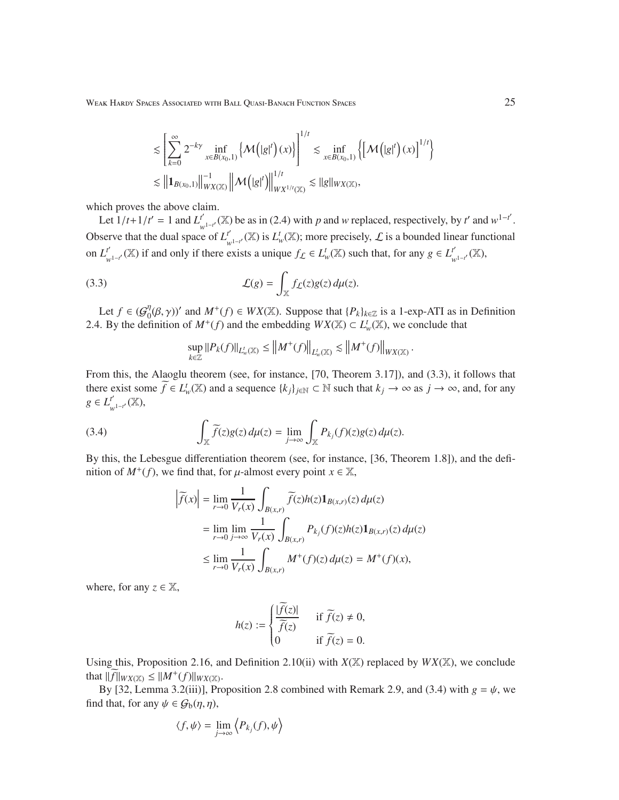$$
\begin{aligned} &\lesssim \left[\sum_{k=0}^{\infty}2^{-k\gamma}\inf_{x\in B(x_0,1)}\left\{\mathcal{M}\left(|g|^{t}\right)(x)\right\}\right]^{1/t}\lesssim \inf_{x\in B(x_0,1)}\left\{\left[\mathcal{M}\left(|g|^{t}\right)(x)\right]^{1/t}\right\} \\ &\lesssim \left\|\mathbf{1}_{B(x_0,1)}\right\|_{WX(\mathbb{X})}^{-1}\left\|\mathcal{M}\left(|g|^{t}\right)\right\|^{1/t}_{WX^{1/t}(\mathbb{X})}\lesssim \|g\|_{WX(\mathbb{X})}, \end{aligned}
$$

which proves the above claim.

Let  $1/t + 1/t' = 1$  and  $L^{t'}$  $\int_{w^{1-t}}^{t'}$  (X) be as in (2.4) with *p* and *w* replaced, respectively, by *t*' and  $w^{1-t'}$ . Observe that the dual space of  $L_1^t$ *t*<sup>'</sup><sub>*w*</sub><sup>1</sup> ( $\mathbb{X}$ ) is *L*<sup>t</sup><sub>*w*</sub>( $\mathbb{X}$ ); more precisely, *L* is a bounded linear functional on  $L^{t'}$ *t*<sup>'</sup><sub>*w*</sub><sub>1−*t*</sub></sub>( $\mathbb{X}$ ) if and only if there exists a unique  $f_L \in L^t_w(\mathbb{X})$  such that, for any  $g \in L^t_w$ *w*1−*<sup>t</sup>* ′ (X),

(3.3) 
$$
\mathcal{L}(g) = \int_{\mathbb{X}} f_{\mathcal{L}}(z) g(z) d\mu(z).
$$

Let  $f \in \mathcal{G}_0^{\eta}$  $\int_0^{\eta} (\beta, \gamma)$ ' and  $M^+(f) \in WX(\mathbb{X})$ . Suppose that  $\{P_k\}_{k \in \mathbb{Z}}$  is a 1-exp-ATI as in Definition 2.4. By the definition of  $M^+(f)$  and the embedding  $WX(\mathbb{X}) \subset L^t_w(\mathbb{X})$ , we conclude that

$$
\sup_{k\in\mathbb{Z}}||P_k(f)||_{L^t_w(\mathbb{X})}\leq ||M^+(f)||_{L^t_w(\mathbb{X})}\lesssim ||M^+(f)||_{WX(\mathbb{X})}\,.
$$

From this, the Alaoglu theorem (see, for instance, [70, Theorem 3.17]), and (3.3), it follows that there exist some  $\widetilde{f} \in L^t_w(\mathbb{X})$  and a sequence  $\{k_j\}_{j \in \mathbb{N}} \subset \mathbb{N}$  such that  $k_j \to \infty$  as  $j \to \infty$ , and, for any  $g \in L^{t'}$ *w*1−*<sup>t</sup>* ′ (X),

(3.4) 
$$
\int_{\mathbb{X}} \widetilde{f}(z)g(z) d\mu(z) = \lim_{j \to \infty} \int_{\mathbb{X}} P_{kj}(f)(z)g(z) d\mu(z).
$$

By this, the Lebesgue differentiation theorem (see, for instance, [36, Theorem 1.8]), and the definition of  $M^+(f)$ , we find that, for  $\mu$ -almost every point  $x \in \mathbb{X}$ ,

$$
\begin{aligned}\n\left|\widetilde{f}(x)\right| &= \lim_{r \to 0} \frac{1}{V_r(x)} \int_{B(x,r)} \widetilde{f}(z) h(z) \mathbf{1}_{B(x,r)}(z) \, d\mu(z) \\
&= \lim_{r \to 0} \lim_{j \to \infty} \frac{1}{V_r(x)} \int_{B(x,r)} P_{k_j}(f)(z) h(z) \mathbf{1}_{B(x,r)}(z) \, d\mu(z) \\
&\le \lim_{r \to 0} \frac{1}{V_r(x)} \int_{B(x,r)} M^+(f)(z) \, d\mu(z) = M^+(f)(x),\n\end{aligned}
$$

where, for any  $z \in \mathbb{X}$ ,

$$
h(z) := \begin{cases} \frac{|\widetilde{f}(z)|}{\widetilde{f}(z)} & \text{if } \widetilde{f}(z) \neq 0, \\ 0 & \text{if } \widetilde{f}(z) = 0. \end{cases}
$$

Using this, Proposition 2.16, and Definition 2.10(ii) with  $X(\mathbb{X})$  replaced by  $WX(\mathbb{X})$ , we conclude that  $\|\widetilde{f}\|_{WX(\mathbb{X})} \leq \|M^+(f)\|_{WX(\mathbb{X})}$ .

By [32, Lemma 3.2(iii)], Proposition 2.8 combined with Remark 2.9, and (3.4) with  $g = \psi$ , we find that, for any  $\psi \in \mathcal{G}_b(\eta, \eta)$ ,

$$
\langle f, \psi \rangle = \lim_{j \to \infty} \left\langle P_{k_j}(f), \psi \right\rangle
$$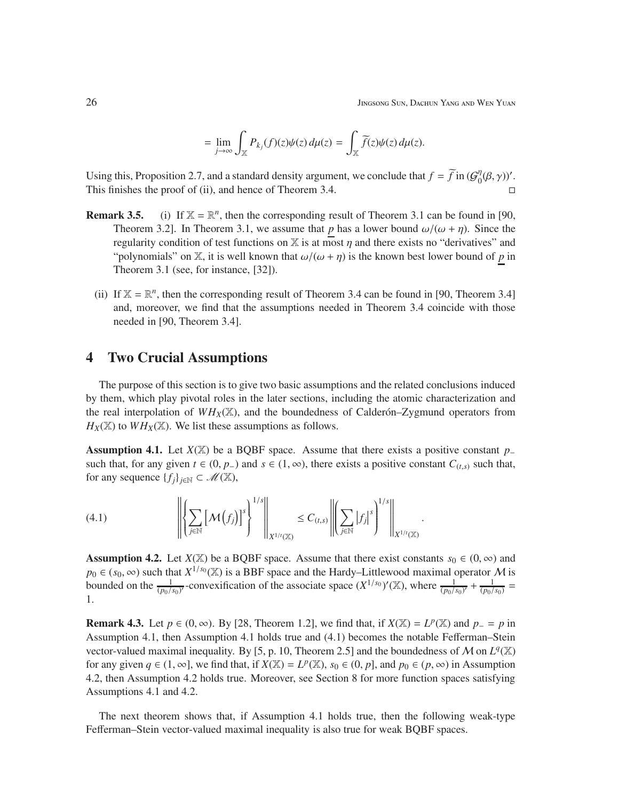$$
= \lim_{j \to \infty} \int_{\mathbb{X}} P_{k_j}(f)(z) \psi(z) d\mu(z) = \int_{\mathbb{X}} \widetilde{f}(z) \psi(z) d\mu(z).
$$

Using this, Proposition 2.7, and a standard density argument, we conclude that  $f = \tilde{f}$  in ( $\mathcal{G}_0^{\eta}$  $_{0}^{\eta}(\beta,\gamma)$ '. This finishes the proof of (ii), and hence of Theorem 3.4.  $\Box$ 

- **Remark 3.5.** (i) If  $X = \mathbb{R}^n$ , then the corresponding result of Theorem 3.1 can be found in [90, Theorem 3.2]. In Theorem 3.1, we assume that *p* has a lower bound  $\omega/(\omega + \eta)$ . Since the regularity condition of test functions on  $X$  is at most  $\eta$  and there exists no "derivatives" and "polynomials" on X, it is well known that  $\omega/(\omega + \eta)$  is the known best lower bound of p in Theorem 3.1 (see, for instance, [32]).
	- (ii) If  $X = \mathbb{R}^n$ , then the corresponding result of Theorem 3.4 can be found in [90, Theorem 3.4] and, moreover, we find that the assumptions needed in Theorem 3.4 coincide with those needed in [90, Theorem 3.4].

### 4 Two Crucial Assumptions

The purpose of this section is to give two basic assumptions and the related conclusions induced by them, which play pivotal roles in the later sections, including the atomic characterization and the real interpolation of  $WH_X(\mathbb{X})$ , and the boundedness of Calder <sup>-</sup>Zygmund operators from  $H_X(\mathbb{X})$  to  $WH_X(\mathbb{X})$ . We list these assumptions as follows.

Assumption 4.1. Let *X*(X) be a BQBF space. Assume that there exists a positive constant *p*<sup>−</sup> such that, for any given  $t \in (0, p_+)$  and  $s \in (1, \infty)$ , there exists a positive constant  $C_{(t,s)}$  such that, for any sequence  $\{f_i\}_{i \in \mathbb{N}} \subset \mathcal{M}(\mathbb{X}),$ 

$$
(4.1) \qquad \qquad \left\| \left\{ \sum_{j\in\mathbb{N}} \left[ \mathcal{M}\left(f_j\right) \right]^s \right\}^{1/s} \right\|_{X^{1/r}(\mathbb{X})} \leq C_{(t,s)} \left\| \left( \sum_{j\in\mathbb{N}} \left| f_j \right|^s \right)^{1/s} \right\|_{X^{1/r}(\mathbb{X})}.
$$

**Assumption 4.2.** Let  $X(\mathbb{X})$  be a BQBF space. Assume that there exist constants  $s_0 \in (0, \infty)$  and  $p_0 \in (s_0, \infty)$  such that  $X^{1/s_0}(\mathbb{X})$  is a BBF space and the Hardy–Littlewood maximal operator M is bounded on the  $\frac{1}{(p_0/s_0)'}$ -convexification of the associate space  $(X^{1/s_0})'(\mathbb{X})$ , where  $\frac{1}{(p_0/s_0)'} + \frac{1}{(p_0/s_0)^2}$  $\frac{1}{(p_0/s_0)}$  = 1.

**Remark 4.3.** Let  $p \in (0, \infty)$ . By [28, Theorem 1.2], we find that, if  $X(\mathbb{X}) = L^p(\mathbb{X})$  and  $p = p$  in Assumption 4.1, then Assumption 4.1 holds true and (4.1) becomes the notable Fefferman–Stein vector-valued maximal inequality. By [5, p. 10, Theorem 2.5] and the boundedness of M on  $L^q(\mathbb{X})$ for any given  $q \in (1, \infty]$ , we find that, if  $X(\mathbb{X}) = L^p(\mathbb{X})$ ,  $s_0 \in (0, p]$ , and  $p_0 \in (p, \infty)$  in Assumption 4.2, then Assumption 4.2 holds true. Moreover, see Section 8 for more function spaces satisfying Assumptions 4.1 and 4.2.

The next theorem shows that, if Assumption 4.1 holds true, then the following weak-type Fefferman–Stein vector-valued maximal inequality is also true for weak BQBF spaces.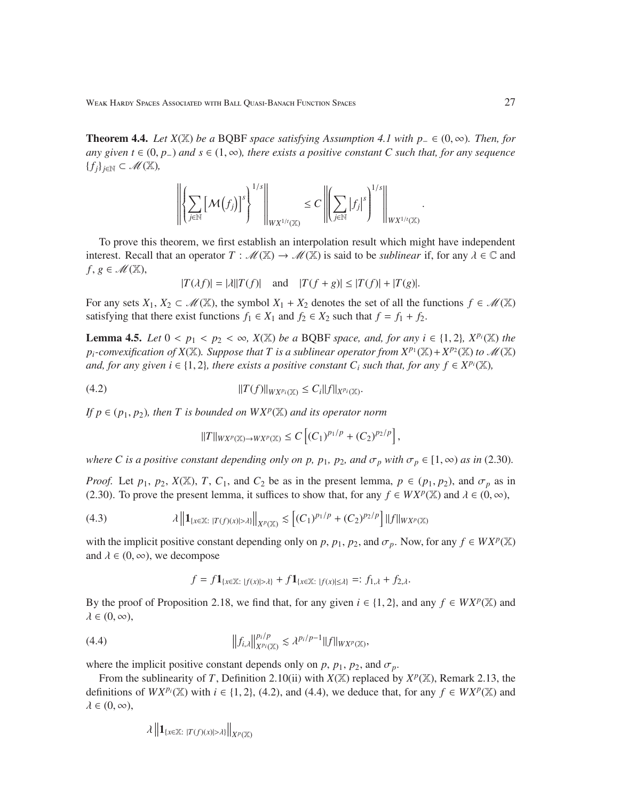**Theorem 4.4.** *Let*  $X(\mathbb{X})$  *be a* BQBF *space satisfying Assumption 4.1 with*  $p_$  ∈  $(0, ∞)$ *. Then, for any given t* ∈ (0, *p*<sub>−</sub>) *and*  $s \in (1, \infty)$ *, there exists a positive constant C such that, for any sequence* {*fj*}*j*∈<sup>N</sup> ⊂ M(X)*,*

$$
\left\| \left\{ \sum_{j \in \mathbb{N}} \left[ \mathcal{M}(f_j) \right]^s \right\}^{1/s} \right\|_{W X^{1/t}(\mathbb{X})} \leq C \left\| \left( \sum_{j \in \mathbb{N}} |f_j|^s \right)^{1/s} \right\|_{W X^{1/t}(\mathbb{X})}
$$

To prove this theorem, we first establish an interpolation result which might have independent interest. Recall that an operator  $T : \mathcal{M}(\mathbb{X}) \to \mathcal{M}(\mathbb{X})$  is said to be *sublinear* if, for any  $\lambda \in \mathbb{C}$  and  $f, g \in \mathcal{M}(\mathbb{X}),$ 

$$
|T(\lambda f)| = |\lambda||T(f)|
$$
 and  $|T(f + g)| \le |T(f)| + |T(g)|$ .

For any sets  $X_1, X_2 \subset \mathcal{M}(\mathbb{X})$ , the symbol  $X_1 + X_2$  denotes the set of all the functions  $f \in \mathcal{M}(\mathbb{X})$ satisfying that there exist functions  $f_1 \in X_1$  and  $f_2 \in X_2$  such that  $f = f_1 + f_2$ .

**Lemma 4.5.** *Let*  $0 < p_1 < p_2 < \infty$ ,  $X(\mathbb{X})$  *be a* BQBF *space, and, for any*  $i \in \{1, 2\}$ ,  $X^{p_i}(\mathbb{X})$  *the*  $p_i$ -convexification of  $X(\mathbb{X})$ . Suppose that T is a sublinear operator from  $X^{p_1}(\mathbb{X})+X^{p_2}(\mathbb{X})$  to  $\mathscr{M}(\mathbb{X})$ *and, for any given i*  $\in$  {1, 2}*, there exists a positive constant*  $C_i$  *such that, for any*  $f \in X^{p_i}(\mathbb{X})$ *,* 

(4.2) 
$$
||T(f)||_{WX^{p_i}(\mathbb{X})} \leq C_i ||f||_{X^{p_i}(\mathbb{X})}.
$$

*If*  $p \in (p_1, p_2)$ *, then T is bounded on*  $WX^p(\mathbb{X})$  *and its operator norm* 

$$
||T||_{WX^p(\mathbb{X}) \to WX^p(\mathbb{X})} \leq C \left[ (C_1)^{p_1/p} + (C_2)^{p_2/p} \right],
$$

*where C is a positive constant depending only on p, p<sub>1</sub>, p<sub>2</sub><i>, and*  $\sigma_p$  *with*  $\sigma_p \in [1, \infty)$  *as in* (2.30)*.* 

*Proof.* Let  $p_1$ ,  $p_2$ ,  $X(\mathbb{X})$ ,  $T$ ,  $C_1$ , and  $C_2$  be as in the present lemma,  $p \in (p_1, p_2)$ , and  $\sigma_p$  as in (2.30). To prove the present lemma, it suffices to show that, for any  $f \in W\chi^p(\mathbb{X})$  and  $\lambda \in (0, \infty)$ ,

(4.3) 
$$
\lambda \|1_{\{x \in \mathbb{X} : |T(f)(x)| > \lambda\}}\|_{X^p(\mathbb{X})} \lesssim [(C_1)^{p_1/p} + (C_2)^{p_2/p}] \|f\|_{W X^p(\mathbb{X})}
$$

with the implicit positive constant depending only on *p*,  $p_1$ ,  $p_2$ , and  $\sigma_p$ . Now, for any  $f \in W\chi^p(\mathbb{X})$ and  $\lambda \in (0, \infty)$ , we decompose

$$
f = f \mathbf{1}_{\{x \in \mathbb{X} : |f(x)| > \lambda\}} + f \mathbf{1}_{\{x \in \mathbb{X} : |f(x)| \le \lambda\}} =: f_{1,\lambda} + f_{2,\lambda}.
$$

By the proof of Proposition 2.18, we find that, for any given  $i \in \{1, 2\}$ , and any  $f \in W\chi P(\mathbb{X})$  and  $\lambda \in (0, \infty),$ 

(4.4) 
$$
||f_{i,\lambda}||_{X^{p_i}(\mathbb{X})}^{p_i/p} \lesssim \lambda^{p_i/p-1} ||f||_{W X^p(\mathbb{X})},
$$

where the implicit positive constant depends only on  $p$ ,  $p_1$ ,  $p_2$ , and  $\sigma_p$ .

From the sublinearity of *T*, Definition 2.10(ii) with  $X(\mathbb{X})$  replaced by  $X^p(\mathbb{X})$ , Remark 2.13, the definitions of  $WX^{p_i}(\mathbb{X})$  with  $i \in \{1, 2\}$ , (4.2), and (4.4), we deduce that, for any  $f \in WX^p(\mathbb{X})$  and  $\lambda \in (0, \infty),$ 

$$
\lambda \left\|1_{\{x\in\mathbb{X}:\ |T(f)(x)|>\lambda\}}\right\|_{X^{p}(\mathbb{X})}
$$

.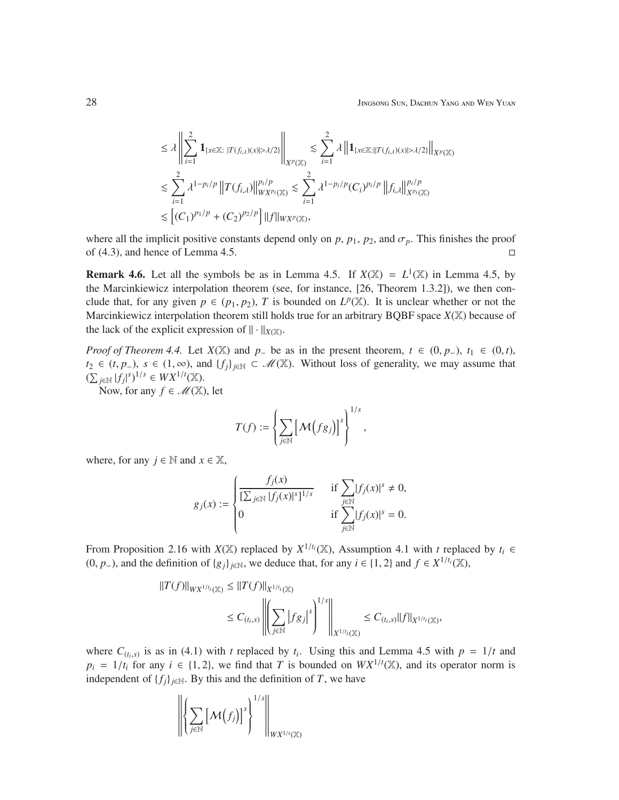$$
\leq \lambda \left\| \sum_{i=1}^2 \mathbf{1}_{\{x \in \mathbb{X}: \ |T(f_{i,\lambda})(x)| > \lambda/2\}} \right\|_{X^p(\mathbb{X})} \lesssim \sum_{i=1}^2 \lambda \left\| \mathbf{1}_{\{x \in \mathbb{X}: \ |T(f_{i,\lambda})(x)| > \lambda/2\}} \right\|_{X^p(\mathbb{X})}
$$
  

$$
\lesssim \sum_{i=1}^2 \lambda^{1-p_i/p} \left\| T(f_{i,\lambda}) \right\|_{W X^p(\mathbb{X})}^{p_i/p} \lesssim \sum_{i=1}^2 \lambda^{1-p_i/p} (C_i)^{p_i/p} \left\| f_{i,\lambda} \right\|_{X^{p_i}(\mathbb{X})}^{p_i/p}
$$
  

$$
\lesssim \left[ (C_1)^{p_1/p} + (C_2)^{p_2/p} \right] \left\| f \right\|_{W X^p(\mathbb{X})},
$$

where all the implicit positive constants depend only on  $p$ ,  $p_1$ ,  $p_2$ , and  $\sigma_p$ . This finishes the proof of  $(4.3)$ , and hence of Lemma 4.5.

**Remark 4.6.** Let all the symbols be as in Lemma 4.5. If  $X(\mathbb{X}) = L^1(\mathbb{X})$  in Lemma 4.5, by the Marcinkiewicz interpolation theorem (see, for instance, [26, Theorem 1.3.2]), we then conclude that, for any given  $p \in (p_1, p_2)$ , *T* is bounded on  $L^p(\mathbb{X})$ . It is unclear whether or not the Marcinkiewicz interpolation theorem still holds true for an arbitrary BQBF space  $X(\mathbb{X})$  because of the lack of the explicit expression of  $\| \cdot \|_{X(\mathbb{X})}$ .

*Proof of Theorem 4.4.* Let  $X(X)$  and  $p$ − be as in the present theorem,  $t \in (0, p)$ ,  $t_1 \in (0, t)$ , *t*<sub>2</sub> ∈ (*t*, *p*−), *s* ∈ (1, ∞), and {*f*<sub>*j*</sub>}<sub>*j*∈N</sub> ⊂ *M*(X). Without loss of generality, we may assume that  $(\sum_{j \in \mathbb{N}} |f_j|^s)^{1/s}$  ∈  $WX^{1/t}(\mathbb{X})$ . |

Now, for any  $f \in \mathcal{M}(\mathbb{X})$ , let

$$
T(f) := \left\{ \sum_{j \in \mathbb{N}} \left[ \mathcal{M}\big(f g_j\big)\right]^s \right\}^{1/s},
$$

where, for any  $j \in \mathbb{N}$  and  $x \in \mathbb{X}$ ,

$$
g_j(x) := \begin{cases} \frac{f_j(x)}{[\sum_{j\in\mathbb{N}}|f_j(x)|^s]^{1/s}} & \text{if } \sum_{j\in\mathbb{N}}|f_j(x)|^s \neq 0, \\ 0 & \text{if } \sum_{j\in\mathbb{N}}|f_j(x)|^s = 0. \end{cases}
$$

From Proposition 2.16 with *X*(X) replaced by  $X^{1/t_i}$ (X), Assumption 4.1 with *t* replaced by  $t_i \in$ (0, *p*−), and the definition of  ${g_j}_{j \in \mathbb{N}}$ , we deduce that, for any  $i \in \{1, 2\}$  and  $f \in X^{1/t_i}(\mathbb{X})$ ,

$$
||T(f)||_{WX^{1/t_i}(\mathbb{X})} \leq ||T(f)||_{X^{1/t_i}(\mathbb{X})}
$$
  

$$
\leq C_{(t_i,s)} \left\| \left( \sum_{j \in \mathbb{N}} |fg_j|^s \right)^{1/s} \right\|_{X^{1/t_i}(\mathbb{X})} \leq C_{(t_i,s)} ||f||_{X^{1/t_i}(\mathbb{X})},
$$

where  $C_{(t_i,s)}$  is as in (4.1) with *t* replaced by  $t_i$ . Using this and Lemma 4.5 with  $p = 1/t$  and  $p_i = 1/t_i$  for any  $i \in \{1, 2\}$ , we find that *T* is bounded on  $WX^{1/t}(\mathbb{X})$ , and its operator norm is independent of  $\{f_j\}_{j \in \mathbb{N}}$ . By this and the definition of *T*, we have

$$
\left\|\left\{\sum_{j\in\mathbb{N}}\left[\mathcal{M}\left(f_j\right)\right]^{s}\right\}^{1/s}\right\|_{WX^{1/t}(\mathbb{X})}
$$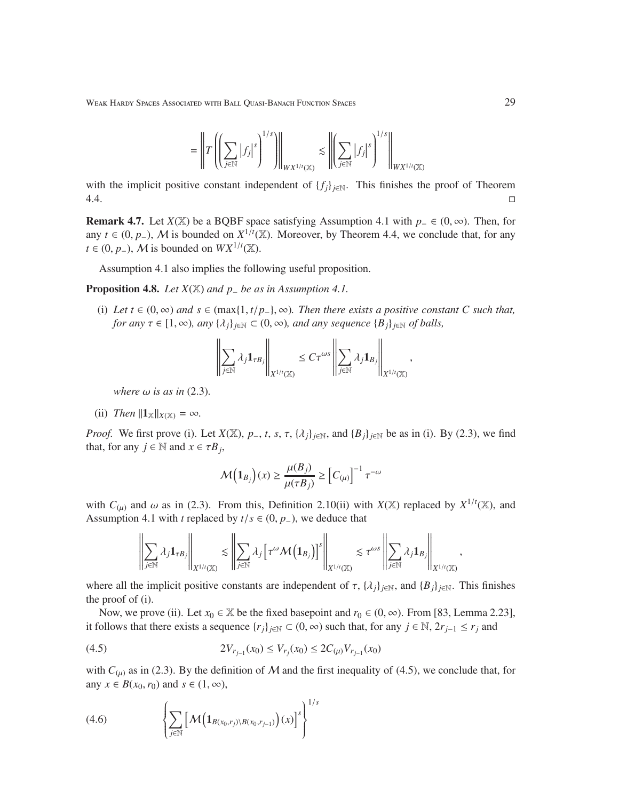$$
= \left\| T\left(\left(\sum_{j\in\mathbb{N}} |f_j|^s\right)^{1/s}\right)\right\|_{WX^{1/t}(\mathbb{X})} \lesssim \left\|\left(\sum_{j\in\mathbb{N}} |f_j|^s\right)^{1/s}\right\|_{WX^{1/t}(\mathbb{X})}
$$

with the implicit positive constant independent of  ${f_i}_{i \in \mathbb{N}}$ . This finishes the proof of Theorem  $4.4.$ 

Remark 4.7. Let *X*(X) be a BQBF space satisfying Assumption 4.1 with *p*<sup>−</sup> ∈ (0, ∞). Then, for any *t* ∈ (0, *p*<sub>−</sub>), *M* is bounded on  $X^{1/t}$ ( $X$ ). Moreover, by Theorem 4.4, we conclude that, for any *t* ∈ (0, *p*<sub>−</sub>), *M* is bounded on  $WX^{1/t}(\mathbb{X})$ .

Assumption 4.1 also implies the following useful proposition.

Proposition 4.8. *Let X*(X) *and p*<sup>−</sup> *be as in Assumption 4.1.*

(i) Let  $t \in (0, \infty)$  and  $s \in (\max\{1, t/p_-\}, \infty)$ . Then there exists a positive constant C such that, *for any*  $\tau \in [1, \infty)$ *, any*  $\{\lambda_i\}_{i \in \mathbb{N}} \subset (0, \infty)$ *, and any sequence*  $\{B_i\}_{i \in \mathbb{N}}$  *of balls,* 

$$
\left\|\sum_{j\in\mathbb N}\lambda_j{\bf 1}_{\tau B_j}\right\|_{X^{1/t}(\mathbb X)}\leq C\tau^{\omega s}\left\|\sum_{j\in\mathbb N}\lambda_j{\bf 1}_{B_j}\right\|_{X^{1/t}(\mathbb X)},
$$

*where*  $\omega$  *is as in* (2.3).

(ii) *Then*  $||\mathbf{1}_X||_{X(X)} = \infty$ *.* 

*Proof.* We first prove (i). Let  $X(\mathbb{X})$ ,  $p_-, t$ ,  $s$ ,  $\tau$ ,  $\{\lambda_j\}_{j\in\mathbb{N}}$ , and  $\{B_j\}_{j\in\mathbb{N}}$  be as in (i). By (2.3), we find that, for any  $j \in \mathbb{N}$  and  $x \in \tau B_j$ ,

$$
\mathcal{M}\left(\mathbf{1}_{B_j}\right)(x) \ge \frac{\mu(B_j)}{\mu(\tau B_j)} \ge \left[C_{(\mu)}\right]^{-1} \tau^{-\omega}
$$

with  $C_{(\mu)}$  and  $\omega$  as in (2.3). From this, Definition 2.10(ii) with *X*(X) replaced by *X*<sup>1/*t*</sup>(X), and Assumption 4.1 with *t* replaced by  $t/s \in (0, p_+)$ , we deduce that

$$
\left\|\sum_{j\in\mathbb N}\lambda_j\mathbf{1}_{\tau B_j}\right\|_{X^{1/t}(\mathbb X)}\lesssim \left\|\sum_{j\in\mathbb N}\lambda_j\left[\tau^\omega\mathcal M\big(\mathbf{1}_{B_j}\big)\right]^s\right\|_{X^{1/t}(\mathbb X)}\lesssim \tau^{\omega s}\left\|\sum_{j\in\mathbb N}\lambda_j\mathbf{1}_{B_j}\right\|_{X^{1/t}(\mathbb X)},
$$

where all the implicit positive constants are independent of  $\tau$ , { $\lambda_j$ }<sub>*j*∈N</sub>, and {*B*<sub>*j*</sub>}<sub>*j*∈N</sub>. This finishes the proof of (i).

Now, we prove (ii). Let  $x_0 \in \mathbb{X}$  be the fixed basepoint and  $r_0 \in (0, \infty)$ . From [83, Lemma 2.23], it follows that there exists a sequence  $\{r_j\}_{j\in\mathbb{N}}$  ⊂ (0, ∞) such that, for any  $j \in \mathbb{N}$ ,  $2r_{j-1} \le r_j$  and

$$
(4.5) \t 2V_{r_{j-1}}(x_0) \le V_{r_j}(x_0) \le 2C_{(\mu)}V_{r_{j-1}}(x_0)
$$

with  $C_{(\mu)}$  as in (2.3). By the definition of M and the first inequality of (4.5), we conclude that, for any  $x \in B(x_0, r_0)$  and  $s \in (1, \infty)$ ,

(4.6) 
$$
\left\{\sum_{j\in\mathbb{N}}\left[\mathcal{M}\left(\mathbf{1}_{B(x_0,r_j)\setminus B(x_0,r_{j-1})}\right)(x)\right]^s\right\}^{1/s}
$$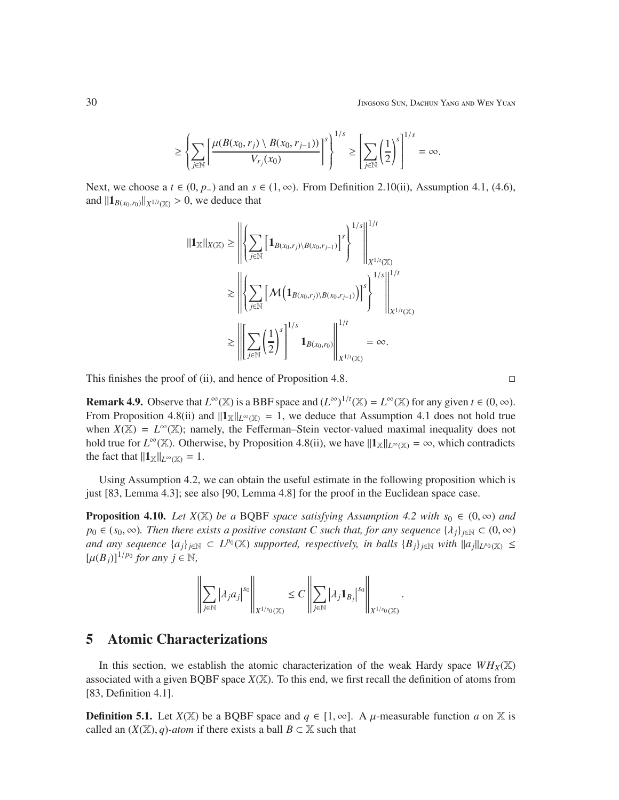$$
\geq \left\{\sum_{j\in\mathbb{N}}\left[\frac{\mu(B(x_0,r_j)\setminus B(x_0,r_{j-1}))}{V_{r_j}(x_0)}\right]^s\right\}^{1/s} \geq \left[\sum_{j\in\mathbb{N}}\left(\frac{1}{2}\right)^s\right]^{1/s} = \infty.
$$

Next, we choose a  $t \in (0, p_+)$  and an  $s \in (1, \infty)$ . From Definition 2.10(ii), Assumption 4.1, (4.6), and  $||\mathbf{1}_{B(x_0,r_0)}||_{X^{1/t}(\mathbb{X})} > 0$ , we deduce that

$$
\|1_{\mathbb{X}}\|_{X(\mathbb{X})} \geq \left\| \left\{ \sum_{j\in\mathbb{N}} \left[ \mathbf{1}_{B(x_0,r_j)\setminus B(x_0,r_{j-1})} \right]^s \right\}^{1/s} \right\|_{X^{1/t}(\mathbb{X})}^{1/t}
$$
  

$$
\geq \left\| \left\{ \sum_{j\in\mathbb{N}} \left[ \mathcal{M} \left( \mathbf{1}_{B(x_0,r_j)\setminus B(x_0,r_{j-1})} \right) \right]^s \right\}^{1/s} \right\|_{X^{1/t}(\mathbb{X})}^{1/t}
$$
  

$$
\geq \left\| \left[ \sum_{j\in\mathbb{N}} \left( \frac{1}{2} \right)^s \right]^{1/s} \mathbf{1}_{B(x_0,r_0)} \right\|_{X^{1/t}(\mathbb{X})}^{1/t} = \infty.
$$

This finishes the proof of (ii), and hence of Proposition 4.8.  $\Box$ 

**Remark 4.9.** Observe that  $L^{\infty}(\mathbb{X})$  is a BBF space and  $(L^{\infty})^{1/t}(\mathbb{X}) = L^{\infty}(\mathbb{X})$  for any given  $t \in (0, \infty)$ . From Proposition 4.8(ii) and  $||\mathbf{1}_X||_{L^\infty(X)} = 1$ , we deduce that Assumption 4.1 does not hold true when  $X(\mathbb{X}) = L^{\infty}(\mathbb{X})$ ; namely, the Fefferman–Stein vector-valued maximal inequality does not hold true for  $L^{\infty}(\mathbb{X})$ . Otherwise, by Proposition 4.8(ii), we have  $||\mathbf{1}_{\mathbb{X}}||_{L^{\infty}(\mathbb{X})} = \infty$ , which contradicts the fact that  $||\mathbf{1}_{\mathbb{X}}||_{L^{\infty}(\mathbb{X})} = 1$ .

Using Assumption 4.2, we can obtain the useful estimate in the following proposition which is just [83, Lemma 4.3]; see also [90, Lemma 4.8] for the proof in the Euclidean space case.

**Proposition 4.10.** *Let*  $X(\mathbb{X})$  *be a* BQBF *space satisfying Assumption 4.2 with*  $s_0 \in (0, \infty)$  *and p*<sub>0</sub> ∈ (*s*<sub>0</sub>, ∞)*. Then there exists a positive constant C such that, for any sequence* { $\lambda_j$ }<sub>*j*∈N</sub> ⊂ (0, ∞) *and any sequence*  $\{a_j\}_{j\in\mathbb{N}}\subset L^{p_0}(\mathbb{X})$  *supported, respectively, in balls*  $\{B_j\}_{j\in\mathbb{N}}$  *with*  $||a_j||_{L^{p_0}(\mathbb{X})}\leq$  $[\mu(B_j)]^{1/p_0}$  for any  $j \in \mathbb{N}$ ,

$$
\left\|\sum_{j\in\mathbb N}\left|\lambda_ja_j\right|^{s_0}\right\|_{X^{1/s_0}(\mathbb X)}\leq C\left\|\sum_{j\in\mathbb N}\left|\lambda_j1_{B_j}\right|^{s_0}\right\|_{X^{1/s_0}(\mathbb X)}.
$$

### 5 Atomic Characterizations

In this section, we establish the atomic characterization of the weak Hardy space  $WH_X(\mathbb{X})$ associated with a given BQBF space  $X(\mathbb{X})$ . To this end, we first recall the definition of atoms from [83, Definition 4.1].

**Definition 5.1.** Let  $X(\mathbb{X})$  be a BQBF space and  $q \in [1, \infty]$ . A  $\mu$ -measurable function *a* on X is called an  $(X(\mathbb{X}), q)$ -*atom* if there exists a ball  $B \subset \mathbb{X}$  such that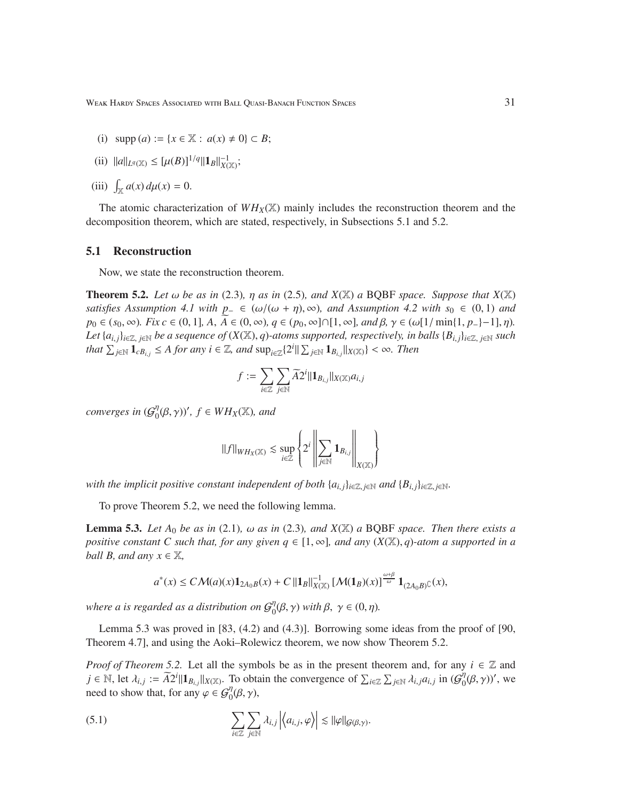(i) 
$$
\text{supp}(a) := \{x \in \mathbb{X} : a(x) \neq 0\} \subset B;
$$

(ii) 
$$
||a||_{L^q(\mathbb{X})} \leq [\mu(B)]^{1/q} ||1_B||^{-1}_{X(\mathbb{X})};
$$

(iii) 
$$
\int_{\mathbb{X}} a(x) d\mu(x) = 0.
$$

The atomic characterization of  $WH_X(\mathbb{X})$  mainly includes the reconstruction theorem and the decomposition theorem, which are stated, respectively, in Subsections 5.1 and 5.2.

#### 5.1 Reconstruction

Now, we state the reconstruction theorem.

**Theorem 5.2.** Let  $\omega$  be as in (2.3),  $\eta$  as in (2.5), and  $X(\mathbb{X})$  a BQBF space. Suppose that  $X(\mathbb{X})$ *satisfies Assumption 4.1 with p*<sub>−</sub> ∈ ( $\omega/(\omega + \eta)$ ,  $\infty$ )*, and Assumption 4.2 with s*<sub>0</sub> ∈ (0, 1) *and p*<sub>0</sub> ∈ (*s*<sub>0</sub>, ∞)*. Fix c* ∈ (0, 1]*, A*, *A* ∈ (0, ∞)*, q* ∈ (*p*<sub>0</sub>, ∞]∩[1, ∞]*, and β*, γ ∈ (ω[1/ min{1, *p*<sub>−</sub>}−1], *η*). *Let*  $\{a_{i,j}\}_{i\in\mathbb{Z}, j\in\mathbb{N}}$  *be a sequence of*  $(X(\mathbb{X}), q)$ *-atoms supported, respectively, in balls*  $\{B_{i,j}\}_{i\in\mathbb{Z}, j\in\mathbb{N}}$  *such*  $\int f(x) \, dx \leq \int f(x) \, dx$  *for any i* ∈ Z, and  $\sup_{i \in \mathbb{Z}} \{2^i || \sum_{j \in \mathbb{N}} 1_{B_{i,j}} ||_{X(\mathbb{X})}\}$  < ∞. Then

$$
f := \sum_{i \in \mathbb{Z}} \sum_{j \in \mathbb{N}} \widetilde{A2}^i || \mathbf{1}_{B_{i,j}} ||_{X(\mathbb{X})} a_{i,j}
$$

*converges in*  $(\mathcal{G}^{\eta}_{0})$  $\int_0^{\eta} (\beta, \gamma)$ ',  $f \in WH_X(\mathbb{X})$ , and

$$
\|f\|_{WH_X(\mathbb{X})} \lesssim \sup_{i\in\mathbb{Z}}\left\{2^i\left\|\sum_{j\in\mathbb{N}}{\bf 1}_{B_{i,j}}\right\|_{X(\mathbb{X})}\right\}
$$

*with the implicit positive constant independent of both*  $\{a_{i,j}\}_{i\in\mathbb{Z}, j\in\mathbb{N}}$  *and*  $\{B_{i,j}\}_{i\in\mathbb{Z}, j\in\mathbb{N}}$ .

To prove Theorem 5.2, we need the following lemma.

**Lemma 5.3.** *Let*  $A_0$  *be as in* (2.1)*,*  $\omega$  *as in* (2.3*), and X(X) a* BQBF *space. Then there exists a positive constant C such that, for any given*  $q \in [1, \infty]$ *, and any*  $(X(\mathbb{X}), q)$ *-atom a supported in a ball B, and any*  $x \in \mathbb{X}$ *,* 

$$
a^*(x) \leq C\mathcal{M}(a)(x)\mathbf{1}_{2A_0B}(x) + C\| \mathbf{1}_B\|_{X(\mathbb{X})}^{-1} \left[\mathcal{M}(\mathbf{1}_B)(x)\right]^{\frac{\omega+\beta}{\omega}} \mathbf{1}_{(2A_0B)^{\complement}}(x),
$$

where a is regarded as a distribution on  $\mathcal{G}^\eta_0$  $\eta_0^{\eta}(\beta, \gamma)$  with  $\beta, \gamma \in (0, \eta)$ .

Lemma 5.3 was proved in [83, (4.2) and (4.3)]. Borrowing some ideas from the proof of [90, Theorem 4.7], and using the Aoki–Rolewicz theorem, we now show Theorem 5.2.

*Proof of Theorem 5.2.* Let all the symbols be as in the present theorem and, for any  $i \in \mathbb{Z}$  and  $j \in \mathbb{N}$ , let  $\lambda_{i,j} := \widetilde{A}2^{i} \|\mathbf{1}_{B_{i,j}}\|_{X(\mathbb{X})}$ . To obtain the convergence of  $\sum_{i \in \mathbb{Z}} \sum_{j \in \mathbb{N}} \lambda_{i,j} a_{i,j}$  in  $(\mathcal{G}_0^{\eta})$  $_{0}^{\eta}(\beta,\gamma)$ ', we need to show that, for any  $\varphi \in \mathcal{G}_{0}^{\eta}(\beta, \gamma)$ ,

(5.1) 
$$
\sum_{i\in\mathbb{Z}}\sum_{j\in\mathbb{N}}\lambda_{i,j}\left|\left\langle a_{i,j},\varphi\right\rangle\right|\lesssim\|\varphi\|_{\mathcal{G}(\beta,\gamma)}.
$$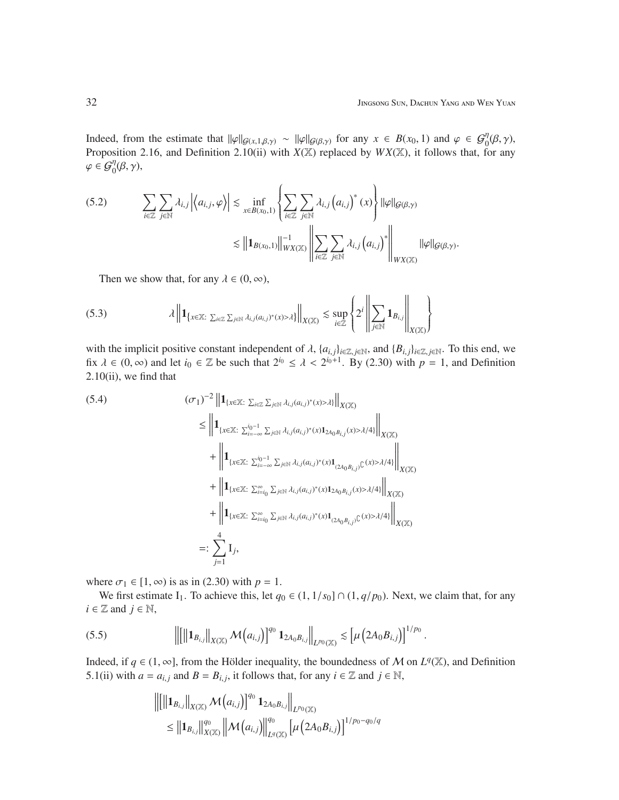Indeed, from the estimate that  $\|\varphi\|_{\mathcal{G}(x,1,\beta,\gamma)} \sim \|\varphi\|_{\mathcal{G}(\beta,\gamma)}$  for any  $x \in B(x_0,1)$  and  $\varphi \in \mathcal{G}_0^{\eta}(\beta,\gamma)$ , Proposition 2.16, and Definition 2.10(ii) with *X*(X) replaced by *WX*(X), it follows that, for any  $\varphi \in G_0^{\eta}(\beta, \gamma),$ 

(5.2) 
$$
\sum_{i\in\mathbb{Z}}\sum_{j\in\mathbb{N}}\lambda_{i,j}\left|\left\langle a_{i,j},\varphi\right\rangle\right|\lesssim \inf_{x\in B(x_0,1)}\left\{\sum_{i\in\mathbb{Z}}\sum_{j\in\mathbb{N}}\lambda_{i,j}\left(a_{i,j}\right)^*(x)\right\}\|\varphi\|_{\mathcal{G}(\beta,\gamma)}\right\}
$$

$$
\lesssim \left\|\mathbf{1}_{B(x_0,1)}\right\|_{WX(\mathbb{X})}^{-1}\left\|\sum_{i\in\mathbb{Z}}\sum_{j\in\mathbb{N}}\lambda_{i,j}\left(a_{i,j}\right)^*\right\|_{WX(\mathbb{X})}\|\varphi\|_{\mathcal{G}(\beta,\gamma)}.
$$

Then we show that, for any  $\lambda \in (0, \infty)$ ,

$$
(5.3) \qquad \qquad \lambda \left\| \mathbf{1}_{\left\{x \in \mathbb{X}: \sum_{i \in \mathbb{Z}} \sum_{j \in \mathbb{N}} \lambda_{i,j}(a_{i,j})^*(x) > \lambda\right\}} \right\|_{X(\mathbb{X})} \lesssim \sup_{i \in \mathbb{Z}} \left\{ 2^i \left\| \sum_{j \in \mathbb{N}} \mathbf{1}_{B_{i,j}} \right\|_{X(\mathbb{X})} \right\}
$$

with the implicit positive constant independent of  $\lambda$ ,  $\{a_{i,j}\}_{i\in\mathbb{Z}, j\in\mathbb{N}}$ , and  $\{B_{i,j}\}_{i\in\mathbb{Z}, j\in\mathbb{N}}$ . To this end, we fix  $\lambda \in (0, \infty)$  and let  $i_0 \in \mathbb{Z}$  be such that  $2^{i_0} \le \lambda < 2^{i_0+1}$ . By (2.30) with  $p = 1$ , and Definition  $2.10(i)$ , we find that

$$
(5.4) \qquad (\sigma_1)^{-2} \| 1_{\{x \in \mathbb{X}: \sum_{i \in \mathbb{Z}} \sum_{j \in \mathbb{N}} \lambda_{i,j}(a_{i,j})^*(x) > \lambda\}} \|_{X(\mathbb{X})}
$$
\n
$$
\leq \| 1_{\{x \in \mathbb{X}: \sum_{i=-\infty}^{i_0-1} \sum_{j \in \mathbb{N}} \lambda_{i,j}(a_{i,j})^*(x) 1_{2A_0 B_{i,j}}(x) > \lambda/4\}} \|_{X(\mathbb{X})}
$$
\n
$$
+ \| 1_{\{x \in \mathbb{X}: \sum_{i=-\infty}^{i_0-1} \sum_{j \in \mathbb{N}} \lambda_{i,j}(a_{i,j})^*(x) 1_{(2A_0 B_{i,j})}(\mathbb{C}) > \lambda/4\}} \|_{X(\mathbb{X})}
$$
\n
$$
+ \| 1_{\{x \in \mathbb{X}: \sum_{i=i_0}^{\infty} \sum_{j \in \mathbb{N}} \lambda_{i,j}(a_{i,j})^*(x) 1_{2A_0 B_{i,j}}(\mathbb{C}) > \lambda/4\}} \|_{X(\mathbb{X})}
$$
\n
$$
+ \| 1_{\{x \in \mathbb{X}: \sum_{i=i_0}^{\infty} \sum_{j \in \mathbb{N}} \lambda_{i,j}(a_{i,j})^*(x) 1_{(2A_0 B_{i,j})}(\mathbb{C}) > \lambda/4\}} \|_{X(\mathbb{X})}
$$
\n
$$
=: \sum_{j=1}^4 I_j,
$$

where  $\sigma_1 \in [1, \infty)$  is as in (2.30) with  $p = 1$ .

We first estimate I<sub>1</sub>. To achieve this, let  $q_0 \in (1, 1/s_0] \cap (1, q/p_0)$ . Next, we claim that, for any  $i \in \mathbb{Z}$  and  $j \in \mathbb{N}$ ,

$$
(5.5) \t\t\t\t\t\left\| \begin{bmatrix} \left\| \mathbf{1}_{B_{i,j}} \right\|_{X(\mathbb{X})} \mathcal{M}(a_{i,j}) \end{bmatrix}^{q_0} \mathbf{1}_{2A_0B_{i,j}} \right\|_{L^{p_0}(\mathbb{X})} \lesssim \left[ \mu \left( 2A_0B_{i,j} \right) \right]^{1/p_0}.
$$

Indeed, if  $q \in (1, \infty]$ , from the Hölder inequality, the boundedness of M on  $L^q(\mathbb{X})$ , and Definition 5.1(ii) with  $a = a_{i,j}$  and  $B = B_{i,j}$ , it follows that, for any  $i \in \mathbb{Z}$  and  $j \in \mathbb{N}$ ,

$$
\begin{aligned} \left\| \left[ \left\| \mathbf{1}_{B_{i,j}} \right\|_{X(\mathbb{X})} \mathcal{M}(a_{i,j}) \right]^{q_0} \mathbf{1}_{2A_0 B_{i,j}} \right\|_{L^{p_0}(\mathbb{X})} \\ &\leq \left\| \mathbf{1}_{B_{i,j}} \right\|_{X(\mathbb{X})}^{q_0} \left\| \mathcal{M}(a_{i,j}) \right\|_{L^q(\mathbb{X})}^{q_0} \left[ \mu \left( 2A_0 B_{i,j} \right) \right]^{1/p_0 - q_0/q} \end{aligned}
$$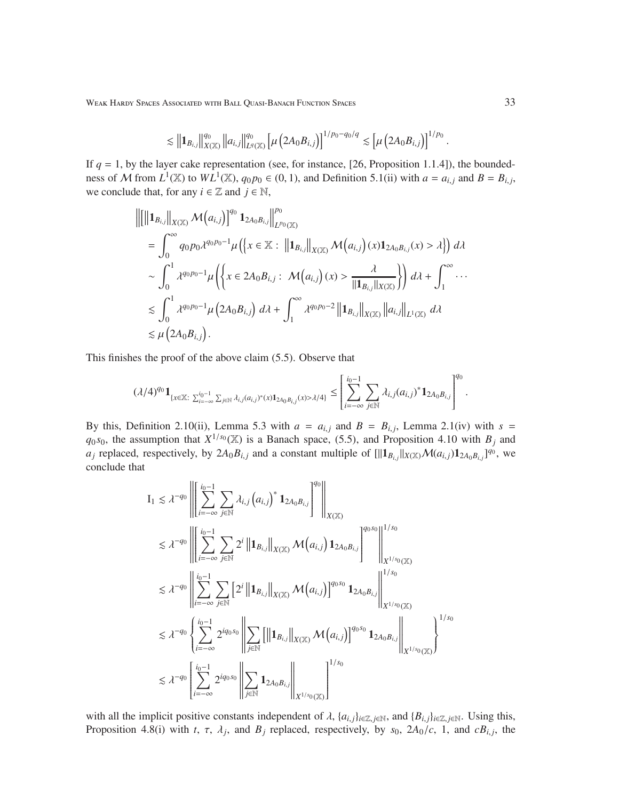WEAK HARDY SPACES ASSOCIATED WITH BALL QUASI-BANACH FUNCTION SPACES 33

$$
\lesssim \left\|1_{B_{i,j}}\right\|_{X(\mathbb{X})}^{q_0}\left\|a_{i,j}\right\|_{L^q(\mathbb{X})}^{q_0}\left[\mu\left(2A_0B_{i,j}\right)\right]^{1/p_0-q_0/q}\lesssim \left[\mu\left(2A_0B_{i,j}\right)\right]^{1/p_0}.
$$

If  $q = 1$ , by the layer cake representation (see, for instance, [26, Proposition 1.1.4]), the boundedness of M from  $L^1(\mathbb{X})$  to  $WL^1(\mathbb{X})$ ,  $q_0p_0 \in (0, 1)$ , and Definition 5.1(ii) with  $a = a_{i,j}$  and  $B = B_{i,j}$ , we conclude that, for any  $i \in \mathbb{Z}$  and  $j \in \mathbb{N}$ ,

$$
\begin{split}\n&\left\|\left[\left\|\mathbf{1}_{B_{i,j}}\right\|_{X(\mathbb{X})}\mathcal{M}\left(a_{i,j}\right)\right]^{q_{0}}\mathbf{1}_{2A_{0}B_{i,j}}\right\|_{L^{p_{0}}(\mathbb{X})}^{p_{0}} \\
&= \int_{0}^{\infty} q_{0}p_{0}\lambda^{q_{0}p_{0}-1}\mu\left(\left\{x \in \mathbb{X} : \left\|\mathbf{1}_{B_{i,j}}\right\|_{X(\mathbb{X})}\mathcal{M}\left(a_{i,j}\right)(x)\mathbf{1}_{2A_{0}B_{i,j}}(x) > \lambda\right\}\right) d\lambda \\
&\sim \int_{0}^{1} \lambda^{q_{0}p_{0}-1}\mu\left(\left\{x \in 2A_{0}B_{i,j} : \mathcal{M}\left(a_{i,j}\right)(x) > \frac{\lambda}{\|\mathbf{1}_{B_{i,j}}\|_{X(\mathbb{X})}}\right\}\right) d\lambda + \int_{1}^{\infty} \cdots \\
&\lesssim \int_{0}^{1} \lambda^{q_{0}p_{0}-1}\mu\left(2A_{0}B_{i,j}\right) d\lambda + \int_{1}^{\infty} \lambda^{q_{0}p_{0}-2}\left\|\mathbf{1}_{B_{i,j}}\right\|_{X(\mathbb{X})}\left\|a_{i,j}\right\|_{L^{1}(\mathbb{X})} d\lambda \\
&\lesssim \mu\left(2A_{0}B_{i,j}\right).\n\end{split}
$$

This finishes the proof of the above claim (5.5). Observe that

$$
(\lambda/4)^{q_0} {\bf 1}_{\{x\in \mathbb{X}\colon \sum_{i=-\infty}^{i_0-1} \sum_{j\in \mathbb{N}} \lambda_{i,j} (a_{i,j})^*(x) {\bf 1}_{2A_0B_{i,j}}(x) >\lambda/4\}} \le \left[ \sum_{i=-\infty}^{i_0-1} \sum_{j\in \mathbb{N}} \lambda_{i,j} (a_{i,j})^* {\bf 1}_{2A_0B_{i,j}} \right]^{q_0}.
$$

By this, Definition 2.10(ii), Lemma 5.3 with  $a = a_{i,j}$  and  $B = B_{i,j}$ , Lemma 2.1(iv) with  $s =$  $q_0$ *s*<sub>0</sub>, the assumption that  $X^{1/s_0}(\mathbb{X})$  is a Banach space, (5.5), and Proposition 4.10 with  $B_j$  and  $a_j$  replaced, respectively, by  $2A_0B_{i,j}$  and a constant multiple of  $[||\mathbf{1}_{B_{i,j}}||_{X(\mathbb{X})} \mathcal{M}(a_{i,j}) \mathbf{1}_{2A_0B_{i,j}}]^{q_0}$ , we conclude that

$$
I_{1} \leq \lambda^{-q_{0}} \left\| \sum_{i=-\infty}^{i_{0}-1} \sum_{j \in \mathbb{N}} \lambda_{i,j} (a_{i,j})^{*} \mathbf{1}_{2A_{0}B_{i,j}} \right\|^{q_{0}} \right\|_{X(\mathbb{X})}
$$
  
\n
$$
\leq \lambda^{-q_{0}} \left\| \sum_{i=-\infty}^{i_{0}-1} \sum_{j \in \mathbb{N}} 2^{i} \| \mathbf{1}_{B_{i,j}} \|_{X(\mathbb{X})} \mathcal{M}(a_{i,j}) \mathbf{1}_{2A_{0}B_{i,j}} \right\|^{q_{0}s_{0}} \left\| \sum_{X^{1/s_{0}}(\mathbb{X})}^{1/s_{0}}
$$
  
\n
$$
\leq \lambda^{-q_{0}} \left\| \sum_{i=-\infty}^{i_{0}-1} \sum_{j \in \mathbb{N}} \left[ 2^{i} \| \mathbf{1}_{B_{i,j}} \|_{X(\mathbb{X})} \mathcal{M}(a_{i,j}) \right]^{q_{0}s_{0}} \mathbf{1}_{2A_{0}B_{i,j}} \right\|^{1/s_{0}}
$$
  
\n
$$
\leq \lambda^{-q_{0}} \left\{ \sum_{i=-\infty}^{i_{0}-1} 2^{iq_{0}s_{0}} \left\| \sum_{j \in \mathbb{N}} \left[ \| \mathbf{1}_{B_{i,j}} \|_{X(\mathbb{X})} \mathcal{M}(a_{i,j}) \right]^{q_{0}s_{0}} \mathbf{1}_{2A_{0}B_{i,j}} \right\|_{X^{1/s_{0}}(\mathbb{X})}^{1/s_{0}}
$$
  
\n
$$
\leq \lambda^{-q_{0}} \left[ \sum_{i=-\infty}^{i_{0}-1} 2^{iq_{0}s_{0}} \left\| \sum_{j \in \mathbb{N}} \mathbf{1}_{2A_{0}B_{i,j}} \right\|_{X^{1/s_{0}}(\mathbb{X})} \right]^{1/s_{0}}
$$

with all the implicit positive constants independent of  $\lambda$ ,  $\{a_{i,j}\}_{i\in\mathbb{Z}, j\in\mathbb{N}}$ , and  $\{B_{i,j}\}_{i\in\mathbb{Z}, j\in\mathbb{N}}$ . Using this, Proposition 4.8(i) with *t*,  $\tau$ ,  $\lambda_j$ , and  $B_j$  replaced, respectively, by  $s_0$ ,  $2A_0/c$ , 1, and  $cB_{i,j}$ , the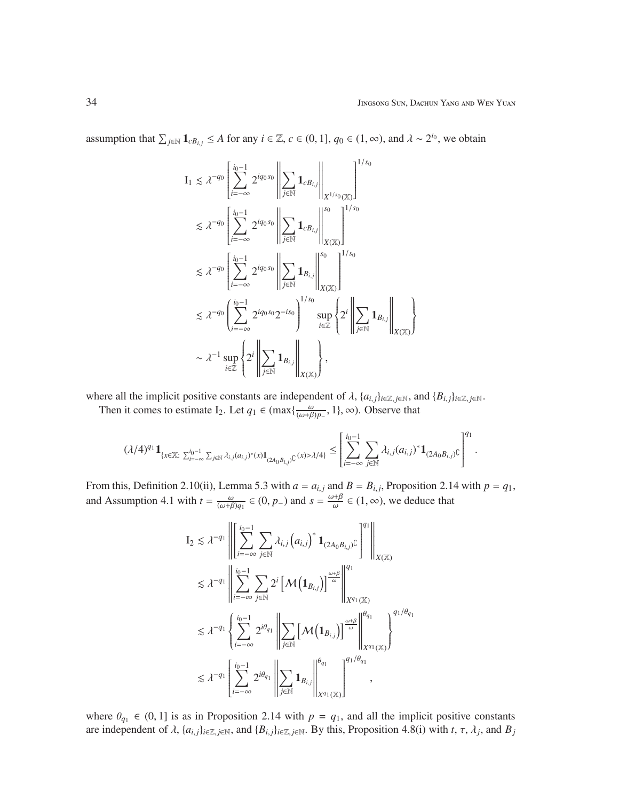$\overline{1}$  $\left\{ \right.$  $\int$ 

assumption that  $\sum_{j\in\mathbb{N}} \mathbf{1}_{cB_{i,j}} \leq A$  for any  $i \in \mathbb{Z}$ ,  $c \in (0, 1]$ ,  $q_0 \in (1, \infty)$ , and  $\lambda \sim 2^{i_0}$ , we obtain

$$
I_{1} \lesssim \lambda^{-q_{0}} \left[ \sum_{i=-\infty}^{i_{0}-1} 2^{iq_{0}s_{0}} \left\| \sum_{j\in\mathbb{N}} \mathbf{1}_{cB_{i,j}} \right\|_{X^{1/s_{0}}(\mathbb{X})} \right]^{1/s_{0}}
$$
  

$$
\lesssim \lambda^{-q_{0}} \left[ \sum_{i=-\infty}^{i_{0}-1} 2^{iq_{0}s_{0}} \left\| \sum_{j\in\mathbb{N}} \mathbf{1}_{cB_{i,j}} \right\|_{X(\mathbb{X})}^{s_{0}} \right]^{1/s_{0}}
$$
  

$$
\lesssim \lambda^{-q_{0}} \left[ \sum_{i=-\infty}^{i_{0}-1} 2^{iq_{0}s_{0}} \left\| \sum_{j\in\mathbb{N}} \mathbf{1}_{B_{i,j}} \right\|_{X(\mathbb{X})}^{s_{0}} \right]^{1/s_{0}}
$$
  

$$
\lesssim \lambda^{-q_{0}} \left( \sum_{i=-\infty}^{i_{0}-1} 2^{iq_{0}s_{0}} 2^{-is_{0}} \right)^{1/s_{0}} \sup_{i\in\mathbb{Z}} \left\{ 2^{i} \left\| \sum_{j\in\mathbb{N}} \mathbf{1}_{B_{i,j}} \right\|_{X(\mathbb{X})} \right\}
$$
  

$$
\sim \lambda^{-1} \sup_{i\in\mathbb{Z}} \left\{ 2^{i} \left\| \sum_{j\in\mathbb{N}} \mathbf{1}_{B_{i,j}} \right\|_{X(\mathbb{X})} \right\},
$$

where all the implicit positive constants are independent of  $\lambda$ ,  $\{a_{i,j}\}_{i\in\mathbb{Z}, j\in\mathbb{N}}$ , and  $\{B_{i,j}\}_{i\in\mathbb{Z}, j\in\mathbb{N}}$ . Then it comes to estimate I<sub>2</sub>. Let  $q_1 \in (\max\{\frac{\omega}{(\omega+\beta)p_1}, 1\}, \infty)$ . Observe that

$$
(\lambda/4)^{q_1} {\bf 1}_{\{x\in \mathbb{X}: \ \sum_{i=-\infty}^{i_0-1} \sum_{j\in \mathbb{N}} \lambda_{i,j} (a_{i,j})^*(x) {\bf 1}_{(2A_0B_{i,j})\mathbb{C}}(x)>\lambda/4\}} \leq \left[ \sum_{i=-\infty}^{i_0-1} \sum_{j\in \mathbb{N}} \lambda_{i,j} (a_{i,j})^* {\bf 1}_{(2A_0B_{i,j})\mathbb{C}} \right]^{q_1}.
$$

From this, Definition 2.10(ii), Lemma 5.3 with  $a = a_{i,j}$  and  $B = B_{i,j}$ , Proposition 2.14 with  $p = q_1$ , and Assumption 4.1 with  $t = \frac{\omega}{(\omega+\beta)q_1} \in (0, p_-)$  and  $s = \frac{\omega+\beta}{\omega}$  $\frac{\partial^2 \mathbf{H} \mathbf{B}}{\partial \mathbf{v}} \in (1, \infty)$ , we deduce that

$$
\begin{split} \text{I}_{2} &\lesssim \lambda^{-q_{1}}\left\|\left[\sum\limits_{i=-\infty}^{i_{0}-1}\sum\limits_{j\in\mathbb{N}}\lambda_{i,j}\left(a_{i,j}\right)^{*}\mathbf{1}_{(2A_{0}B_{i,j})\mathbb{C}}\right]^{q_{1}}\right\|_{X(\mathbb{X})} \\ &\lesssim \lambda^{-q_{1}}\left\|\sum\limits_{i=-\infty}^{i_{0}-1}\sum\limits_{j\in\mathbb{N}}2^{i}\left[\mathcal{M}\left(\mathbf{1}_{B_{i,j}}\right)\right]^{\frac{\omega+\beta}{\omega}}\right\|_{X^{q_{1}}(\mathbb{X})}^{q_{1}} \\ &\lesssim \lambda^{-q_{1}}\left\{\sum\limits_{i=-\infty}^{i_{0}-1}2^{i\theta_{q_{1}}}\left\|\sum\limits_{j\in\mathbb{N}}\left[\mathcal{M}\left(\mathbf{1}_{B_{i,j}}\right)\right]^{\frac{\omega+\beta}{\omega}}\right\|_{X^{q_{1}}(\mathbb{X})}^{q_{1}}\right\}^{q_{1}/\theta_{q_{1}}} \\ &\lesssim \lambda^{-q_{1}}\left[\sum\limits_{i=-\infty}^{i_{0}-1}2^{i\theta_{q_{1}}}\left\|\sum\limits_{j\in\mathbb{N}}\mathbf{1}_{B_{i,j}}\right\|_{X^{q_{1}}(\mathbb{X})}^{q_{1}/\theta_{q_{1}}}\right]^{q_{1}/\theta_{q_{1}}}, \end{split}
$$

where  $\theta_{q_1} \in (0, 1]$  is as in Proposition 2.14 with  $p = q_1$ , and all the implicit positive constants are independent of  $\lambda$ ,  $\{a_{i,j}\}_{i\in\mathbb{Z}, j\in\mathbb{N}}$ , and  $\{B_{i,j}\}_{i\in\mathbb{Z}, j\in\mathbb{N}}$ . By this, Proposition 4.8(i) with  $t, \tau, \lambda_j$ , and  $B_j$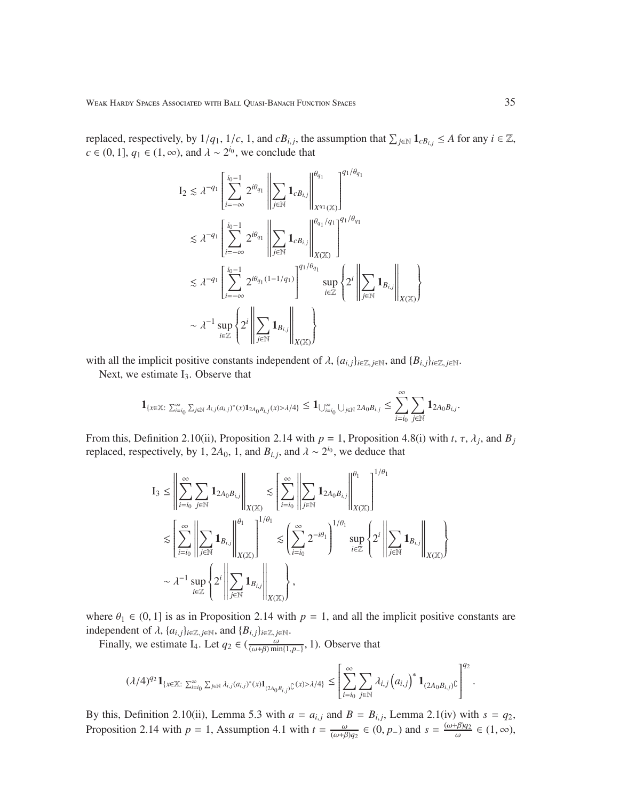replaced, respectively, by  $1/q_1$ ,  $1/c$ , 1, and  $cB_{i,j}$ , the assumption that  $\sum_{j \in \mathbb{N}} 1_{cB_{i,j}} \leq A$  for any  $i \in \mathbb{Z}$ ,  $c \in (0, 1], q_1 \in (1, \infty)$ , and  $\lambda \sim 2^{i_0}$ , we conclude that

$$
\begin{aligned} \mathbf{I}_2 &\lesssim \lambda^{-q_1} \left[ \sum_{i=-\infty}^{i_0-1} 2^{i\theta_{q_1}} \left\| \sum_{j\in\mathbb{N}} \mathbf{1}_{cB_{i,j}} \right\|_{X^{q_1}(\mathbb{X})}^{q_0} \right]^{q_1/\theta_{q_1}} \\ &\lesssim \lambda^{-q_1} \left[ \sum_{i=-\infty}^{i_0-1} 2^{i\theta_{q_1}} \left\| \sum_{j\in\mathbb{N}} \mathbf{1}_{cB_{i,j}} \right\|_{X(\mathbb{X})}^{q_0/q_1} \right]^{q_1/\theta_{q_1}} \\ &\lesssim \lambda^{-q_1} \left[ \sum_{i=-\infty}^{i_0-1} 2^{i\theta_{q_1}(1-1/q_1)} \right]^{q_1/\theta_{q_1}} \sup_{i\in\mathbb{Z}} \left\{ 2^i \left\| \sum_{j\in\mathbb{N}} \mathbf{1}_{B_{i,j}} \right\|_{X(\mathbb{X})} \right\} \\ &\sim \lambda^{-1} \sup_{i\in\mathbb{Z}} \left\{ 2^i \left\| \sum_{j\in\mathbb{N}} \mathbf{1}_{B_{i,j}} \right\|_{X(\mathbb{X})} \right\} \end{aligned}
$$

with all the implicit positive constants independent of  $\lambda$ ,  $\{a_{i,j}\}_{i\in\mathbb{Z}, j\in\mathbb{N}}$ , and  $\{B_{i,j}\}_{i\in\mathbb{Z}, j\in\mathbb{N}}$ .

Next, we estimate  $I_3$ . Observe that

$$
\mathbf{1}_{\{x\in\mathbb{X}\colon \sum_{i=i_0}^\infty \sum_{j\in\mathbb{N}}\lambda_{i,j}(a_{i,j})^*(x)\mathbf{1}_{2A_0B_{i,j}}(x)>\lambda/4\}}\leq \mathbf{1}_{\bigcup_{i=i_0}^\infty \bigcup_{j\in\mathbb{N}}2A_0B_{i,j}}\leq \sum_{i=i_0}^\infty \sum_{j\in\mathbb{N}}\mathbf{1}_{2A_0B_{i,j}}.
$$

From this, Definition 2.10(ii), Proposition 2.14 with  $p = 1$ , Proposition 4.8(i) with  $t, \tau, \lambda_j$ , and  $B_j$ replaced, respectively, by 1, 2 $A_0$ , 1, and  $B_{i,j}$ , and  $\lambda \sim 2^{i_0}$ , we deduce that

$$
\begin{split} \mathbf{I}_3 &\leq \left\| \sum_{i=i_0}^{\infty} \sum_{j\in\mathbb{N}} \mathbf{1}_{2A_0B_{i,j}} \right\|_{X(\mathbb{X})} \lesssim \left\| \sum_{i=i_0}^{\infty} \left\| \sum_{j\in\mathbb{N}} \mathbf{1}_{2A_0B_{i,j}} \right\|_{X(\mathbb{X})}^{ \theta_1} \right\|_{X(\mathbb{X})}^{1/\theta_1} \\ &\lesssim \left\| \sum_{i=i_0}^{\infty} \left\| \sum_{j\in\mathbb{N}} \mathbf{1}_{B_{i,j}} \right\|_{X(\mathbb{X})}^{ \theta_1} \right\|_{X(\mathbb{X})}^{1/\theta_1} \lesssim \left( \sum_{i=i_0}^{\infty} 2^{-i\theta_1} \right)^{1/\theta_1} \sup_{i\in\mathbb{Z}} \left\{ 2^i \left\| \sum_{j\in\mathbb{N}} \mathbf{1}_{B_{i,j}} \right\|_{X(\mathbb{X})} \right\} \\ &\sim \lambda^{-1} \sup_{i\in\mathbb{Z}} \left\{ 2^i \left\| \sum_{j\in\mathbb{N}} \mathbf{1}_{B_{i,j}} \right\|_{X(\mathbb{X})} \right\}, \end{split}
$$

where  $\theta_1 \in (0, 1]$  is as in Proposition 2.14 with  $p = 1$ , and all the implicit positive constants are independent of  $\lambda$ ,  $\{a_{i,j}\}_{i \in \mathbb{Z}, j \in \mathbb{N}}$ , and  $\{B_{i,j}\}_{i \in \mathbb{Z}, j \in \mathbb{N}}$ .

Finally, we estimate I<sub>4</sub>. Let  $q_2 \in (\frac{\omega}{(\omega+\beta)\min\{1,p_-\}}, 1)$ . Observe that

$$
(\lambda/4)^{q_2} \mathbf{1}_{\{x \in \mathbb{X}: \sum_{i=i_0}^{\infty} \sum_{j \in \mathbb{N}} \lambda_{i,j} (a_{i,j})^*(x) \mathbf{1}_{(2A_0 B_{i,j})} \mathcal{C}}(x) > \lambda/4 \} \leq \left[ \sum_{i=i_0}^{\infty} \sum_{j \in \mathbb{N}} \lambda_{i,j} (a_{i,j})^* \mathbf{1}_{(2A_0 B_{i,j})} \mathcal{C} \right]^{q_2}.
$$

By this, Definition 2.10(ii), Lemma 5.3 with  $a = a_{i,j}$  and  $B = B_{i,j}$ , Lemma 2.1(iv) with  $s = q_2$ , Proposition 2.14 with  $p = 1$ , Assumption 4.1 with  $t = \frac{\omega}{(\omega + \beta)q_2} \in (0, p_-)$  and  $s = \frac{(\omega + \beta)q_2}{\omega}$  $\frac{\partial^2 \theta}{\partial \omega^2} \in (1, \infty),$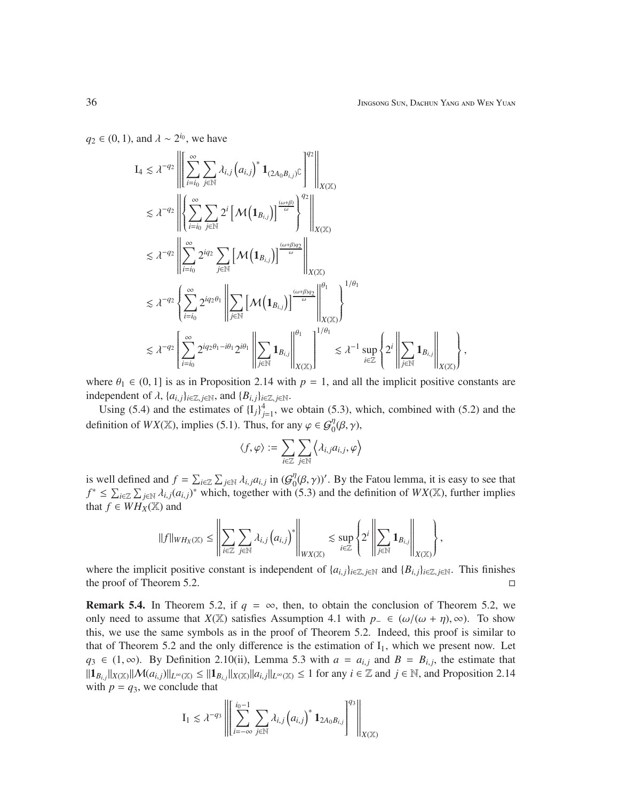*q*<sub>2</sub> ∈ (0, 1), and  $\lambda \sim 2^{i_0}$ , we have

$$
I_4 \lesssim \lambda^{-q_2} \left\| \left[ \sum_{i=i_0}^{\infty} \sum_{j \in \mathbb{N}} \lambda_{i,j} (a_{i,j})^* \mathbf{1}_{(2A_0B_{i,j})\mathbb{C}} \right]^q \right\|_{X(\mathbb{X})} \lesssim \lambda^{-q_2} \left\| \left\{ \sum_{i=i_0}^{\infty} \sum_{j \in \mathbb{N}} 2^i \left[ \mathcal{M} \left( \mathbf{1}_{B_{i,j}} \right) \right]^{\frac{(\omega+\beta)}{\omega}} \right\}^q \right\|_{X(\mathbb{X})} \lesssim \lambda^{-q_2} \left\| \sum_{i=i_0}^{\infty} 2^{iq_2} \sum_{j \in \mathbb{N}} \left[ \mathcal{M} \left( \mathbf{1}_{B_{i,j}} \right) \right]^{\frac{(\omega+\beta)q_2}{\omega}} \right\|_{X(\mathbb{X})} \lesssim \lambda^{-q_2} \left\{ \sum_{i=i_0}^{\infty} 2^{iq_2 \theta_1} \left\| \sum_{j \in \mathbb{N}} \left[ \mathcal{M} \left( \mathbf{1}_{B_{i,j}} \right) \right]^{\frac{(\omega+\beta)q_2}{\omega}} \right\|_{X(\mathbb{X})}^{\theta_1} \right\}^{1/\theta_1} \lesssim \lambda^{-q_2} \left\{ \sum_{i=i_0}^{\infty} 2^{iq_2 \theta_1 - i\theta_1} 2^{i\theta_1} \left\| \sum_{j \in \mathbb{N}} \mathbf{1}_{B_{i,j}} \right\|_{X(\mathbb{X})}^{\theta_1} \right\}^{1/\theta_1} \lesssim \lambda^{-1} \sup_{i \in \mathbb{Z}} \left\{ 2^i \left\| \sum_{j \in \mathbb{N}} \mathbf{1}_{B_{i,j}} \right\|_{X(\mathbb{X})}^{\theta_1} \right\},
$$

where  $\theta_1 \in (0, 1]$  is as in Proposition 2.14 with  $p = 1$ , and all the implicit positive constants are independent of  $\lambda$ ,  $\{a_{i,j}\}_{i \in \mathbb{Z}, j \in \mathbb{N}}$ , and  $\{B_{i,j}\}_{i \in \mathbb{Z}, j \in \mathbb{N}}$ .

Using (5.4) and the estimates of  ${I_j}_{j=1}^4$ , we obtain (5.3), which, combined with (5.2) and the definition of  $WX(\mathbb{X})$ , implies (5.1). Thus, for any  $\varphi \in \mathcal{G}_0^{\eta}(\beta, \gamma)$ ,

$$
\langle f, \varphi \rangle := \sum_{i \in \mathbb{Z}} \sum_{j \in \mathbb{N}} \left\langle \lambda_{i,j} a_{i,j}, \varphi \right\rangle
$$

is well defined and  $f = \sum_{i \in \mathbb{Z}} \sum_{j \in \mathbb{N}} \lambda_{i,j} a_{i,j}$  in  $(G_0^{\eta})$  $\eta_0^{\eta}(\beta, \gamma)$ '. By the Fatou lemma, it is easy to see that *f*<sup>\*</sup> ≤  $\sum_{i\in\mathbb{Z}}$   $\sum_{j\in\mathbb{N}}$   $\lambda_{i,j}(a_{i,j})$ <sup>\*</sup> which, together with (5.3) and the definition of *WX*( $\mathbb{X}$ ), further implies that  $f \in WH_X(\mathbb{X})$  and

$$
\|f\|_{WH_X(\mathbb{X})} \leq \left\|\sum_{i\in\mathbb{Z}}\sum_{j\in\mathbb{N}}\lambda_{i,j}\left(a_{i,j}\right)^*\right\|_{WX(\mathbb{X})} \lesssim \sup_{i\in\mathbb{Z}}\left\{2^i\left\|\sum_{j\in\mathbb{N}}\mathbf{1}_{B_{i,j}}\right\|_{X(\mathbb{X})}\right\},
$$

where the implicit positive constant is independent of  $\{a_{i,j}\}_{i\in\mathbb{Z}, j\in\mathbb{N}}$  and  $\{B_{i,j}\}_{i\in\mathbb{Z}, j\in\mathbb{N}}$ . This finishes the proof of Theorem 5.2.  $\Box$ 

**Remark 5.4.** In Theorem 5.2, if  $q = \infty$ , then, to obtain the conclusion of Theorem 5.2, we only need to assume that *X*(X) satisfies Assumption 4.1 with  $p_-\in (\omega/(\omega+\eta),\infty)$ . To show this, we use the same symbols as in the proof of Theorem 5.2. Indeed, this proof is similar to that of Theorem 5.2 and the only difference is the estimation of  $I_1$ , which we present now. Let *q*<sub>3</sub> ∈ (1, ∞). By Definition 2.10(ii), Lemma 5.3 with  $a = a_{i,j}$  and  $B = B_{i,j}$ , the estimate that  $||\mathbf{1}_{B_{i,j}}||_{X(\mathbb{X})}||\mathcal{M}(a_{i,j})||_{L^{\infty}(\mathbb{X})} \leq ||\mathbf{1}_{B_{i,j}}||_{X(\mathbb{X})}||a_{i,j}||_{L^{\infty}(\mathbb{X})} \leq 1$  for any  $i \in \mathbb{Z}$  and  $j \in \mathbb{N}$ , and Proposition 2.14 with  $p = q_3$ , we conclude that

$$
\mathrm{I}_1 \lesssim \lambda^{-q_3}\left\|\left[\sum_{i=-\infty}^{i_0-1}\sum_{j\in\mathbb{N}}\lambda_{i,j}\left(a_{i,j}\right)^*\mathbf{1}_{2A_0B_{i,j}}\right]^{q_3}\right\|_{X(\mathbb{X})}
$$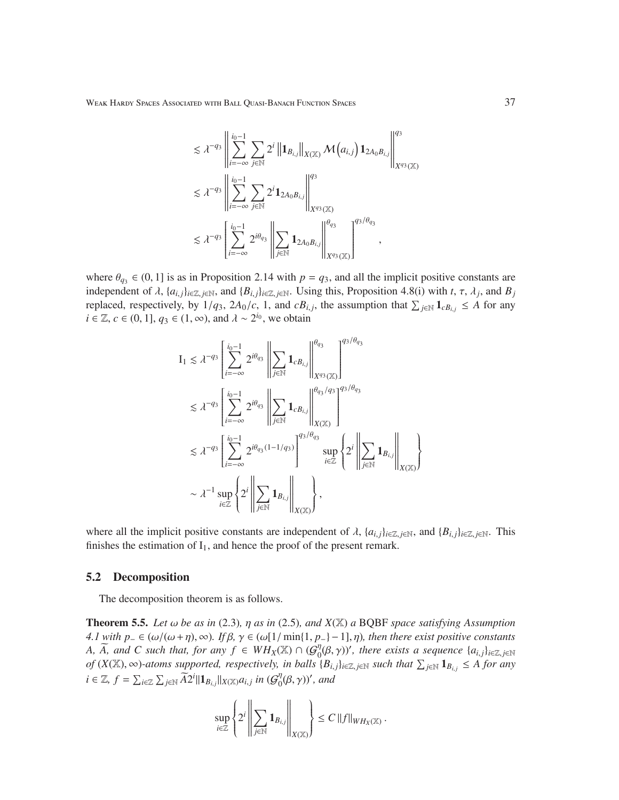Weak Hardy Spaces Associated with Ball Quasi-Banach Function Spaces 37

$$
\begin{split} &\lesssim \lambda^{-q_3}\left\|\sum_{i=-\infty}^{i_0-1}\sum_{j\in\mathbb{N}}2^i\left\|\mathbf{1}_{B_{i,j}}\right\|_{X(\mathbb{X})}\mathcal{M}\left(a_{i,j}\right)\mathbf{1}_{2A_0B_{i,j}}\right\|_{X^{q_3}(\mathbb{X})}^{q_3}\\ &\lesssim \lambda^{-q_3}\left\|\sum_{i=-\infty}^{i_0-1}\sum_{j\in\mathbb{N}}2^i\mathbf{1}_{2A_0B_{i,j}}\right\|_{X^{q_3}(\mathbb{X})}^{q_3}\\ &\lesssim \lambda^{-q_3}\left[\sum_{i=-\infty}^{i_0-1}2^{i\theta_{q_3}}\left\|\sum_{j\in\mathbb{N}}\mathbf{1}_{2A_0B_{i,j}}\right\|_{X^{q_3}(\mathbb{X})}^{q_3/\theta_{q_3}}\right]^{q_3/\theta_{q_3}}, \end{split}
$$

where  $\theta_{q3} \in (0, 1]$  is as in Proposition 2.14 with  $p = q_3$ , and all the implicit positive constants are independent of  $\lambda$ ,  $\{a_{i,j}\}_{i\in\mathbb{Z}, j\in\mathbb{N}}$ , and  $\{B_{i,j}\}_{i\in\mathbb{Z}, j\in\mathbb{N}}$ . Using this, Proposition 4.8(i) with  $t, \tau, \lambda_j$ , and  $B_j$ replaced, respectively, by  $1/q_3$ ,  $2A_0/c$ , 1, and  $cB_{i,j}$ , the assumption that  $\sum_{j\in\mathbb{N}} 1_{cB_{i,j}} \leq A$  for any  $i \in \mathbb{Z}, c \in (0, 1], q_3 \in (1, \infty)$ , and  $\lambda \sim 2^{i_0}$ , we obtain

$$
\begin{aligned} \mathbf{I}_{1} &\lesssim \lambda^{-q_{3}}\left[\sum_{i=-\infty}^{i_{0}-1}2^{i\theta_{q_{3}}}\left\|\sum_{j\in\mathbb{N}}\mathbf{1}_{cB_{i,j}}\right\|_{X^{q_{3}}(\mathbb{X})}^{q_{3}}\right]^{q_{3}/\theta_{q_{3}}}\\ &\lesssim \lambda^{-q_{3}}\left[\sum_{i=-\infty}^{i_{0}-1}2^{i\theta_{q_{3}}}\left\|\sum_{j\in\mathbb{N}}\mathbf{1}_{cB_{i,j}}\right\|_{X(\mathbb{X})}^{q_{q_{3}/q_{3}}}\right]^{q_{3}/\theta_{q_{3}}}\\ &\lesssim \lambda^{-q_{3}}\left[\sum_{i=-\infty}^{i_{0}-1}2^{i\theta_{q_{3}}(1-1/q_{3})}\right]^{q_{3}/\theta_{q_{3}}}\sup_{i\in\mathbb{Z}}\left\{2^{i}\left\|\sum_{j\in\mathbb{N}}\mathbf{1}_{B_{i,j}}\right\|_{X(\mathbb{X})}\right\}\\ &\sim \lambda^{-1}\sup_{i\in\mathbb{Z}}\left\{2^{i}\left\|\sum_{j\in\mathbb{N}}\mathbf{1}_{B_{i,j}}\right\|_{X(\mathbb{X})}\right\},\end{aligned}
$$

where all the implicit positive constants are independent of  $\lambda$ ,  $\{a_{i,j}\}_{i\in\mathbb{Z}, j\in\mathbb{N}}$ , and  $\{B_{i,j}\}_{i\in\mathbb{Z}, j\in\mathbb{N}}$ . This finishes the estimation of  $I_1$ , and hence the proof of the present remark.

#### 5.2 Decomposition

The decomposition theorem is as follows.

**Theorem 5.5.** Let  $\omega$  be as in (2.3),  $\eta$  as in (2.5), and  $X(\mathbb{X})$  a BQBF space satisfying Assumption *4.1 with*  $p_$  ∈ (ω/(ω+η), ∞). If  $β$ ,  $γ$  ∈ (ω[1/ min{1,  $p_$ ) − 1],  $η$ ), then there exist positive constants *A,*  $\widetilde{A}$ *, and C such that, for any f*  $\in$   $WH_X(\mathbb{X}) \cap (G_0^{\eta})$  $\int_0^{\eta}(\beta, \gamma)$ ', there exists a sequence  $\{a_{i,j}\}_{i\in\mathbb{Z}, j\in\mathbb{N}}$  $of$  (*X*( $\mathbb{X}$ ), ∞)-atoms supported, respectively, in balls  ${B_{i,j}}_{i \in \mathbb{Z}, j \in \mathbb{N}}$  such that  $\sum_{j \in \mathbb{N}} 1_{B_{i,j}} \leq A$  for any *i* ∈ ℤ,  $f = \sum_{i \in \mathbb{Z}} \sum_{j \in \mathbb{N}} \widetilde{A}2^i ||1 \mathbf{1}_{B_{i,j}} ||_{X(\mathbb{X})} a_{i,j}$  *in*  $(G_0^{\eta})$  $_{0}^{\eta}(\beta,\gamma)$ ', and

$$
\sup_{i\in\mathbb{Z}}\left\{2^i\left\|\sum_{j\in\mathbb{N}}{\bf 1}_{B_{i,j}}\right\|_{X(\mathbb{X})}\right\}\leq C\,\|f\|_{WH_X(\mathbb{X})}\,.
$$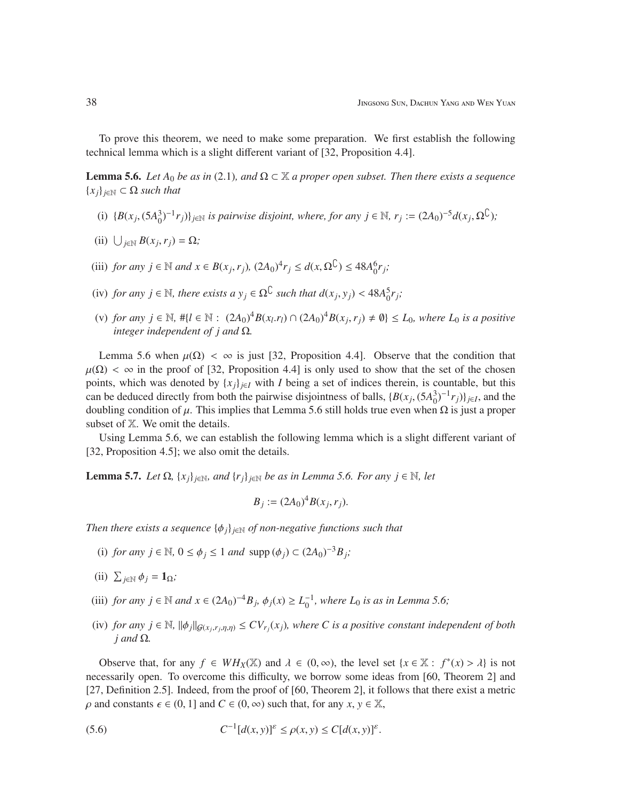To prove this theorem, we need to make some preparation. We first establish the following technical lemma which is a slight different variant of [32, Proposition 4.4].

**Lemma 5.6.** *Let*  $A_0$  *be as in* (2.1)*, and*  $\Omega \subset \mathbb{X}$  *a proper open subset. Then there exists a sequence* {*xj*}*j*∈<sup>N</sup> ⊂ Ω *such that*

- (i)  ${B(x_j, (5A_0^3)^{-1}r_j)}_{j \in \mathbb{N}}$  *is pairwise disjoint, where, for any j* ∈ N,  $r_j := (2A_0)^{-5}d(x_j, \Omega^{\mathbb{C}})$ ;
- (ii)  $\bigcup_{j\in\mathbb{N}} B(x_j, r_j) = \Omega$ *;*
- (iii) *for any j* ∈ *N and*  $x \in B(x_j, r_j)$ ,  $(2A_0)^4 r_j \le d(x, \Omega^C) \le 48A_0^6 r_j$ ;
- (iv) *for any*  $j \in \mathbb{N}$ , *there exists a*  $y_j \in \Omega^{\mathbb{C}}$  *such that*  $d(x_j, y_j) < 48A_0^5 r_j$ ;
- (v) *for any j* ∈  $\mathbb{N}$ , #{*l* ∈  $\mathbb{N}$  :  $(2A_0)^4 B(x_l, r_l) \cap (2A_0)^4 B(x_j, r_j) \neq \emptyset$ } ≤ *L*<sub>0</sub>*, where L*<sub>0</sub> *is a positive integer independent of j and* Ω*.*

Lemma 5.6 when  $\mu(\Omega) < \infty$  is just [32, Proposition 4.4]. Observe that the condition that  $\mu(\Omega) < \infty$  in the proof of [32, Proposition 4.4] is only used to show that the set of the chosen points, which was denoted by  ${x_j}_{j \in I}$  with *I* being a set of indices therein, is countable, but this can be deduced directly from both the pairwise disjointness of balls,  $\{B(x_j, (5A_0^3)^{-1}r_j)\}_{j\in I}$ , and the doubling condition of  $\mu$ . This implies that Lemma 5.6 still holds true even when Ω is just a proper subset of X. We omit the details.

Using Lemma 5.6, we can establish the following lemma which is a slight different variant of [32, Proposition 4.5]; we also omit the details.

Lemma 5.7. *Let* Ω*,* {*xj*}*j*∈N*, and* {*rj*}*j*∈<sup>N</sup> *be as in Lemma 5.6. For any j* ∈ N*, let*

$$
B_j := (2A_0)^4 B(x_j, r_j).
$$

*Then there exists a sequence*  $\{\phi_j\}_{j \in \mathbb{N}}$  *of non-negative functions such that* 

- (i) *for any*  $j \in \mathbb{N}$ ,  $0 \le \phi_j \le 1$  *and*  $\text{supp} (\phi_j) \subset (2A_0)^{-3}B_j$ ;
- (ii)  $\sum_{j \in \mathbb{N}} \phi_j = \mathbf{1}_{\Omega}$ *;*
- (iii) *for any j* ∈ *N and*  $x$  ∈  $(2A_0)^{-4}B_j$ ,  $\phi_j(x) \ge L_0^{-1}$ , where  $L_0$  *is as in Lemma 5.6*;
- (iv) *for any j*  $\in$  N,  $\|\phi_j\|_{G(x_j,r_j,\eta,\eta)} \le CV_{r_j}(x_j)$ , where C is a positive constant independent of both *j and* Ω*.*

Observe that, for any  $f \in WH_X(\mathbb{X})$  and  $\lambda \in (0, \infty)$ , the level set  $\{x \in \mathbb{X} : f^*(x) > \lambda\}$  is not necessarily open. To overcome this difficulty, we borrow some ideas from [60, Theorem 2] and [27, Definition 2.5]. Indeed, from the proof of [60, Theorem 2], it follows that there exist a metric  $\rho$  and constants  $\epsilon \in (0, 1]$  and  $C \in (0, \infty)$  such that, for any  $x, y \in \mathbb{X}$ ,

(5.6) 
$$
C^{-1}[d(x,y)]^{\varepsilon} \leq \rho(x,y) \leq C[d(x,y)]^{\varepsilon}.
$$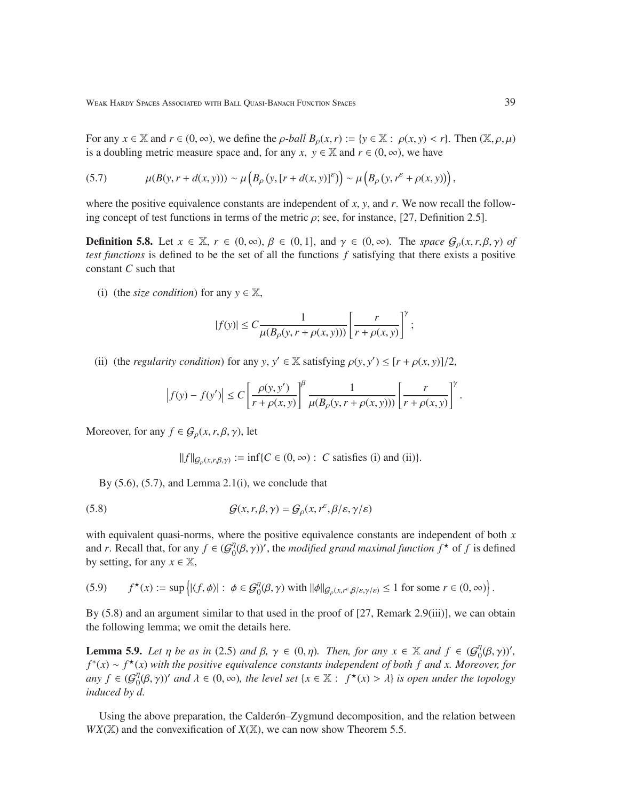For any  $x \in \mathbb{X}$  and  $r \in (0, \infty)$ , we define the *p*-*ball*  $B_0(x, r) := \{y \in \mathbb{X} : \rho(x, y) < r\}$ . Then  $(\mathbb{X}, \rho, \mu)$ is a doubling metric measure space and, for any *x*,  $y \in \mathbb{X}$  and  $r \in (0, \infty)$ , we have

(5.7) 
$$
\mu(B(y, r+d(x, y))) \sim \mu\left(B_{\rho}(y, [r+d(x, y)]^{\epsilon})\right) \sim \mu\left(B_{\rho}(y, r^{\epsilon} + \rho(x, y))\right),
$$

where the positive equivalence constants are independent of *x*, *y*, and *r*. We now recall the following concept of test functions in terms of the metric  $\rho$ ; see, for instance, [27, Definition 2.5].

**Definition 5.8.** Let  $x \in \mathbb{X}$ ,  $r \in (0, \infty)$ ,  $\beta \in (0, 1]$ , and  $\gamma \in (0, \infty)$ . The *space*  $\mathcal{G}_{\rho}(x, r, \beta, \gamma)$  of *test functions* is defined to be the set of all the functions *f* satisfying that there exists a positive constant *C* such that

(i) (the *size condition*) for any  $y \in \mathbb{X}$ ,

$$
|f(y)|\leq C\frac{1}{\mu(B_\rho(y,r+\rho(x,y)))}\left[\frac{r}{r+\rho(x,y)}\right]^\gamma;
$$

(ii) (the *regularity condition*) for any *y*,  $y' \in \mathbb{X}$  satisfying  $\rho(y, y') \leq [r + \rho(x, y)]/2$ ,

$$
\left|f(y) - f(y')\right| \le C \left[\frac{\rho(y, y')}{r + \rho(x, y)}\right]^{\beta} \frac{1}{\mu(B_{\rho}(y, r + \rho(x, y)))} \left[\frac{r}{r + \rho(x, y)}\right]^{\gamma}.
$$

Moreover, for any  $f \in \mathcal{G}_{\rho}(x, r, \beta, \gamma)$ , let

$$
||f||_{\mathcal{G}_{\rho}(x,r,\beta,\gamma)} := \inf \{ C \in (0,\infty) : C \text{ satisfies (i) and (ii)} \}.
$$

By  $(5.6)$ ,  $(5.7)$ , and Lemma 2.1(i), we conclude that

(5.8) 
$$
\mathcal{G}(x, r, \beta, \gamma) = \mathcal{G}_{\rho}(x, r^{\varepsilon}, \beta/\varepsilon, \gamma/\varepsilon)
$$

with equivalent quasi-norms, where the positive equivalence constants are independent of both *x* and *r*. Recall that, for any  $f \in \left(\mathcal{G}_0^{\eta}\right)$  $\int_0^{\eta} (\beta, \gamma)$ ', the *modified grand maximal function*  $f^*$  of  $f$  is defined by setting, for any  $x \in \mathbb{X}$ ,

$$
(5.9) \qquad f^{\star}(x) := \sup \left\{ |\langle f, \phi \rangle| : \phi \in \mathcal{G}_{0}^{\eta}(\beta, \gamma) \text{ with } ||\phi||_{\mathcal{G}_{\rho}(x, r^{\varepsilon}, \beta/\varepsilon, \gamma/\varepsilon)} \le 1 \text{ for some } r \in (0, \infty) \right\}.
$$

By (5.8) and an argument similar to that used in the proof of [27, Remark 2.9(iii)], we can obtain the following lemma; we omit the details here.

**Lemma 5.9.** *Let*  $\eta$  *be as in* (2.5) *and*  $\beta$ ,  $\gamma \in (0, \eta)$ *. Then, for any*  $x \in \mathbb{X}$  *and*  $f \in (G_0^{\eta})$  $_{0}^{\eta}(\beta,\gamma)$ ', *f* ∗ (*x*) ∼ *f* <sup>⋆</sup>(*x*) *with the positive equivalence constants independent of both f and x. Moreover, for any*  $f \in G_0^{\eta}$  $\int_0^{\eta} (\beta, \gamma)$ ' and  $\lambda \in (0, \infty)$ , the level set  $\{x \in \mathbb{X} : f^*(x) > \lambda\}$  is open under the topology *induced by d.*

Using the above preparation, the Calderón-Zygmund decomposition, and the relation between  $WX(\mathbb{X})$  and the convexification of  $X(\mathbb{X})$ , we can now show Theorem 5.5.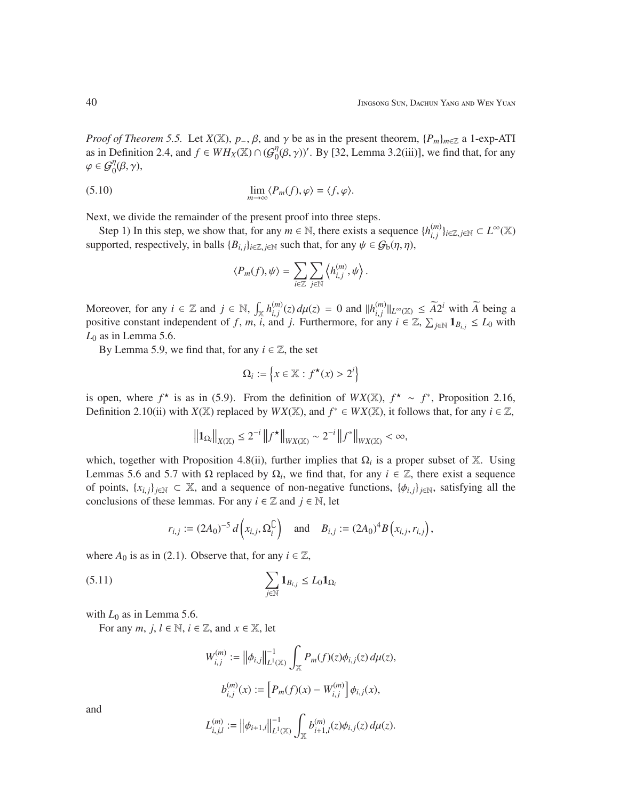*Proof of Theorem 5.5.* Let  $X(\mathbb{X})$ ,  $p_-, \beta$ , and  $\gamma$  be as in the present theorem,  $\{P_m\}_{m \in \mathbb{Z}}$  a 1-exp-ATI as in Definition 2.4, and  $f \in WH_X(\mathbb{X}) \cap (G_0^{\eta})$  $\eta_0^{\eta}(\beta, \gamma)$ '. By [32, Lemma 3.2(iii)], we find that, for any  $\varphi \in \mathcal{G}_{0}^{\eta}(\beta, \gamma),$ 

(5.10) 
$$
\lim_{m \to \infty} \langle P_m(f), \varphi \rangle = \langle f, \varphi \rangle.
$$

Next, we divide the remainder of the present proof into three steps.

Step 1) In this step, we show that, for any  $m \in \mathbb{N}$ , there exists a sequence  $\{h_{i}^{(m)}\}$ *i*, *j* }*i*∈Z, *<sup>j</sup>*∈<sup>N</sup> ⊂ *L* <sup>∞</sup>(X) supported, respectively, in balls  ${B_{i,j}}_{i \in \mathbb{Z}, j \in \mathbb{N}}$  such that, for any  $\psi \in \mathcal{G}_b(\eta, \eta)$ ,

$$
\langle P_m(f), \psi \rangle = \sum_{i \in \mathbb{Z}} \sum_{j \in \mathbb{N}} \left\langle h_{i,j}^{(m)}, \psi \right\rangle.
$$

Moreover, for any  $i \in \mathbb{Z}$  and  $j \in \mathbb{N}$ ,  $\int_{\mathbb{X}} h_{i,j}^{(m)}$  $\int_{i,j}^{(m)}(z) d\mu(z) = 0$  and  $||h_{i,j}^{(m)}||$  $\widetilde{H}^{(m)}_{i,j}$  || $L^{\infty}(\mathbb{X}) \leq \widetilde{A}2^{i}$  with  $\widetilde{A}$  being a positive constant independent of *f*, *m*,  $\hat{i}$ , and *j*. Furthermore, for any  $i \in \mathbb{Z}$ ,  $\sum_{j \in \mathbb{N}} \mathbf{1}_{B_{i,j}} \le L_0$  with *L*<sup>0</sup> as in Lemma 5.6.

By Lemma 5.9, we find that, for any  $i \in \mathbb{Z}$ , the set

$$
\Omega_i := \left\{ x \in \mathbb{X} : f^\star(x) > 2^i \right\}
$$

is open, where  $f^*$  is as in (5.9). From the definition of  $WX(\mathbb{X})$ ,  $f^* \sim f^*$ , Proposition 2.16, Definition 2.10(ii) with *X*(X) replaced by *WX*(X), and  $f^* \in WX(\mathbb{X})$ , it follows that, for any  $i \in \mathbb{Z}$ ,

$$
\|{\bf 1}_{\Omega_i}\|_{X(\mathbb{X})} \leq 2^{-i} \|f^{\star}\|_{WX(\mathbb{X})} \sim 2^{-i} \|f^{\ast}\|_{WX(\mathbb{X})} < \infty,
$$

which, together with Proposition 4.8(ii), further implies that  $\Omega_i$  is a proper subset of X. Using Lemmas 5.6 and 5.7 with  $\Omega$  replaced by  $\Omega_i$ , we find that, for any  $i \in \mathbb{Z}$ , there exist a sequence of points,  $\{x_{i,j}\}_{j\in\mathbb{N}} \subset \mathbb{X}$ , and a sequence of non-negative functions,  $\{\phi_{i,j}\}_{j\in\mathbb{N}}$ , satisfying all the conclusions of these lemmas. For any  $i \in \mathbb{Z}$  and  $j \in \mathbb{N}$ , let

$$
r_{i,j} := (2A_0)^{-5} d(x_{i,j}, \Omega_i^{\mathbb{C}}) \text{ and } B_{i,j} := (2A_0)^{4} B(x_{i,j}, r_{i,j}),
$$

where  $A_0$  is as in (2.1). Observe that, for any  $i \in \mathbb{Z}$ ,

$$
\sum_{j\in\mathbb{N}}\mathbf{1}_{B_{i,j}}\leq L_0\mathbf{1}_{\Omega_i}
$$

with  $L_0$  as in Lemma 5.6.

For any *m*,  $j, l \in \mathbb{N}$ ,  $i \in \mathbb{Z}$ , and  $x \in \mathbb{X}$ , let

$$
W_{i,j}^{(m)} := \left\| \phi_{i,j} \right\|_{L^1(\mathbb{X})}^{-1} \int_{\mathbb{X}} P_m(f)(z) \phi_{i,j}(z) d\mu(z),
$$
  

$$
b_{i,j}^{(m)}(x) := \left[ P_m(f)(x) - W_{i,j}^{(m)} \right] \phi_{i,j}(x),
$$

and

$$
L_{i,j,l}^{(m)} := \left\| \phi_{i+1,l} \right\|_{L^1(\mathbb{X})}^{-1} \int_{\mathbb{X}} b_{i+1,l}^{(m)}(z) \phi_{i,j}(z) d\mu(z).
$$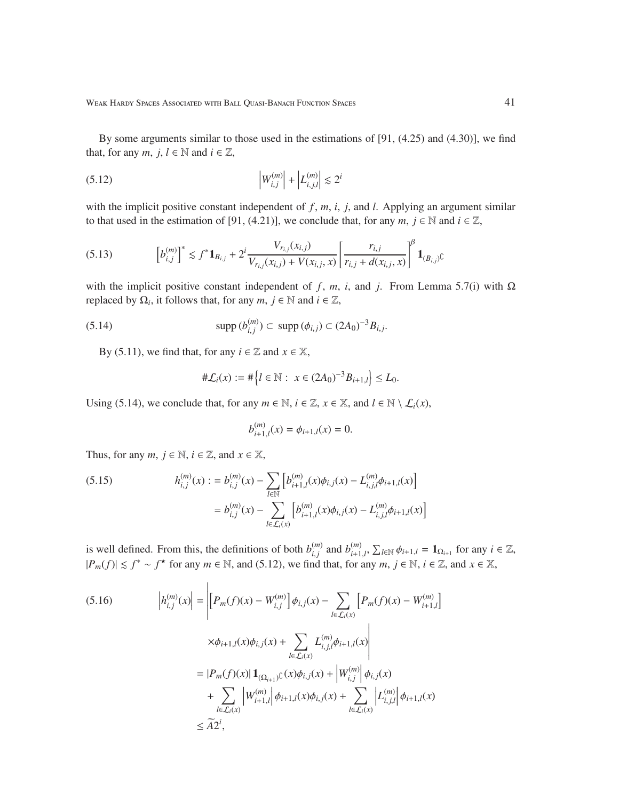By some arguments similar to those used in the estimations of [91, (4.25) and (4.30)], we find that, for any *m*, *j*,  $l \in \mathbb{N}$  and  $i \in \mathbb{Z}$ ,

(5.12) 
$$
\left|W_{i,j}^{(m)}\right| + \left|L_{i,j,l}^{(m)}\right| \lesssim 2^i
$$

with the implicit positive constant independent of  $f$ ,  $m$ ,  $i$ ,  $j$ , and  $l$ . Applying an argument similar to that used in the estimation of [91, (4.21)], we conclude that, for any  $m, j \in \mathbb{N}$  and  $i \in \mathbb{Z}$ ,

$$
(5.13) \qquad \left[b_{i,j}^{(m)}\right]^* \lesssim f^* \mathbf{1}_{B_{i,j}} + 2^i \frac{V_{r_{i,j}}(x_{i,j})}{V_{r_{i,j}}(x_{i,j}) + V(x_{i,j}, x)} \left[\frac{r_{i,j}}{r_{i,j} + d(x_{i,j}, x)}\right]^\beta \mathbf{1}_{(B_{i,j})^\complement}
$$

with the implicit positive constant independent of *f*, *m*, *i*, and *j*. From Lemma 5.7(i) with Ω replaced by  $\Omega_i$ , it follows that, for any  $m, j \in \mathbb{N}$  and  $i \in \mathbb{Z}$ ,

(5.14) 
$$
\text{supp}(b_{i,j}^{(m)}) \subset \text{supp}(\phi_{i,j}) \subset (2A_0)^{-3}B_{i,j}.
$$

By (5.11), we find that, for any  $i \in \mathbb{Z}$  and  $x \in \mathbb{X}$ ,

$$
\#\mathcal{L}_i(x) := \#\Big\{l \in \mathbb{N} : x \in (2A_0)^{-3}B_{i+1,l}\Big\} \le L_0.
$$

Using (5.14), we conclude that, for any  $m \in \mathbb{N}$ ,  $i \in \mathbb{Z}$ ,  $x \in \mathbb{X}$ , and  $l \in \mathbb{N} \setminus \mathcal{L}_i(x)$ ,

$$
b_{i+1,l}^{(m)}(x) = \phi_{i+1,l}(x) = 0.
$$

Thus, for any  $m, j \in \mathbb{N}, i \in \mathbb{Z}$ , and  $x \in \mathbb{X}$ ,

(5.15) 
$$
h_{i,j}^{(m)}(x) := b_{i,j}^{(m)}(x) - \sum_{l \in \mathbb{N}} \left[ b_{i+1,l}^{(m)}(x) \phi_{i,j}(x) - L_{i,j,l}^{(m)} \phi_{i+1,l}(x) \right]
$$

$$
= b_{i,j}^{(m)}(x) - \sum_{l \in \mathcal{L}_i(x)} \left[ b_{i+1,l}^{(m)}(x) \phi_{i,j}(x) - L_{i,j,l}^{(m)} \phi_{i+1,l}(x) \right]
$$

is well defined. From this, the definitions of both  $b_{i}^{(m)}$  $\binom{m}{i,j}$  and  $b_{i+1}^{(m)}$  $\sum_{i=1,l'}^{(m)}$ ,  $\sum_{l\in\mathbb{N}}\phi_{i+1,l} = \mathbf{1}_{\Omega_{i+1}}$  for any  $i \in \mathbb{Z}$ ,  $|P_m(f)| \le f^* \sim f^*$  for any  $m \in \mathbb{N}$ , and (5.12), we find that, for any  $m, j \in \mathbb{N}$ ,  $i \in \mathbb{Z}$ , and  $x \in \mathbb{X}$ ,

$$
(5.16) \qquad \left| h_{i,j}^{(m)}(x) \right| = \left| \left[ P_m(f)(x) - W_{i,j}^{(m)} \right] \phi_{i,j}(x) - \sum_{l \in \mathcal{L}_i(x)} \left[ P_m(f)(x) - W_{i+1,l}^{(m)} \right] \right|
$$
  

$$
\times \phi_{i+1,l}(x) \phi_{i,j}(x) + \sum_{l \in \mathcal{L}_i(x)} L_{i,j,l}^{(m)} \phi_{i+1,l}(x) \right|
$$
  

$$
= |P_m(f)(x)| \mathbf{1}_{\{\Omega_{i+1}\}^C}(x) \phi_{i,j}(x) + \left| W_{i,j}^{(m)} \right| \phi_{i,j}(x)
$$
  

$$
+ \sum_{l \in \mathcal{L}_i(x)} \left| W_{i+1,l}^{(m)} \right| \phi_{i+1,l}(x) \phi_{i,j}(x) + \sum_{l \in \mathcal{L}_i(x)} \left| L_{i,j,l}^{(m)} \right| \phi_{i+1,l}(x)
$$
  

$$
\leq \widetilde{A} 2^i,
$$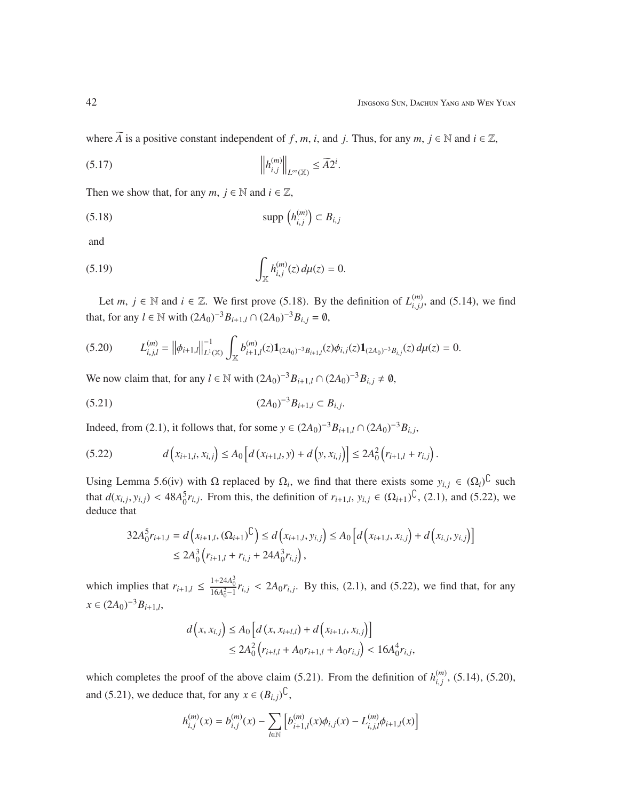where  $\widetilde{A}$  is a positive constant independent of *f*, *m*, *i*, and *j*. Thus, for any *m*,  $j \in \mathbb{N}$  and  $i \in \mathbb{Z}$ ,

.

.

$$
(5.17)\t\t\t\t\t\left\|h_{i,j}^{(m)}\right\|_{L^{\infty}(\mathbb{X})} \leq \widetilde{A}2^{i}
$$

Then we show that, for any  $m, j \in \mathbb{N}$  and  $i \in \mathbb{Z}$ ,

$$
(5.18) \t\t supp (h_{i,j}^{(m)}) \subset B_{i,j}
$$

and

(5.19) 
$$
\int_{\mathbb{X}} h_{i,j}^{(m)}(z) d\mu(z) = 0.
$$

Let *m*,  $j \in \mathbb{N}$  and  $i \in \mathbb{Z}$ . We first prove (5.18). By the definition of  $L_{i,j}^{(m)}$  $\binom{m}{i,j,l}$ , and (5.14), we find that, for any *l* ∈ N with  $(2A_0)^{-3}B_{i+1,l} \cap (2A_0)^{-3}B_{i,j} = ∅$ ,

$$
(5.20) \tL_{i,j,l}^{(m)} = \left\| \phi_{i+1,l} \right\|_{L^1(\mathbb{X})}^{-1} \int_{\mathbb{X}} b_{i+1,l}^{(m)}(z) \mathbf{1}_{(2A_0)^{-3}B_{i+1,l}}(z) \phi_{i,j}(z) \mathbf{1}_{(2A_0)^{-3}B_{i,j}}(z) d\mu(z) = 0.
$$

We now claim that, for any *l* ∈ N with  $(2A_0)^{-3}B_{i+1,l} \cap (2A_0)^{-3}B_{i,j} \neq \emptyset$ ,

$$
(5.21) \t\t (2A0)-3Bi+1,l \subset Bi,j
$$

Indeed, from (2.1), it follows that, for some *y* ∈  $(2A_0)^{-3}B_{i+1,l} \cap (2A_0)^{-3}B_{i,j}$ ,

$$
(5.22) \t d\Big(x_{i+1,l}, x_{i,j}\Big) \leq A_0 \Big[d\big(x_{i+1,l}, y\big) + d\Big(y, x_{i,j}\Big)\Big] \leq 2A_0^2 \Big(r_{i+1,l} + r_{i,j}\Big).
$$

Using Lemma 5.6(iv) with  $\Omega$  replaced by  $\Omega_i$ , we find that there exists some  $y_{i,j} \in (\Omega_i)^{\mathbb{C}}$  such that  $d(x_{i,j}, y_{i,j}) < 48A_0^5 r_{i,j}$ . From this, the definition of  $r_{i+1,l}, y_{i,j} \in (\Omega_{i+1})^{\mathbb{C}}$ , (2.1), and (5.22), we deduce that

$$
32A_0^5r_{i+1,l} = d(x_{i+1,l}, (\Omega_{i+1})^{\mathbb{C}}) \le d(x_{i+1,l}, y_{i,j}) \le A_0 \left[ d(x_{i+1,l}, x_{i,j}) + d(x_{i,j}, y_{i,j}) \right] \le 2A_0^3 (r_{i+1,l} + r_{i,j} + 24A_0^3 r_{i,j}),
$$

which implies that  $r_{i+1,l} \le \frac{1+24A_0^3}{16A_0^2-1} r_{i,j} < 2A_0 r_{i,j}$ . By this, (2.1), and (5.22), we find that, for any  $x \in (2A_0)^{-3}B_{i+1,l}$ 

$$
d(x, x_{i,j}) \le A_0 \left[ d(x, x_{i+l,l}) + d(x_{i+1,l}, x_{i,j}) \right]
$$
  

$$
\le 2A_0^2 (r_{i+l,l} + A_0 r_{i+1,l} + A_0 r_{i,j}) < 16A_0^4 r_{i,j},
$$

which completes the proof of the above claim (5.21). From the definition of  $h_{i,i}^{(m)}$ *i*, *j* , (5.14), (5.20), and (5.21), we deduce that, for any  $x \in (B_{i,j})^{\mathbb{C}}$ ,

$$
h_{i,j}^{(m)}(x) = b_{i,j}^{(m)}(x) - \sum_{l \in \mathbb{N}} \left[ b_{i+1,l}^{(m)}(x) \phi_{i,j}(x) - L_{i,j,l}^{(m)} \phi_{i+1,l}(x) \right]
$$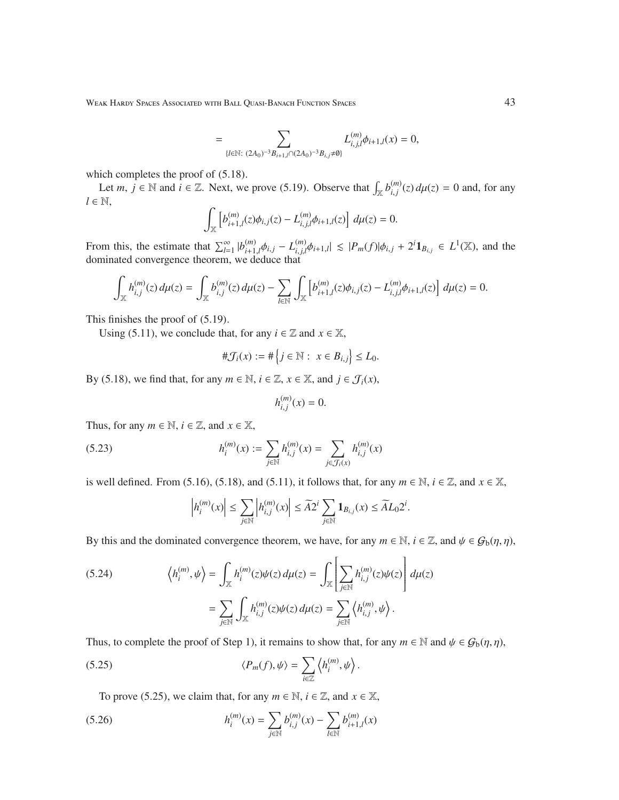Weak Hardy Spaces Associated with Ball Quasi-Banach Function Spaces 43

$$
= \sum_{\{l \in \mathbb{N}: \ (2A_0)^{-3}B_{i+1,l} \cap (2A_0)^{-3}B_{i,j} \neq \emptyset \}} L_{i,j,l}^{(m)} \phi_{i+1,l}(x) = 0,
$$

which completes the proof of  $(5.18)$ .

Let *m*,  $j \in \mathbb{N}$  and  $i \in \mathbb{Z}$ . Next, we prove (5.19). Observe that  $\int_{\mathbb{X}} b_{i,j}^{(m)}$  $\int_{i,j}^{(m)}(z) d\mu(z) = 0$  and, for any  $l \in \mathbb{N}$ ,

$$
\int_{\mathbb{X}} \left[ b_{i+1,l}^{(m)}(z) \phi_{i,j}(z) - L_{i,j,l}^{(m)} \phi_{i+1,l}(z) \right] d\mu(z) = 0.
$$

From this, the estimate that  $\sum_{l=1}^{\infty} |b_{i+1}^{(m)}|$  $\phi_{i+1,l}^{(m)}\phi_{i,j} - L_{i,j,l}^{(m)}$  $\int_{i,j,l}^{(m)}\phi_{i+1,l}|\leq |P_m(f)|\phi_{i,j} + 2^i\mathbf{1}_{B_{i,j}} \in L^1(\mathbb{X})$ , and the dominated convergence theorem, we deduce that

$$
\int_{\mathbb{X}} h_{i,j}^{(m)}(z) d\mu(z) = \int_{\mathbb{X}} b_{i,j}^{(m)}(z) d\mu(z) - \sum_{l \in \mathbb{N}} \int_{\mathbb{X}} \left[ b_{i+1,l}^{(m)}(z) \phi_{i,j}(z) - L_{i,j,l}^{(m)} \phi_{i+1,l}(z) \right] d\mu(z) = 0.
$$

This finishes the proof of (5.19).

Using (5.11), we conclude that, for any  $i \in \mathbb{Z}$  and  $x \in \mathbb{X}$ ,

$$
\#\mathcal{J}_i(x) := \#\Big\{j\in\mathbb{N}: \ x\in B_{i,j}\Big\} \le L_0.
$$

By (5.18), we find that, for any  $m \in \mathbb{N}$ ,  $i \in \mathbb{Z}$ ,  $x \in \mathbb{X}$ , and  $j \in \mathcal{J}_i(x)$ ,

$$
h_{i,j}^{(m)}(x) = 0.
$$

Thus, for any  $m \in \mathbb{N}$ ,  $i \in \mathbb{Z}$ , and  $x \in \mathbb{X}$ ,

(5.23) 
$$
h_i^{(m)}(x) := \sum_{j \in \mathbb{N}} h_{i,j}^{(m)}(x) = \sum_{j \in \mathcal{J}_i(x)} h_{i,j}^{(m)}(x)
$$

is well defined. From (5.16), (5.18), and (5.11), it follows that, for any  $m \in \mathbb{N}$ ,  $i \in \mathbb{Z}$ , and  $x \in \mathbb{X}$ ,

$$
\left| h_i^{(m)} (x) \right| \leq \sum_{j \in \mathbb{N}} \left| h_{i,j}^{(m)} (x) \right| \leq \widetilde{A} 2^i \sum_{j \in \mathbb{N}} \mathbf{1}_{B_{i,j}} (x) \leq \widetilde{A} L_0 2^i.
$$

By this and the dominated convergence theorem, we have, for any  $m \in \mathbb{N}$ ,  $i \in \mathbb{Z}$ , and  $\psi \in \mathcal{G}_{b}(\eta, \eta)$ ,

(5.24) 
$$
\left\langle h_i^{(m)}, \psi \right\rangle = \int_{\mathbb{X}} h_i^{(m)}(z) \psi(z) d\mu(z) = \int_{\mathbb{X}} \left[ \sum_{j \in \mathbb{N}} h_{i,j}^{(m)}(z) \psi(z) \right] d\mu(z)
$$

$$
= \sum_{j \in \mathbb{N}} \int_{\mathbb{X}} h_{i,j}^{(m)}(z) \psi(z) d\mu(z) = \sum_{j \in \mathbb{N}} \left\langle h_{i,j}^{(m)}, \psi \right\rangle.
$$

Thus, to complete the proof of Step 1), it remains to show that, for any  $m \in \mathbb{N}$  and  $\psi \in \mathcal{G}_b(\eta, \eta)$ ,

(5.25) 
$$
\langle P_m(f), \psi \rangle = \sum_{i \in \mathbb{Z}} \left\langle h_i^{(m)}, \psi \right\rangle.
$$

To prove (5.25), we claim that, for any  $m \in \mathbb{N}$ ,  $i \in \mathbb{Z}$ , and  $x \in \mathbb{X}$ ,

(5.26) 
$$
h_i^{(m)}(x) = \sum_{j \in \mathbb{N}} b_{i,j}^{(m)}(x) - \sum_{l \in \mathbb{N}} b_{i+1,l}^{(m)}(x)
$$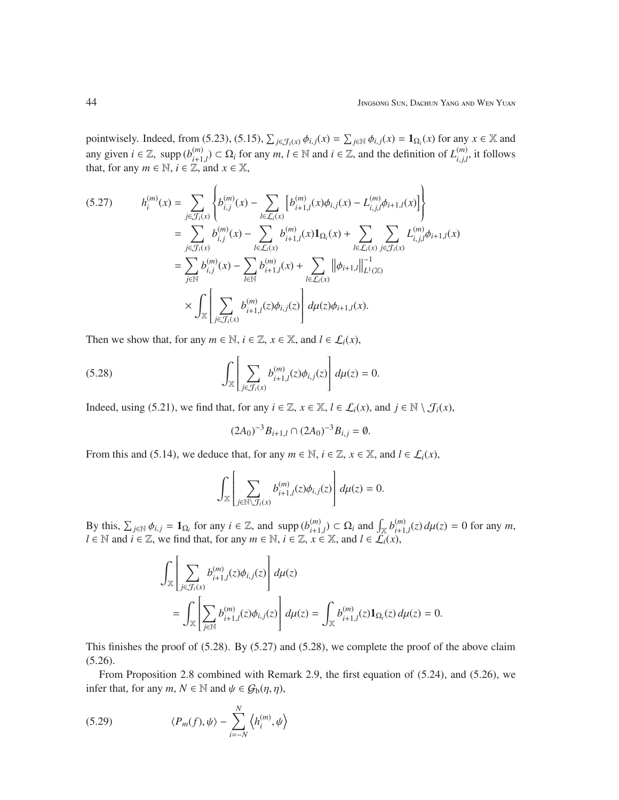pointwisely. Indeed, from (5.23), (5.15),  $\sum_{j \in \mathcal{J}_i(x)} \phi_{i,j}(x) = \sum_{j \in \mathbb{N}} \phi_{i,j}(x) = \mathbf{1}_{\Omega_i}(x)$  for any  $x \in \mathbb{X}$  and any given  $i \in \mathbb{Z}$ , supp  $(b_{i+1}^{(m)})$ *(m*)</sup> $i$  − Ω<sub>*i*</sub> for any *m*, *l* ∈ N and *i* ∈ Z, and the definition of  $L_{i,j,l}^{(m)}$  $\binom{m}{i,j,l}$ , it follows that, for any  $m \in \mathbb{N}$ ,  $i \in \mathbb{Z}$ , and  $x \in \mathbb{X}$ ,

$$
(5.27) \qquad h_i^{(m)}(x) = \sum_{j \in \mathcal{J}_i(x)} \left\{ b_{i,j}^{(m)}(x) - \sum_{l \in \mathcal{L}_i(x)} \left[ b_{i+1,l}^{(m)}(x) \phi_{i,j}(x) - L_{i,j,l}^{(m)} \phi_{i+1,l}(x) \right] \right\}
$$
  
\n
$$
= \sum_{j \in \mathcal{J}_i(x)} b_{i,j}^{(m)}(x) - \sum_{l \in \mathcal{L}_i(x)} b_{i+1,l}^{(m)}(x) \mathbf{1}_{\Omega_i}(x) + \sum_{l \in \mathcal{L}_i(x)} \sum_{j \in \mathcal{J}_i(x)} L_{i,j,l}^{(m)} \phi_{i+1,l}(x)
$$
  
\n
$$
= \sum_{j \in \mathbb{N}} b_{i,j}^{(m)}(x) - \sum_{l \in \mathbb{N}} b_{i+1,l}^{(m)}(x) + \sum_{l \in \mathcal{L}_i(x)} ||\phi_{i+1,l}||_{L^1(\mathbb{X})}^{-1}
$$
  
\n
$$
\times \int_{\mathbb{X}} \left[ \sum_{j \in \mathcal{J}_i(x)} b_{i+1,l}^{(m)}(z) \phi_{i,j}(z) \right] d\mu(z) \phi_{i+1,l}(x).
$$

Then we show that, for any  $m \in \mathbb{N}$ ,  $i \in \mathbb{Z}$ ,  $x \in \mathbb{X}$ , and  $l \in \mathcal{L}_i(x)$ ,

(5.28) 
$$
\int_{\mathbb{X}} \left[ \sum_{j \in \mathcal{J}_i(x)} b_{i+1,l}^{(m)}(z) \phi_{i,j}(z) \right] d\mu(z) = 0.
$$

Indeed, using (5.21), we find that, for any  $i \in \mathbb{Z}$ ,  $x \in \mathbb{X}$ ,  $l \in \mathcal{L}_i(x)$ , and  $j \in \mathbb{N} \setminus \mathcal{J}_i(x)$ ,

$$
(2A_0)^{-3}B_{i+1,l} \cap (2A_0)^{-3}B_{i,j} = \emptyset.
$$

From this and (5.14), we deduce that, for any  $m \in \mathbb{N}$ ,  $i \in \mathbb{Z}$ ,  $x \in \mathbb{X}$ , and  $l \in \mathcal{L}_i(x)$ ,

$$
\int_{\mathbb{X}}\left[\sum_{j\in\mathbb{N}\backslash\mathcal{J}_{i}(x)}b_{i+1,l}^{(m)}(z)\phi_{i,j}(z)\right]d\mu(z)=0.
$$

By this,  $\sum_{j \in \mathbb{N}} \phi_{i,j} = \mathbf{1}_{\Omega_i}$  for any  $i \in \mathbb{Z}$ , and supp  $(b_{i+1}^{(m)})$  $\binom{m}{i+1,l} \subset \Omega_i$  and  $\int_{\mathbb{X}} b_{i+1}^{(m)}$  $\int_{i+1,l}^{(m)}(z) d\mu(z) = 0$  for any *m*, *l* ∈ N and *i* ∈ Z, we find that, for any  $m \in \mathbb{N}$ ,  $i \in \mathbb{Z}$ ,  $x \in \mathbb{X}$ , and  $l \in \mathcal{L}_i(x)$ ,

$$
\begin{split} &\int_{\mathbb{X}}\left[\sum_{j\in\mathcal{J}_i(x)}b^{(m)}_{i+1,l}(z)\phi_{i,j}(z)\right]d\mu(z)\\ &=\int_{\mathbb{X}}\left[\sum_{j\in\mathbb{N}}b^{(m)}_{i+1,l}(z)\phi_{i,j}(z)\right]d\mu(z)=\int_{\mathbb{X}}b^{(m)}_{i+1,l}(z)\mathbf{1}_{\Omega_i}(z)\,d\mu(z)=0. \end{split}
$$

This finishes the proof of (5.28). By (5.27) and (5.28), we complete the proof of the above claim (5.26).

From Proposition 2.8 combined with Remark 2.9, the first equation of (5.24), and (5.26), we infer that, for any  $m, N \in \mathbb{N}$  and  $\psi \in \mathcal{G}_b(\eta, \eta)$ ,

(5.29) 
$$
\langle P_m(f), \psi \rangle - \sum_{i=-N}^{N} \left\langle h_i^{(m)}, \psi \right\rangle
$$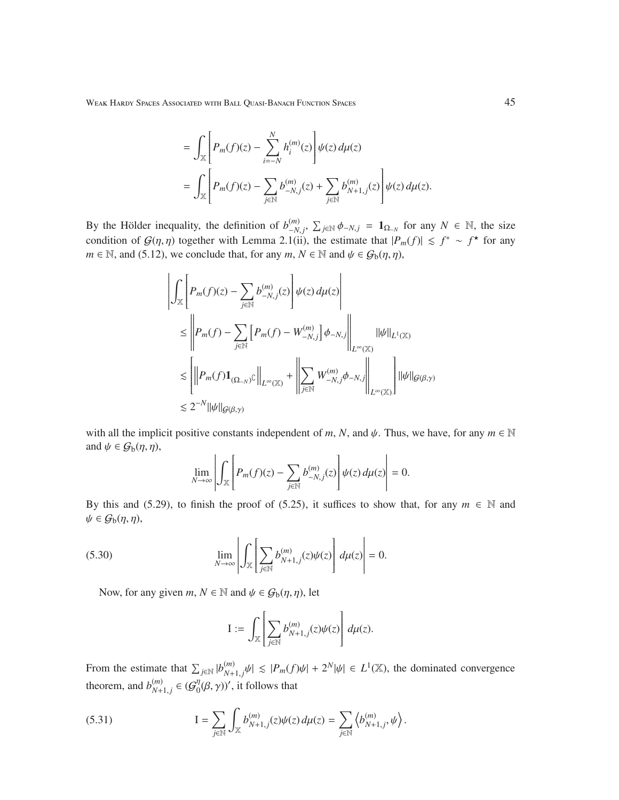Weak Hardy Spaces Associated with Ball Quasi-Banach Function Spaces 45

$$
= \int_{\mathbb{X}} \left[ P_m(f)(z) - \sum_{i=-N}^{N} h_i^{(m)}(z) \right] \psi(z) d\mu(z)
$$
  
= 
$$
\int_{\mathbb{X}} \left[ P_m(f)(z) - \sum_{j \in \mathbb{N}} b_{-N,j}^{(m)}(z) + \sum_{j \in \mathbb{N}} b_{N+1,j}^{(m)}(z) \right] \psi(z) d\mu(z).
$$

By the Hölder inequality, the definition of  $b_{-N}^{(m)}$  $\sum_{j=N}^{(m)}$ ,  $\sum_{j \in \mathbb{N}}$   $\phi$ <sub>−*N*</sub>, *j* = 1<sub>Ω−*N*</sub> for any *N* ∈ N, the size condition of  $G(\eta, \eta)$  together with Lemma 2.1(ii), the estimate that  $|P_m(f)| \leq f^* \sim f^*$  for any *m*  $\in$  N, and (5.12), we conclude that, for any *m*, *N*  $\in$  N and  $\psi$   $\in$   $G_b(\eta, \eta)$ ,

$$
\left|\int_{\mathbb{X}}\left[P_m(f)(z)-\sum_{j\in\mathbb{N}}b_{-N,j}^{(m)}(z)\right]\psi(z)\,d\mu(z)\right|
$$
  
\n
$$
\leq \left\|P_m(f)-\sum_{j\in\mathbb{N}}\left[P_m(f)-W_{-N,j}^{(m)}\right]\phi_{-N,j}\right\|_{L^{\infty}(\mathbb{X})}\|\psi\|_{L^1(\mathbb{X})}
$$
  
\n
$$
\lesssim \left[\left\|P_m(f)\mathbf{1}_{(\Omega_{-N})^{\mathbb{C}}}\right\|_{L^{\infty}(\mathbb{X})}+\left\|\sum_{j\in\mathbb{N}}W_{-N,j}^{(m)}\phi_{-N,j}\right\|_{L^{\infty}(\mathbb{X})}\right]\|\psi\|_{\mathcal{G}(\beta,\gamma)}
$$
  
\n
$$
\lesssim 2^{-N}\|\psi\|_{\mathcal{G}(\beta,\gamma)}
$$

with all the implicit positive constants independent of *m*, *N*, and  $\psi$ . Thus, we have, for any  $m \in \mathbb{N}$ and  $\psi \in \mathcal{G}_b(\eta, \eta)$ ,  $\mathbf{r}$  $\sim$ 

$$
\lim_{N\to\infty}\left|\int_{\mathbb{X}}\left[P_m(f)(z)-\sum_{j\in\mathbb{N}}b_{-N,j}^{(m)}(z)\right]\psi(z)\,d\mu(z)\right|=0.
$$

By this and (5.29), to finish the proof of (5.25), it suffices to show that, for any  $m \in \mathbb{N}$  and  $\psi \in \mathcal{G}_b(\eta, \eta),$ 

(5.30) 
$$
\lim_{N \to \infty} \left| \int_{\mathbb{X}} \left[ \sum_{j \in \mathbb{N}} b_{N+1,j}^{(m)}(z) \psi(z) \right] d\mu(z) \right| = 0.
$$

Now, for any given  $m, N \in \mathbb{N}$  and  $\psi \in \mathcal{G}_b(\eta, \eta)$ , let

$$
\mathrm{I}:=\int_{\mathbb{X}}\left[\sum_{j\in\mathbb{N}}b^{(m)}_{N+1,j}(z)\psi(z)\right]d\mu(z).
$$

From the estimate that  $\sum_{j \in \mathbb{N}} |b_{N+}^{(m)}|$  $\left| \frac{m}{N+1,j}\psi \right| \leq |P_m(f)\psi| + 2^N|\psi| \in L^1(\mathbb{X})$ , the dominated convergence theorem, and  $b_{N+}^{(m)}$  $_{N+1,j}^{(m)}$  ∈ ( $\mathcal{G}_0^{\eta}$  $\eta_0^{\eta}(\beta, \gamma)$ ', it follows that

(5.31) 
$$
I = \sum_{j \in \mathbb{N}} \int_{\mathbb{X}} b_{N+1,j}^{(m)}(z) \psi(z) d\mu(z) = \sum_{j \in \mathbb{N}} \left\langle b_{N+1,j}^{(m)}, \psi \right\rangle.
$$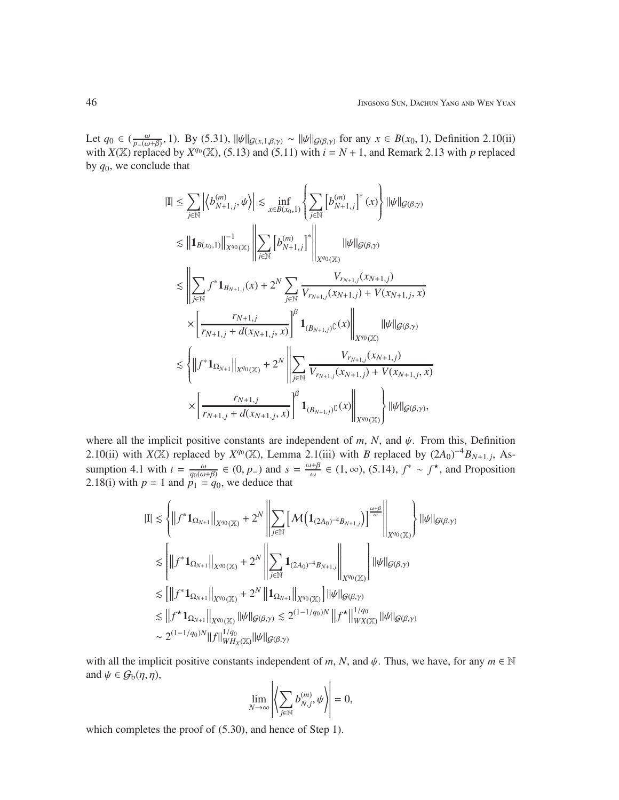Let  $q_0 \in \left(\frac{\omega}{p_-(\omega+\beta)}, 1\right)$ . By (5.31),  $\|\psi\|_{\mathcal{G}(x,1,\beta,\gamma)} \sim \|\psi\|_{\mathcal{G}(\beta,\gamma)}$  for any  $x \in B(x_0, 1)$ , Definition 2.10(ii) with  $X(\mathbb{X})$  replaced by  $X^{q_0}(\mathbb{X})$ , (5.13) and (5.11) with  $i = N + 1$ , and Remark 2.13 with p replaced by *q*0, we conclude that

$$
\begin{split} |\mathrm{I}|&\leq \sum_{j\in \mathbb{N}}\left|\left\langle b_{N+1,j}^{(m)},\psi\right\rangle\right|\lesssim \inf_{x\in B(x_0,1)}\left\{\sum_{j\in \mathbb{N}}\left[b_{N+1,j}^{(m)}\right]^{*}(x)\right\}||\psi||_{\mathcal{G}(\beta,\gamma)}\\ &\lesssim \left\|\mathbf{1}_{B(x_0,1)}\right\|_{X^{q_0}(\mathbb{X})}^{-1}\left\|\sum_{j\in \mathbb{N}}\left[b_{N+1,j}^{(m)}\right]^{*}\right\|_{X^{q_0}(\mathbb{X})}||\psi||_{\mathcal{G}(\beta,\gamma)}\\ &\lesssim \left\|\sum_{j\in \mathbb{N}}f^{*}\mathbf{1}_{B_{N+1,j}}(x)+2^{N}\sum_{j\in \mathbb{N}}\frac{V_{r_{N+1,j}}(x_{N+1,j})}{V_{r_{N+1,j}}(x_{N+1,j})+V(x_{N+1,j},x)}\\ &\times\left[\frac{r_{N+1,j}}{r_{N+1,j}+d(x_{N+1,j},x)}\right]^{\beta}\mathbf{1}_{(B_{N+1,j})\mathbb{C}}(x)\right\|_{X^{q_0}(\mathbb{X})}||\psi||_{\mathcal{G}(\beta,\gamma)}\\ &\lesssim \left\{\left\|f^{*}\mathbf{1}_{\Omega_{N+1}}\right\|_{X^{q_0}(\mathbb{X})}+2^{N}\left\|\sum_{j\in \mathbb{N}}\frac{V_{r_{N+1,j}}(x_{N+1,j})}{V_{r_{N+1,j}}(x_{N+1,j})+V(x_{N+1,j},x)}\\ &\times\left[\frac{r_{N+1,j}}{r_{N+1,j}+d(x_{N+1,j},x)}\right]^{\beta}\mathbf{1}_{(B_{N+1,j})\mathbb{C}}(x)\right\|_{X^{q_0}(\mathbb{X})}\right\}||\psi||_{\mathcal{G}(\beta,\gamma)}, \end{split}
$$

where all the implicit positive constants are independent of  $m$ ,  $N$ , and  $\psi$ . From this, Definition 2.10(ii) with *X*(X) replaced by *X*<sup>*q*0</sup>(X), Lemma 2.1(iii) with *B* replaced by  $(2A_0)^{-4}B_{N+1,j}$ , Assumption 4.1 with  $t = \frac{\omega}{q_0(\omega+\beta)} \in (0, p_-)$  and  $s = \frac{\omega+\beta}{\omega}$  $\frac{\partial^{\mu} \theta}{\partial \omega}$  ∈ (1, ∞), (5.14),  $f^* \sim f^*$ , and Proposition 2.18(i) with  $p = 1$  and  $p_1 = q_0$ , we deduce that

$$
\begin{aligned} |\mathrm{I}|&\lesssim\left\{\left\|f^{*}\mathbf{1}_{\Omega_{N+1}}\right\|_{X^{q_{0}}(\mathbb{X})}+2^{N}\left\|\sum_{j\in\mathbb{N}}\left[\mathcal{M}\left(\mathbf{1}_{(2A_{0})^{-4}B_{N+1,j}}\right)\right]^{\frac{\omega+\beta}{\omega}}\right\|_{X^{q_{0}}(\mathbb{X})}\right\}||\psi||_{\mathcal{G}(\beta,\gamma)}\\ &\lesssim\left[\left\|f^{*}\mathbf{1}_{\Omega_{N+1}}\right\|_{X^{q_{0}}(\mathbb{X})}+2^{N}\left\|\sum_{j\in\mathbb{N}}\mathbf{1}_{(2A_{0})^{-4}B_{N+1,j}}\right\|_{X^{q_{0}}(\mathbb{X})}\right]\||\psi||_{\mathcal{G}(\beta,\gamma)}\\ &\lesssim\left[\left\|f^{*}\mathbf{1}_{\Omega_{N+1}}\right\|_{X^{q_{0}}(\mathbb{X})}+2^{N}\left\|\mathbf{1}_{\Omega_{N+1}}\right\|_{X^{q_{0}}(\mathbb{X})}\right]\||\psi||_{\mathcal{G}(\beta,\gamma)}\\ &\lesssim\left\|f^{*}\mathbf{1}_{\Omega_{N+1}}\right\|_{X^{q_{0}}(\mathbb{X})}\||\psi||_{\mathcal{G}(\beta,\gamma)}\lesssim 2^{(1-1/q_{0})N}\left\|f^{*}\right\|_{WX(\mathbb{X})}^{1/q_{0}}\||\psi||_{\mathcal{G}(\beta,\gamma)}\\ &\sim 2^{(1-1/q_{0})N}\|f\|\big\|_{WH_{X}(\mathbb{X})}^{1/q_{0}}\||\psi||_{\mathcal{G}(\beta,\gamma)} \end{aligned}
$$

with all the implicit positive constants independent of *m*, *N*, and  $\psi$ . Thus, we have, for any  $m \in \mathbb{N}$ and  $\psi \in \mathcal{G}_b(\eta, \eta)$ ,  $\overline{1}$ 

$$
\lim_{N\to\infty}\left|\left\langle \sum_{j\in\mathbb{N}}b^{(m)}_{N,j},\psi\right\rangle\right|=0,
$$

which completes the proof of  $(5.30)$ , and hence of Step 1).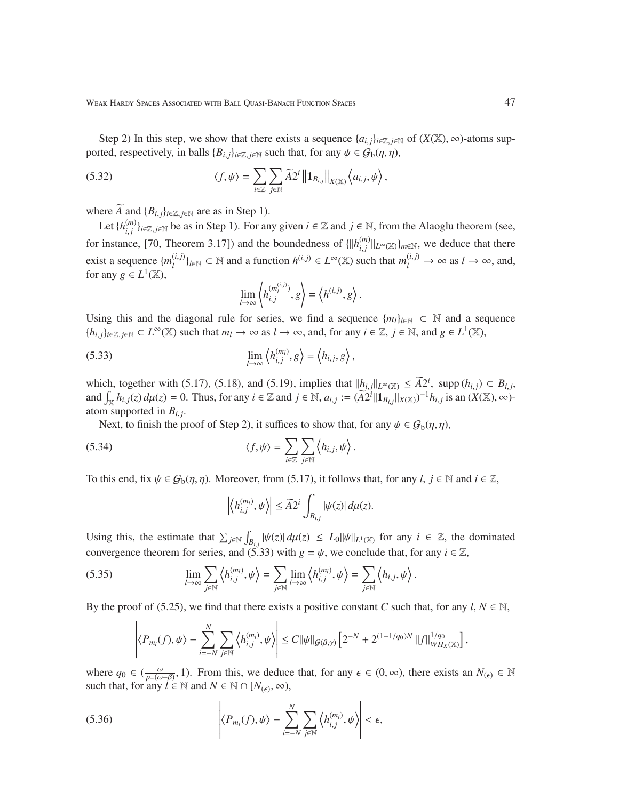Weak Hardy Spaces Associated with Ball Quasi-Banach Function Spaces 47

Step 2) In this step, we show that there exists a sequence  $\{a_{i,j}\}_{i\in\mathbb{Z}}$ , *j*∈N of  $(X(\mathbb{X}), \infty)$ -atoms supported, respectively, in balls  ${B_{i,j}}_{i \in \mathbb{Z}, j \in \mathbb{N}}$  such that, for any  $\psi \in \mathcal{G}_b(\eta, \eta)$ ,

(5.32) 
$$
\langle f, \psi \rangle = \sum_{i \in \mathbb{Z}} \sum_{j \in \mathbb{N}} \widetilde{A} 2^i \left\| \mathbf{1}_{B_{i,j}} \right\|_{X(\mathbb{X})} \left\langle a_{i,j}, \psi \right\rangle,
$$

where  $\widetilde{A}$  and  ${B_{i,j}}_{i \in \mathbb{Z}, j \in \mathbb{N}}$  are as in Step 1).

Let  $\{h_{i,i}^{(m)}\}$ *<sup>(m)</sup>*) $_{i,j}$  *j*<sub>i∈Z, *j*∈N be as in Step 1). For any given *i* ∈ Z and *j* ∈ N, from the Alaoglu theorem (see,</sub> for instance, [70, Theorem 3.17]) and the boundedness of  $\{||h_{i}^{(m)}\rangle\}$  $\lim_{i,j}$   $||_{L^{\infty}(\mathbb{X})}$ *<sub>m*∈N</sub>, we deduce that there exist a sequence  ${m_l^{(i,j)}}$  $\{a_i, b_j\}_{l \in \mathbb{N}}$  ⊂  $\mathbb N$  and a function  $h^{(i,j)} \in L^\infty(\mathbb X)$  such that  $m_l^{(i,j)} \to \infty$  as  $l \to \infty$ , and, for any  $g \in L^1(\mathbb{X})$ ,

$$
\lim_{l \to \infty} \left\langle h_{i,j}^{(m_l^{(i,j)})}, g \right\rangle = \left\langle h^{(i,j)}, g \right\rangle.
$$

Using this and the diagonal rule for series, we find a sequence  $\{m_l\}_{l \in \mathbb{N}} \subset \mathbb{N}$  and a sequence  ${h_{i,j}}_{i \in \mathbb{Z}, j \in \mathbb{N}} \subset L^{\infty}(\mathbb{X})$  such that  $m_l \to \infty$  as  $l \to \infty$ , and, for any  $i \in \mathbb{Z}, j \in \mathbb{N}$ , and  $g \in L^1(\mathbb{X})$ ,

(5.33) 
$$
\lim_{l \to \infty} \left\langle h_{i,j}^{(m_l)}, g \right\rangle = \left\langle h_{i,j}, g \right\rangle,
$$

which, together with (5.17), (5.18), and (5.19), implies that  $||h_{i,j}||_{L^{\infty}(\mathbb{X})} \leq \widetilde{A2}^i$ , supp  $(h_{i,j}) \subset B_{i,j}$ , and  $\int_{\mathbb{X}} h_{i,j}(z) d\mu(z) = 0$ . Thus, for any  $i \in \mathbb{Z}$  and  $j \in \mathbb{N}$ ,  $a_{i,j} := (\overline{A2}^i || \mathbf{1}_{B_{i,j}} ||_{X(\mathbb{X})})^{-1} h_{i,j}$  is an  $(X(\mathbb{X}), \infty)$ atom supported in  $B_{i,j}$ .

Next, to finish the proof of Step 2), it suffices to show that, for any  $\psi \in \mathcal{G}_b(\eta, \eta)$ ,

(5.34) 
$$
\langle f, \psi \rangle = \sum_{i \in \mathbb{Z}} \sum_{j \in \mathbb{N}} \langle h_{i,j}, \psi \rangle.
$$

To this end, fix  $\psi \in \mathcal{G}_b(\eta, \eta)$ . Moreover, from (5.17), it follows that, for any *l*,  $j \in \mathbb{N}$  and  $i \in \mathbb{Z}$ ,

$$
\left|\left\langle h_{i,j}^{(m_l)},\psi\right\rangle\right|\leq \widetilde{A}2^i\int_{B_{i,j}}|\psi(z)|\,d\mu(z).
$$

Using this, the estimate that  $\sum_{j \in \mathbb{N}}$  $\int_{B_{i,j}} |\psi(z)| d\mu(z) \le L_0 ||\psi||_{L^1(\mathbb{X})}$  for any  $i \in \mathbb{Z}$ , the dominated convergence theorem for series, and (5.33) with  $g = \psi$ , we conclude that, for any  $i \in \mathbb{Z}$ ,

(5.35) 
$$
\lim_{l\to\infty}\sum_{j\in\mathbb{N}}\left\langle h_{i,j}^{(m_l)},\psi\right\rangle=\sum_{j\in\mathbb{N}}\lim_{l\to\infty}\left\langle h_{i,j}^{(m_l)},\psi\right\rangle=\sum_{j\in\mathbb{N}}\left\langle h_{i,j},\psi\right\rangle.
$$

By the proof of (5.25), we find that there exists a positive constant *C* such that, for any  $l, N \in \mathbb{N}$ ,

$$
\left|\left\langle P_{m_l}(f),\psi\right\rangle-\sum_{i=-N}^N\sum_{j\in\mathbb{N}}\left\langle h_{i,j}^{(m_l)},\psi\right\rangle\right|\leq C\|\psi\|_{\mathcal{G}(\beta,\gamma)}\left[2^{-N}+2^{(1-1/q_0)N}\,\|f\|_{WH_X(\mathbb{X})}^{1/q_0}\right],
$$

where  $q_0 \in (\frac{\omega}{p_-(\omega+\beta)}, 1)$ . From this, we deduce that, for any  $\epsilon \in (0, \infty)$ , there exists an  $N_{(\epsilon)} \in \mathbb{N}$ such that, for any  $l \in \mathbb{N}$  and  $N \in \mathbb{N} \cap [N_{(\epsilon)}, \infty)$ ,

(5.36) 
$$
\left|\langle P_{m_l}(f),\psi\rangle-\sum_{i=-N}^N\sum_{j\in\mathbb{N}}\left\langle h_{i,j}^{(m_l)},\psi\right\rangle\right|<\epsilon,
$$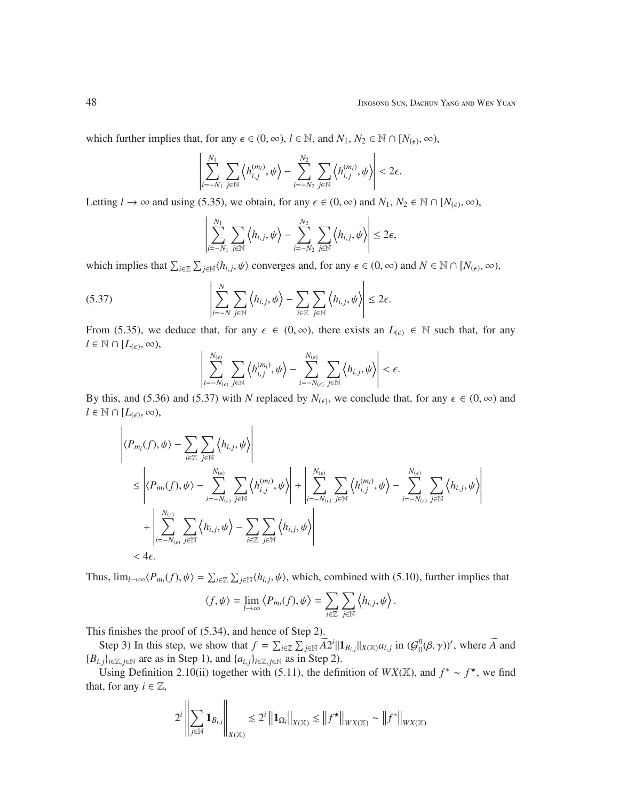which further implies that, for any  $\epsilon \in (0, \infty)$ ,  $l \in \mathbb{N}$ , and  $N_1, N_2 \in \mathbb{N} \cap [N_{(\epsilon)}, \infty)$ ,

$$
\left|\sum_{i=-N_1}^{N_1}\sum_{j\in\mathbb{N}}\left\langle h_{i,j}^{(m_l)},\psi\right\rangle-\sum_{i=-N_2}^{N_2}\sum_{j\in\mathbb{N}}\left\langle h_{i,j}^{(m_l)},\psi\right\rangle\right|<2\epsilon.
$$

Letting  $l \to \infty$  and using (5.35), we obtain, for any  $\epsilon \in (0, \infty)$  and  $N_1, N_2 \in \mathbb{N} \cap [N_{(\epsilon)}, \infty)$ ,

$$
\left|\sum_{i=-N_1}^{N_1}\sum_{j\in\mathbb{N}}\left\langle h_{i,j},\psi\right\rangle-\sum_{i=-N_2}^{N_2}\sum_{j\in\mathbb{N}}\left\langle h_{i,j},\psi\right\rangle\right|\leq 2\epsilon,
$$

which implies that  $\sum_{i\in\mathbb{Z}}\sum_{j\in\mathbb{N}}\langle h_{i,j},\psi\rangle$  converges and, for any  $\epsilon\in(0,\infty)$  and  $N\in\mathbb{N}\cap[N_{(\epsilon)},\infty)$ ,

(5.37) 
$$
\left|\sum_{i=-N}^{N}\sum_{j\in\mathbb{N}}\left\langle h_{i,j},\psi\right\rangle-\sum_{i\in\mathbb{Z}}\sum_{j\in\mathbb{N}}\left\langle h_{i,j},\psi\right\rangle\right|\leq 2\epsilon.
$$

From (5.35), we deduce that, for any  $\epsilon \in (0, \infty)$ , there exists an  $L_{(\epsilon)} \in \mathbb{N}$  such that, for any  $l \in \mathbb{N} \cap [L_{(\epsilon)}, \infty)$ ,

$$
\left|\sum_{i=-N_{(\epsilon)}}^{N_{(\epsilon)}}\sum_{j\in\mathbb{N}}\left\langle h_{i,j}^{(m_l)},\psi\right\rangle-\sum_{i=-N_{(\epsilon)}}^{N_{(\epsilon)}}\sum_{j\in\mathbb{N}}\left\langle h_{i,j},\psi\right\rangle\right|<\epsilon.
$$

By this, and (5.36) and (5.37) with *N* replaced by  $N_{(\epsilon)}$ , we conclude that, for any  $\epsilon \in (0, \infty)$  and  $l \in \mathbb{N} \cap [L_{(\epsilon)}, \infty)$ ,

$$
\left| \langle P_{m_l}(f), \psi \rangle - \sum_{i \in \mathbb{Z}} \sum_{j \in \mathbb{N}} \langle h_{i,j}, \psi \rangle \right|
$$
\n
$$
\leq \left| \langle P_{m_l}(f), \psi \rangle - \sum_{i=-N_{(\epsilon)}}^{N_{(\epsilon)}} \sum_{j \in \mathbb{N}} \langle h_{i,j}, \psi \rangle \right| + \left| \sum_{i=-N_{(\epsilon)}}^{N_{(\epsilon)}} \sum_{j \in \mathbb{N}} \langle h_{i,j}^{(m_l)}, \psi \rangle - \sum_{i=-N_{(\epsilon)}}^{N_{(\epsilon)}} \sum_{j \in \mathbb{N}} \langle h_{i,j}, \psi \rangle \right|
$$
\n
$$
+ \left| \sum_{i=-N_{(\epsilon)}}^{N_{(\epsilon)}} \sum_{j \in \mathbb{N}} \langle h_{i,j}, \psi \rangle - \sum_{i \in \mathbb{Z}} \sum_{j \in \mathbb{N}} \langle h_{i,j}, \psi \rangle \right|
$$
\n
$$
< 4\epsilon.
$$

Thus,  $\lim_{l\to\infty} \langle P_{m_l}(f), \psi \rangle = \sum_{i \in \mathbb{Z}} \sum_{j \in \mathbb{N}} \langle h_{i,j}, \psi \rangle$ , which, combined with (5.10), further implies that

$$
\langle f, \psi \rangle = \lim_{l \to \infty} \langle P_{m_l}(f), \psi \rangle = \sum_{i \in \mathbb{Z}} \sum_{j \in \mathbb{N}} \langle h_{i,j}, \psi \rangle.
$$

This finishes the proof of (5.34), and hence of Step 2).

Step 3) In this step, we show that  $f = \sum_{i \in \mathbb{Z}} \sum_{j \in \mathbb{N}} \widetilde{A}2^i || \mathbf{1}_{B_{i,j}} ||_{X(\mathbb{X})} a_{i,j}$  in  $(G_0^{\eta})$  $\eta_0^{\eta}(\beta, \gamma)$ ', where  $\widetilde{A}$  and  ${B_{i,j}}_{i \in \mathbb{Z}, j \in \mathbb{N}}$  are as in Step 1), and  ${a_{i,j}}_{i \in \mathbb{Z}, j \in \mathbb{N}}$  as in Step 2).

Using Definition 2.10(ii) together with (5.11), the definition of  $WX(\mathbb{X})$ , and  $f^* \sim f^*$ , we find that, for any  $i \in \mathbb{Z}$ ,

$$
2^i\left\|\sum_{j\in\mathbb{N}}\mathbf{1}_{B_{i,j}}\right\|_{X(\mathbb{X})}\lesssim 2^i\left\|\mathbf{1}_{\Omega_i}\right\|_{X(\mathbb{X})}\lesssim\left\|f^{\star}\right\|_{WX(\mathbb{X})}\sim\left\|f^{\ast}\right\|_{WX(\mathbb{X})}
$$

 $\mathbf{r}$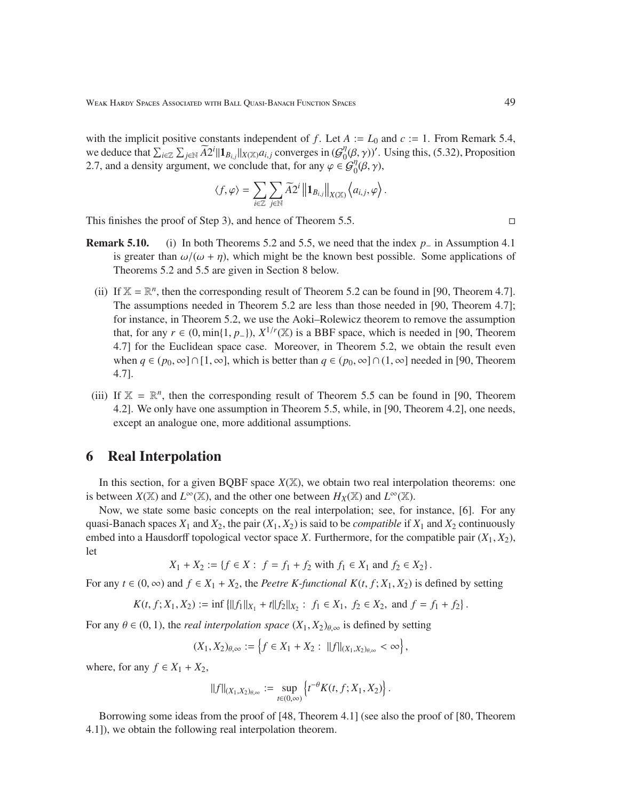with the implicit positive constants independent of *f*. Let  $A := L_0$  and  $c := 1$ . From Remark 5.4, we deduce that  $\sum_{i \in \mathbb{Z}} \sum_{j \in \mathbb{N}} \widetilde{A2}^i || \mathbf{1}_{B_{i,j}} ||_{X(\mathbb{X})} a_{i,j}$  converges in  $(G_0^n)$  $\eta^{\eta}(\beta, \gamma)$ '. Using this, (5.32), Proposition 2.7, and a density argument, we conclude that, for any  $\varphi \in \mathcal{G}_0^{\eta}(\beta, \gamma)$ ,

$$
\langle f, \varphi \rangle = \sum_{i \in \mathbb{Z}} \sum_{j \in \mathbb{N}} \widetilde{A2}^i \left\| \mathbf{1}_{B_{i,j}} \right\|_{X(\mathbb{X})} \left\langle a_{i,j}, \varphi \right\rangle.
$$

This finishes the proof of Step 3), and hence of Theorem 5.5.

- Remark 5.10. (i) In both Theorems 5.2 and 5.5, we need that the index *p*<sup>−</sup> in Assumption 4.1 is greater than  $\omega/(\omega + \eta)$ , which might be the known best possible. Some applications of Theorems 5.2 and 5.5 are given in Section 8 below.
	- (ii) If  $X = \mathbb{R}^n$ , then the corresponding result of Theorem 5.2 can be found in [90, Theorem 4.7]. The assumptions needed in Theorem 5.2 are less than those needed in [90, Theorem 4.7]; for instance, in Theorem 5.2, we use the Aoki–Rolewicz theorem to remove the assumption that, for any  $r \in (0, \min\{1, p_-\}), X^{1/r}(\mathbb{X})$  is a BBF space, which is needed in [90, Theorem 4.7] for the Euclidean space case. Moreover, in Theorem 5.2, we obtain the result even when  $q \in (p_0, \infty] \cap [1, \infty]$ , which is better than  $q \in (p_0, \infty] \cap (1, \infty]$  needed in [90, Theorem 4.7].
- (iii) If  $X = \mathbb{R}^n$ , then the corresponding result of Theorem 5.5 can be found in [90, Theorem 4.2]. We only have one assumption in Theorem 5.5, while, in [90, Theorem 4.2], one needs, except an analogue one, more additional assumptions.

## 6 Real Interpolation

In this section, for a given BQBF space *X*(X), we obtain two real interpolation theorems: one is between  $X(\mathbb{X})$  and  $L^{\infty}(\mathbb{X})$ , and the other one between  $H_X(\mathbb{X})$  and  $L^{\infty}(\mathbb{X})$ .

Now, we state some basic concepts on the real interpolation; see, for instance, [6]. For any quasi-Banach spaces  $X_1$  and  $X_2$ , the pair  $(X_1, X_2)$  is said to be *compatible* if  $X_1$  and  $X_2$  continuously embed into a Hausdorff topological vector space *X*. Furthermore, for the compatible pair  $(X_1, X_2)$ , let

$$
X_1 + X_2 := \{ f \in X : f = f_1 + f_2 \text{ with } f_1 \in X_1 \text{ and } f_2 \in X_2 \}.
$$

For any  $t \in (0, \infty)$  and  $f \in X_1 + X_2$ , the *Peetre K-functional*  $K(t, f; X_1, X_2)$  is defined by setting

$$
K(t, f; X_1, X_2) := \inf \left\{ ||f_1||_{X_1} + t||f_2||_{X_2} : f_1 \in X_1, f_2 \in X_2, \text{ and } f = f_1 + f_2 \right\}.
$$

For any  $\theta \in (0, 1)$ , the *real interpolation space*  $(X_1, X_2)_{\theta, \infty}$  is defined by setting

$$
(X_1, X_2)_{\theta,\infty} := \left\{ f \in X_1 + X_2 : ||f||_{(X_1, X_2)_{\theta,\infty}} < \infty \right\},\
$$

where, for any  $f \in X_1 + X_2$ ,

$$
||f||_{(X_1,X_2)_{\theta,\infty}} := \sup_{t\in(0,\infty)} \left\{ t^{-\theta} K(t,f;X_1,X_2) \right\}.
$$

Borrowing some ideas from the proof of [48, Theorem 4.1] (see also the proof of [80, Theorem 4.1]), we obtain the following real interpolation theorem.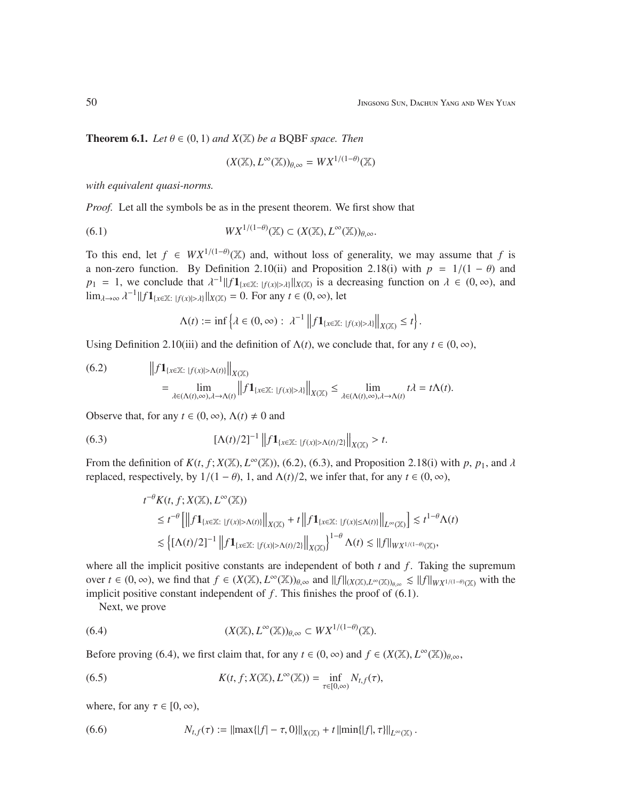.

**Theorem 6.1.** *Let*  $\theta \in (0, 1)$  *and*  $X(\mathbb{X})$  *be a* BQBF *space. Then* 

$$
(X(\mathbb{X}), L^{\infty}(\mathbb{X}))_{\theta, \infty} = W X^{1/(1-\theta)}(\mathbb{X})
$$

*with equivalent quasi-norms.*

*Proof.* Let all the symbols be as in the present theorem. We first show that

(6.1) 
$$
WX^{1/(1-\theta)}(\mathbb{X}) \subset (X(\mathbb{X}), L^{\infty}(\mathbb{X}))_{\theta, \infty}.
$$

To this end, let  $f \in W X^{1/(1-\theta)}(\mathbb{X})$  and, without loss of generality, we may assume that f is a non-zero function. By Definition 2.10(ii) and Proposition 2.18(i) with  $p = 1/(1 - \theta)$  and  $p_1 = 1$ , we conclude that  $\lambda^{-1} || f 1_{\{x \in \mathbb{X} : |f(x)| > \lambda\}} ||_{X(\mathbb{X})}$  is a decreasing function on  $\lambda \in (0, \infty)$ , and  $\lim_{\lambda \to \infty} \lambda^{-1} ||f \mathbf{1}_{\{x \in \mathbb{X}: |f(x)| > \lambda\}}||_{X(\mathbb{X})} = 0$ . For any  $t \in (0, \infty)$ , let

$$
\Lambda(t):=\inf\left\{\lambda\in(0,\infty):\ \lambda^{-1}\left\|f\mathbf{1}_{\{x\in\mathbb{X}:\ |f(x)|>\lambda\}}\right\|_{X(\mathbb{X})}\leq t\right\}.
$$

Using Definition 2.10(iii) and the definition of  $\Lambda(t)$ , we conclude that, for any  $t \in (0, \infty)$ ,

(6.2) 
$$
\left\|f\mathbf{1}_{\{x\in\mathbb{X}:\ |f(x)|>\Lambda(t)\}}\right\|_{X(\mathbb{X})} \n= \lim_{\lambda\in(\Lambda(t),\infty),\lambda\to\Lambda(t)} \left\|f\mathbf{1}_{\{x\in\mathbb{X}:\ |f(x)|>\lambda\}}\right\|_{X(\mathbb{X})} \leq \lim_{\lambda\in(\Lambda(t),\infty),\lambda\to\Lambda(t)} t\lambda = t\Lambda(t).
$$

Observe that, for any  $t \in (0, \infty)$ ,  $\Lambda(t) \neq 0$  and

(6.3) 
$$
\left[\Lambda(t)/2\right]^{-1} \left\|f\mathbf{1}_{\{x\in\mathbb{X}:\ |f(x)|>\Lambda(t)/2\}}\right\|_{X(\mathbb{X})}>t.
$$

From the definition of  $K(t, f; X(\mathbb{X}), L^{\infty}(\mathbb{X}))$ , (6.2), (6.3), and Proposition 2.18(i) with p, p<sub>1</sub>, and  $\lambda$ replaced, respectively, by  $1/(1 - \theta)$ , 1, and  $\Lambda(t)/2$ , we infer that, for any  $t \in (0, \infty)$ ,

$$
\begin{split} t^{-\theta} K(t,f;X(\mathbb{X}),L^{\infty}(\mathbb{X})) \\ &\leq t^{-\theta}\left[\left\|f\mathbf{1}_{\{x\in \mathbb{X}: \ |f(x)|>\Lambda(t)\}}\right\|_{X(\mathbb{X})}+t\left\|f\mathbf{1}_{\{x\in \mathbb{X}: \ |f(x)|\leq \Lambda(t)\}}\right\|_{L^{\infty}(\mathbb{X})}\right] \lesssim t^{1-\theta}\Lambda(t) \\ &\lesssim \left\{\left[\Lambda(t)/2\right]^{-1}\left\|f\mathbf{1}_{\{x\in \mathbb{X}: \ |f(x)|>\Lambda(t)/2\}}\right\|_{X(\mathbb{X})}\right\}^{1-\theta}\Lambda(t) \lesssim \|f\|_{WX^{1/(1-\theta)}(\mathbb{X})}, \end{split}
$$

where all the implicit positive constants are independent of both  $t$  and  $f$ . Taking the supremum over  $t \in (0, \infty)$ , we find that  $f \in (X(\mathbb{X}), L^{\infty}(\mathbb{X}))_{\theta, \infty}$  and  $||f||_{(X(\mathbb{X}), L^{\infty}(\mathbb{X}))_{\theta, \infty}} \leq ||f||_{WX^{1/(1-\theta)}(\mathbb{X})}$  with the implicit positive constant independent of  $f$ . This finishes the proof of  $(6.1)$ .

Next, we prove

(6.4) 
$$
(X(\mathbb{X}), L^{\infty}(\mathbb{X}))_{\theta, \infty} \subset W X^{1/(1-\theta)}(\mathbb{X}).
$$

Before proving (6.4), we first claim that, for any  $t \in (0, \infty)$  and  $f \in (X(\mathbb{X}), L^{\infty}(\mathbb{X}))_{\theta, \infty}$ ,

(6.5) 
$$
K(t, f; X(\mathbb{X}), L^{\infty}(\mathbb{X})) = \inf_{\tau \in [0, \infty)} N_{t, f}(\tau),
$$

where, for any  $\tau \in [0, \infty)$ ,

(6.6) 
$$
N_{t,f}(\tau) := ||\max\{|f| - \tau, 0\}||_{X(\mathbb{X})} + t ||\min\{|f|, \tau\}||_{L^{\infty}(\mathbb{X})}
$$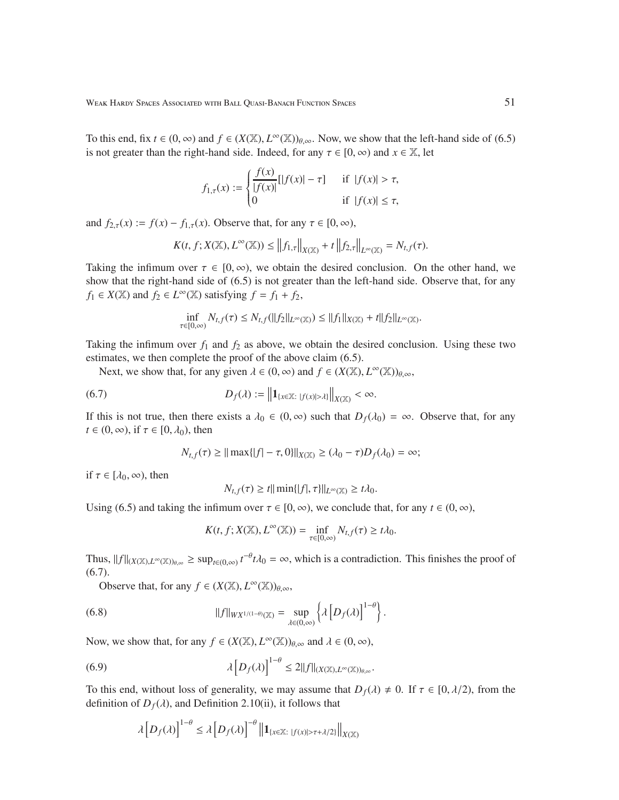To this end, fix  $t \in (0, \infty)$  and  $f \in (X(\mathbb{X}), L^{\infty}(\mathbb{X}))_{\theta, \infty}$ . Now, we show that the left-hand side of (6.5) is not greater than the right-hand side. Indeed, for any  $\tau \in [0, \infty)$  and  $x \in \mathbb{X}$ , let

$$
f_{1,\tau}(x) := \begin{cases} \frac{f(x)}{|f(x)|} [||f(x)| - \tau] & \text{if } |f(x)| > \tau, \\ 0 & \text{if } |f(x)| \le \tau, \end{cases}
$$

and  $f_{2,\tau}(x) := f(x) - f_{1,\tau}(x)$ . Observe that, for any  $\tau \in [0, \infty)$ ,

$$
K(t, f; X(\mathbb{X}), L^{\infty}(\mathbb{X})) \leq \left\|f_{1,\tau}\right\|_{X(\mathbb{X})} + t \left\|f_{2,\tau}\right\|_{L^{\infty}(\mathbb{X})} = N_{t,f}(\tau).
$$

Taking the infimum over  $\tau \in [0, \infty)$ , we obtain the desired conclusion. On the other hand, we show that the right-hand side of (6.5) is not greater than the left-hand side. Observe that, for any  $f_1 \in X(\mathbb{X})$  and  $f_2 \in L^\infty(\mathbb{X})$  satisfying  $f = f_1 + f_2$ ,

$$
\inf_{\tau\in[0,\infty)}N_{t,f}(\tau)\leq N_{t,f}(\|f_2\|_{L^\infty(\mathbb{X})})\leq \|f_1\|_{X(\mathbb{X})}+t\|f_2\|_{L^\infty(\mathbb{X})}.
$$

Taking the infimum over  $f_1$  and  $f_2$  as above, we obtain the desired conclusion. Using these two estimates, we then complete the proof of the above claim (6.5).

Next, we show that, for any given  $\lambda \in (0, \infty)$  and  $f \in (X(\mathbb{X}), L^{\infty}(\mathbb{X}))_{\theta, \infty}$ ,

(6.7) 
$$
D_f(\lambda) := \left\| \mathbf{1}_{\{x \in \mathbb{X} : |f(x)| > \lambda\}} \right\|_{X(\mathbb{X})} < \infty.
$$

If this is not true, then there exists a  $\lambda_0 \in (0, \infty)$  such that  $D_f(\lambda_0) = \infty$ . Observe that, for any  $t \in (0, \infty)$ , if  $\tau \in [0, \lambda_0)$ , then

$$
N_{t,f}(\tau) \geq ||\max||f| - \tau, 0||_{X(\mathbb{X})} \geq (\lambda_0 - \tau)D_f(\lambda_0) = \infty;
$$

if  $\tau \in [\lambda_0, \infty)$ , then

$$
N_{t,f}(\tau) \ge t || \min{||f|, \tau}||_{L^{\infty}(\mathbb{X})} \ge t\lambda_0.
$$

Using (6.5) and taking the infimum over  $\tau \in [0, \infty)$ , we conclude that, for any  $t \in (0, \infty)$ ,

$$
K(t, f; X(\mathbb{X}), L^{\infty}(\mathbb{X})) = \inf_{\tau \in [0, \infty)} N_{t, f}(\tau) \geq t \lambda_0.
$$

Thus,  $||f||_{(X(\mathbb{X}),L^{\infty}(\mathbb{X}))_{\theta,\infty}} \ge \sup_{t \in (0,\infty)} t^{-\theta} t \lambda_0 = \infty$ , which is a contradiction. This finishes the proof of  $(6.7).$ 

Observe that, for any  $f \in (X(\mathbb{X}), L^{\infty}(\mathbb{X}))_{\theta, \infty}$ ,

(6.8) 
$$
||f||_{WX^{1/(1-\theta)}(\mathbb{X})} = \sup_{\lambda \in (0,\infty)} \left\{ \lambda \left[ D_f(\lambda) \right]^{1-\theta} \right\}.
$$

Now, we show that, for any  $f \in (X(\mathbb{X}), L^{\infty}(\mathbb{X}))_{\theta, \infty}$  and  $\lambda \in (0, \infty)$ ,

(6.9) 
$$
\lambda \left[ D_f(\lambda) \right]^{1-\theta} \leq 2||f||_{(X(\mathbb{X}),L^{\infty}(\mathbb{X}))_{\theta,\infty}}.
$$

To this end, without loss of generality, we may assume that  $D_f(\lambda) \neq 0$ . If  $\tau \in [0, \lambda/2)$ , from the definition of  $D_f(\lambda)$ , and Definition 2.10(ii), it follows that

$$
\lambda \left[ D_f(\lambda) \right]^{1-\theta} \le \lambda \left[ D_f(\lambda) \right]^{-\theta} \left\| \mathbf{1}_{\{x \in \mathbb{X} : |f(x)| > \tau + \lambda/2\}} \right\|_{X(\mathbb{X})}
$$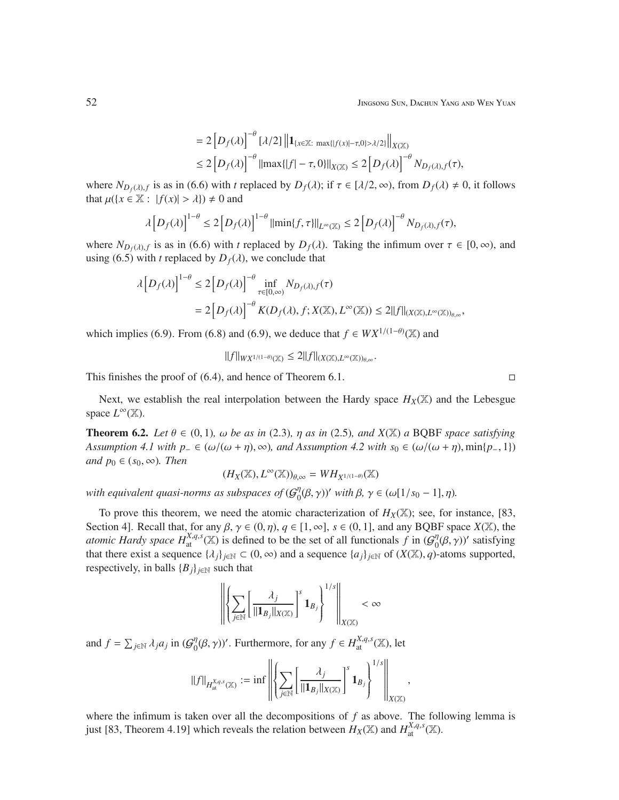$$
= 2 [D_f(\lambda)]^{-\theta} [\lambda/2] \| {\bf 1}_{\{x \in \mathbb{X}: \max\{|f(x)| - \tau, 0\} > \lambda/2\}} \|_{X(\mathbb{X})}
$$
  
\$\leq 2 [D\_f(\lambda)]^{-\theta} ||max\{|f| - \tau, 0\}||\_{X(\mathbb{X})} \leq 2 [D\_f(\lambda)]^{-\theta} N\_{D\_f(\lambda), f}(\tau)\$,

where  $N_{D_f(\lambda), f}$  is as in (6.6) with *t* replaced by  $D_f(\lambda)$ ; if  $\tau \in [\lambda/2, \infty)$ , from  $D_f(\lambda) \neq 0$ , it follows that  $\mu({x \in \mathbb{X} : |f(x)| > \lambda}) \neq 0$  and

$$
\lambda \left[ D_f(\lambda) \right]^{1-\theta} \le 2 \left[ D_f(\lambda) \right]^{1-\theta} \|\min\{f, \tau\}\|_{L^{\infty}(\mathbb{X})} \le 2 \left[ D_f(\lambda) \right]^{-\theta} N_{D_f(\lambda), f}(\tau),
$$

where  $N_{D_f(\lambda),f}$  is as in (6.6) with *t* replaced by  $D_f(\lambda)$ . Taking the infimum over  $\tau \in [0,\infty)$ , and using (6.5) with *t* replaced by  $D_f(\lambda)$ , we conclude that

$$
\begin{aligned} \lambda \left[ D_f(\lambda) \right]^{1-\theta} &\leq 2 \left[ D_f(\lambda) \right]^{-\theta} \inf_{\tau \in [0,\infty)} N_{D_f(\lambda),f}(\tau) \\ &= 2 \left[ D_f(\lambda) \right]^{-\theta} K(D_f(\lambda),f;X(\mathbb{X}),L^\infty(\mathbb{X})) \leq 2 \|f\|_{(X(\mathbb{X}),L^\infty(\mathbb{X}))_{\theta,\infty}}, \end{aligned}
$$

which implies (6.9). From (6.8) and (6.9), we deduce that  $f \in W X^{1/(1-\theta)}(\mathbb{X})$  and

$$
||f||_{WX^{1/(1-\theta)}(\mathbb{X})} \leq 2||f||_{(X(\mathbb{X}),L^{\infty}(\mathbb{X}))_{\theta,\infty}}.
$$

This finishes the proof of  $(6.4)$ , and hence of Theorem 6.1.

Next, we establish the real interpolation between the Hardy space  $H_X(\mathbb{X})$  and the Lebesgue space  $L^{\infty}(\mathbb{X})$ .

**Theorem 6.2.** *Let*  $\theta \in (0, 1)$ *,*  $\omega$  *be as in* (2.3)*,*  $\eta$  *as in* (2.5)*, and X*(X) *a* BQBF *space satisfying Assumption 4.1 with p*<sub>−</sub> ∈ ( $\omega/(\omega + \eta)$ ,  $\infty$ ), and Assumption 4.2 with  $s_0 \in (\omega/(\omega + \eta)$ , min{*p*<sub>−</sub>, 1}) *and*  $p_0 \in (s_0, \infty)$ *. Then* 

$$
(H_X(\mathbb{X}), L^{\infty}(\mathbb{X}))_{\theta, \infty} = W H_{X^{1/(1-\theta)}}(\mathbb{X})
$$

with equivalent quasi-norms as subspaces of  $(\mathcal{G}^\eta_0)$  $\eta_0^{\eta}(\beta, \gamma)$ ' with  $\beta, \gamma \in (\omega[1/s_0 - 1], \eta)$ .

To prove this theorem, we need the atomic characterization of  $H_X(\mathbb{X})$ ; see, for instance, [83, Section 4]. Recall that, for any  $\beta$ ,  $\gamma \in (0, \eta)$ ,  $q \in [1, \infty]$ ,  $s \in (0, 1]$ , and any BQBF space *X*(X), the *atomic Hardy space*  $H_{at}^{X,q,s}(\mathbb{X})$  *is defined to be the set of all functionals*  $f$  *in*  $(G_0^{\eta})$  $\eta_0^{\eta}(\beta, \gamma)$ ' satisfying that there exist a sequence  $\{\lambda_j\}_{j\in\mathbb{N}} \subset (0,\infty)$  and a sequence  $\{a_j\}_{j\in\mathbb{N}}$  of  $(X(\mathbb{X}), q)$ -atoms supported, respectively, in balls  ${B_j}_{j \in \mathbb{N}}$  such that

$$
\left\|\left\{\sum_{j\in\mathbb{N}}\left[\frac{\lambda_j}{\|\mathbf{1}_{B_j}\|_{X(\mathbb{X})}}\right]^{s}\mathbf{1}_{B_j}\right\}^{1/s}\right\|_{X(\mathbb{X})}<\infty
$$

and  $f = \sum_{j \in \mathbb{N}} \lambda_j a_j$  in  $(\mathcal{G}_0^{\eta})$  $\int_0^{\eta} (\beta, \gamma)$ '. Furthermore, for any  $f \in H_{\text{at}}^{X,q,s}(\mathbb{X})$ , let

$$
||f||_{H^{X,q,s}_{\rm at}(\mathbb{X})} := \inf \left\| \left\{ \sum_{j \in \mathbb{N}} \left[ \frac{\lambda_j}{||\mathbf{1}_{B_j}||_{X(\mathbb{X})}} \right]^s \mathbf{1}_{B_j} \right\}^{1/s} \right\|_{X(\mathbb{X})},
$$

where the infimum is taken over all the decompositions of *f* as above. The following lemma is just [83, Theorem 4.19] which reveals the relation between  $H_X(\mathbb{X})$  and  $H_{\text{at}}^{X,q,s}(\mathbb{X})$ .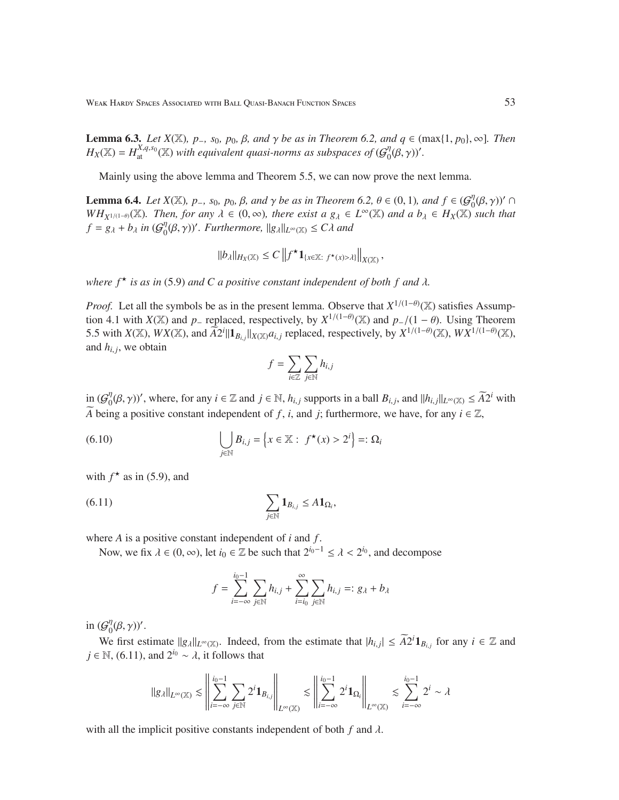Weak Hardy Spaces Associated with Ball Quasi-Banach Function Spaces 53

**Lemma 6.3.** *Let*  $X(\mathbb{X})$ *, p*<sub>-</sub>*, s*<sub>0</sub>*, p*<sub>0</sub>*,*  $\beta$ *, and*  $\gamma$  *be as in Theorem 6.2, and*  $q \in (\max\{1, p_0\}, \infty)$ *. Then*  $H_X(\mathbb{X}) = H_{\text{at}}^{X,q,s_0}(\mathbb{X})$  *with equivalent quasi-norms as subspaces of*  $(\mathcal{G}_0^{\eta})$  $_{0}^{\eta}(\beta,\gamma))'.$ 

Mainly using the above lemma and Theorem 5.5, we can now prove the next lemma.

**Lemma 6.4.** *Let*  $X(\mathbb{X})$ *, p*<sub>-</sub>*, s*<sub>0</sub>*, p*<sub>0</sub>*, β, and*  $\gamma$  *be as in Theorem 6.2,*  $\theta \in (0, 1)$ *, and*  $f \in (G_0^{\eta})$  $\int_0^{\eta}(\beta,\gamma))'$  ∩ *WH*<sub>*X*</sub><sup>1/(1−θ</sup>)( $\mathbb{X}$ )*. Then, for any*  $\lambda \in (0, \infty)$ *, there exist a*  $g_{\lambda} \in L^{\infty}(\mathbb{X})$  *and a*  $b_{\lambda} \in H_X(\mathbb{X})$  *such that*  $f = g_{\lambda} + b_{\lambda}$  *in* ( $\mathcal{G}_0^{\eta}$  $\int_0^{\eta} (\beta, \gamma)$ '. Furthermore,  $||g_\lambda||_{L^\infty(\mathbb{X})} \leq C\lambda$  and

$$
||b_\lambda||_{H_X(\mathbb{X})} \leq C \left\| f^\star \mathbf{1}_{\{x \in \mathbb{X}: \ f^\star(x) > \lambda\}} \right\|_{X(\mathbb{X})},
$$

*where*  $f^{\star}$  *is as in* (5.9) *and C a positive constant independent of both*  $f$  *and*  $\lambda$ *.* 

*Proof.* Let all the symbols be as in the present lemma. Observe that  $X^{1/(1-\theta)}(\mathbb{X})$  satisfies Assumption 4.1 with *X*(X) and *p*<sub>−</sub> replaced, respectively, by  $X^{1/(1-\theta)}(\mathbb{X})$  and  $p_{-}/(1-\theta)$ . Using Theorem 5.5 with  $X(\mathbb{X})$ ,  $WX(\mathbb{X})$ , and  $\widetilde{A2}^i || \mathbf{1}_{B_{i,j}} ||_{X(\mathbb{X})} a_{i,j}$  replaced, respectively, by  $X^{1/(1-\theta)}(\mathbb{X})$ ,  $WX^{1/(1-\theta)}(\mathbb{X})$ , and  $h_{i,j}$ , we obtain

$$
f = \sum_{i \in \mathbb{Z}} \sum_{j \in \mathbb{N}} h_{i,j}
$$

in  $(\mathcal{G}_0^n)$  $\int_0^{\eta} (\beta, \gamma)$ ', where, for any  $i \in \mathbb{Z}$  and  $j \in \mathbb{N}$ ,  $h_{i,j}$  supports in a ball  $B_{i,j}$ , and  $||h_{i,j}||_{L^{\infty}(\mathbb{X})} \leq \widetilde{A}2^i$  with *A* being a positive constant independent of *f*, *i*, and *j*; furthermore, we have, for any  $i \in \mathbb{Z}$ ,

(6.10) 
$$
\bigcup_{j \in \mathbb{N}} B_{i,j} = \left\{ x \in \mathbb{X} : f^{\star}(x) > 2^{i} \right\} =: \Omega_{i}
$$

with  $f^*$  as in (5.9), and

$$
\sum_{j\in\mathbb{N}}\mathbf{1}_{B_{i,j}}\leq A\mathbf{1}_{\Omega_i},
$$

where *A* is a positive constant independent of *i* and *f* .

Now, we fix  $\lambda \in (0, \infty)$ , let  $i_0 \in \mathbb{Z}$  be such that  $2^{i_0-1} \leq \lambda < 2^{i_0}$ , and decompose

$$
f = \sum_{i=-\infty}^{i_0-1} \sum_{j \in \mathbb{N}} h_{i,j} + \sum_{i=i_0}^{\infty} \sum_{j \in \mathbb{N}} h_{i,j} =: g_{\lambda} + b_{\lambda}
$$

in  $(\mathcal{G}_0^n)$  $_{0}^{\eta}(\beta,\gamma)$ '.

We first estimate  $||g_\lambda||_{L^\infty(\mathbb{X})}$ . Indeed, from the estimate that  $|h_{i,j}| \leq \widetilde{A}2^i \mathbf{1}_{B_{i,j}}$  for any  $i \in \mathbb{Z}$  and *j* ∈ N, (6.11), and  $2^{i_0}$  ~  $\lambda$ , it follows that

$$
\|g_\lambda\|_{L^\infty(\mathbb{X})} \lesssim \left\|\sum_{i=-\infty}^{i_0-1}\sum_{j\in\mathbb{N}}2^i\mathbf{1}_{B_{i,j}}\right\|_{L^\infty(\mathbb{X})} \lesssim \left\|\sum_{i=-\infty}^{i_0-1}2^i\mathbf{1}_{\Omega_i}\right\|_{L^\infty(\mathbb{X})} \lesssim \sum_{i=-\infty}^{i_0-1}2^i \sim \lambda
$$

with all the implicit positive constants independent of both  $f$  and  $\lambda$ .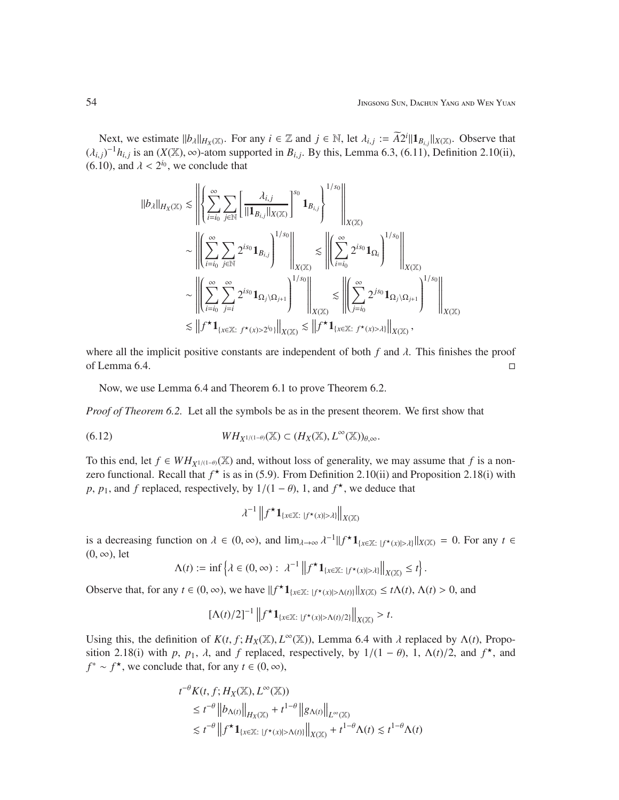Next, we estimate  $||b_\lambda||_{H_X(\mathbb{X})}$ . For any  $i \in \mathbb{Z}$  and  $j \in \mathbb{N}$ , let  $\lambda_{i,j} := \widetilde{A}2^i ||\mathbf{1}_{B_{i,j}}||_{X(\mathbb{X})}$ . Observe that  $(\lambda_{i,j})^{-1}h_{i,j}$  is an  $(X(\mathbb{X}), \infty)$ -atom supported in  $B_{i,j}$ . By this, Lemma 6.3, (6.11), Definition 2.10(ii), (6.10), and  $\lambda < 2^{i_0}$ , we conclude that

$$
\begin{split} \Vert b_{\lambda}\Vert_{H_{X}(\mathbb{X})}&\lesssim\left\Vert\left\{\sum_{i=i_{0}}^{\infty}\sum_{j\in\mathbb{N}}\left[\frac{\lambda_{i,j}}{\Vert\mathbf{1}_{B_{i,j}}\Vert_{X(\mathbb{X})}}\right]^{s_{0}}\mathbf{1}_{B_{i,j}}\right\}\right\Vert_{X(\mathbb{X})}^{1/s_{0}}\right\Vert_{X(\mathbb{X})}\\ &\sim\left\Vert\left(\sum_{i=i_{0}}^{\infty}\sum_{j\in\mathbb{N}}2^{is_{0}}\mathbf{1}_{B_{i,j}}\right)^{1/s_{0}}\right\Vert_{X(\mathbb{X})}\lesssim\left\Vert\left(\sum_{i=i_{0}}^{\infty}2^{is_{0}}\mathbf{1}_{\Omega_{i}}\right)^{1/s_{0}}\right\Vert_{X(\mathbb{X})}\\ &\sim\left\Vert\left(\sum_{i=i_{0}}^{\infty}\sum_{j=i}^{\infty}2^{is_{0}}\mathbf{1}_{\Omega_{j}\backslash\Omega_{j+1}}\right)^{1/s_{0}}\right\Vert_{X(\mathbb{X})}\lesssim\left\Vert\left(\sum_{j=i_{0}}^{\infty}2^{js_{0}}\mathbf{1}_{\Omega_{j}\backslash\Omega_{j+1}}\right)^{1/s_{0}}\right\Vert_{X(\mathbb{X})}\\ &\lesssim\left\Vert f^{\star}\mathbf{1}_{\{x\in\mathbb{X}:~f^{\star}(x)>2^{i_{0}}\}}\right\Vert_{X(\mathbb{X})}\lesssim\left\Vert f^{\star}\mathbf{1}_{\{x\in\mathbb{X}:~f^{\star}(x)> \lambda\}}\right\Vert_{X(\mathbb{X})}, \end{split}
$$

where all the implicit positive constants are independent of both  $f$  and  $\lambda$ . This finishes the proof of Lemma 6.4.  $\Box$ 

Now, we use Lemma 6.4 and Theorem 6.1 to prove Theorem 6.2.

*Proof of Theorem 6.2.* Let all the symbols be as in the present theorem. We first show that

(6.12) 
$$
WH_{X^{1/(1-\theta)}}(\mathbb{X}) \subset (H_X(\mathbb{X}), L^{\infty}(\mathbb{X}))_{\theta, \infty}.
$$

To this end, let  $f \in WH_{X^{1/(1-\theta)}}(\mathbb{X})$  and, without loss of generality, we may assume that f is a nonzero functional. Recall that  $f^{\star}$  is as in (5.9). From Definition 2.10(ii) and Proposition 2.18(i) with *p*, *p*<sub>1</sub>, and *f* replaced, respectively, by  $1/(1 - \theta)$ , 1, and  $f^*$ , we deduce that

$$
\lambda^{-1}\left\|f^{\star}\mathbf{1}_{\{x\in\mathbb{X}:\ |f^{\star}(x)|>\lambda\}}\right\|_{X(\mathbb{X})}
$$

is a decreasing function on  $\lambda \in (0, \infty)$ , and  $\lim_{\lambda \to \infty} \lambda^{-1} ||f^{\star} \mathbf{1}_{\{x \in \mathbb{X} : |f^{\star}(x)| > \lambda\}}||_{X(\mathbb{X})} = 0$ . For any  $t \in$  $(0, \infty)$ , let

$$
\Lambda(t) := \inf \left\{ \lambda \in (0, \infty) : \ \lambda^{-1} \left\| f^{\star} \mathbf{1}_{\{x \in \mathbb{X} : \ |f^{\star}(x)| > \lambda\}} \right\|_{X(\mathbb{X})} \leq t \right\}.
$$

Observe that, for any  $t \in (0, \infty)$ , we have  $||f^{\star}1_{\{x \in \mathbb{X}: |f^{\star}(x)| > \Lambda(t)\}}||_{X(\mathbb{X})} \le t\Lambda(t)$ ,  $\Lambda(t) > 0$ , and

$$
\left[\Lambda(t)/2\right]^{-1}\left\|f^{\star}\mathbf{1}_{\{x\in\mathbb{X}:\ |f^{\star}(x)|>\Lambda(t)/2\}}\right\|_{X(\mathbb{X})}>t.
$$

Using this, the definition of  $K(t, f; H_X(\mathbb{X}), L^\infty(\mathbb{X}))$ , Lemma 6.4 with  $\lambda$  replaced by  $\Lambda(t)$ , Proposition 2.18(i) with *p*,  $p_1$ ,  $\lambda$ , and *f* replaced, respectively, by 1/(1 –  $\theta$ ), 1,  $\Lambda(t)/2$ , and  $f^*$ , and  $f^* \sim f^*$ , we conclude that, for any  $t \in (0, \infty)$ ,

$$
t^{-\theta} K(t, f; H_X(\mathbb{X}), L^{\infty}(\mathbb{X}))
$$
  
\n
$$
\leq t^{-\theta} \|b_{\Lambda(t)}\|_{H_X(\mathbb{X})} + t^{1-\theta} \|g_{\Lambda(t)}\|_{L^{\infty}(\mathbb{X})}
$$
  
\n
$$
\leq t^{-\theta} \|f^{\star} \mathbf{1}_{\{x \in \mathbb{X}: |f^{\star}(x)| > \Lambda(t)\}} \|_{X(\mathbb{X})} + t^{1-\theta} \Lambda(t) \leq t^{1-\theta} \Lambda(t)
$$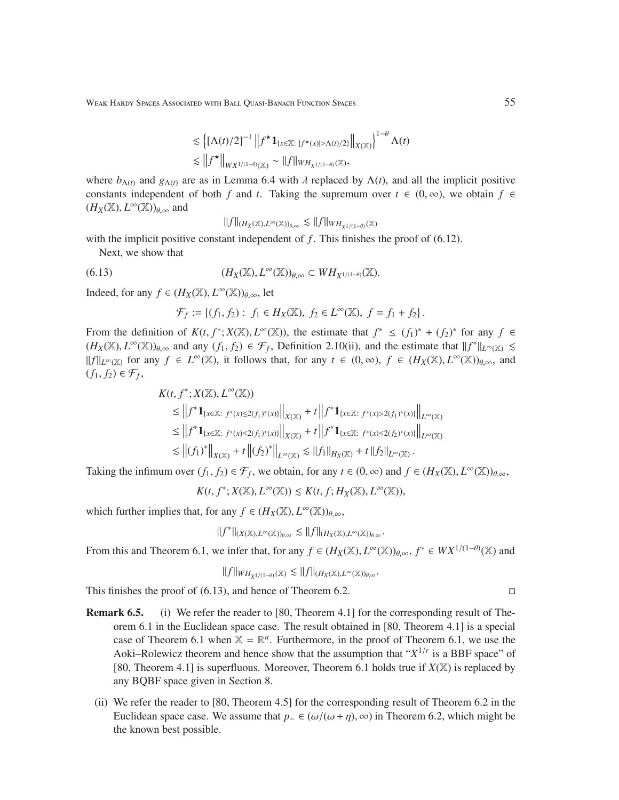Weak Hardy Spaces Associated with Ball Quasi-Banach Function Spaces 55 55

$$
\lesssim \left\{ [\Lambda(t)/2]^{-1} \left\| f^{\star} \mathbf{1}_{\{x \in \mathbb{X}: \; |f^{\star}(x)| > \Lambda(t)/2\}} \right\|_{X(\mathbb{X})} \right\}^{1-\theta} \Lambda(t)
$$
  

$$
\lesssim \left\| f^{\star} \right\|_{WX^{1/(1-\theta)}(\mathbb{X})} \sim \|f\|_{WH_{X^{1/(1-\theta)}}(\mathbb{X})},
$$

where  $b_{\Lambda(t)}$  and  $g_{\Lambda(t)}$  are as in Lemma 6.4 with  $\lambda$  replaced by  $\Lambda(t)$ , and all the implicit positive constants independent of both *f* and *t*. Taking the supremum over  $t \in (0, \infty)$ , we obtain  $f \in$  $(H_X(\mathbb{X}), L^{\infty}(\mathbb{X}))_{\theta, \infty}$  and

$$
||f||_{(H_X(\mathbb{X}),L^\infty(\mathbb{X}))_{\theta,\infty}} \lesssim ||f||_{WH_{X^{1/(1-\theta)}}(\mathbb{X})}
$$

with the implicit positive constant independent of  $f$ . This finishes the proof of  $(6.12)$ .

Next, we show that

(6.13) 
$$
(H_X(\mathbb{X}), L^{\infty}(\mathbb{X}))_{\theta, \infty} \subset WH_{X^{1/(1-\theta)}}(\mathbb{X}).
$$

Indeed, for any  $f \in (H_X(\mathbb{X}), L^{\infty}(\mathbb{X}))_{\theta, \infty}$ , let

$$
\mathcal{F}_f := \{ (f_1, f_2) : f_1 \in H_X(\mathbb{X}), f_2 \in L^{\infty}(\mathbb{X}), f = f_1 + f_2 \}.
$$

From the definition of  $K(t, f^*; X(\mathbb{X}), L^\infty(\mathbb{X}))$ , the estimate that  $f^* \le (f_1)^* + (f_2)^*$  for any  $f \in$  $(H_X(\mathbb{X}), L^{\infty}(\mathbb{X}))_{\theta, \infty}$  and any  $(f_1, f_2) \in \mathcal{F}_f$ , Definition 2.10(ii), and the estimate that  $||f^*||_{L^{\infty}(\mathbb{X})} \le$  $||f||_{L^{\infty}(\mathbb{X})}$  for any  $f \in L^{\infty}(\mathbb{X})$ , it follows that, for any  $t \in (0, \infty)$ ,  $f \in (H_X(\mathbb{X}), L^{\infty}(\mathbb{X}))_{\theta, \infty}$ , and  $(f_1, f_2) \in \mathcal{F}_f$ 

$$
K(t, f^*; X(\mathbb{X}), L^{\infty}(\mathbb{X}))
$$
  
\n
$$
\leq ||f^* \mathbf{1}_{\{x \in \mathbb{X}: f^*(x) \leq 2(f_1)^*(x)\}}||_{X(\mathbb{X})} + t ||f^* \mathbf{1}_{\{x \in \mathbb{X}: f^*(x) > 2(f_1)^*(x)\}}||_{L^{\infty}(\mathbb{X})}
$$
  
\n
$$
\leq ||f^* \mathbf{1}_{\{x \in \mathbb{X}: f^*(x) \leq 2(f_1)^*(x)\}}||_{X(\mathbb{X})} + t ||f^* \mathbf{1}_{\{x \in \mathbb{X}: f^*(x) \leq 2(f_2)^*(x)\}}||_{L^{\infty}(\mathbb{X})}
$$
  
\n
$$
\lesssim ||(f_1)^*||_{X(\mathbb{X})} + t ||(f_2)^*||_{L^{\infty}(\mathbb{X})} \lesssim ||f_1||_{H_X(\mathbb{X})} + t ||f_2||_{L^{\infty}(\mathbb{X})}.
$$

Taking the infimum over  $(f_1, f_2) \in \mathcal{F}_f$ , we obtain, for any  $t \in (0, \infty)$  and  $f \in (H_X(\mathbb{X}), L^{\infty}(\mathbb{X}))_{\theta, \infty}$ ,

 $K(t, f^*; X(\mathbb{X}), L^\infty(\mathbb{X})) \leq K(t, f; H_X(\mathbb{X}), L^\infty(\mathbb{X})),$ 

which further implies that, for any  $f \in (H_X(\mathbb{X}), L^{\infty}(\mathbb{X}))_{\theta, \infty}$ ,

$$
\|f^*\|_{(X(\mathbb{X}),L^\infty(\mathbb{X}))_{\theta,\infty}}\lesssim \|f\|_{(H_X(\mathbb{X}),L^\infty(\mathbb{X}))_{\theta,\infty}}.
$$

From this and Theorem 6.1, we infer that, for any  $f \in (H_X(\mathbb{X}), L^{\infty}(\mathbb{X}))_{\theta,\infty}$ ,  $f^* \in W X^{1/(1-\theta)}(\mathbb{X})$  and

$$
\|f\|_{WH_{X^{1/(1-\theta)}}(\mathbb{X})}\lesssim \|f\|_{(H_X(\mathbb{X}),L^\infty(\mathbb{X}))_{\theta,\infty}}.
$$

This finishes the proof of  $(6.13)$ , and hence of Theorem 6.2.

- Remark 6.5. (i) We refer the reader to [80, Theorem 4.1] for the corresponding result of Theorem 6.1 in the Euclidean space case. The result obtained in [80, Theorem 4.1] is a special case of Theorem 6.1 when  $\mathbb{X} = \mathbb{R}^n$ . Furthermore, in the proof of Theorem 6.1, we use the Aoki–Rolewicz theorem and hence show that the assumption that " $X^{1/r}$  is a BBF space" of [80, Theorem 4.1] is superfluous. Moreover, Theorem 6.1 holds true if  $X(\mathbb{X})$  is replaced by any BQBF space given in Section 8.
	- (ii) We refer the reader to [80, Theorem 4.5] for the corresponding result of Theorem 6.2 in the Euclidean space case. We assume that *p*<sub>−</sub> ∈ (ω/(ω+η), ∞) in Theorem 6.2, which might be the known best possible.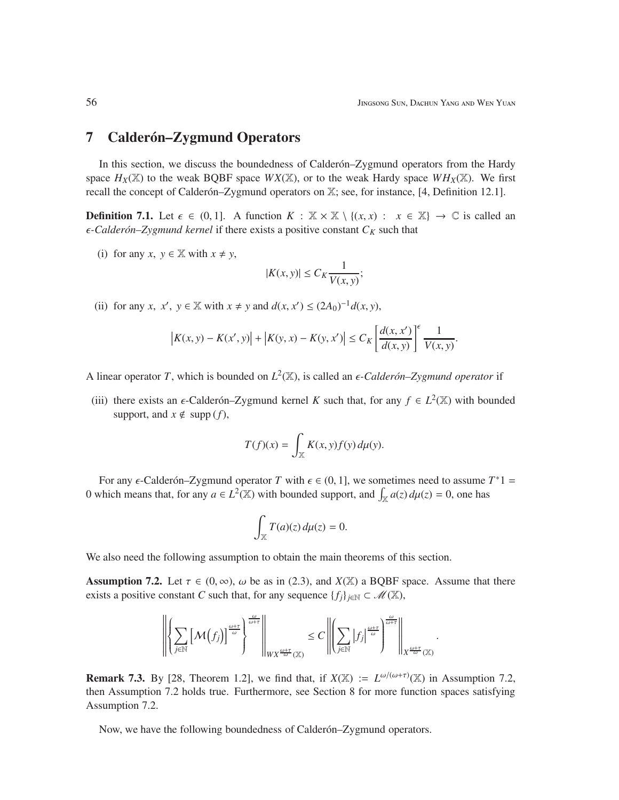.

# 7 Calderón–Zygmund Operators

In this section, we discuss the boundedness of Calder  $\delta$ -Zygmund operators from the Hardy space  $H_X(\mathbb{X})$  to the weak BQBF space  $WX(\mathbb{X})$ , or to the weak Hardy space  $WH_X(\mathbb{X})$ . We first recall the concept of Calderón–Zygmund operators on X; see, for instance, [4, Definition 12.1].

**Definition 7.1.** Let  $\epsilon \in (0, 1]$ . A function  $K : \mathbb{X} \times \mathbb{X} \setminus \{(x, x) : x \in \mathbb{X}\} \to \mathbb{C}$  is called an  $\epsilon$ -Calderón–Zygmund kernel if there exists a positive constant  $C_K$  such that

(i) for any *x*,  $y \in \mathbb{X}$  with  $x \neq y$ ,

$$
|K(x, y)| \le C_K \frac{1}{V(x, y)};
$$

(ii) for any *x*,  $x'$ ,  $y \in \mathbb{X}$  with  $x \neq y$  and  $d(x, x') \leq (2A_0)^{-1}d(x, y)$ ,

$$
\left| K(x, y) - K(x', y) \right| + \left| K(y, x) - K(y, x') \right| \le C_K \left[ \frac{d(x, x')}{d(x, y)} \right]^\epsilon \frac{1}{V(x, y)}.
$$

A linear operator *T*, which is bounded on  $L^2(\mathbb{X})$ , is called an  $\epsilon$ *-Calderón–Zygmund operator* if

(iii) there exists an  $\epsilon$ -Calder on–Zygmund kernel *K* such that, for any  $f \in L^2(\mathbb{X})$  with bounded support, and  $x \notin \text{supp}(f)$ ,

$$
T(f)(x) = \int_{\mathbb{X}} K(x, y) f(y) \, d\mu(y).
$$

For any  $\epsilon$ -Calder on–Zygmund operator *T* with  $\epsilon \in (0, 1]$ , we sometimes need to assume  $T^*1 =$ 0 which means that, for any  $a \in L^2(\mathbb{X})$  with bounded support, and  $\int_{\mathbb{X}} a(z) d\mu(z) = 0$ , one has

$$
\int_{\mathbb{X}} T(a)(z) d\mu(z) = 0.
$$

We also need the following assumption to obtain the main theorems of this section.

**Assumption 7.2.** Let  $\tau \in (0, \infty)$ ,  $\omega$  be as in (2.3), and  $X(\mathbb{X})$  a BQBF space. Assume that there exists a positive constant *C* such that, for any sequence  $\{f_i\}_{i\in\mathbb{N}} \subset \mathcal{M}(\mathbb{X})$ ,

$$
\left\| \left\{ \sum_{j \in \mathbb{N}} \left[ \mathcal{M}(f_j) \right]^{\frac{\omega + \tau}{\omega}} \right\}^{\frac{\omega}{\omega + \tau}} \right\|_{WX^{\frac{\omega + \tau}{\omega}}(\mathbb{X})} \leq C \left\| \left( \sum_{j \in \mathbb{N}} |f_j|^{\frac{\omega + \tau}{\omega}} \right)^{\frac{\omega}{\omega + \tau}} \right\|_{X^{\frac{\omega + \tau}{\omega}}(\mathbb{X})}
$$

**Remark 7.3.** By [28, Theorem 1.2], we find that, if  $X(\mathbb{X}) := L^{\omega/(\omega+\tau)}(\mathbb{X})$  in Assumption 7.2, then Assumption 7.2 holds true. Furthermore, see Section 8 for more function spaces satisfying Assumption 7.2.

Now, we have the following boundedness of Calder *on–Zygmund operators*.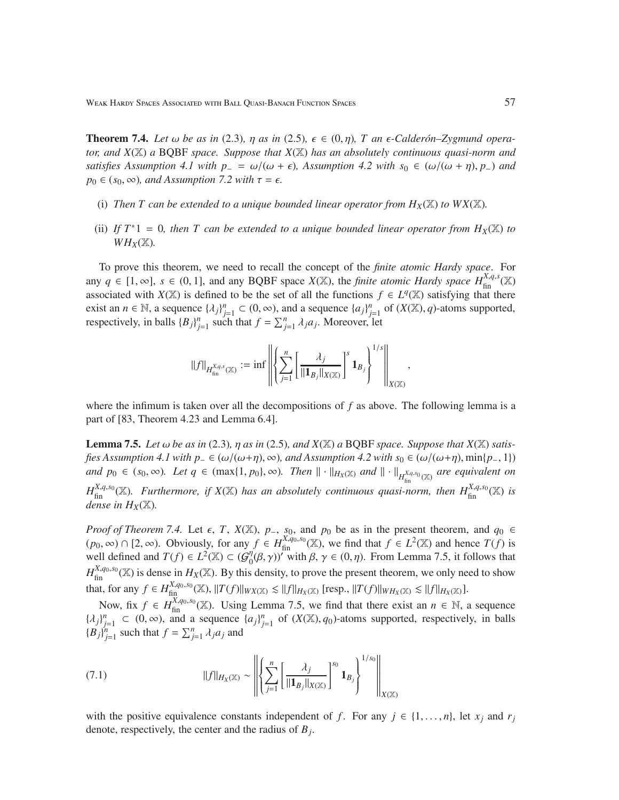**Theorem 7.4.** Let  $\omega$  be as in (2.3),  $\eta$  as in (2.5),  $\epsilon \in (0, \eta)$ , T an  $\epsilon$ -Calder *ón*-Zygmund opera*tor, and X*(X) *a* BQBF *space. Suppose that X*(X) *has an absolutely continuous quasi-norm and satisfies Assumption 4.1 with p*<sup>−</sup> =  $\omega/(\omega + \epsilon)$ *, Assumption 4.2 with s*<sup>0</sup> ∈  $(\omega/(\omega + \eta), p)$  *and*  $p_0 \in (s_0, \infty)$ *, and Assumption 7.2 with*  $\tau = \epsilon$ *.* 

- (i) Then T can be extended to a unique bounded linear operator from  $H_X(\mathbb{X})$  to  $WX(\mathbb{X})$ .
- (ii) If  $T^*1 = 0$ , then T can be extended to a unique bounded linear operator from  $H_X(\mathbb{X})$  to  $WH_X(\mathbb{X})$ .

To prove this theorem, we need to recall the concept of the *finite atomic Hardy space*. For any  $q \in [1, \infty]$ ,  $s \in (0, 1]$ , and any BQBF space  $X(\mathbb{X})$ , the *finite atomic Hardy space*  $H_{\text{fin}}^{X,q,s}(\mathbb{X})$ associated with *X*(X) is defined to be the set of all the functions  $f \in L^{q}(\mathbb{X})$  satisfying that there exist an  $n \in \mathbb{N}$ , a sequence  $\{\lambda_j\}_{j=1}^n \subset (0, \infty)$ , and a sequence  $\{a_j\}_{j=1}^n$  of  $(X(\mathbb{X}), q)$ -atoms supported, respectively, in balls  ${B_j}_{j=1}^n$  such that  $f = \sum_{j=1}^n \lambda_j a_j$ . Moreover, let

$$
||f||_{H^{X,q,s}_{\text{fin}}(\mathbb{X})} := \inf \left\| \left\{ \sum_{j=1}^n \left[ \frac{\lambda_j}{||\mathbf{1}_{B_j}||_{X(\mathbb{X})}} \right]^s \mathbf{1}_{B_j} \right\}^{1/s} \right\|_{X(\mathbb{X})},
$$

where the infimum is taken over all the decompositions of *f* as above. The following lemma is a part of [83, Theorem 4.23 and Lemma 6.4].

**Lemma 7.5.** *Let*  $\omega$  *be as in* (2.3)*,*  $\eta$  *as in* (2.5)*, and*  $X(\mathbb{X})$  *a* BQBF *space. Suppose that*  $X(\mathbb{X})$  *satisfies Assumption 4.1 with p*<sub>−</sub> ∈ ( $\omega/(\omega+\eta)$ ,  $\infty$ )*, and Assumption 4.2 with s*<sub>0</sub> ∈ ( $\omega/(\omega+\eta)$ , min{*p*−, 1}) *and*  $p_0$  ∈ ( $s_0$ , ∞)*.* Let  $q$  ∈ ( $\max\{1, p_0\}$ , ∞). Then  $\|\cdot\|_{H_X(\mathbb{X})}$  *and*  $\|\cdot\|_{H_{\text{fin}}^{X,q,s_0}(\mathbb{X})}$  *are equivalent on*  $H_{fin}^{X,q,s_0}(\mathbb{X})$ . Furthermore, if  $X(\mathbb{X})$  has an absolutely continuous quasi-norm, then  $H_{fin}^{X,q,s_0}(\mathbb{X})$  is *dense in*  $H_X(\mathbb{X})$ *.* 

*Proof of Theorem 7.4.* Let  $\epsilon$ , *T*, *X*(X), *p*<sub>-</sub>, *s*<sub>0</sub>, and *p*<sub>0</sub> be as in the present theorem, and  $q_0 \in$  $(p_0, \infty)$  ∩ [2,  $\infty$ ). Obviously, for any  $f \in H_{\text{fin}}^{X,q_0,s_0}(\mathbb{X})$ , we find that  $f \in L^2(\mathbb{X})$  and hence  $T(f)$  is well defined and  $T(f) \in L^2(\mathbb{X}) \subset (\mathcal{G}_0^n)$  $\eta_0^{\eta}(\beta, \gamma)$ <sup>*''*</sup> with  $\beta, \gamma \in (0, \eta)$ . From Lemma 7.5, it follows that  $H_{fin}^{X,q_0,s_0}(\mathbb{X})$  is dense in  $H_X(\mathbb{X})$ . By this density, to prove the present theorem, we only need to show that, for any  $f \in H_{\text{fin}}^{X,q_0,s_0}(\mathbb{X})$ ,  $||T(f)||_{WX(\mathbb{X})} \leq ||f||_{H_X(\mathbb{X})}$  [resp.,  $||T(f)||_{WH_X(\mathbb{X})} \leq ||f||_{H_X(\mathbb{X})}$ ].

Now, fix  $f \in H_{fin}^{X,q_0,s_0}(\mathbb{X})$ . Using Lemma 7.5, we find that there exist an  $n \in \mathbb{N}$ , a sequence  $\{\lambda_j\}_{j=1}^n \subset (0,\infty)$ , and a sequence  $\{a_j\}_{j=1}^n$  of  $(X(\mathbb{X}), q_0)$ -atoms supported, respectively, in balls  ${(\mathbf{B}_j)}_{j=1}^n$  such that  $f = \sum_{j=1}^n \lambda_j a_j$  and

(7.1) 
$$
||f||_{H_X(\mathbb{X})} \sim \left\| \left\{ \sum_{j=1}^n \left[ \frac{\lambda_j}{||\mathbf{1}_{B_j}||_{X(\mathbb{X})}} \right]^{s_0} \mathbf{1}_{B_j} \right\}^{1/s_0} \right\|_{X(\mathbb{X})}
$$

with the positive equivalence constants independent of *f*. For any  $j \in \{1, \ldots, n\}$ , let  $x_j$  and  $r_j$ denote, respectively, the center and the radius of *B<sup>j</sup>* .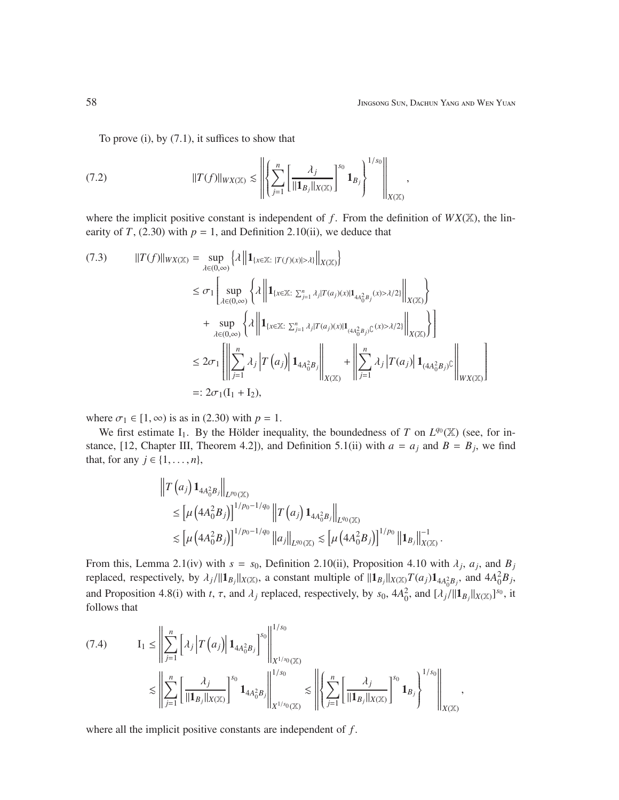To prove (i), by (7.1), it suffices to show that

(7.2) 
$$
||T(f)||_{WX(\mathbb{X})} \lesssim \left\| \left\{ \sum_{j=1}^{n} \left[ \frac{\lambda_j}{||\mathbf{1}_{B_j}||_{X(\mathbb{X})}} \right]^{s_0} \mathbf{1}_{B_j} \right\}^{1/s_0} \right\|_{X(\mathbb{X})},
$$

where the implicit positive constant is independent of  $f$ . From the definition of  $WX(\mathbb{X})$ , the linearity of *T*, (2.30) with  $p = 1$ , and Definition 2.10(ii), we deduce that

$$
(7.3) \qquad ||T(f)||_{WX(\mathbb{X})} = \sup_{\lambda \in (0,\infty)} \left\{ \lambda \left\| \mathbf{1}_{\{x \in \mathbb{X} : |T(f)(x)| > \lambda\}} \right\|_{X(\mathbb{X})} \right\} \n\leq \sigma_1 \left[ \sup_{\lambda \in (0,\infty)} \left\{ \lambda \left\| \mathbf{1}_{\{x \in \mathbb{X} : \sum_{j=1}^n \lambda_j | T(a_j)(x) | \mathbf{1}_{4A_0^2 B_j}(x) > \lambda/2 \}} \right\|_{X(\mathbb{X})} \right\} \n+ \sup_{\lambda \in (0,\infty)} \left\{ \lambda \left\| \mathbf{1}_{\{x \in \mathbb{X} : \sum_{j=1}^n \lambda_j | T(a_j)(x) | \mathbf{1}_{\{4A_0^2 B_j\}}(x) > \lambda/2 \}} \right\|_{X(\mathbb{X})} \right\} \n\leq 2\sigma_1 \left[ \left\| \sum_{j=1}^n \lambda_j \left| T(a_j) \right| \mathbf{1}_{4A_0^2 B_j} \right\|_{X(\mathbb{X})} + \left\| \sum_{j=1}^n \lambda_j \left| T(a_j) \right| \mathbf{1}_{\{4A_0^2 B_j\}}(x) \right\|_{X(\mathbb{X})} \right] \n=: 2\sigma_1(I_1 + I_2),
$$

where  $\sigma_1 \in [1, \infty)$  is as in (2.30) with  $p = 1$ .

We first estimate  $I_1$ . By the Hölder inequality, the boundedness of *T* on  $L^{q_0}(\mathbb{X})$  (see, for instance, [12, Chapter III, Theorem 4.2]), and Definition 5.1(ii) with  $a = a_j$  and  $B = B_j$ , we find that, for any *j* ∈ {1, . . . , *n*},

$$
\|T(a_j) \mathbf{1}_{4A_0^2 B_j} \|_{L^{p_0}(\mathbb{X})}
$$
  
\n
$$
\leq \left[ \mu \left( 4A_0^2 B_j \right) \right]^{1/p_0 - 1/q_0} \|T(a_j) \mathbf{1}_{4A_0^2 B_j} \|_{L^{q_0}(\mathbb{X})}
$$
  
\n
$$
\lesssim \left[ \mu \left( 4A_0^2 B_j \right) \right]^{1/p_0 - 1/q_0} \|a_j\|_{L^{q_0}(\mathbb{X})} \lesssim \left[ \mu \left( 4A_0^2 B_j \right) \right]^{1/p_0} \| \mathbf{1}_{B_j} \|_{X(\mathbb{X})}^{-1}.
$$

From this, Lemma 2.1(iv) with  $s = s_0$ , Definition 2.10(ii), Proposition 4.10 with  $\lambda_j$ ,  $a_j$ , and  $B_j$ replaced, respectively, by  $\lambda_j / ||\mathbf{1}_{B_j}||_{X(\mathbb{X})}$ , a constant multiple of  $||\mathbf{1}_{B_j}||_{X(\mathbb{X})}T(a_j)\mathbf{1}_{4A_0^2B_j}$ , and  $4A_0^2B_j$ , and Proposition 4.8(i) with *t*,  $\tau$ , and  $\lambda_j$  replaced, respectively, by  $s_0$ ,  $4A_0^2$ , and  $[\lambda_j/||\mathbf{1}_{B_j}||_{X(\mathbb{X})}]^{s_0}$ , it follows that

$$
(7.4) \tI1 \le \left\| \sum_{j=1}^{n} \left[ \lambda_{j} \left| T(a_{j}) \right| \mathbf{1}_{4A_{0}^{2}B_{j}} \right]^{s_{0}} \right\|_{X^{1/s_{0}}(\mathbb{X})}^{1/s_{0}} \le \left\| \sum_{j=1}^{n} \left[ \frac{\lambda_{j}}{\|\mathbf{1}_{B_{j}}\|_{X(\mathbb{X})}} \right]^{s_{0}} \mathbf{1}_{4A_{0}^{2}B_{j}} \right\|_{X^{1/s_{0}}(\mathbb{X})}^{1/s_{0}} \le \left\| \left\{ \sum_{j=1}^{n} \left[ \frac{\lambda_{j}}{\|\mathbf{1}_{B_{j}}\|_{X(\mathbb{X})}} \right]^{s_{0}} \mathbf{1}_{B_{j}} \right\}^{1/s_{0}} \right\|_{X(\mathbb{X})},
$$

where all the implicit positive constants are independent of *f* .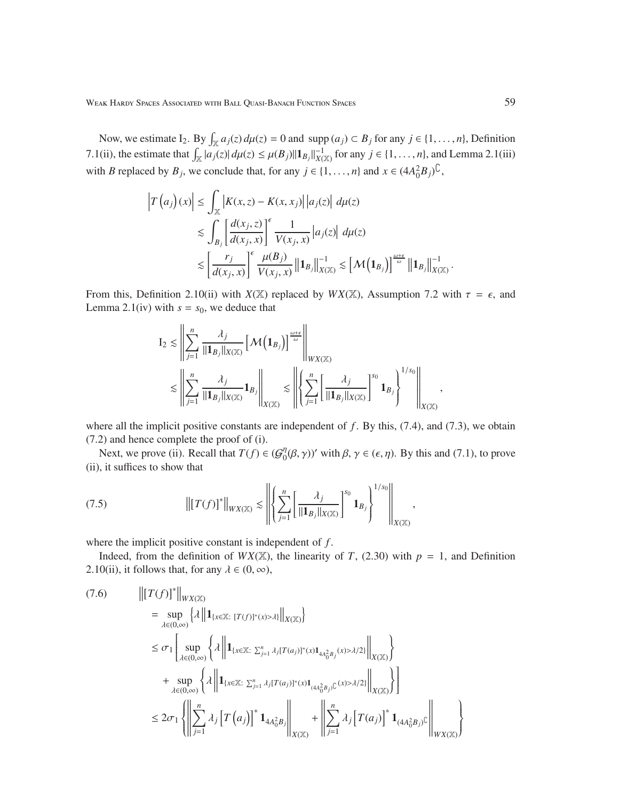Weak Hardy Spaces Associated with Ball Quasi-Banach Function Spaces 59

Now, we estimate  $I_2$ . By  $\int_{\mathbb{X}} a_j(z) d\mu(z) = 0$  and supp  $(a_j) \subset B_j$  for any  $j \in \{1, ..., n\}$ , Definition 7.1(ii), the estimate that  $\int_{\mathbb{X}} |a_j(z)| d\mu(z) \leq \mu(B_j) ||\mathbf{1}_{B_j}||_{X(\mathbb{X})}^{-1}$  for any  $j \in \{1, \ldots, n\}$ , and Lemma 2.1(iii) with *B* replaced by  $B_j$ , we conclude that, for any  $j \in \{1, ..., n\}$  and  $x \in (4A_0^2B_j)^{\mathbb{C}}$ ,

$$
\left|T\left(a_{j}\right)(x)\right| \leq \int_{\mathbb{X}}\left|K(x,z)-K(x,x_{j})\right|\left|a_{j}(z)\right| d\mu(z)
$$
  

$$
\lesssim \int_{B_{j}}\left[\frac{d(x_{j},z)}{d(x_{j},x)}\right]^{\epsilon}\frac{1}{V(x_{j},x)}\left|a_{j}(z)\right| d\mu(z)
$$
  

$$
\lesssim \left[\frac{r_{j}}{d(x_{j},x)}\right]^{\epsilon}\frac{\mu(B_{j})}{V(x_{j},x)}\left\|\mathbf{1}_{B_{j}}\right\|_{X(\mathbb{X})}^{-1} \lesssim \left[\mathcal{M}\left(\mathbf{1}_{B_{j}}\right)\right]^{\frac{\omega+\epsilon}{\omega}}\left\|\mathbf{1}_{B_{j}}\right\|_{X(\mathbb{X})}^{-1}.
$$

From this, Definition 2.10(ii) with  $X(\mathbb{X})$  replaced by  $WX(\mathbb{X})$ , Assumption 7.2 with  $\tau = \epsilon$ , and Lemma 2.1(iv) with  $s = s_0$ , we deduce that

$$
I_2 \lesssim \left\| \sum_{j=1}^n \frac{\lambda_j}{\|1_{B_j}\|_{X(\mathbb{X})}} \left[\mathcal{M}\left(\mathbf{1}_{B_j}\right)\right]^{\frac{\omega+\epsilon}{\omega}} \right\|_{WX(\mathbb{X})} \lesssim \left\| \left\langle \sum_{j=1}^n \frac{\lambda_j}{\|1_{B_j}\|_{X(\mathbb{X})}} \mathbf{1}_{B_j}\right\|_{X(\mathbb{X})} \lesssim \left\| \left\langle \sum_{j=1}^n \left[\frac{\lambda_j}{\|1_{B_j}\|_{X(\mathbb{X})}}\right]^{s_0} \mathbf{1}_{B_j}\right\rangle^{1/s_0} \right\|_{X(\mathbb{X})},
$$

where all the implicit positive constants are independent of f. By this, (7.4), and (7.3), we obtain (7.2) and hence complete the proof of (i).

Next, we prove (ii). Recall that  $T(f) \in {\mathcal{G}}_0^{\eta}$  $\eta_0^{\eta}(\beta, \gamma)$ ' with  $\beta, \gamma \in (\epsilon, \eta)$ . By this and (7.1), to prove (ii), it suffices to show that

(7.5) -*T*(*f*) ∗ *WX*(X) . X*n j*=1 " λ*j* k1*B<sup>j</sup>* k*X*(X) #*s*0 1*B<sup>j</sup>* 1/*s*<sup>0</sup> *X*(X) ,

where the implicit positive constant is independent of *f* .

Indeed, from the definition of  $WX(\mathbb{X})$ , the linearity of *T*, (2.30) with  $p = 1$ , and Definition 2.10(ii), it follows that, for any  $\lambda \in (0, \infty)$ ,

$$
(7.6) \qquad \left\| [T(f)]^* \right\|_{WX(\mathbb{X})} \n= \sup_{\lambda \in (0,\infty)} \left\{ \lambda \left\| \mathbf{1}_{\{x \in \mathbb{X}: [T(f)]^*(x) > \lambda\}} \right\|_{X(\mathbb{X})} \right\} \n\leq \sigma_1 \left[ \sup_{\lambda \in (0,\infty)} \left\{ \lambda \left\| \mathbf{1}_{\{x \in \mathbb{X}: \sum_{j=1}^n \lambda_j [T(a_j)]^*(x) \mathbf{1}_{4A_0^2 B_j}(x) > \lambda/2 \}} \right\|_{X(\mathbb{X})} \right\} \n+ \sup_{\lambda \in (0,\infty)} \left\{ \lambda \left\| \mathbf{1}_{\{x \in \mathbb{X}: \sum_{j=1}^n \lambda_j [T(a_j)]^*(x) \mathbf{1}_{\{4A_0^2 B_j\}}(x) > \lambda/2 \}} \right\|_{X(\mathbb{X})} \right\} \n\leq 2\sigma_1 \left\{ \left\| \sum_{j=1}^n \lambda_j \left[ T(a_j) \right]^* \mathbf{1}_{4A_0^2 B_j} \right\|_{X(\mathbb{X})} + \left\| \sum_{j=1}^n \lambda_j \left[ T(a_j) \right]^* \mathbf{1}_{\{4A_0^2 B_j\}}(x) \right\} \right\|_{WX(\mathbb{X})}
$$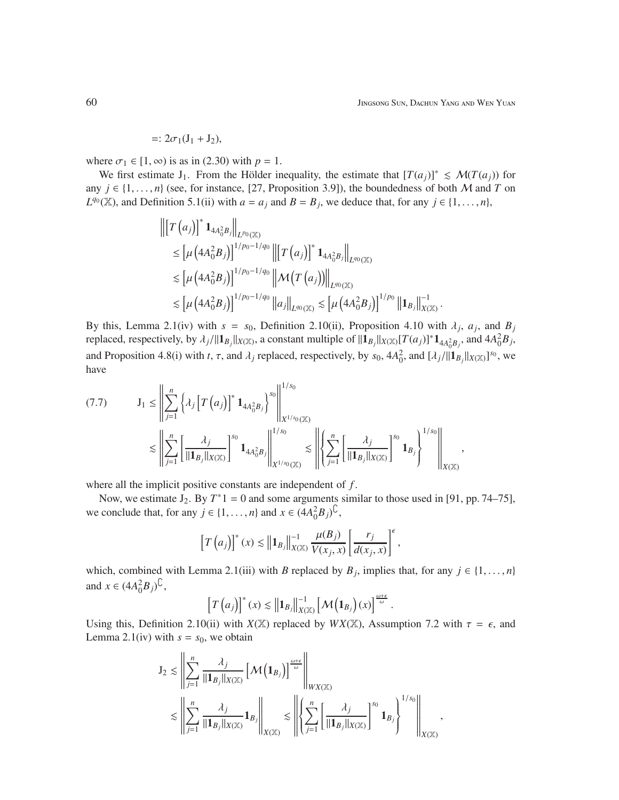.

$$
=:2\sigma_1(J_1+J_2),
$$

where  $\sigma_1 \in [1, \infty)$  is as in (2.30) with  $p = 1$ .

We first estimate J<sub>1</sub>. From the Hölder inequality, the estimate that  $[T(a_i)]^* \leq M(T(a_i))$  for any  $j \in \{1, \ldots, n\}$  (see, for instance, [27, Proposition 3.9]), the boundedness of both M and T on  $L^{q_0}(\mathbb{X})$ , and Definition 5.1(ii) with  $a = a_j$  and  $B = B_j$ , we deduce that, for any  $j \in \{1, ..., n\}$ ,

$$
\begin{split} \left\| \left[ T \left( a_j \right) \right]^* \mathbf{1}_{4A_0^2 B_j} \right\|_{L^{p_0}(\mathbb{X})} \\ &\leq \left[ \mu \left( 4A_0^2 B_j \right) \right]^{1/p_0 - 1/q_0} \left\| \left[ T \left( a_j \right) \right]^* \mathbf{1}_{4A_0^2 B_j} \right\|_{L^{q_0}(\mathbb{X})} \\ &\lesssim \left[ \mu \left( 4A_0^2 B_j \right) \right]^{1/p_0 - 1/q_0} \left\| \mathcal{M} \left( T \left( a_j \right) \right) \right\|_{L^{q_0}(\mathbb{X})} \\ &\lesssim \left[ \mu \left( 4A_0^2 B_j \right) \right]^{1/p_0 - 1/q_0} \left\| a_j \right\|_{L^{q_0}(\mathbb{X})} \lesssim \left[ \mu \left( 4A_0^2 B_j \right) \right]^{1/p_0} \left\| \mathbf{1}_{B_j} \right\|_{X(\mathbb{X})}^{-1} \end{split}
$$

By this, Lemma 2.1(iv) with  $s = s_0$ , Definition 2.10(ii), Proposition 4.10 with  $\lambda_j$ ,  $a_j$ , and  $B_j$ replaced, respectively, by  $\lambda_j / ||\mathbf{1}_{B_j}||_{X(\mathbb{X})}$ , a constant multiple of  $||\mathbf{1}_{B_j}||_{X(\mathbb{X})}[T(a_j)]^* \mathbf{1}_{4A_0^2B_j}$ , and  $4A_0^2B_j$ , and Proposition 4.8(i) with *t*,  $\tau$ , and  $\lambda_j$  replaced, respectively, by  $s_0$ ,  $4A_0^2$ , and  $[\lambda_j/||\mathbf{1}_{B_j}||_{X(\mathbb{X})}]^{s_0}$ , we have

$$
(7.7) \t\t J_{1} \leq \left\| \sum_{j=1}^{n} \left\{ \lambda_{j} \left[ T\left( a_{j} \right) \right]^{*} 1_{4A_{0}^{2}B_{j}} \right\}^{s_{0}} \right\|_{X^{1/s_{0}}(\mathbb{X})}^{1/s_{0}} \\ \lesssim \left\| \sum_{j=1}^{n} \left[ \frac{\lambda_{j}}{\| 1_{B_{j}} \|_{X(\mathbb{X})}} \right]^{s_{0}} 1_{4A_{0}^{2}B_{j}} \right\|_{X^{1/s_{0}}(\mathbb{X})}^{1/s_{0}} \lesssim \left\| \left\{ \sum_{j=1}^{n} \left[ \frac{\lambda_{j}}{\| 1_{B_{j}} \|_{X(\mathbb{X})}} \right]^{s_{0}} 1_{B_{j}} \right\}^{1/s_{0}} \right\|_{X(\mathbb{X})},
$$

where all the implicit positive constants are independent of *f* .

Now, we estimate  $J_2$ . By  $T^*1 = 0$  and some arguments similar to those used in [91, pp. 74–75], we conclude that, for any  $j \in \{1, ..., n\}$  and  $x \in (4A_0^2B_j)^{\mathbb{C}}$ ,

$$
\left[T\left(a_{j}\right)\right]^{\ast}(x) \lesssim \left\|1_{B_{j}}\right\|_{X(\mathbb{X})}^{-1} \frac{\mu(B_{j})}{V(x_{j}, x)}\left[\frac{r_{j}}{d(x_{j}, x)}\right]^{\epsilon},
$$

which, combined with Lemma 2.1(iii) with *B* replaced by  $B_j$ , implies that, for any  $j \in \{1, \ldots, n\}$ and  $x \in (4A_0^2B_j)^{\mathbb{C}},$ 

$$
\left[T\left(a_j\right)\right]^*(x) \lesssim \left\|\mathbf{1}_{B_j}\right\|_{X(\mathbb{X})}^{-1} \left[\mathcal{M}\left(\mathbf{1}_{B_j}\right)(x)\right]^{\frac{\omega+\epsilon}{\omega}}.
$$

Using this, Definition 2.10(ii) with  $X(\mathbb{X})$  replaced by  $WX(\mathbb{X})$ , Assumption 7.2 with  $\tau = \epsilon$ , and Lemma 2.1(iv) with  $s = s_0$ , we obtain

$$
J_2 \lesssim \left\| \sum_{j=1}^n \frac{\lambda_j}{\|\mathbf{1}_{B_j}\|_{X(\mathbb{X})}} \left[\mathcal{M}\left(\mathbf{1}_{B_j}\right)\right]^{\frac{\omega+\epsilon}{\omega}}\right\|_{W X(\mathbb{X})} \lesssim \left\| \sum_{j=1}^n \frac{\lambda_j}{\|\mathbf{1}_{B_j}\|_{X(\mathbb{X})}} \mathbf{1}_{B_j}\right\|_{X(\mathbb{X})} \lesssim \left\| \left\{ \sum_{j=1}^n \left[\frac{\lambda_j}{\|\mathbf{1}_{B_j}\|_{X(\mathbb{X})}}\right]^{s_0} \mathbf{1}_{B_j}\right\}^{1/s_0}\right\|_{X(\mathbb{X})},
$$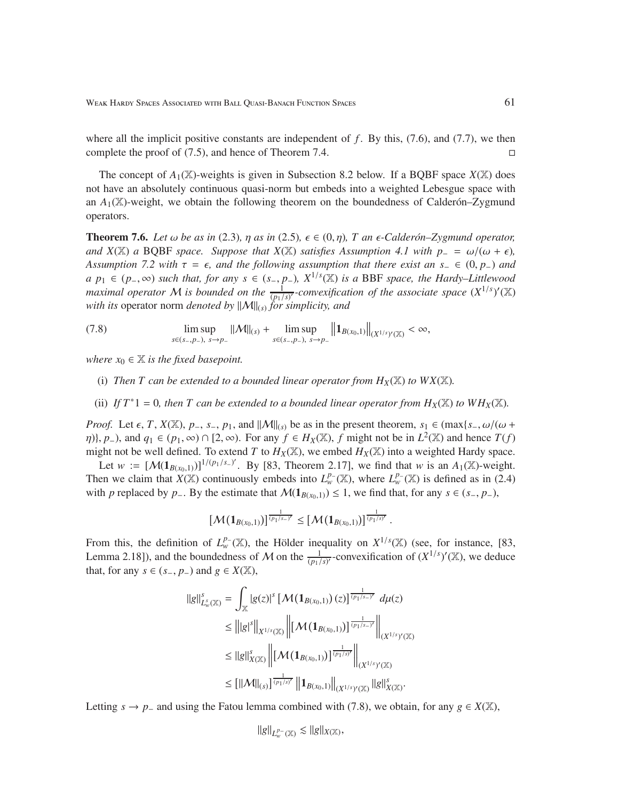where all the implicit positive constants are independent of f. By this, (7.6), and (7.7), we then complete the proof of  $(7.5)$ , and hence of Theorem 7.4.

The concept of  $A_1(\mathbb{X})$ -weights is given in Subsection 8.2 below. If a BQBF space  $X(\mathbb{X})$  does not have an absolutely continuous quasi-norm but embeds into a weighted Lebesgue space with an  $A_1(\mathbb{X})$ -weight, we obtain the following theorem on the boundedness of Calder  $\Delta y$ gmund operators.

**Theorem 7.6.** *Let*  $\omega$  *be as in* (2.3)*,*  $\eta$  *as in* (2.5)*,*  $\epsilon \in (0, \eta)$ *,*  $T$  *an*  $\epsilon$ -*Calder on–Zygmund operator, and X*( $\mathbb{X}$ ) *a* BQBF *space. Suppose that X*( $\mathbb{X}$ ) *satisfies Assumption 4.1 with p*− = ω/(ω +  $\epsilon$ )*, Assumption 7.2 with*  $\tau = \epsilon$ *, and the following assumption that there exist an s*<sub>−</sub> ∈ (0, *p*<sub>−</sub>) *and a p*<sup>1</sup> ∈ (*p*−, ∞) *such that, for any s* ∈ (*s*−, *p*−)*, X*1/*<sup>s</sup>* (X) *is a* BBF *space, the Hardy–Littlewood maximal operator* M is bounded on the  $\frac{1}{(p_1/s)'}$ -convexification of the associate space  $(X^{1/s})'(\mathbb{X})$ *with its* operator norm *denoted by*  $||M||_{(s)}$  *for simplicity, and* 

(7.8) lim sup *s*∈(*s*−,*p*−), *s*→*p*<sup>−</sup>  $\|\mathcal{M}\|_{(s)}$  +  $\limsup$ *s*∈(*s*−,*p*−), *s*→*p*<sup>−</sup>  $||\mathbf{1}_{B(x_0,1)}||_{(X^{1/s})'(\mathbb{X})}<\infty,$ 

*where*  $x_0 \in \mathbb{X}$  *is the fixed basepoint.* 

- (i) *Then T can be extended to a bounded linear operator from*  $H_X(\mathbb{X})$  *to*  $WX(\mathbb{X})$ *.*
- (ii) *If*  $T^*1 = 0$ *, then*  $T$  *can be extended to a bounded linear operator from*  $H_X(\mathbb{X})$  *to*  $WH_X(\mathbb{X})$ *.*

*Proof.* Let  $\epsilon$ , *T*, *X*( $\mathbb{X}$ ), *p*<sub>-</sub>, *s*<sub>-</sub>, *p*<sub>1</sub>, and  $||M||_{(s)}$  be as in the present theorem, *s*<sub>1</sub> ∈ (max{*s*<sub>-</sub>, ω/(ω +  $\{\eta\}, p$ <sup>−</sup>), and  $q_1 \in (p_1, \infty) \cap [2, \infty)$ . For any  $f \in H_X(\mathbb{X})$ , f might not be in  $L^2(\mathbb{X})$  and hence  $T(f)$ might not be well defined. To extend *T* to  $H_X(\mathbb{X})$ , we embed  $H_X(\mathbb{X})$  into a weighted Hardy space.

Let  $w := [M(1_{B(x_0,1)})]^{1/(p_1/s_0)}$ . By [83, Theorem 2.17], we find that *w* is an  $A_1(\mathbb{X})$ -weight. Then we claim that  $\hat{X}(\mathbb{X})$  continuously embeds into  $L^{p_-}_{w}(\mathbb{X})$ , where  $L^{p_-}_{w}(\mathbb{X})$  is defined as in (2.4) with *p* replaced by *p*<sub>−</sub>. By the estimate that  $M(\mathbf{1}_{B(x_0,1)}) \leq 1$ , we find that, for any *s* ∈ (*s*<sub>−</sub>, *p*<sub>−</sub>),

$$
[\mathcal{M}(\mathbf{1}_{B(x_0,1)})]^{\frac{1}{(p_1/s_-)^r}} \leq [\mathcal{M}(\mathbf{1}_{B(x_0,1)})]^{\frac{1}{(p_1/s)'}}.
$$

From this, the definition of  $L_w^{p_-}(\mathbb{X})$ , the Hölder inequality on  $X^{1/s}(\mathbb{X})$  (see, for instance, [83, Lemma 2.18]), and the boundedness of M on the  $\frac{1}{(p_1/s)'}$ -convexification of  $(X^{1/s})'(\mathbb{X})$ , we deduce that, for any *s* ∈ (*s*<sub>−</sub>, *p*<sub>−</sub>) and *g* ∈ *X*( $\mathbb{X}$ ),

$$
\begin{split} \|g\|_{L^s_w(\mathbb{X})}^s &= \int_{\mathbb{X}} |g(z)|^s \left[\mathcal{M}\left(\mathbf{1}_{B(x_0,1)}\right)(z)\right]^{\frac{1}{(p_1/s_-)^\prime}} \, d\mu(z) \\ &\leq \left\| |g|^s \right\|_{X^{1/s}(\mathbb{X})} \left\| \left[\mathcal{M}\left(\mathbf{1}_{B(x_0,1)}\right)\right]^{\frac{1}{(p_1/s_-)^\prime}} \right\|_{(X^{1/s})^\prime(\mathbb{X})} \\ &\leq \|g\|_{X(\mathbb{X})}^s \left\| \left[\mathcal{M}\left(\mathbf{1}_{B(x_0,1)}\right)\right]^{\frac{1}{(p_1/s)^\prime}} \right\|_{(X^{1/s})^\prime(\mathbb{X})} \\ &\leq \left[ \|\mathcal{M}\|_{(s)}\right]^{\frac{1}{(p_1/s)^\prime}} \left\| \mathbf{1}_{B(x_0,1)} \right\|_{(X^{1/s})^\prime(\mathbb{X})} \|g\|_{X(\mathbb{X})}^s. \end{split}
$$

Letting *s* → *p*<sub>−</sub> and using the Fatou lemma combined with (7.8), we obtain, for any  $g \in X(\mathbb{X})$ ,

$$
\|g\|_{L^{p_-}_w(\mathbb{X})}\lesssim \|g\|_{X(\mathbb{X})},
$$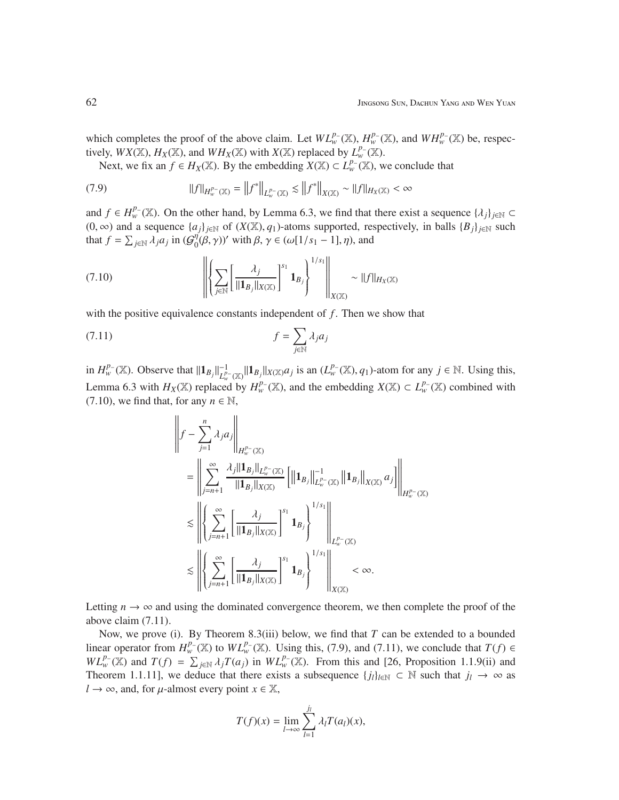which completes the proof of the above claim. Let  $WL_w^{p_-}(\mathbb{X}), H_w^{p_-}(\mathbb{X}),$  and  $WH_w^{p_-}(\mathbb{X})$  be, respectively,  $WX(\mathbb{X}), H_X(\mathbb{X})$ , and  $WH_X(\mathbb{X})$  with  $X(\mathbb{X})$  replaced by  $L_w^{p_-}(\mathbb{X})$ .

Next, we fix an  $f \in H_X(\mathbb{X})$ . By the embedding  $X(\mathbb{X}) \subset L_w^{p_-}(\mathbb{X})$ , we conclude that

(7.9) 
$$
||f||_{H^{p-}_{w}(\mathbb{X})} = ||f^{*}||_{L^{p-}_{w}(\mathbb{X})} \lesssim ||f^{*}||_{X(\mathbb{X})} \sim ||f||_{H_{X}(\mathbb{X})} < \infty
$$

and  $f \in H_w^{p_-}(\mathbb{X})$ . On the other hand, by Lemma 6.3, we find that there exist a sequence  $\{\lambda_j\}_{j\in\mathbb{N}}$ (0, ∞) and a sequence  $\{a_j\}_{j \in \mathbb{N}}$  of  $(X(\mathbb{X}), q_1)$ -atoms supported, respectively, in balls  $\{B_j\}_{j \in \mathbb{N}}$  such that  $f = \sum_{j \in \mathbb{N}} \overline{\lambda_j} a_j$  in  $(\mathcal{G}_0^{\eta})$  $\eta_0^{\eta}(\beta, \gamma)$ ' with  $\beta, \gamma \in (\omega[1/s_1 - 1], \eta)$ , and

$$
(7.10) \qquad \qquad \left\| \left\{ \sum_{j \in \mathbb{N}} \left[ \frac{\lambda_j}{\|\mathbf{1}_{B_j}\|_{X(\mathbb{X})}} \right]^{s_1} \mathbf{1}_{B_j} \right\}^{1/s_1} \right\|_{X(\mathbb{X})} \sim \|f\|_{H_X(\mathbb{X})}
$$

with the positive equivalence constants independent of f. Then we show that

$$
f = \sum_{j \in \mathbb{N}} \lambda_j a_j
$$

in  $H_w^{p-}(\mathbb{X})$ . Observe that  $||\mathbf{1}_{B_j}||_{L^p}^{-1}$  $L_w^{1-}$  ( $\mathbb{X}_y$ ||1<sub>*Bj*</sub>|| $X(\mathbb{X})$ *aj* is an ( $L_w^{p-}(\mathbb{X})$ , *q*<sub>1</sub>)-atom for any *j* ∈ N. Using this, Lemma 6.3 with  $H_X(\mathbb{X})$  replaced by  $H_w^{p_-}(\mathbb{X})$ , and the embedding  $X(\mathbb{X}) \subset L_w^{p_-}(\mathbb{X})$  combined with (7.10), we find that, for any  $n \in \mathbb{N}$ ,

$$
\left\|f - \sum_{j=1}^{n} \lambda_j a_j \right\|_{H_w^{p-}(\mathbb{X})}
$$
\n
$$
= \left\| \sum_{j=n+1}^{\infty} \frac{\lambda_j \|\mathbf{1}_{B_j}\|_{L_w^{p-}(\mathbb{X})}}{\|\mathbf{1}_{B_j}\|_{X(\mathbb{X})}} \left[ \|\mathbf{1}_{B_j}\|_{L_w^{p-}(\mathbb{X})}^{-1} \|\mathbf{1}_{B_j}\|_{X(\mathbb{X})} a_j \right] \right\|_{H_w^{p-}(\mathbb{X})}
$$
\n
$$
\lesssim \left\| \left\{ \sum_{j=n+1}^{\infty} \left[ \frac{\lambda_j}{\|\mathbf{1}_{B_j}\|_{X(\mathbb{X})}} \right]^{s_1} \mathbf{1}_{B_j} \right\}^{1/s_1} \right\|_{L_w^{p-}(\mathbb{X})}
$$
\n
$$
\lesssim \left\| \left\{ \sum_{j=n+1}^{\infty} \left[ \frac{\lambda_j}{\|\mathbf{1}_{B_j}\|_{X(\mathbb{X})}} \right]^{s_1} \mathbf{1}_{B_j} \right\}^{1/s_1} \right\|_{X(\mathbb{X})} < \infty.
$$

Letting  $n \to \infty$  and using the dominated convergence theorem, we then complete the proof of the above claim (7.11).

Now, we prove (i). By Theorem 8.3(iii) below, we find that *T* can be extended to a bounded linear operator from  $H_w^{p_-}(\mathbb{X})$  to  $WL_w^{p_-}(\mathbb{X})$ . Using this, (7.9), and (7.11), we conclude that  $T(f) \in$  $WL_w^p(\mathbb{X})$  and  $T(f) = \sum_{j \in \mathbb{N}} \lambda_j T(a_j)$  in  $WL_w^p(\mathbb{X})$ . From this and [26, Proposition 1.1.9(ii) and Theorem 1.1.11], we deduce that there exists a subsequence  $\{j_l\}_{l \in \mathbb{N}} \subset \mathbb{N}$  such that  $j_l \to \infty$  as  $l \rightarrow \infty$ , and, for  $\mu$ -almost every point  $x \in \mathbb{X}$ ,

$$
T(f)(x) = \lim_{l \to \infty} \sum_{l=1}^{j_l} \lambda_l T(a_l)(x),
$$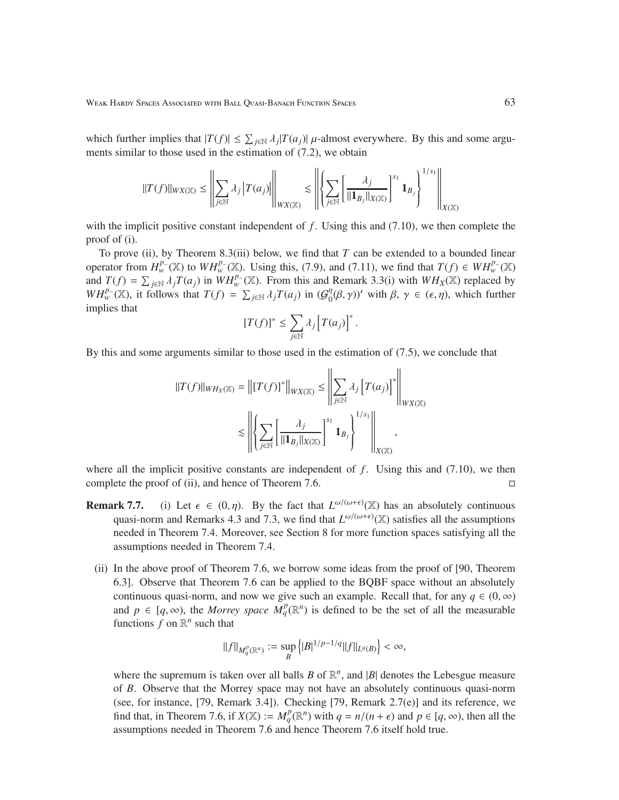which further implies that  $|T(f)| \leq \sum_{j \in \mathbb{N}} \lambda_j |T(a_j)|$   $\mu$ -almost everywhere. By this and some arguments similar to those used in the estimation of (7.2), we obtain

$$
||T(f)||_{WX(\mathbb{X})} \leq \left\| \sum_{j \in \mathbb{N}} \lambda_j |T(a_j)| \right\|_{WX(\mathbb{X})} \lesssim \left\| \left\{ \sum_{j \in \mathbb{N}} \left[ \frac{\lambda_j}{||\mathbf{1}_{B_j}||_{X(\mathbb{X})}} \right]^{s_1} \mathbf{1}_{B_j} \right\}^{1/s_1} \right\|_{X(\mathbb{X})}
$$

with the implicit positive constant independent of  $f$ . Using this and  $(7.10)$ , we then complete the proof of (i).

To prove (ii), by Theorem 8.3(iii) below, we find that *T* can be extended to a bounded linear operator from  $H_w^{p_-}(\mathbb{X})$  to  $WH_w^{p_-}(\mathbb{X})$ . Using this, (7.9), and (7.11), we find that  $T(f) \in WH_w^{p_-}(\mathbb{X})$ and  $T(f) = \sum_{j \in \mathbb{N}} \lambda_j T(a_j)$  in  $WH_w^p(X)$ . From this and Remark 3.3(i) with  $WH_X(X)$  replaced by *WH*<sup>*p*</sup><sub>*w*</sub> (X), it follows that  $T(f) = \sum_{j \in \mathbb{N}} \lambda_j T(a_j)$  in ( $G_0^{\eta}$ )  $\eta_0(\beta, \gamma)$ ' with  $\beta, \gamma \in (\epsilon, \eta)$ , which further implies that

$$
[T(f)]^* \leq \sum_{j \in \mathbb{N}} \lambda_j [T(a_j)]^*.
$$

By this and some arguments similar to those used in the estimation of (7.5), we conclude that

$$
||T(f)||_{WH_X(\mathbb{X})} = ||[T(f)]^*||_{WX(\mathbb{X})} \le \left\| \sum_{j \in \mathbb{N}} \lambda_j [T(a_j)]^* \right\|_{WX(\mathbb{X})}
$$

$$
\le \left\| \left\{ \sum_{j \in \mathbb{N}} \left[ \frac{\lambda_j}{||\mathbf{1}_{B_j}||_{X(\mathbb{X})}} \right]^{s_1} \mathbf{1}_{B_j} \right\}^{1/s_1} \right\|_{X(\mathbb{X})},
$$

where all the implicit positive constants are independent of  $f$ . Using this and (7.10), we then complete the proof of (ii), and hence of Theorem 7.6.

- **Remark 7.7.** (i) Let  $\epsilon \in (0, \eta)$ . By the fact that  $L^{\omega/(\omega+\epsilon)}(\mathbb{X})$  has an absolutely continuous quasi-norm and Remarks 4.3 and 7.3, we find that  $L^{\omega/(\omega+\epsilon)}(\mathbb{X})$  satisfies all the assumptions needed in Theorem 7.4. Moreover, see Section 8 for more function spaces satisfying all the assumptions needed in Theorem 7.4.
	- (ii) In the above proof of Theorem 7.6, we borrow some ideas from the proof of [90, Theorem 6.3]. Observe that Theorem 7.6 can be applied to the BQBF space without an absolutely continuous quasi-norm, and now we give such an example. Recall that, for any  $q \in (0, \infty)$ and  $p \in [q, \infty)$ , the *Morrey space*  $M_q^p(\mathbb{R}^n)$  is defined to be the set of all the measurable functions  $f$  on  $\mathbb{R}^n$  such that

$$
\|f\|_{M^p_q(\mathbb{R}^n)}:=\sup_{B}\left\{|B|^{1/p-1/q}\|f\|_{L^q(B)}\right\}<\infty,
$$

where the supremum is taken over all balls  $B$  of  $\mathbb{R}^n$ , and  $|B|$  denotes the Lebesgue measure of *B*. Observe that the Morrey space may not have an absolutely continuous quasi-norm (see, for instance,  $[79,$  Remark 3.4]). Checking  $[79,$  Remark  $2.7(e)$ ] and its reference, we find that, in Theorem 7.6, if  $X(\mathbb{X}) := M_q^p(\mathbb{R}^n)$  with  $q = n/(n + \epsilon)$  and  $p \in [q, \infty)$ , then all the assumptions needed in Theorem 7.6 and hence Theorem 7.6 itself hold true.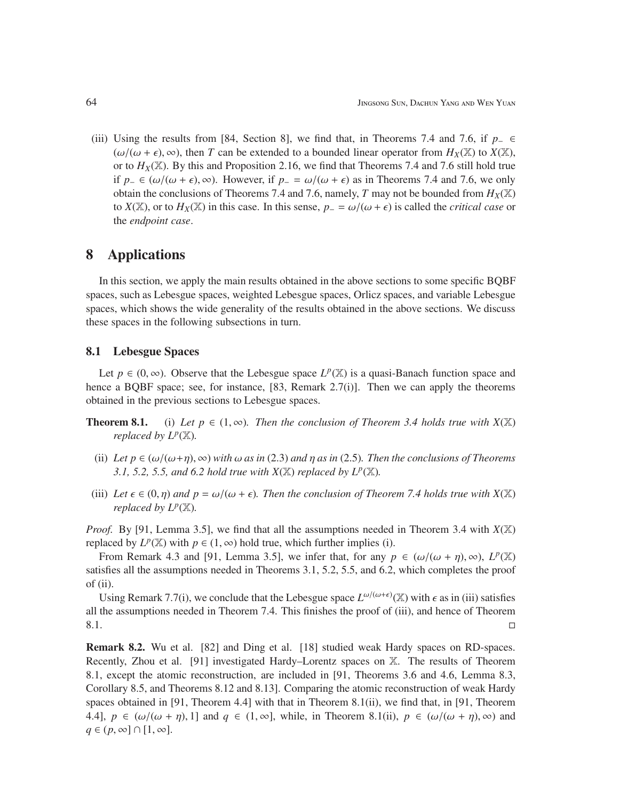(iii) Using the results from [84, Section 8], we find that, in Theorems 7.4 and 7.6, if *p*<sup>−</sup> ∈  $(\omega/(\omega + \epsilon), \infty)$ , then *T* can be extended to a bounded linear operator from  $H_X(\mathbb{X})$  to  $X(\mathbb{X})$ , or to  $H_X(\mathbb{X})$ . By this and Proposition 2.16, we find that Theorems 7.4 and 7.6 still hold true if *p*<sub>−</sub> ∈ ( $\omega/(\omega + \epsilon)$ , ∞). However, if *p*<sub>−</sub> =  $\omega/(\omega + \epsilon)$  as in Theorems 7.4 and 7.6, we only obtain the conclusions of Theorems 7.4 and 7.6, namely, *T* may not be bounded from  $H_X(\mathbb{X})$ to *X*(X), or to  $H_X(\mathbb{X})$  in this case. In this sense,  $p_-=\omega/(\omega+\epsilon)$  is called the *critical case* or the *endpoint case*.

## 8 Applications

In this section, we apply the main results obtained in the above sections to some specific BQBF spaces, such as Lebesgue spaces, weighted Lebesgue spaces, Orlicz spaces, and variable Lebesgue spaces, which shows the wide generality of the results obtained in the above sections. We discuss these spaces in the following subsections in turn.

## 8.1 Lebesgue Spaces

Let  $p \in (0, \infty)$ . Observe that the Lebesgue space  $L^p(\mathbb{X})$  is a quasi-Banach function space and hence a BQBF space; see, for instance, [83, Remark 2.7(i)]. Then we can apply the theorems obtained in the previous sections to Lebesgue spaces.

- **Theorem 8.1.** (i) Let  $p \in (1, \infty)$ . Then the conclusion of Theorem 3.4 holds true with  $X(\mathbb{X})$ *replaced by L<sup>p</sup>* (X)*.*
	- (ii) Let  $p \in (\omega/(\omega+n), \infty)$  with  $\omega$  as in (2.3) and  $n$  as in (2.5). Then the conclusions of Theorems *3.1, 5.2, 5.5, and 6.2 hold true with*  $X(\mathbb{X})$  *replaced by*  $L^p(\mathbb{X})$ *.*
- (iii) Let  $\epsilon \in (0, \eta)$  and  $p = \omega/(\omega + \epsilon)$ *. Then the conclusion of Theorem 7.4 holds true with*  $X(\mathbb{X})$ *replaced by L<sup>p</sup>* (X)*.*

*Proof.* By [91, Lemma 3.5], we find that all the assumptions needed in Theorem 3.4 with  $X(\mathbb{X})$ replaced by  $L^p(\mathbb{X})$  with  $p \in (1, \infty)$  hold true, which further implies (i).

From Remark 4.3 and [91, Lemma 3.5], we infer that, for any  $p \in (\omega/(\omega + \eta), \infty), L^p(\mathbb{X})$ satisfies all the assumptions needed in Theorems 3.1, 5.2, 5.5, and 6.2, which completes the proof of (ii).

Using Remark 7.7(i), we conclude that the Lebesgue space  $L^{\omega/(\omega+\epsilon)}(\mathbb{X})$  with  $\epsilon$  as in (iii) satisfies all the assumptions needed in Theorem 7.4. This finishes the proof of (iii), and hence of Theorem  $8.1.$ 

Remark 8.2. Wu et al. [82] and Ding et al. [18] studied weak Hardy spaces on RD-spaces. Recently, Zhou et al. [91] investigated Hardy–Lorentz spaces on X. The results of Theorem 8.1, except the atomic reconstruction, are included in [91, Theorems 3.6 and 4.6, Lemma 8.3, Corollary 8.5, and Theorems 8.12 and 8.13]. Comparing the atomic reconstruction of weak Hardy spaces obtained in [91, Theorem 4.4] with that in Theorem 8.1(ii), we find that, in [91, Theorem 4.4],  $p \in (\omega/(\omega + \eta), 1]$  and  $q \in (1, \infty]$ , while, in Theorem 8.1(ii),  $p \in (\omega/(\omega + \eta), \infty)$  and  $q \in (p, \infty] \cap [1, \infty].$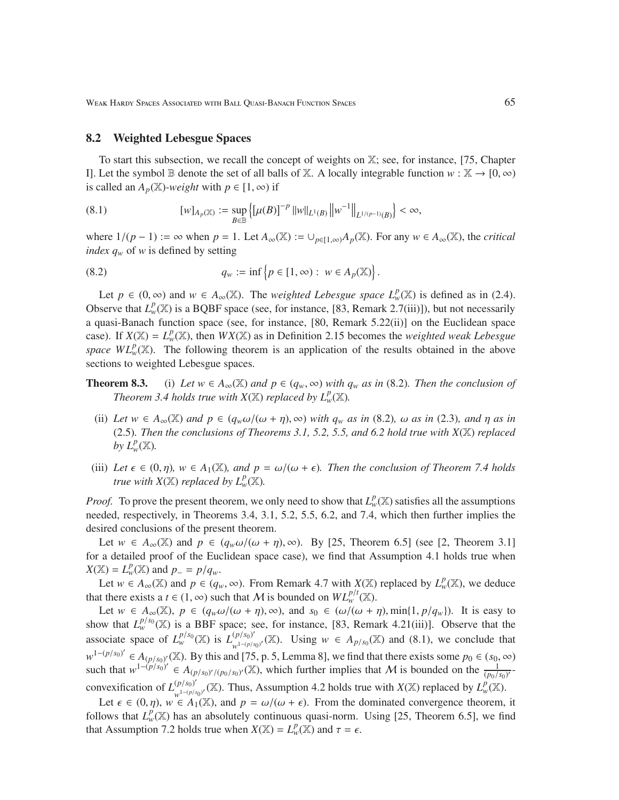Weak Hardy Spaces Associated with Ball Quasi-Banach Function Spaces 65

### 8.2 Weighted Lebesgue Spaces

To start this subsection, we recall the concept of weights on X; see, for instance, [75, Chapter I]. Let the symbol B denote the set of all balls of X. A locally integrable function  $w : \mathbb{X} \to [0, \infty)$ is called an  $A_p(\mathbb{X})$ *-weight* with  $p \in [1, \infty)$  if

(8.1) 
$$
[w]_{A_p(\mathbb{X})} := \sup_{B \in \mathbb{B}} \left\{ \left[ \mu(B) \right]^{-p} ||w||_{L^1(B)} ||w^{-1}||_{L^{1/(p-1)}(B)} \right\} < \infty,
$$

where  $1/(p-1) := \infty$  when  $p = 1$ . Let  $A_{\infty}(\mathbb{X}) := \bigcup_{p \in [1,\infty)} A_p(\mathbb{X})$ . For any  $w \in A_{\infty}(\mathbb{X})$ , the *critical index q<sup>w</sup>* of *w* is defined by setting

.

(8.2) 
$$
q_w := \inf \{ p \in [1, \infty) : w \in A_p(\mathbb{X}) \}
$$

Let  $p \in (0, \infty)$  and  $w \in A_{\infty}(\mathbb{X})$ . The *weighted Lebesgue space*  $L^p_w(\mathbb{X})$  is defined as in (2.4). Observe that  $L_w^p(\mathbb{X})$  is a BQBF space (see, for instance, [83, Remark 2.7(iii)]), but not necessarily a quasi-Banach function space (see, for instance, [80, Remark 5.22(ii)] on the Euclidean space case). If  $X(\mathbb{X}) = L^p_w(\mathbb{X})$ , then  $WX(\mathbb{X})$  as in Definition 2.15 becomes the *weighted weak Lebesgue space WL*<sup>*p*</sup><sub>*w*</sub>( $\mathbb{X}$ ). The following theorem is an application of the results obtained in the above sections to weighted Lebesgue spaces.

- **Theorem 8.3.** (i) Let  $w \in A_\infty(\mathbb{X})$  and  $p \in (q_w, \infty)$  with  $q_w$  as in (8.2). Then the conclusion of *Theorem 3.4 holds true with*  $X(\mathbb{X})$  *replaced by*  $L^p_w(\mathbb{X})$ *.* 
	- (ii) Let  $w \in A_\infty(\mathbb{X})$  and  $p \in (q_w \omega/(\omega + \eta), \infty)$  with  $q_w$  as in (8.2),  $\omega$  as in (2.3), and  $\eta$  as in (2.5)*. Then the conclusions of Theorems 3.1, 5.2, 5.5, and 6.2 hold true with X*(X) *replaced by*  $L^p_w(\mathbb{X})$ *.*
- (iii) Let  $\epsilon \in (0, \eta)$ ,  $w \in A_1(\mathbb{X})$ , and  $p = \omega/(\omega + \epsilon)$ *. Then the conclusion of Theorem 7.4 holds true with*  $X(\mathbb{X})$  *replaced by*  $L^p_w(\mathbb{X})$ *.*

*Proof.* To prove the present theorem, we only need to show that  $L^p_w(\mathbb{X})$  satisfies all the assumptions needed, respectively, in Theorems 3.4, 3.1, 5.2, 5.5, 6.2, and 7.4, which then further implies the desired conclusions of the present theorem.

Let  $w \in A_{\infty}(\mathbb{X})$  and  $p \in (q_w \omega/(\omega + \eta), \infty)$ . By [25, Theorem 6.5] (see [2, Theorem 3.1] for a detailed proof of the Euclidean space case), we find that Assumption 4.1 holds true when *X*( $\mathbb{X}$ ) =  $L^p_w(\mathbb{X})$  and  $p = p/q_w$ .

Let  $w \in A_{\infty}(\mathbb{X})$  and  $p \in (q_w, \infty)$ . From Remark 4.7 with  $X(\mathbb{X})$  replaced by  $L^p_w(\mathbb{X})$ , we deduce that there exists a *t* ∈ (1, ∞) such that *M* is bounded on  $WL_w^{p/t}(\mathbb{X})$ .

Let  $w \in A_\infty(\mathbb{X})$ ,  $p \in (q_w \omega/(\omega + \eta), \infty)$ , and  $s_0 \in (\omega/(\omega + \eta), \min\{1, p/q_w\})$ . It is easy to show that  $L_w^{p/s_0}(\mathbb{X})$  is a BBF space; see, for instance, [83, Remark 4.21(iii)]. Observe that the associate space of  $L_w^{p/s_0}(\mathbb{X})$  is  $L_{w^{1-(p/s)}}^{(p/s_0)'}$  $w_1^{(p/s_0)'}$  (X). Using *w* ∈ *A*<sub>*p*</sub>/*s*<sub>0</sub>(X) and (8.1), we conclude that  $w^{1-(p/s_0)'}$  ∈  $A_{(p/s_0)'}(\mathbb{X})$ . By this and [75, p. 5, Lemma 8], we find that there exists some  $p_0 \in (s_0, \infty)$ such that  $w^{1-(p/s_0)'} \in A_{(p/s_0)'/(p_0/s_0)'}(\mathbb{X})$ , which further implies that *M* is bounded on the  $\frac{1}{(p_0/s_0)'-1}$ convexification of  $L_{\frac{1-(n/s_0)}{n}}^{(p/s_0)}$  $\mu^{(p/s_0)'}$  (*X*). Thus, Assumption 4.2 holds true with *X*(*X*) replaced by *L*<sup>*p*</sup><sub>*w*</sub><sup>*W*</sup>.

Let  $\epsilon \in (0, \eta)$ ,  $w \in A_1(\mathbb{X})$ , and  $p = \omega/(\omega + \epsilon)$ . From the dominated convergence theorem, it follows that  $L^p_w(\mathbb{X})$  has an absolutely continuous quasi-norm. Using [25, Theorem 6.5], we find that Assumption 7.2 holds true when  $X(\mathbb{X}) = L_w^p(\mathbb{X})$  and  $\tau = \epsilon$ .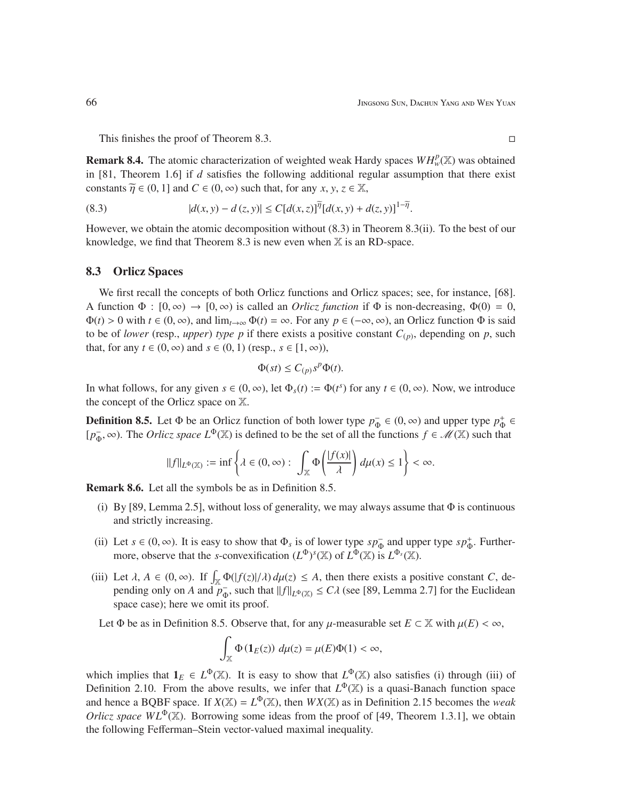This finishes the proof of Theorem 8.3.

**Remark 8.4.** The atomic characterization of weighted weak Hardy spaces  $WH_w^p(\mathbb{X})$  was obtained in [81, Theorem 1.6] if *d* satisfies the following additional regular assumption that there exist constants  $\widetilde{\eta} \in (0, 1]$  and  $C \in (0, \infty)$  such that, for any *x*, *y*, *z*  $\in \mathbb{X}$ ,

(8.3) 
$$
|d(x, y) - d(z, y)| \le C[d(x, z)]^{\tilde{\eta}} [d(x, y) + d(z, y)]^{1 - \tilde{\eta}}.
$$

However, we obtain the atomic decomposition without (8.3) in Theorem 8.3(ii). To the best of our knowledge, we find that Theorem 8.3 is new even when  $\mathbb{X}$  is an RD-space.

### 8.3 Orlicz Spaces

We first recall the concepts of both Orlicz functions and Orlicz spaces; see, for instance, [68]. A function  $\Phi : [0, \infty) \to [0, \infty)$  is called an *Orlicz function* if  $\Phi$  is non-decreasing,  $\Phi(0) = 0$ ,  $\Phi(t) > 0$  with  $t \in (0, \infty)$ , and  $\lim_{t \to \infty} \Phi(t) = \infty$ . For any  $p \in (-\infty, \infty)$ , an Orlicz function  $\Phi$  is said to be of *lower* (resp., *upper*) *type*  $p$  if there exists a positive constant  $C_{(p)}$ , depending on  $p$ , such that, for any  $t \in (0, \infty)$  and  $s \in (0, 1)$  (resp.,  $s \in [1, \infty)$ ),

$$
\Phi(st) \le C_{(p)} s^p \Phi(t).
$$

In what follows, for any given  $s \in (0, \infty)$ , let  $\Phi_s(t) := \Phi(t^s)$  for any  $t \in (0, \infty)$ . Now, we introduce the concept of the Orlicz space on X.

**Definition 8.5.** Let  $\Phi$  be an Orlicz function of both lower type  $p_{\Phi}^- \in (0, \infty)$  and upper type  $p_{\Phi}^+ \in$ [ $p_{\Phi}^-$ , ∞). The *Orlicz space*  $L^{\Phi}(\mathbb{X})$  is defined to be the set of all the functions  $f \in \mathcal{M}(\mathbb{X})$  such that

$$
\|f\|_{L^\Phi(\mathbb{X})}:=\inf\left\{\lambda\in(0,\infty):\ \int_{\mathbb{X}}\Phi\left(\frac{|f(x)|}{\lambda}\right)d\mu(x)\leq 1\right\}<\infty.
$$

Remark 8.6. Let all the symbols be as in Definition 8.5.

- (i) By [89, Lemma 2.5], without loss of generality, we may always assume that  $\Phi$  is continuous and strictly increasing.
- (ii) Let  $s \in (0, \infty)$ . It is easy to show that  $\Phi_s$  is of lower type  $sp_{\Phi}^-$  and upper type  $sp_{\Phi}^+$ . Furthermore, observe that the *s*-convexification  $(L^{\Phi})^s(\mathbb{X})$  of  $L^{\Phi}(\mathbb{X})$  is  $L^{\Phi_s}(\mathbb{X})$ .
- (iii) Let  $\lambda$ ,  $A \in (0, \infty)$ . If  $\int_{\mathbb{X}} \Phi(|f(z)|/\lambda) d\mu(z) \leq A$ , then there exists a positive constant *C*, depending only on *A* and  $p_{\Phi}^-$ , such that  $||f||_{L^{\Phi}(\mathbb{X})} \le C\lambda$  (see [89, Lemma 2.7] for the Euclidean space case); here we omit its proof.

Let  $\Phi$  be as in Definition 8.5. Observe that, for any  $\mu$ -measurable set  $E \subset \mathbb{X}$  with  $\mu(E) < \infty$ ,

$$
\int_{\mathbb{X}} \Phi\left(\mathbf{1}_E(z)\right) \, d\mu(z) = \mu(E)\Phi(1) < \infty,
$$

which implies that  $1_E \in L^{\Phi}(\mathbb{X})$ . It is easy to show that  $L^{\Phi}(\mathbb{X})$  also satisfies (i) through (iii) of Definition 2.10. From the above results, we infer that  $L^{\Phi}(\mathbb{X})$  is a quasi-Banach function space and hence a BQBF space. If  $X(\mathbb{X}) = L^{\Phi}(\mathbb{X})$ , then  $WX(\mathbb{X})$  as in Definition 2.15 becomes the *weak Orlicz space WL*<sup> $\Phi$ </sup>(X). Borrowing some ideas from the proof of [49, Theorem 1.3.1], we obtain the following Fefferman–Stein vector-valued maximal inequality.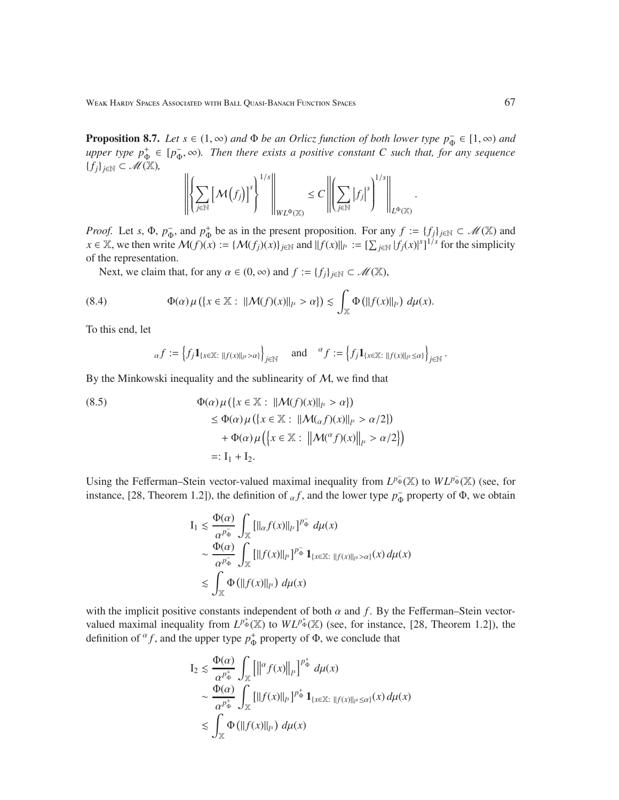**Proposition 8.7.** *Let*  $s \in (1, \infty)$  *and*  $\Phi$  *be an Orlicz function of both lower type*  $p_{\Phi}^- \in [1, \infty)$  *and upper type*  $p_{\Phi}^+ \in [p_{\Phi}^-, \infty)$ *. Then there exists a positive constant C such that, for any sequence* {*fj*}*j*∈<sup>N</sup> ⊂ M(X)*,*

$$
\left\| \left\{ \sum_{j\in\mathbb{N}} \left[\mathcal{M}(f_j)\right]^s \right\}^{1/s} \right\|_{WL^{\Phi}(\mathbb{X})} \leq C \left\| \left(\sum_{j\in\mathbb{N}} |f_j|^s \right)^{1/s} \right\|_{L^{\Phi}(\mathbb{X})}.
$$

*Proof.* Let *s*,  $\Phi$ ,  $p_{\Phi}^-$ , and  $p_{\Phi}^+$  be as in the present proposition. For any  $f := \{f_j\}_{j \in \mathbb{N}} \subset \mathcal{M}(\mathbb{X})$  and  $x \in \mathbb{X}$ , we then write  $\mathcal{M}(f)(x) := \{ \mathcal{M}(f_j)(x) \}_{j \in \mathbb{N}}$  and  $||f(x)||_{l^s} := \left[ \sum_{j \in \mathbb{N}} |f_j(x)|^s \right]^{1/s}$  for the simplicity of the representation.

Next, we claim that, for any  $\alpha \in (0, \infty)$  and  $f := \{f_j\}_{j \in \mathbb{N}} \subset \mathcal{M}(\mathbb{X}),$ 

(8.4) 
$$
\Phi(\alpha)\mu(\lbrace x \in \mathbb{X} : ||\mathcal{M}(f)(x)||_{l^{s}} > \alpha \rbrace) \lesssim \int_{\mathbb{X}} \Phi(||f(x)||_{l^{s}}) d\mu(x).
$$

To this end, let

$$
_{\alpha}f:=\left\{f_j\mathbf{1}_{\{x\in\mathbb{X}:\;||f(x)||_{l^s}>\alpha\}}\right\}_{j\in\mathbb{N}}\quad\text{ and }\quad{^\alpha}f:=\left\{f_j\mathbf{1}_{\{x\in\mathbb{X}:\;||f(x)||_{l^s}\leq\alpha\}}\right\}_{j\in\mathbb{N}}.
$$

By the Minkowski inequality and the sublinearity of  $M$ , we find that

(8.5)  
\n
$$
\Phi(\alpha)\mu({x \in \mathbb{X} : ||\mathcal{M}(f)(x)||_{l^{s}} > \alpha})
$$
\n
$$
\leq \Phi(\alpha)\mu({x \in \mathbb{X} : ||\mathcal{M}(\alpha f)(x)||_{l^{s}} > \alpha/2})
$$
\n
$$
+ \Phi(\alpha)\mu({x \in \mathbb{X} : ||\mathcal{M}(\alpha f)(x)||_{l^{s}} > \alpha/2})
$$
\n
$$
=: I_{1} + I_{2}.
$$

Using the Fefferman–Stein vector-valued maximal inequality from  $L^{p_{\Phi}^{-}}(\mathbb{X})$  to  $WL^{p_{\Phi}^{-}}(\mathbb{X})$  (see, for instance, [28, Theorem 1.2]), the definition of  $_{\alpha}f$ , and the lower type  $p_{\Phi}^-$  property of  $\Phi$ , we obtain

$$
I_1 \lesssim \frac{\Phi(\alpha)}{\alpha^{p_{\Phi}^{-}}}\int_{\mathbb{X}}\left[\|{}_{\alpha}f(x)\|_{l^{s}}\right]^{p_{\Phi}^{-}}d\mu(x)
$$
  

$$
\sim \frac{\Phi(\alpha)}{\alpha^{p_{\Phi}^{-}}}\int_{\mathbb{X}}\left[\|f(x)\|_{l^{s}}\right]^{p_{\Phi}^{-}}\mathbf{1}_{\{x\in\mathbb{X}:\;||f(x)||_{l^{s}}>\alpha\}}(x)\,d\mu(x)
$$
  

$$
\lesssim \int_{\mathbb{X}}\Phi\left(\|f(x)\|_{l^{s}}\right)\,d\mu(x)
$$

with the implicit positive constants independent of both  $\alpha$  and  $f$ . By the Fefferman–Stein vectorvalued maximal inequality from  $L^{p^+_{\Phi}}(\mathbb{X})$  to  $WL^{p^+_{\Phi}}(\mathbb{X})$  (see, for instance, [28, Theorem 1.2]), the definition of  $^{\alpha} f$ , and the upper type  $p_{\Phi}^+$  property of  $\Phi$ , we conclude that

$$
I_2 \leq \frac{\Phi(\alpha)}{\alpha^{p_{\Phi}^+}} \int_{\mathbb{X}} \left[ \left\| \alpha f(x) \right\|_{l^s} \right]^{p_{\Phi}^+} d\mu(x)
$$
  

$$
\sim \frac{\Phi(\alpha)}{\alpha^{p_{\Phi}^+}} \int_{\mathbb{X}} \left[ \left\| f(x) \right\|_{l^s} \right]^{p_{\Phi}^+} \mathbf{1}_{\{x \in \mathbb{X} : \| f(x) \|_{l^s} \leq \alpha\}}(x) d\mu(x)
$$
  

$$
\lesssim \int_{\mathbb{X}} \Phi \left( \left\| f(x) \right\|_{l^s} \right) d\mu(x)
$$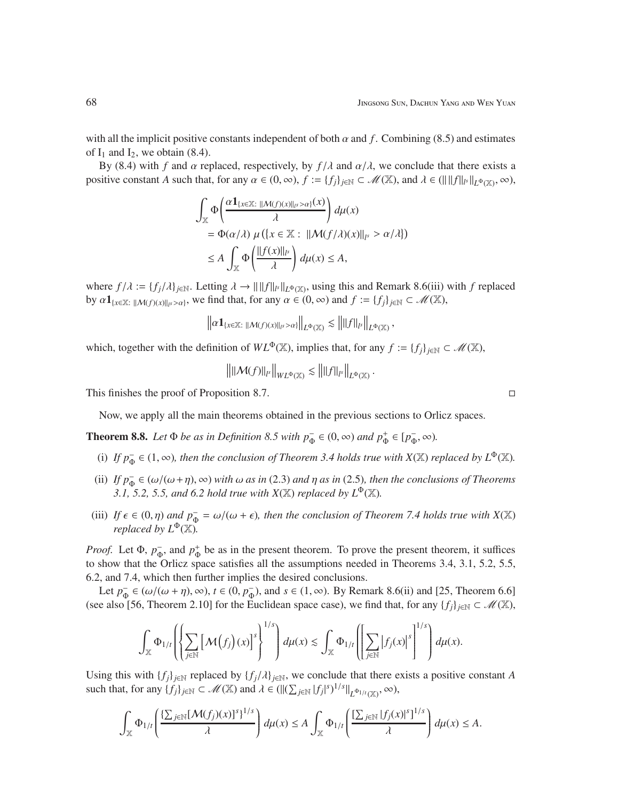with all the implicit positive constants independent of both  $\alpha$  and  $f$ . Combining (8.5) and estimates of  $I_1$  and  $I_2$ , we obtain (8.4).

By (8.4) with *f* and  $\alpha$  replaced, respectively, by  $f/\lambda$  and  $\alpha/\lambda$ , we conclude that there exists a positive constant *A* such that, for any  $\alpha \in (0, \infty)$ ,  $f := \{f_j\}_{j \in \mathbb{N}} \subset \mathcal{M}(\mathbb{X})$ , and  $\lambda \in (\||f||_F\|_{L^{\Phi}(\mathbb{X})}, \infty)$ ,

$$
\int_{\mathbb{X}} \Phi\left(\frac{\alpha \mathbf{1}_{\{x \in \mathbb{X}\colon \|M(f)(x)\|_{l^s} > \alpha\}}(x)}{\lambda}\right) d\mu(x)
$$
\n
$$
= \Phi(\alpha/\lambda) \mu(\{x \in \mathbb{X}\colon \|M(f/\lambda)(x)\|_{l^s} > \alpha/\lambda\})
$$
\n
$$
\leq A \int_{\mathbb{X}} \Phi\left(\frac{\|f(x)\|_{l^s}}{\lambda}\right) d\mu(x) \leq A,
$$

where  $f/\lambda := \{f_j/\lambda\}_{j\in\mathbb{N}}$ . Letting  $\lambda \to \|f\|_{L^p(\mathbb{X})}$ , using this and Remark 8.6(iii) with *f* replaced by  $\alpha \mathbf{1}_{\{x \in \mathbb{X} : ||\mathcal{M}(f)(x)||_{l^{s}} > \alpha\}}$ , we find that, for any  $\alpha \in (0, \infty)$  and  $f := \{f_j\}_{j \in \mathbb{N}} \subset \mathcal{M}(\mathbb{X})$ ,

$$
\left\|\alpha\mathbf{1}_{\{x\in\mathbb{X}: \; \|\mathcal{M}(f)(x)\|_{l^{s}}>\alpha\}}\right\|_{L^{\Phi}(\mathbb{X})}\lesssim \left\|\|f\|_{l^{s}}\right\|_{L^{\Phi}(\mathbb{X})},
$$

which, together with the definition of  $WL^{\Phi}(\mathbb{X})$ , implies that, for any  $f := \{f_i\}_{i \in \mathbb{N}} \subset \mathcal{M}(\mathbb{X})$ ,

$$
\left\| \left\| \mathcal{M}(f) \right\|_{l^s} \right\|_{WL^{\Phi}(\mathbb{X})} \lesssim \left\| \left\| f \right\|_{l^s} \right\|_{L^{\Phi}(\mathbb{X})}.
$$

This finishes the proof of Proposition 8.7.

Now, we apply all the main theorems obtained in the previous sections to Orlicz spaces.

**Theorem 8.8.** Let  $\Phi$  *be as in Definition 8.5 with*  $p_{\Phi}^- \in (0, \infty)$  *and*  $p_{\Phi}^+ \in [p_{\Phi}^-, \infty)$ *.* 

- (i) *If*  $p_{\Phi}^- \in (1, \infty)$ *, then the conclusion of Theorem 3.4 holds true with*  $X(\mathbb{X})$  *replaced by*  $L^{\Phi}(\mathbb{X})$ *.*
- (ii) *If*  $p_{\Phi}^-$  ∈ ( $\omega/(\omega + \eta)$ ,  $\infty$ ) *with*  $\omega$  *as in* (2.3) *and*  $\eta$  *as in* (2.5)*, then the conclusions of Theorems 3.1, 5.2, 5.5, and 6.2 hold true with X(X) replaced by*  $L^{\Phi}(\mathbb{X})$ *.*
- (iii) *If*  $\epsilon \in (0, \eta)$  *and*  $p_{\Phi}^- = \omega/(\omega + \epsilon)$ *, then the conclusion of Theorem 7.4 holds true with*  $X(\mathbb{X})$ *replaced by*  $L^{\Phi}(\mathbb{X})$ *.*

*Proof.* Let  $\Phi$ ,  $p_{\Phi}^-$ , and  $p_{\Phi}^+$  be as in the present theorem. To prove the present theorem, it suffices to show that the Orlicz space satisfies all the assumptions needed in Theorems 3.4, 3.1, 5.2, 5.5, 6.2, and 7.4, which then further implies the desired conclusions.

Let  $p_{\Phi}^- \in (\omega/(\omega + \eta), \infty)$ ,  $t \in (0, p_{\Phi}^-)$ , and  $s \in (1, \infty)$ . By Remark 8.6(ii) and [25, Theorem 6.6] (see also [56, Theorem 2.10] for the Euclidean space case), we find that, for any  $\{f_i\}_{i\in\mathbb{N}}\subset\mathcal{M}(\mathbb{X})$ ,

$$
\int_{\mathbb{X}} \Phi_{1/t} \left( \left\{ \sum_{j \in \mathbb{N}} \left[ \mathcal{M}(f_j)(x) \right]^s \right\}^{1/s} \right) d\mu(x) \lesssim \int_{\mathbb{X}} \Phi_{1/t} \left( \left[ \sum_{j \in \mathbb{N}} \left| f_j(x) \right|^s \right]^{1/s} \right) d\mu(x).
$$

Using this with  $\{f_i\}_{i\in\mathbb{N}}$  replaced by  $\{f_i/\lambda\}_{i\in\mathbb{N}}$ , we conclude that there exists a positive constant *A* such that, for any  $\{f_j\}_{j\in\mathbb{N}} \subset \mathcal{M}(\mathbb{X})$  and  $\lambda \in (\left\| (\sum_{j\in\mathbb{N}} |f_j|^s)^{1/s} \right\|_{L^{\Phi_1/t}(\mathbb{X})}, \infty)$ ,

$$
\int_{\mathbb{X}} \Phi_{1/t} \left( \frac{\left\{ \sum_{j \in \mathbb{N}} [\mathcal{M}(f_j)(x)]^s \right\}^{1/s}}{\lambda} \right) d\mu(x) \leq A \int_{\mathbb{X}} \Phi_{1/t} \left( \frac{\left[ \sum_{j \in \mathbb{N}} |f_j(x)|^s \right]^{1/s}}{\lambda} \right) d\mu(x) \leq A.
$$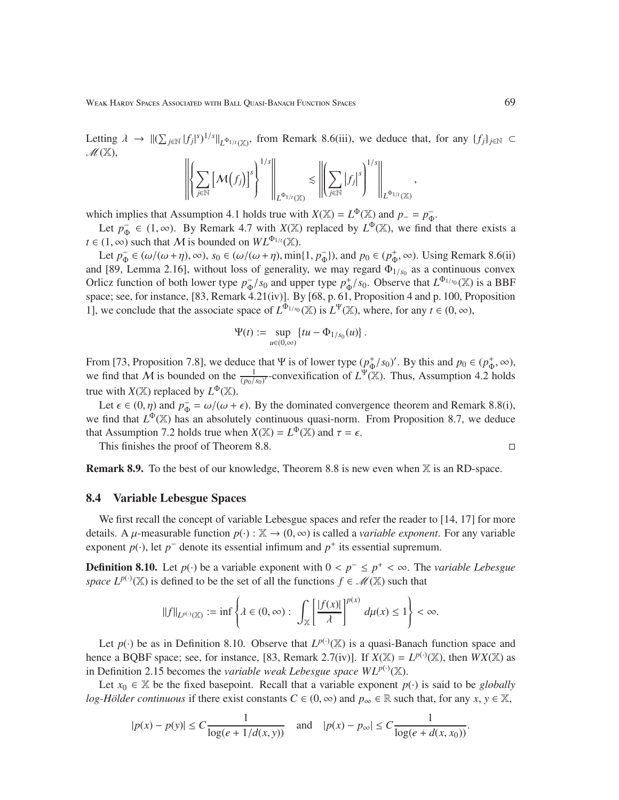Letting  $\lambda \to ||(\sum_{j\in \mathbb{N}} |f_j|^s)^{1/s}||_{L^{\Phi_{1/t}}(\mathbb{X})}$ , from Remark 8.6(iii), we deduce that, for any  $\{f_j\}_{j\in \mathbb{N}}$  $\mathscr{M}(\mathbb{X}),$ 

$$
\left\| \left\{ \sum_{j \in \mathbb{N}} \left[ \mathcal{M}(f_j) \right]^s \right\}^{1/s} \right\|_{L^{\Phi_{1/t}(\mathbb{X})}} \lesssim \left\| \left( \sum_{j \in \mathbb{N}} \left| f_j \right|^s \right)^{1/s} \right\|_{L^{\Phi_{1/t}(\mathbb{X})}},
$$

which implies that Assumption 4.1 holds true with *X*(X) =  $L^{\Phi}$ (X) and *p*<sub>−</sub> =  $p_{\Phi}^-$ .

Let  $p_{\Phi}^- \in (1, \infty)$ . By Remark 4.7 with *X*(X) replaced by  $L^{\Phi}(\mathbb{X})$ , we find that there exists a  $t \in (1, \infty)$  such that *M* is bounded on  $WL^{\Phi_{1/t}}(\mathbb{X})$ .

Let  $p_{\Phi}^- \in (\omega/(\omega + \eta), \infty)$ ,  $s_0 \in (\omega/(\omega + \eta), \min\{1, p_{\Phi}^-\})$ , and  $p_0 \in (p_{\Phi}^+, \infty)$ . Using Remark 8.6(ii) and [89, Lemma 2.16], without loss of generality, we may regard  $\Phi_{1/s_0}$  as a continuous convex Orlicz function of both lower type  $p_{\Phi}^{-}/s_0$  and upper type  $p_{\Phi}^{+}/s_0$ . Observe that  $L^{\Phi_{1/s_0}}(\mathbb{X})$  is a BBF space; see, for instance, [83, Remark 4.21(iv)]. By [68, p. 61, Proposition 4 and p. 100, Proposition 1], we conclude that the associate space of  $L^{\Phi_{1/s_0}}(\mathbb{X})$  is  $L^{\Psi}(\mathbb{X})$ , where, for any  $t \in (0, \infty)$ ,

$$
\Psi(t) := \sup_{u \in (0,\infty)} \{tu - \Phi_{1/s_0}(u)\}.
$$

From [73, Proposition 7.8], we deduce that Ψ is of lower type  $(p^+_{\Phi}/s_0)'$ . By this and  $p_0 \in (p^+_{\Phi}, \infty)$ , we find that M is bounded on the  $\frac{1}{(p_0/s_0)^r}$ -convexification of  $L^{\Psi}(\mathbb{X})$ . Thus, Assumption 4.2 holds true with  $X(\mathbb{X})$  replaced by  $L^{\Phi}(\mathbb{X})$ .

Let  $\epsilon \in (0, \eta)$  and  $p_{\Phi}^- = \omega/(\omega + \epsilon)$ . By the dominated convergence theorem and Remark 8.8(i), we find that  $L^{\Phi}(\mathbb{X})$  has an absolutely continuous quasi-norm. From Proposition 8.7, we deduce that Assumption 7.2 holds true when  $X(\mathbb{X}) = L^{\Phi}(\mathbb{X})$  and  $\tau = \epsilon$ .

This finishes the proof of Theorem 8.8.

**Remark 8.9.** To the best of our knowledge, Theorem 8.8 is new even when  $X$  is an RD-space.

### 8.4 Variable Lebesgue Spaces

We first recall the concept of variable Lebesgue spaces and refer the reader to [14, 17] for more details. A  $\mu$ -measurable function  $p(\cdot)$ :  $\mathbb{X} \to (0, \infty)$  is called a *variable exponent*. For any variable exponent  $p(\cdot)$ , let  $p^-$  denote its essential infimum and  $p^+$  its essential supremum.

**Definition 8.10.** Let  $p(·)$  be a variable exponent with  $0 < p<sup>−</sup> ≤ p<sup>+</sup> < ∞$ . The *variable Lebesgue space*  $L^{p(\cdot)}(\mathbb{X})$  is defined to be the set of all the functions  $f \in \mathcal{M}(\mathbb{X})$  such that

$$
\|f\|_{L^{p(\cdot)}(\mathbb{X})}:=\inf\left\{\lambda\in(0,\infty):\ \int_{\mathbb{X}}\left[\frac{|f(x)|}{\lambda}\right]^{p(x)}\,d\mu(x)\leq 1\right\}<\infty.
$$

Let  $p(\cdot)$  be as in Definition 8.10. Observe that  $L^{p(\cdot)}(\mathbb{X})$  is a quasi-Banach function space and hence a BQBF space; see, for instance, [83, Remark 2.7(iv)]. If  $X(\mathbb{X}) = L^{p(\cdot)}(\mathbb{X})$ , then  $WX(\mathbb{X})$  as in Definition 2.15 becomes the *variable weak Lebesgue space*  $WL^{p(\cdot)}(\mathbb{X})$ .

Let  $x_0 \in \mathbb{X}$  be the fixed basepoint. Recall that a variable exponent  $p(\cdot)$  is said to be *globally log-Hölder continuous* if there exist constants  $C \in (0, \infty)$  and  $p_\infty \in \mathbb{R}$  such that, for any  $x, y \in \mathbb{X}$ ,

$$
|p(x) - p(y)| \le C \frac{1}{\log(e + 1/d(x, y))} \quad \text{and} \quad |p(x) - p_{\infty}| \le C \frac{1}{\log(e + d(x, x_0))}.
$$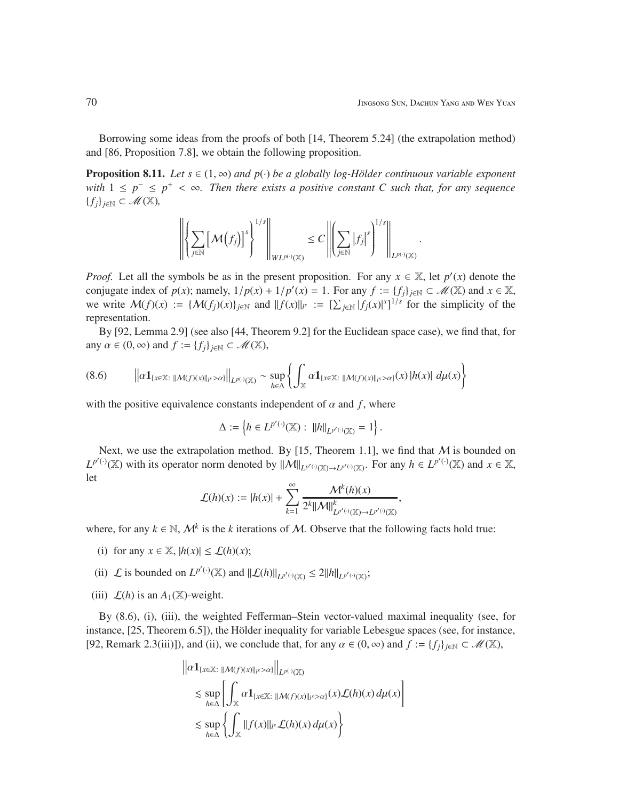.

Borrowing some ideas from the proofs of both [14, Theorem 5.24] (the extrapolation method) and [86, Proposition 7.8], we obtain the following proposition.

**Proposition 8.11.** *Let*  $s \in (1, \infty)$  *and*  $p(\cdot)$  *be a globally log-Hölder continuous variable exponent with*  $1 ≤ p<sup>-</sup> ≤ p<sup>+</sup> < ∞$ . Then there exists a positive constant C such that, for any sequence {*fj*}*j*∈<sup>N</sup> ⊂ M(X)*,*

$$
\left\| \left\{ \sum_{j \in \mathbb{N}} \left[ \mathcal{M}(f_j) \right]^s \right\}^{1/s} \right\|_{W L^{p(\cdot)}(\mathbb{X})} \leq C \left\| \left( \sum_{j \in \mathbb{N}} |f_j|^s \right)^{1/s} \right\|_{L^{p(\cdot)}(\mathbb{X})}
$$

*Proof.* Let all the symbols be as in the present proposition. For any  $x \in \mathbb{X}$ , let  $p'(x)$  denote the conjugate index of  $p(x)$ ; namely,  $1/p(x) + 1/p'(x) = 1$ . For any  $f := \{f_j\}_{j \in \mathbb{N}} \subset \mathcal{M}(\mathbb{X})$  and  $x \in \mathbb{X}$ , we write  $\mathcal{M}(f)(x) := \{ \mathcal{M}(f_j)(x) \}_{j \in \mathbb{N}}$  and  $||f(x)||_{l^s} := \left[ \sum_{j \in \mathbb{N}} |f_j(x)|^s \right]^{1/s}$  for the simplicity of the representation.

By [92, Lemma 2.9] (see also [44, Theorem 9.2] for the Euclidean space case), we find that, for any  $\alpha \in (0, \infty)$  and  $f := \{f_i\}_{i \in \mathbb{N}} \subset \mathcal{M}(\mathbb{X}),$ 

$$
(8.6) \qquad \left\|\alpha\mathbf{1}_{\{x\in\mathbb{X}:\hspace{0.1cm}||\mathcal{M}(f)(x)||_{l^{s}}>\alpha\}}\right\|_{L^{p(\cdot)}(\mathbb{X})}\sim\sup_{h\in\Delta}\left\{\int_{\mathbb{X}}\alpha\mathbf{1}_{\{x\in\mathbb{X}:\hspace{0.1cm}||\mathcal{M}(f)(x)||_{l^{s}}>\alpha\}}(x)\left|h(x)\right|\,d\mu(x)\right\}
$$

with the positive equivalence constants independent of  $\alpha$  and  $f$ , where

$$
\Delta := \left\{ h \in L^{p'(\cdot)}(\mathbb{X}) : ||h||_{L^{p'(\cdot)}(\mathbb{X})} = 1 \right\}.
$$

Next, we use the extrapolation method. By [15, Theorem 1.1], we find that  $M$  is bounded on  $L^{p'(\cdot)}(\mathbb{X})$  with its operator norm denoted by  $||\mathcal{M}||_{L^{p'(\cdot)}(\mathbb{X})\to L^{p'(\cdot)}(\mathbb{X})}$ . For any  $h \in L^{p'(\cdot)}(\mathbb{X})$  and  $x \in \mathbb{X}$ , let

$$
\mathcal{L}(h)(x) := |h(x)| + \sum_{k=1}^{\infty} \frac{\mathcal{M}^k(h)(x)}{2^k \|\mathcal{M}\|_{L^{p'(\cdot)}(\mathbb{X}) \to L^{p'(\cdot)}(\mathbb{X})}^k},
$$

where, for any  $k \in \mathbb{N}$ ,  $\mathcal{M}^k$  is the *k* iterations of M. Observe that the following facts hold true:

- (i) for any  $x \in \mathbb{X}$ ,  $|h(x)| \leq \mathcal{L}(h)(x)$ ;
- (ii)  $\mathcal L$  is bounded on  $L^{p'(\cdot)}(\mathbb X)$  and  $||\mathcal L(h)||_{L^{p'(\cdot)}(\mathbb X)} \leq 2||h||_{L^{p'(\cdot)}(\mathbb X)}$ ;
- (iii)  $\mathcal{L}(h)$  is an  $A_1(\mathbb{X})$ -weight.

By (8.6), (i), (iii), the weighted Fefferman–Stein vector-valued maximal inequality (see, for instance,  $[25,$  Theorem 6.5]), the Hölder inequality for variable Lebesgue spaces (see, for instance, [92, Remark 2.3(iii)]), and (ii), we conclude that, for any  $\alpha \in (0, \infty)$  and  $f := \{f_i\}_{i \in \mathbb{N}} \subset \mathcal{M}(\mathbb{X})$ ,

$$
\| \alpha \mathbf{1}_{\{x \in \mathbb{X} : \| \mathcal{M}(f)(x) \|_{l^s} > \alpha \}} \|_{L^{p(\cdot)}(\mathbb{X})}
$$
  
\$\leq \sup\_{h \in \Delta} \left[ \int\_{\mathbb{X}} \alpha \mathbf{1}\_{\{x \in \mathbb{X} : \| \mathcal{M}(f)(x) \|\_{l^s} > \alpha \}}(x) \mathcal{L}(h)(x) d\mu(x) \right] \$  
\$\leq \sup\_{h \in \Delta} \left\{ \int\_{\mathbb{X}} \| f(x) \|\_{l^s} \mathcal{L}(h)(x) d\mu(x) \right\} \$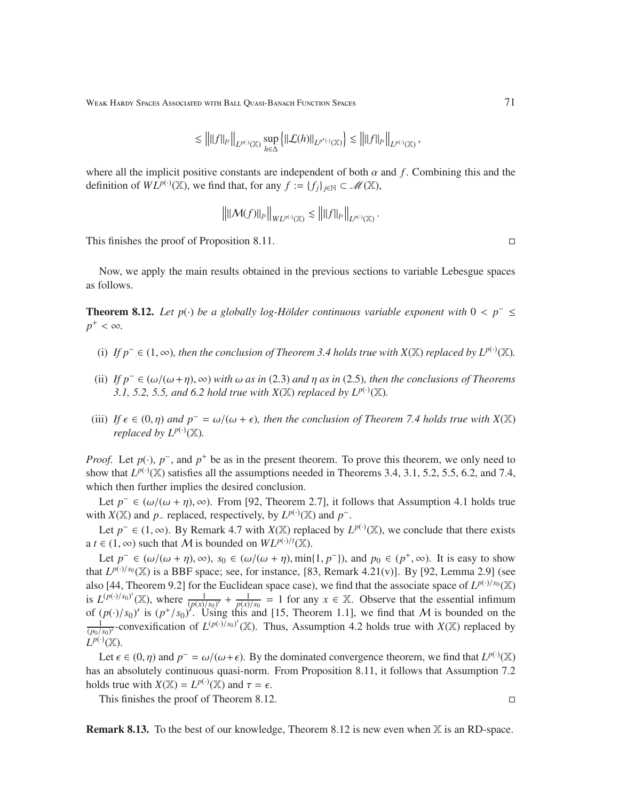Weak Hardy Spaces Associated with Ball Quasi-Banach Function Spaces 71 (2008) 71

$$
\lesssim \left\| \|f\|_{l^s} \right\|_{L^{p(\cdot)}({\mathbb X})} \sup_{h \in \Delta} \left\{ \left\| \mathcal{L}(h) \right\|_{L^{p'(\cdot)}({\mathbb X})} \right\} \lesssim \left\| \|f\|_{l^s} \right\|_{L^{p(\cdot)}({\mathbb X})},
$$

where all the implicit positive constants are independent of both  $\alpha$  and  $f$ . Combining this and the definition of  $WL^{p(\cdot)}(\mathbb{X})$ , we find that, for any  $f := \{f_j\}_{j \in \mathbb{N}} \subset \mathcal{M}(\mathbb{X})$ ,

$$
\left\| \left\| \mathcal{M}(f) \right\|_{l^s} \right\|_{WL^{p(\cdot)}(\mathbb{X})} \lesssim \left\| \left\| f \right\|_{l^s} \right\|_{L^{p(\cdot)}(\mathbb{X})}
$$

.

This finishes the proof of Proposition 8.11.

Now, we apply the main results obtained in the previous sections to variable Lebesgue spaces as follows.

**Theorem 8.12.** Let  $p(\cdot)$  be a globally log-Hölder continuous variable exponent with  $0 < p^{-} \leq$  $p^+ < \infty$ .

- (i) If  $p^- \in (1, \infty)$ , then the conclusion of Theorem 3.4 holds true with  $X(\mathbb{X})$  replaced by  $L^{p(\cdot)}(\mathbb{X})$ .
- (ii) *If p*<sup>−</sup> ∈ (ω/(ω+η), ∞) *with* ω *as in* (2.3) *and* η *as in* (2.5)*, then the conclusions of Theorems 3.1, 5.2, 5.5, and 6.2 hold true with*  $X(\mathbb{X})$  *replaced by*  $L^{p(\cdot)}(\mathbb{X})$ *.*
- (iii) *If*  $\epsilon \in (0, \eta)$  *and*  $p^{-} = \omega/(\omega + \epsilon)$ *, then the conclusion of Theorem 7.4 holds true with*  $X(\mathbb{X})$ *replaced by*  $L^{p(\cdot)}(\mathbb{X})$ *.*

*Proof.* Let  $p(\cdot)$ ,  $p^{-}$ , and  $p^{+}$  be as in the present theorem. To prove this theorem, we only need to show that  $L^{p(\cdot)}(\mathbb{X})$  satisfies all the assumptions needed in Theorems 3.4, 3.1, 5.2, 5.5, 6.2, and 7.4, which then further implies the desired conclusion.

Let  $p^- \in (\omega/(\omega + \eta), \infty)$ . From [92, Theorem 2.7], it follows that Assumption 4.1 holds true with *X*( $\mathbb{X}$ ) and *p* – replaced, respectively, by  $L^{p(\cdot)}(\mathbb{X})$  and  $p^{-}$ .

Let  $p^-$  ∈ (1, ∞). By Remark 4.7 with *X*(X) replaced by  $L^{p(·)}(X)$ , we conclude that there exists a *t* ∈ (1, ∞) such that *M* is bounded on  $WL^{p(\cdot)/t}(\mathbb{X})$ .

Let  $p^- \in (\omega/(\omega + \eta), \infty)$ ,  $s_0 \in (\omega/(\omega + \eta), \min\{1, p^-\})$ , and  $p_0 \in (p^+, \infty)$ . It is easy to show that  $L^{p(\cdot)/s_0}(\mathbb{X})$  is a BBF space; see, for instance, [83, Remark 4.21(v)]. By [92, Lemma 2.9] (see also [44, Theorem 9.2] for the Euclidean space case), we find that the associate space of  $L^{p(\cdot)/s_0}(\mathbb{X})$ is  $L^{(p(\cdot)/s_0)'}(\mathbb{X})$ , where  $\frac{1}{(p(x)/s_0)^2} + \frac{1}{p(x)}$  $\frac{1}{p(x)/s_0}$  = 1 for any *x* ∈ X. Observe that the essential infimum of  $(p(\cdot)/s_0)'$  is  $(p^+/s_0)'$ . Using this and [15, Theorem 1.1], we find that M is bounded on the 1  $\frac{1}{(p_0/s_0)}$ -convexification of  $L^{(p(\cdot)/s_0)}$ <sup>'</sup>(X). Thus, Assumption 4.2 holds true with *X*(X) replaced by  $L^{p(\cdot)}(\mathbb{X})$ .

Let  $\epsilon \in (0, \eta)$  and  $p^- = \omega/(\omega + \epsilon)$ . By the dominated convergence theorem, we find that  $L^{p(\cdot)}(\mathbb{X})$ has an absolutely continuous quasi-norm. From Proposition 8.11, it follows that Assumption 7.2 holds true with  $X(\mathbb{X}) = L^{p(\cdot)}(\mathbb{X})$  and  $\tau = \epsilon$ .

This finishes the proof of Theorem 8.12.

**Remark 8.13.** To the best of our knowledge, Theorem 8.12 is new even when  $\mathbb{X}$  is an RD-space.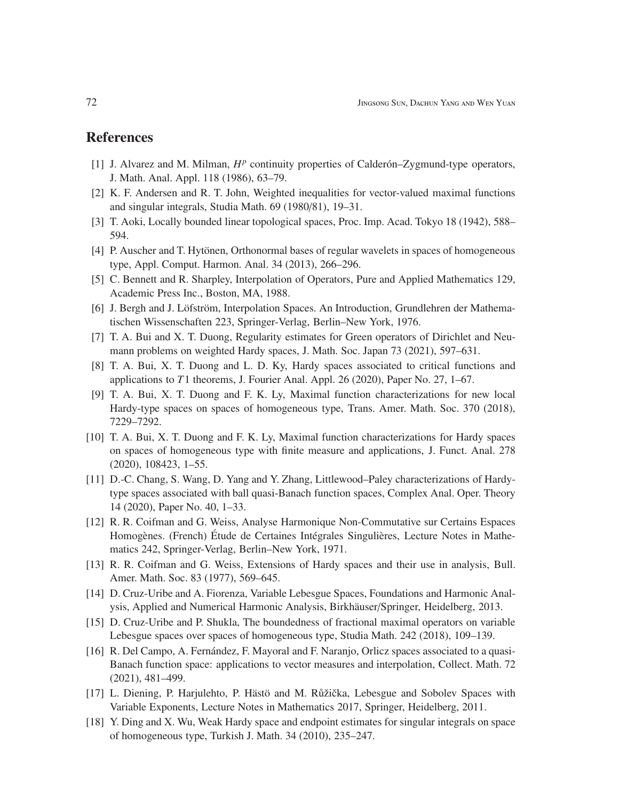## References

- [1] J. Alvarez and M. Milman,  $H^p$  continuity properties of Calderón–Zygmund-type operators, J. Math. Anal. Appl. 118 (1986), 63–79.
- [2] K. F. Andersen and R. T. John, Weighted inequalities for vector-valued maximal functions and singular integrals, Studia Math. 69 (1980/81), 19–31.
- [3] T. Aoki, Locally bounded linear topological spaces, Proc. Imp. Acad. Tokyo 18 (1942), 588– 594.
- [4] P. Auscher and T. Hytönen, Orthonormal bases of regular wavelets in spaces of homogeneous type, Appl. Comput. Harmon. Anal. 34 (2013), 266–296.
- [5] C. Bennett and R. Sharpley, Interpolation of Operators, Pure and Applied Mathematics 129, Academic Press Inc., Boston, MA, 1988.
- [6] J. Bergh and J. Löfström, Interpolation Spaces. An Introduction, Grundlehren der Mathematischen Wissenschaften 223, Springer-Verlag, Berlin–New York, 1976.
- [7] T. A. Bui and X. T. Duong, Regularity estimates for Green operators of Dirichlet and Neumann problems on weighted Hardy spaces, J. Math. Soc. Japan 73 (2021), 597–631.
- [8] T. A. Bui, X. T. Duong and L. D. Ky, Hardy spaces associated to critical functions and applications to *T*1 theorems, J. Fourier Anal. Appl. 26 (2020), Paper No. 27, 1–67.
- [9] T. A. Bui, X. T. Duong and F. K. Ly, Maximal function characterizations for new local Hardy-type spaces on spaces of homogeneous type, Trans. Amer. Math. Soc. 370 (2018), 7229–7292.
- [10] T. A. Bui, X. T. Duong and F. K. Ly, Maximal function characterizations for Hardy spaces on spaces of homogeneous type with finite measure and applications, J. Funct. Anal. 278 (2020), 108423, 1–55.
- [11] D.-C. Chang, S. Wang, D. Yang and Y. Zhang, Littlewood–Paley characterizations of Hardytype spaces associated with ball quasi-Banach function spaces, Complex Anal. Oper. Theory 14 (2020), Paper No. 40, 1–33.
- [12] R. R. Coifman and G. Weiss, Analyse Harmonique Non-Commutative sur Certains Espaces Homogènes. (French) Étude de Certaines Intégrales Singulières, Lecture Notes in Mathematics 242, Springer-Verlag, Berlin–New York, 1971.
- [13] R. R. Coifman and G. Weiss, Extensions of Hardy spaces and their use in analysis, Bull. Amer. Math. Soc. 83 (1977), 569–645.
- [14] D. Cruz-Uribe and A. Fiorenza, Variable Lebesgue Spaces, Foundations and Harmonic Analysis, Applied and Numerical Harmonic Analysis, Birkhäuser/Springer, Heidelberg, 2013.
- [15] D. Cruz-Uribe and P. Shukla, The boundedness of fractional maximal operators on variable Lebesgue spaces over spaces of homogeneous type, Studia Math. 242 (2018), 109–139.
- [16] R. Del Campo, A. Fernández, F. Mayoral and F. Naranjo, Orlicz spaces associated to a quasi-Banach function space: applications to vector measures and interpolation, Collect. Math. 72 (2021), 481–499.
- [17] L. Diening, P. Harjulehto, P. Hästö and M. Růžička, Lebesgue and Sobolev Spaces with Variable Exponents, Lecture Notes in Mathematics 2017, Springer, Heidelberg, 2011.
- [18] Y. Ding and X. Wu, Weak Hardy space and endpoint estimates for singular integrals on space of homogeneous type, Turkish J. Math. 34 (2010), 235–247.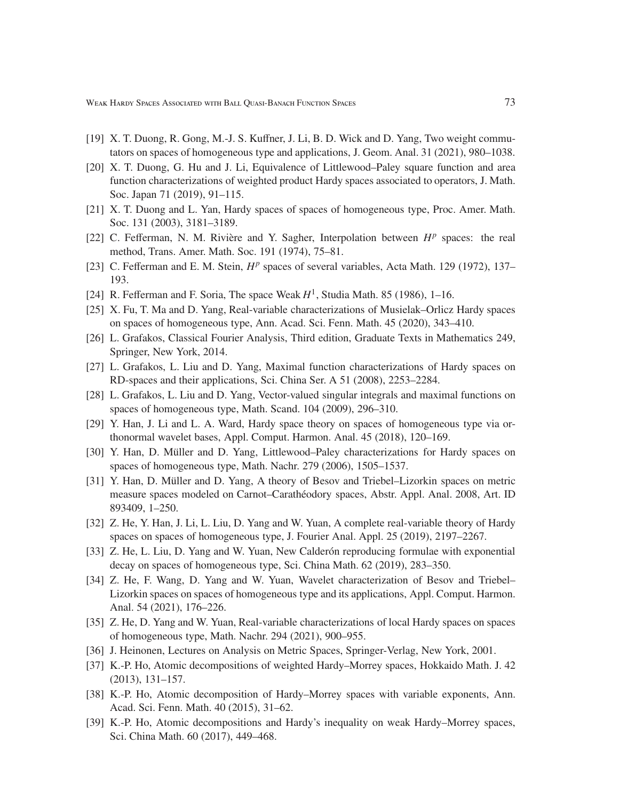Weak Hardy Spaces Associated with Ball Quasi-Banach Function Spaces 73

- [19] X. T. Duong, R. Gong, M.-J. S. Kuffner, J. Li, B. D. Wick and D. Yang, Two weight commutators on spaces of homogeneous type and applications, J. Geom. Anal. 31 (2021), 980–1038.
- [20] X. T. Duong, G. Hu and J. Li, Equivalence of Littlewood–Paley square function and area function characterizations of weighted product Hardy spaces associated to operators, J. Math. Soc. Japan 71 (2019), 91–115.
- [21] X. T. Duong and L. Yan, Hardy spaces of spaces of homogeneous type, Proc. Amer. Math. Soc. 131 (2003), 3181–3189.
- [22] C. Fefferman, N. M. Rivière and Y. Sagher, Interpolation between  $H^p$  spaces: the real method, Trans. Amer. Math. Soc. 191 (1974), 75–81.
- [23] C. Fefferman and E. M. Stein,  $H^p$  spaces of several variables, Acta Math. 129 (1972), 137– 193.
- [24] R. Fefferman and F. Soria, The space Weak  $H^1$ , Studia Math. 85 (1986), 1–16.
- [25] X. Fu, T. Ma and D. Yang, Real-variable characterizations of Musielak–Orlicz Hardy spaces on spaces of homogeneous type, Ann. Acad. Sci. Fenn. Math. 45 (2020), 343–410.
- [26] L. Grafakos, Classical Fourier Analysis, Third edition, Graduate Texts in Mathematics 249, Springer, New York, 2014.
- [27] L. Grafakos, L. Liu and D. Yang, Maximal function characterizations of Hardy spaces on RD-spaces and their applications, Sci. China Ser. A 51 (2008), 2253–2284.
- [28] L. Grafakos, L. Liu and D. Yang, Vector-valued singular integrals and maximal functions on spaces of homogeneous type, Math. Scand. 104 (2009), 296–310.
- [29] Y. Han, J. Li and L. A. Ward, Hardy space theory on spaces of homogeneous type via orthonormal wavelet bases, Appl. Comput. Harmon. Anal. 45 (2018), 120–169.
- [30] Y. Han, D. Müller and D. Yang, Littlewood–Paley characterizations for Hardy spaces on spaces of homogeneous type, Math. Nachr. 279 (2006), 1505–1537.
- [31] Y. Han, D. Müller and D. Yang, A theory of Besov and Triebel–Lizorkin spaces on metric measure spaces modeled on Carnot-Carathéodory spaces, Abstr. Appl. Anal. 2008, Art. ID 893409, 1–250.
- [32] Z. He, Y. Han, J. Li, L. Liu, D. Yang and W. Yuan, A complete real-variable theory of Hardy spaces on spaces of homogeneous type, J. Fourier Anal. Appl. 25 (2019), 2197–2267.
- [33] Z. He, L. Liu, D. Yang and W. Yuan, New Calder on reproducing formulae with exponential decay on spaces of homogeneous type, Sci. China Math. 62 (2019), 283–350.
- [34] Z. He, F. Wang, D. Yang and W. Yuan, Wavelet characterization of Besov and Triebel– Lizorkin spaces on spaces of homogeneous type and its applications, Appl. Comput. Harmon. Anal. 54 (2021), 176–226.
- [35] Z. He, D. Yang and W. Yuan, Real-variable characterizations of local Hardy spaces on spaces of homogeneous type, Math. Nachr. 294 (2021), 900–955.
- [36] J. Heinonen, Lectures on Analysis on Metric Spaces, Springer-Verlag, New York, 2001.
- [37] K.-P. Ho, Atomic decompositions of weighted Hardy–Morrey spaces, Hokkaido Math. J. 42 (2013), 131–157.
- [38] K.-P. Ho, Atomic decomposition of Hardy–Morrey spaces with variable exponents, Ann. Acad. Sci. Fenn. Math. 40 (2015), 31–62.
- [39] K.-P. Ho, Atomic decompositions and Hardy's inequality on weak Hardy–Morrey spaces, Sci. China Math. 60 (2017), 449–468.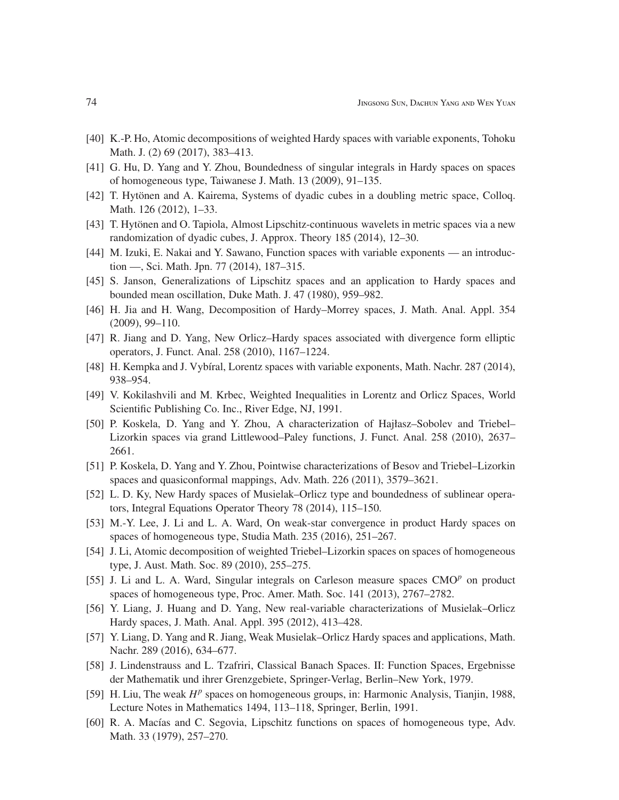- [40] K.-P. Ho, Atomic decompositions of weighted Hardy spaces with variable exponents, Tohoku Math. J. (2) 69 (2017), 383–413.
- [41] G. Hu, D. Yang and Y. Zhou, Boundedness of singular integrals in Hardy spaces on spaces of homogeneous type, Taiwanese J. Math. 13 (2009), 91–135.
- [42] T. Hytönen and A. Kairema, Systems of dyadic cubes in a doubling metric space, Colloq. Math. 126 (2012), 1–33.
- [43] T. Hytönen and O. Tapiola, Almost Lipschitz-continuous wavelets in metric spaces via a new randomization of dyadic cubes, J. Approx. Theory 185 (2014), 12–30.
- [44] M. Izuki, E. Nakai and Y. Sawano, Function spaces with variable exponents an introduction —, Sci. Math. Jpn. 77 (2014), 187–315.
- [45] S. Janson, Generalizations of Lipschitz spaces and an application to Hardy spaces and bounded mean oscillation, Duke Math. J. 47 (1980), 959–982.
- [46] H. Jia and H. Wang, Decomposition of Hardy–Morrey spaces, J. Math. Anal. Appl. 354 (2009), 99–110.
- [47] R. Jiang and D. Yang, New Orlicz–Hardy spaces associated with divergence form elliptic operators, J. Funct. Anal. 258 (2010), 1167–1224.
- [48] H. Kempka and J. Vybíral, Lorentz spaces with variable exponents, Math. Nachr. 287 (2014), 938–954.
- [49] V. Kokilashvili and M. Krbec, Weighted Inequalities in Lorentz and Orlicz Spaces, World Scientific Publishing Co. Inc., River Edge, NJ, 1991.
- [50] P. Koskela, D. Yang and Y. Zhou, A characterization of Hajłasz–Sobolev and Triebel– Lizorkin spaces via grand Littlewood–Paley functions, J. Funct. Anal. 258 (2010), 2637– 2661.
- [51] P. Koskela, D. Yang and Y. Zhou, Pointwise characterizations of Besov and Triebel–Lizorkin spaces and quasiconformal mappings, Adv. Math. 226 (2011), 3579–3621.
- [52] L. D. Ky, New Hardy spaces of Musielak–Orlicz type and boundedness of sublinear operators, Integral Equations Operator Theory 78 (2014), 115–150.
- [53] M.-Y. Lee, J. Li and L. A. Ward, On weak-star convergence in product Hardy spaces on spaces of homogeneous type, Studia Math. 235 (2016), 251–267.
- [54] J. Li, Atomic decomposition of weighted Triebel–Lizorkin spaces on spaces of homogeneous type, J. Aust. Math. Soc. 89 (2010), 255–275.
- [55] J. Li and L. A. Ward, Singular integrals on Carleson measure spaces CMO<sup>p</sup> on product spaces of homogeneous type, Proc. Amer. Math. Soc. 141 (2013), 2767–2782.
- [56] Y. Liang, J. Huang and D. Yang, New real-variable characterizations of Musielak–Orlicz Hardy spaces, J. Math. Anal. Appl. 395 (2012), 413–428.
- [57] Y. Liang, D. Yang and R. Jiang, Weak Musielak–Orlicz Hardy spaces and applications, Math. Nachr. 289 (2016), 634–677.
- [58] J. Lindenstrauss and L. Tzafriri, Classical Banach Spaces. II: Function Spaces, Ergebnisse der Mathematik und ihrer Grenzgebiete, Springer-Verlag, Berlin–New York, 1979.
- [59] H. Liu, The weak  $H^p$  spaces on homogeneous groups, in: Harmonic Analysis, Tianjin, 1988, Lecture Notes in Mathematics 1494, 113–118, Springer, Berlin, 1991.
- [60] R. A. Macías and C. Segovia, Lipschitz functions on spaces of homogeneous type, Adv. Math. 33 (1979), 257–270.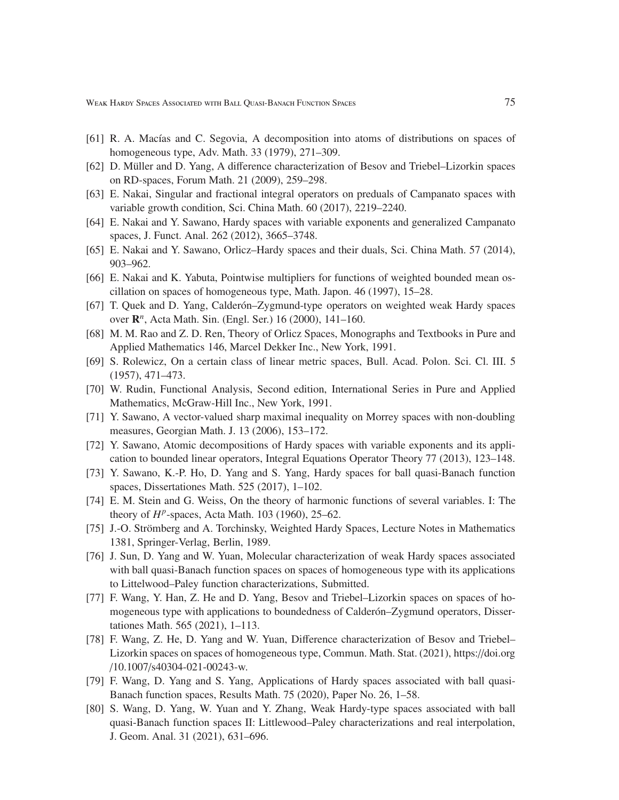Weak Hardy Spaces Associated with Ball Quasi-Banach Function Spaces 75

- [61] R. A. Macías and C. Segovia, A decomposition into atoms of distributions on spaces of homogeneous type, Adv. Math. 33 (1979), 271–309.
- [62] D. Müller and D. Yang, A difference characterization of Besov and Triebel–Lizorkin spaces on RD-spaces, Forum Math. 21 (2009), 259–298.
- [63] E. Nakai, Singular and fractional integral operators on preduals of Campanato spaces with variable growth condition, Sci. China Math. 60 (2017), 2219–2240.
- [64] E. Nakai and Y. Sawano, Hardy spaces with variable exponents and generalized Campanato spaces, J. Funct. Anal. 262 (2012), 3665–3748.
- [65] E. Nakai and Y. Sawano, Orlicz–Hardy spaces and their duals, Sci. China Math. 57 (2014), 903–962.
- [66] E. Nakai and K. Yabuta, Pointwise multipliers for functions of weighted bounded mean oscillation on spaces of homogeneous type, Math. Japon. 46 (1997), 15–28.
- [67] T. Quek and D. Yang, Calder *on–Zygmund-type operators on weighted weak Hardy spaces* over R *n* , Acta Math. Sin. (Engl. Ser.) 16 (2000), 141–160.
- [68] M. M. Rao and Z. D. Ren, Theory of Orlicz Spaces, Monographs and Textbooks in Pure and Applied Mathematics 146, Marcel Dekker Inc., New York, 1991.
- [69] S. Rolewicz, On a certain class of linear metric spaces, Bull. Acad. Polon. Sci. Cl. III. 5 (1957), 471–473.
- [70] W. Rudin, Functional Analysis, Second edition, International Series in Pure and Applied Mathematics, McGraw-Hill Inc., New York, 1991.
- [71] Y. Sawano, A vector-valued sharp maximal inequality on Morrey spaces with non-doubling measures, Georgian Math. J. 13 (2006), 153–172.
- [72] Y. Sawano, Atomic decompositions of Hardy spaces with variable exponents and its application to bounded linear operators, Integral Equations Operator Theory 77 (2013), 123–148.
- [73] Y. Sawano, K.-P. Ho, D. Yang and S. Yang, Hardy spaces for ball quasi-Banach function spaces, Dissertationes Math. 525 (2017), 1–102.
- [74] E. M. Stein and G. Weiss, On the theory of harmonic functions of several variables. I: The theory of *H p* -spaces, Acta Math. 103 (1960), 25–62.
- [75] J.-O. Strömberg and A. Torchinsky, Weighted Hardy Spaces, Lecture Notes in Mathematics 1381, Springer-Verlag, Berlin, 1989.
- [76] J. Sun, D. Yang and W. Yuan, Molecular characterization of weak Hardy spaces associated with ball quasi-Banach function spaces on spaces of homogeneous type with its applications to Littelwood–Paley function characterizations, Submitted.
- [77] F. Wang, Y. Han, Z. He and D. Yang, Besov and Triebel-Lizorkin spaces on spaces of homogeneous type with applications to boundedness of Calderón–Zygmund operators, Dissertationes Math. 565 (2021), 1–113.
- [78] F. Wang, Z. He, D. Yang and W. Yuan, Difference characterization of Besov and Triebel– Lizorkin spaces on spaces of homogeneous type, Commun. Math. Stat. (2021), https://doi.org /10.1007/s40304-021-00243-w.
- [79] F. Wang, D. Yang and S. Yang, Applications of Hardy spaces associated with ball quasi-Banach function spaces, Results Math. 75 (2020), Paper No. 26, 1–58.
- [80] S. Wang, D. Yang, W. Yuan and Y. Zhang, Weak Hardy-type spaces associated with ball quasi-Banach function spaces II: Littlewood–Paley characterizations and real interpolation, J. Geom. Anal. 31 (2021), 631–696.